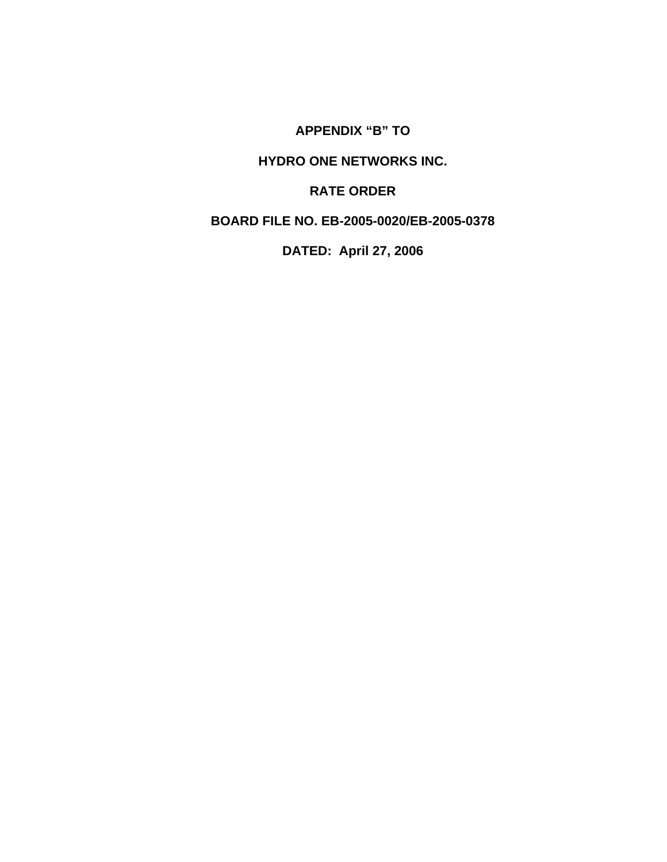**APPENDIX "B" TO** 

# **HYDRO ONE NETWORKS INC.**

# **RATE ORDER**

# **BOARD FILE NO. EB-2005-0020/EB-2005-0378**

# **DATED: April 27, 2006**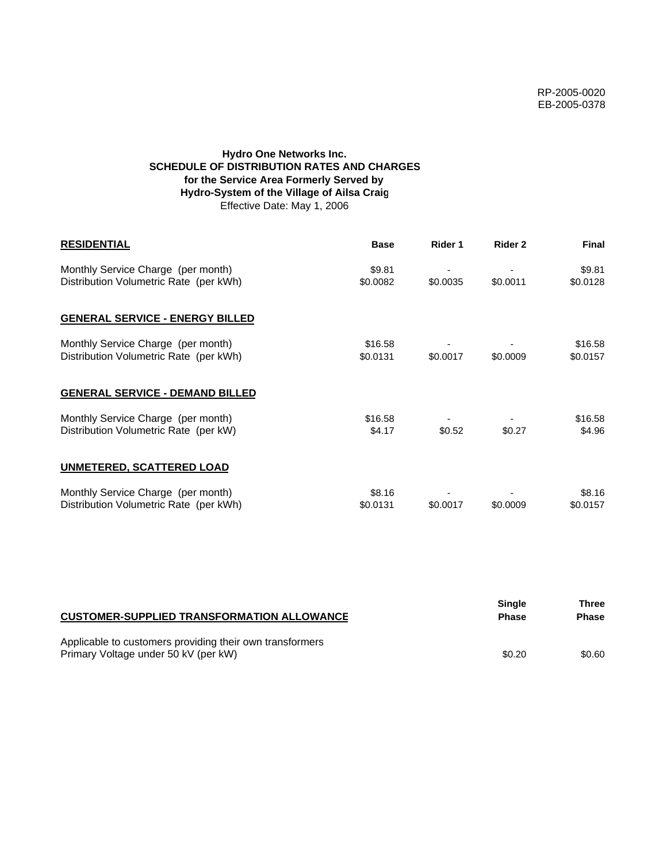# **Hydro One Networks Inc. SCHEDULE OF DISTRIBUTION RATES AND CHARGES for the Service Area Formerly Served by Hydro-System of the Village of Ailsa Craig** Effective Date: May 1, 2006

| <b>RESIDENTIAL</b>                                                           | <b>Base</b>         | Rider 1  | Rider 2  | Final               |
|------------------------------------------------------------------------------|---------------------|----------|----------|---------------------|
| Monthly Service Charge (per month)<br>Distribution Volumetric Rate (per kWh) | \$9.81<br>\$0.0082  | \$0.0035 | \$0.0011 | \$9.81<br>\$0.0128  |
| <b>GENERAL SERVICE - ENERGY BILLED</b>                                       |                     |          |          |                     |
| Monthly Service Charge (per month)<br>Distribution Volumetric Rate (per kWh) | \$16.58<br>\$0.0131 | \$0.0017 | \$0.0009 | \$16.58<br>\$0.0157 |
| <b>GENERAL SERVICE - DEMAND BILLED</b>                                       |                     |          |          |                     |
| Monthly Service Charge (per month)<br>Distribution Volumetric Rate (per kW)  | \$16.58<br>\$4.17   | \$0.52   | \$0.27   | \$16.58<br>\$4.96   |
| UNMETERED, SCATTERED LOAD                                                    |                     |          |          |                     |
| Monthly Service Charge (per month)<br>Distribution Volumetric Rate (per kWh) | \$8.16<br>\$0.0131  | \$0.0017 | \$0.0009 | \$8.16<br>\$0.0157  |

| <b>CUSTOMER-SUPPLIED TRANSFORMATION ALLOWANCE</b>                                                | Single<br><b>Phase</b> | Three<br><b>Phase</b> |
|--------------------------------------------------------------------------------------------------|------------------------|-----------------------|
| Applicable to customers providing their own transformers<br>Primary Voltage under 50 kV (per kW) | \$0.20                 | \$0.60                |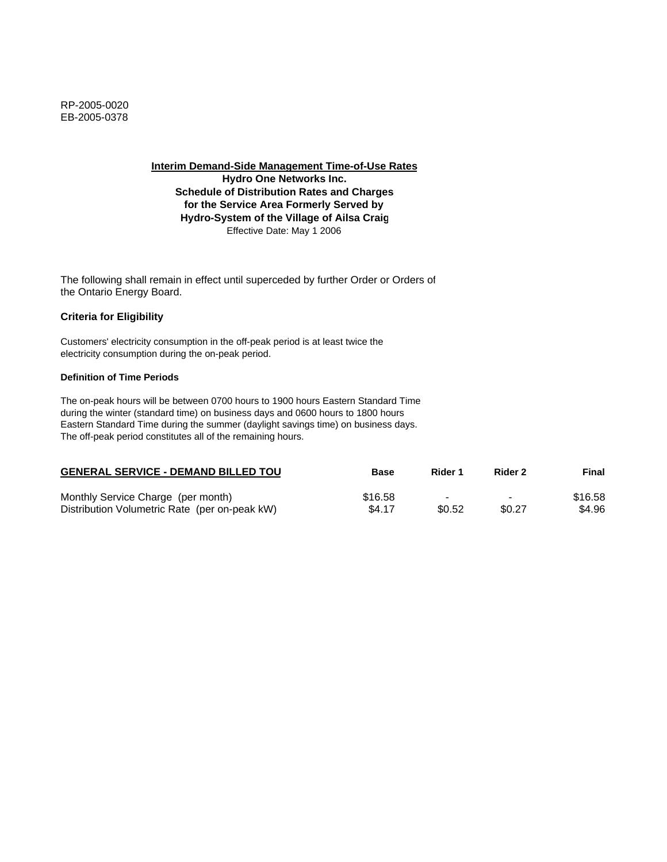**Hydro One Networks Inc. Schedule of Distribution Rates and Charges for the Service Area Formerly Served by Hydro-System of the Village of Ailsa Craig** Effective Date: May 1 2006

The following shall remain in effect until superceded by further Order or Orders of the Ontario Energy Board.

## **Criteria for Eligibility**

Customers' electricity consumption in the off-peak period is at least twice the electricity consumption during the on-peak period.

#### **Definition of Time Periods**

| <b>GENERAL SERVICE - DEMAND BILLED TOU</b>    | Base    | Rider 1 | Rider 2 | Final   |
|-----------------------------------------------|---------|---------|---------|---------|
| Monthly Service Charge (per month)            | \$16.58 | -       | $\,$    | \$16.58 |
| Distribution Volumetric Rate (per on-peak kW) | \$4.17  | \$0.52  | \$0.27  | \$4.96  |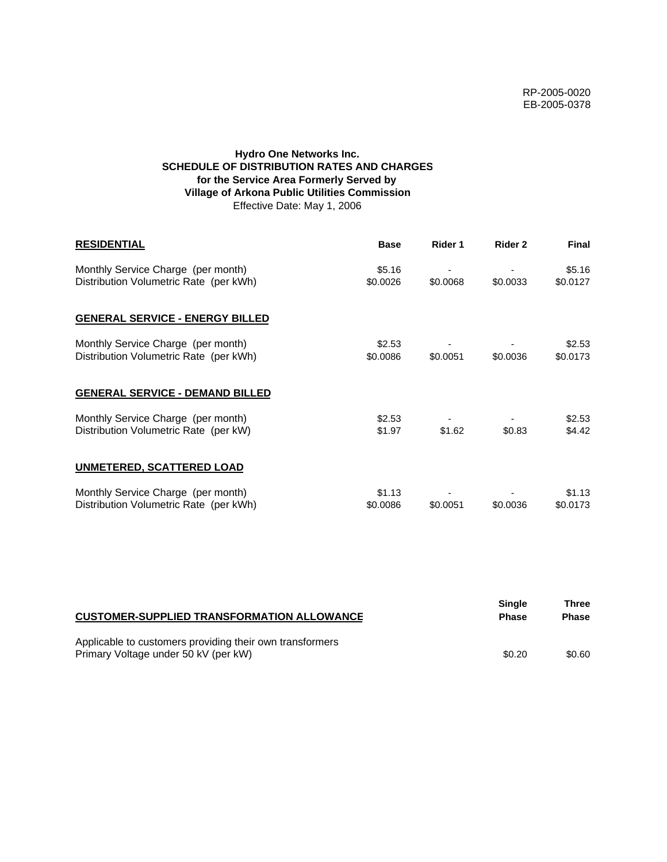# **Hydro One Networks Inc. SCHEDULE OF DISTRIBUTION RATES AND CHARGES for the Service Area Formerly Served by Village of Arkona Public Utilities Commission** Effective Date: May 1, 2006

| <b>RESIDENTIAL</b>                                                           | <b>Base</b>        | Rider 1  | Rider 2  | <b>Final</b>       |
|------------------------------------------------------------------------------|--------------------|----------|----------|--------------------|
| Monthly Service Charge (per month)<br>Distribution Volumetric Rate (per kWh) | \$5.16<br>\$0.0026 | \$0,0068 | \$0.0033 | \$5.16<br>\$0.0127 |
| <b>GENERAL SERVICE - ENERGY BILLED</b>                                       |                    |          |          |                    |
| Monthly Service Charge (per month)<br>Distribution Volumetric Rate (per kWh) | \$2.53<br>\$0.0086 | \$0.0051 | \$0.0036 | \$2.53<br>\$0.0173 |
| <b>GENERAL SERVICE - DEMAND BILLED</b>                                       |                    |          |          |                    |
| Monthly Service Charge (per month)<br>Distribution Volumetric Rate (per kW)  | \$2.53<br>\$1.97   | \$1.62   | \$0.83   | \$2.53<br>\$4.42   |
| UNMETERED, SCATTERED LOAD                                                    |                    |          |          |                    |
| Monthly Service Charge (per month)<br>Distribution Volumetric Rate (per kWh) | \$1.13<br>\$0.0086 | \$0.0051 | \$0.0036 | \$1.13<br>\$0.0173 |

| <b>CUSTOMER-SUPPLIED TRANSFORMATION ALLOWANCE</b>        | Single<br><b>Phase</b> | Three<br><b>Phase</b> |
|----------------------------------------------------------|------------------------|-----------------------|
| Applicable to customers providing their own transformers |                        |                       |
| Primary Voltage under 50 kV (per kW)                     | \$0.20                 | \$0.60                |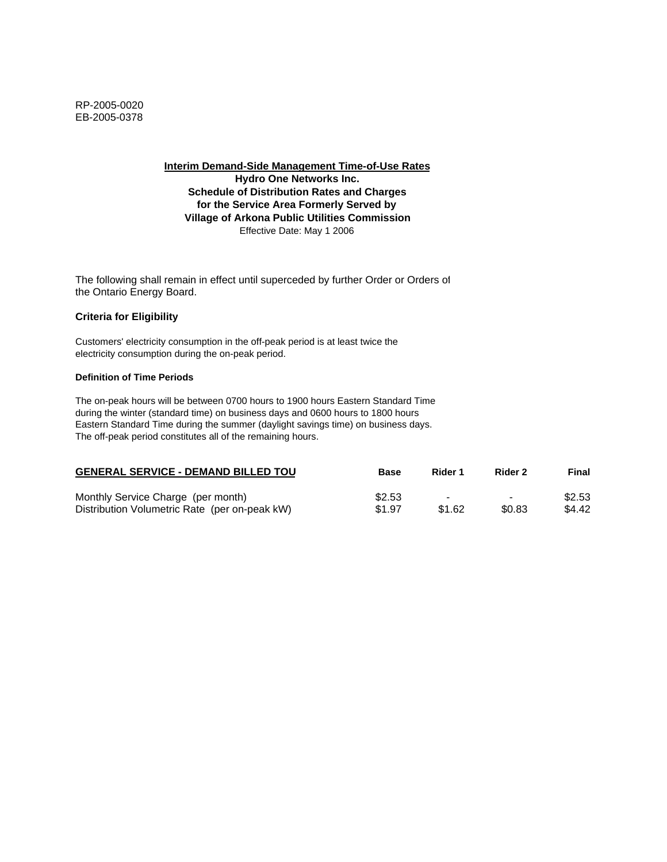**Interim Demand-Side Management Time-of-Use Rates Hydro One Networks Inc. Schedule of Distribution Rates and Charges for the Service Area Formerly Served by Village of Arkona Public Utilities Commission** Effective Date: May 1 2006

The following shall remain in effect until superceded by further Order or Orders of the Ontario Energy Board.

#### **Criteria for Eligibility**

Customers' electricity consumption in the off-peak period is at least twice the electricity consumption during the on-peak period.

#### **Definition of Time Periods**

| <b>GENERAL SERVICE - DEMAND BILLED TOU</b>    | <b>Base</b> | Rider 1                  | Rider 2                  | Final  |
|-----------------------------------------------|-------------|--------------------------|--------------------------|--------|
| Monthly Service Charge (per month)            | \$2.53      | $\overline{\phantom{a}}$ | $\overline{\phantom{0}}$ | \$2.53 |
| Distribution Volumetric Rate (per on-peak kW) | \$1.97      | \$1.62                   | \$0.83                   | \$4.42 |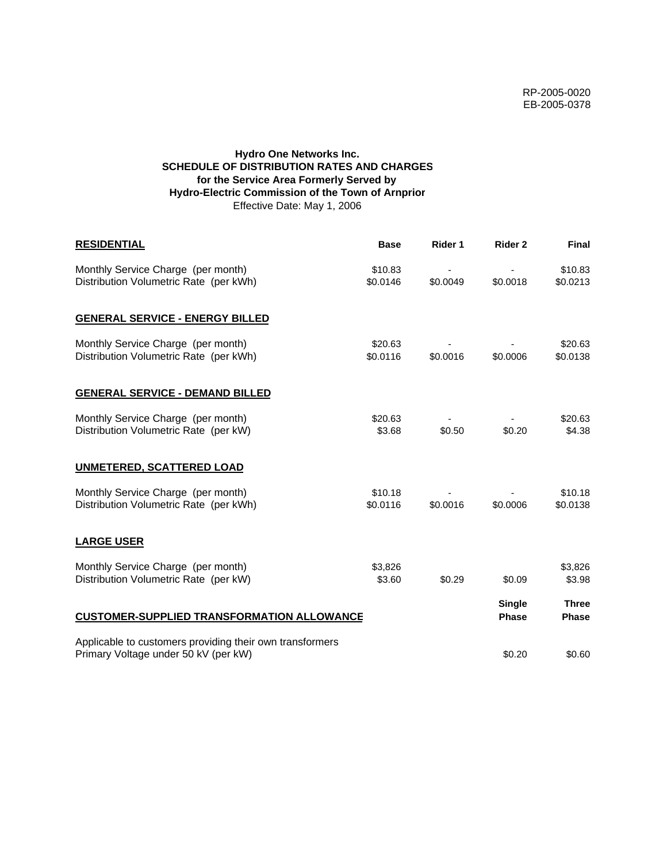# **Hydro One Networks Inc. SCHEDULE OF DISTRIBUTION RATES AND CHARGES for the Service Area Formerly Served by Hydro-Electric Commission of the Town of Arnprior** Effective Date: May 1, 2006

| <b>RESIDENTIAL</b>                                                                               | <b>Base</b>         | Rider 1  | Rider 2                       | <b>Final</b>                 |
|--------------------------------------------------------------------------------------------------|---------------------|----------|-------------------------------|------------------------------|
| Monthly Service Charge (per month)<br>Distribution Volumetric Rate (per kWh)                     | \$10.83<br>\$0.0146 | \$0.0049 | \$0.0018                      | \$10.83<br>\$0.0213          |
| <b>GENERAL SERVICE - ENERGY BILLED</b>                                                           |                     |          |                               |                              |
| Monthly Service Charge (per month)<br>Distribution Volumetric Rate (per kWh)                     | \$20.63<br>\$0.0116 | \$0.0016 | \$0.0006                      | \$20.63<br>\$0.0138          |
| <b>GENERAL SERVICE - DEMAND BILLED</b>                                                           |                     |          |                               |                              |
| Monthly Service Charge (per month)<br>Distribution Volumetric Rate (per kW)                      | \$20.63<br>\$3.68   | \$0.50   | \$0.20                        | \$20.63<br>\$4.38            |
| <b>UNMETERED, SCATTERED LOAD</b>                                                                 |                     |          |                               |                              |
| Monthly Service Charge (per month)<br>Distribution Volumetric Rate (per kWh)                     | \$10.18<br>\$0.0116 | \$0.0016 | \$0.0006                      | \$10.18<br>\$0.0138          |
| <b>LARGE USER</b>                                                                                |                     |          |                               |                              |
| Monthly Service Charge (per month)<br>Distribution Volumetric Rate (per kW)                      | \$3,826<br>\$3.60   | \$0.29   | \$0.09                        | \$3,826<br>\$3.98            |
| <b>CUSTOMER-SUPPLIED TRANSFORMATION ALLOWANCE</b>                                                |                     |          | <b>Single</b><br><b>Phase</b> | <b>Three</b><br><b>Phase</b> |
| Applicable to customers providing their own transformers<br>Primary Voltage under 50 kV (per kW) |                     |          | \$0.20                        | \$0.60                       |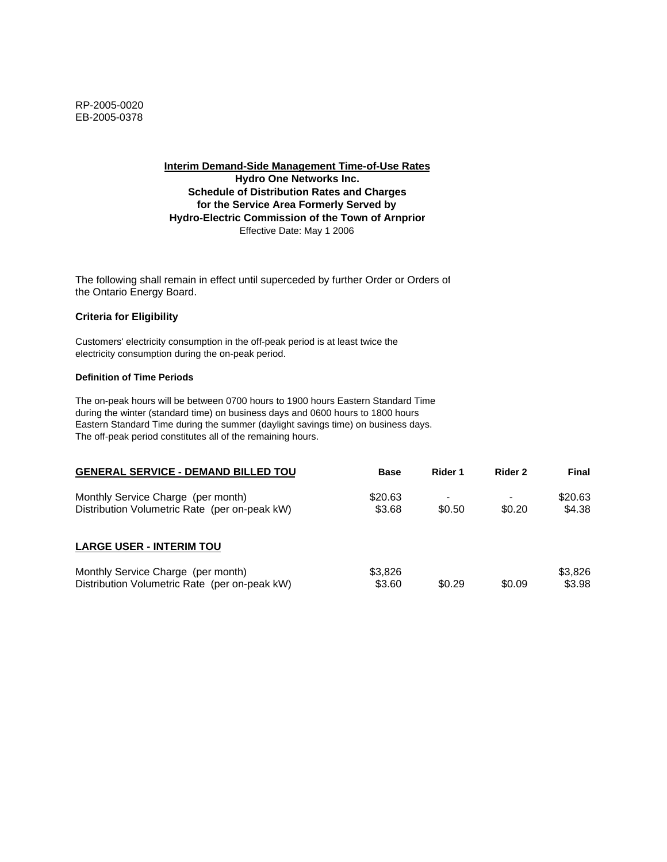**Interim Demand-Side Management Time-of-Use Rates Hydro One Networks Inc. Schedule of Distribution Rates and Charges for the Service Area Formerly Served by Hydro-Electric Commission of the Town of Arnprior** Effective Date: May 1 2006

The following shall remain in effect until superceded by further Order or Orders of the Ontario Energy Board.

## **Criteria for Eligibility**

Customers' electricity consumption in the off-peak period is at least twice the electricity consumption during the on-peak period.

#### **Definition of Time Periods**

| <b>GENERAL SERVICE - DEMAND BILLED TOU</b>                                          | <b>Base</b>       | Rider 1 | Rider 2 | Final             |
|-------------------------------------------------------------------------------------|-------------------|---------|---------|-------------------|
| Monthly Service Charge (per month)<br>Distribution Volumetric Rate (per on-peak kW) | \$20.63<br>\$3.68 | \$0.50  | \$0.20  | \$20.63<br>\$4.38 |
| <b>LARGE USER - INTERIM TOU</b>                                                     |                   |         |         |                   |
| Monthly Service Charge (per month)<br>Distribution Volumetric Rate (per on-peak kW) | \$3,826<br>\$3.60 | \$0.29  | \$0.09  | \$3,826<br>\$3.98 |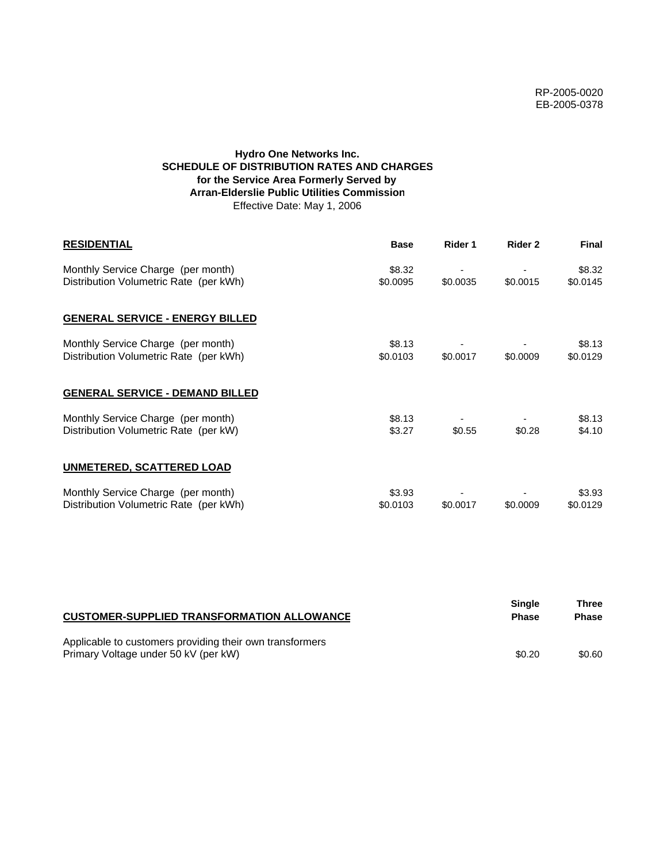# **Hydro One Networks Inc. SCHEDULE OF DISTRIBUTION RATES AND CHARGES for the Service Area Formerly Served by Arran-Elderslie Public Utilities Commission** Effective Date: May 1, 2006

| <b>RESIDENTIAL</b>                                                           | <b>Base</b>        | Rider 1  | Rider 2  | <b>Final</b>       |
|------------------------------------------------------------------------------|--------------------|----------|----------|--------------------|
| Monthly Service Charge (per month)<br>Distribution Volumetric Rate (per kWh) | \$8.32<br>\$0.0095 | \$0.0035 | \$0.0015 | \$8.32<br>\$0.0145 |
| <b>GENERAL SERVICE - ENERGY BILLED</b>                                       |                    |          |          |                    |
| Monthly Service Charge (per month)<br>Distribution Volumetric Rate (per kWh) | \$8.13<br>\$0.0103 | \$0.0017 | \$0.0009 | \$8.13<br>\$0.0129 |
| <b>GENERAL SERVICE - DEMAND BILLED</b>                                       |                    |          |          |                    |
| Monthly Service Charge (per month)<br>Distribution Volumetric Rate (per kW)  | \$8.13<br>\$3.27   | \$0.55   | \$0.28   | \$8.13<br>\$4.10   |
| <b>UNMETERED, SCATTERED LOAD</b>                                             |                    |          |          |                    |
| Monthly Service Charge (per month)<br>Distribution Volumetric Rate (per kWh) | \$3.93<br>\$0.0103 | \$0.0017 | \$0.0009 | \$3.93<br>\$0.0129 |

| <b>CUSTOMER-SUPPLIED TRANSFORMATION ALLOWANCE</b>                                                | Single<br><b>Phase</b> | Three<br><b>Phase</b> |
|--------------------------------------------------------------------------------------------------|------------------------|-----------------------|
| Applicable to customers providing their own transformers<br>Primary Voltage under 50 kV (per kW) | \$0.20                 | \$0.60                |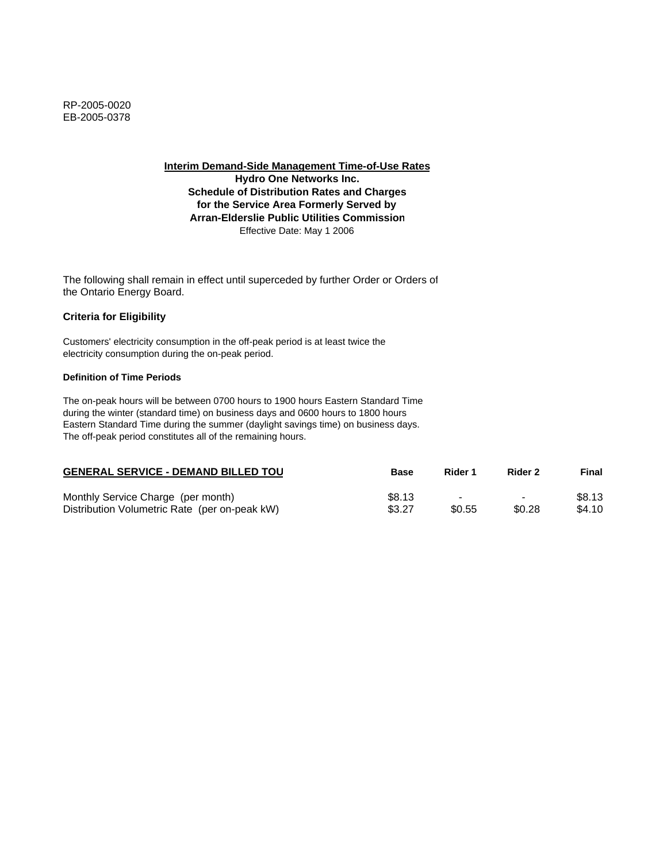**Hydro One Networks Inc. Schedule of Distribution Rates and Charges for the Service Area Formerly Served by Arran-Elderslie Public Utilities Commission** Effective Date: May 1 2006

The following shall remain in effect until superceded by further Order or Orders of the Ontario Energy Board.

## **Criteria for Eligibility**

Customers' electricity consumption in the off-peak period is at least twice the electricity consumption during the on-peak period.

#### **Definition of Time Periods**

| <b>GENERAL SERVICE - DEMAND BILLED TOU</b>    | <b>Base</b> | Rider 1                  | Rider 2                  | Final  |
|-----------------------------------------------|-------------|--------------------------|--------------------------|--------|
| Monthly Service Charge (per month)            | \$8.13      | $\overline{\phantom{0}}$ | $\overline{\phantom{0}}$ | \$8.13 |
| Distribution Volumetric Rate (per on-peak kW) | \$3.27      | \$0.55                   | \$0.28                   | \$4.10 |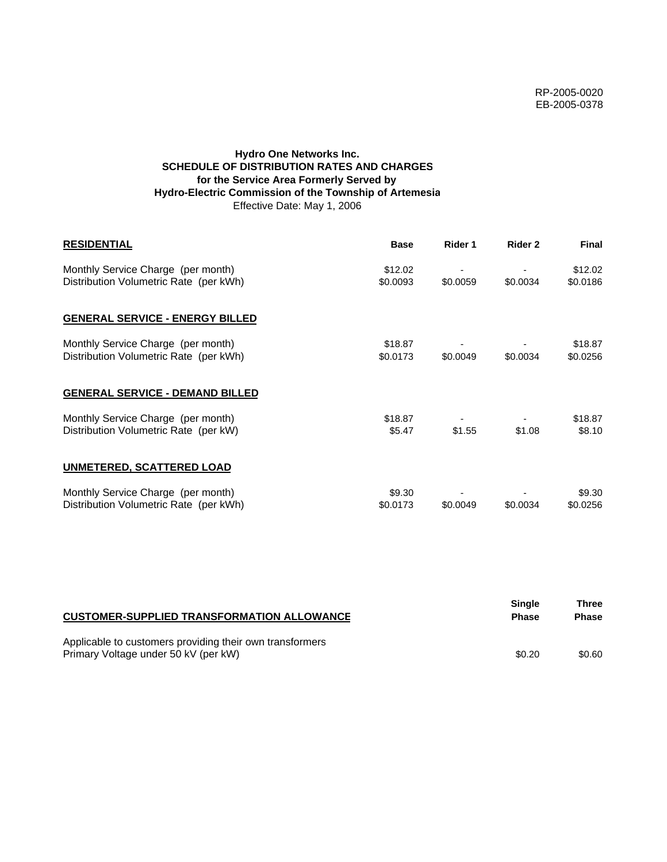# **Hydro One Networks Inc. SCHEDULE OF DISTRIBUTION RATES AND CHARGES for the Service Area Formerly Served by Hydro-Electric Commission of the Township of Artemesia** Effective Date: May 1, 2006

| <b>RESIDENTIAL</b>                                                           | <b>Base</b>         | Rider 1  | Rider 2  | <b>Final</b>        |
|------------------------------------------------------------------------------|---------------------|----------|----------|---------------------|
| Monthly Service Charge (per month)<br>Distribution Volumetric Rate (per kWh) | \$12.02<br>\$0.0093 | \$0.0059 | \$0.0034 | \$12.02<br>\$0.0186 |
| <b>GENERAL SERVICE - ENERGY BILLED</b>                                       |                     |          |          |                     |
| Monthly Service Charge (per month)<br>Distribution Volumetric Rate (per kWh) | \$18.87<br>\$0.0173 | \$0.0049 | \$0.0034 | \$18.87<br>\$0.0256 |
| <b>GENERAL SERVICE - DEMAND BILLED</b>                                       |                     |          |          |                     |
| Monthly Service Charge (per month)<br>Distribution Volumetric Rate (per kW)  | \$18.87<br>\$5.47   | \$1.55   | \$1.08   | \$18.87<br>\$8.10   |
| <b>UNMETERED, SCATTERED LOAD</b>                                             |                     |          |          |                     |
| Monthly Service Charge (per month)<br>Distribution Volumetric Rate (per kWh) | \$9.30<br>\$0.0173  | \$0.0049 | \$0.0034 | \$9.30<br>\$0.0256  |

| <b>CUSTOMER-SUPPLIED TRANSFORMATION ALLOWANCE</b>                                                | Single<br><b>Phase</b> | Three<br><b>Phase</b> |
|--------------------------------------------------------------------------------------------------|------------------------|-----------------------|
| Applicable to customers providing their own transformers<br>Primary Voltage under 50 kV (per kW) | \$0.20                 | \$0.60                |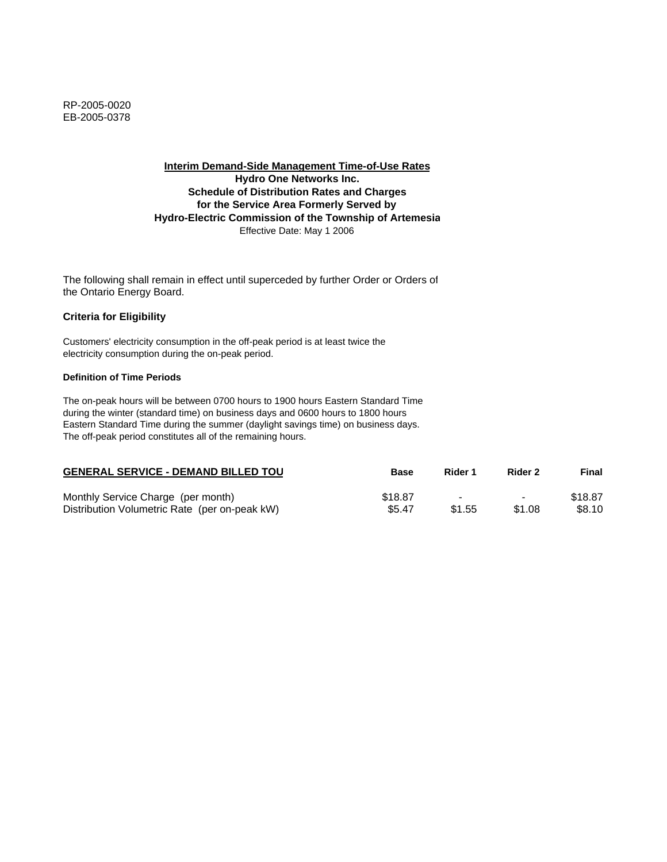**Interim Demand-Side Management Time-of-Use Rates Hydro One Networks Inc. Schedule of Distribution Rates and Charges for the Service Area Formerly Served by Hydro-Electric Commission of the Township of Artemesia** Effective Date: May 1 2006

The following shall remain in effect until superceded by further Order or Orders of the Ontario Energy Board.

## **Criteria for Eligibility**

Customers' electricity consumption in the off-peak period is at least twice the electricity consumption during the on-peak period.

#### **Definition of Time Periods**

| <b>GENERAL SERVICE - DEMAND BILLED TOU</b>    | <b>Base</b> | Rider 1                  | Rider 2                  | Final   |
|-----------------------------------------------|-------------|--------------------------|--------------------------|---------|
| Monthly Service Charge (per month)            | \$18.87     | $\overline{\phantom{a}}$ | $\overline{\phantom{0}}$ | \$18.87 |
| Distribution Volumetric Rate (per on-peak kW) | \$5.47      | \$1.55                   | \$1.08                   | \$8.10  |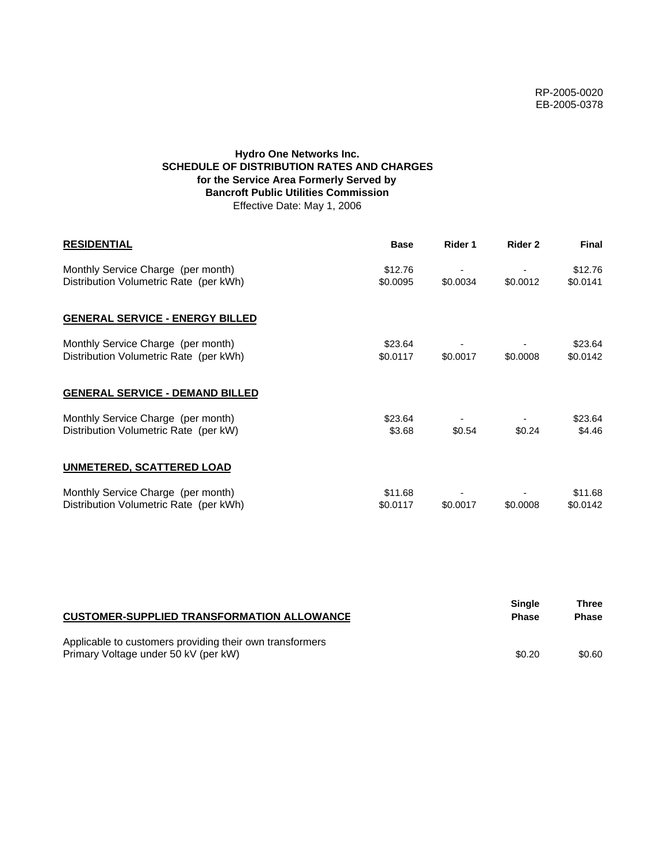# **Hydro One Networks Inc. SCHEDULE OF DISTRIBUTION RATES AND CHARGES for the Service Area Formerly Served by Bancroft Public Utilities Commission** Effective Date: May 1, 2006

| <b>RESIDENTIAL</b>                                                           | <b>Base</b>         | Rider 1  | Rider 2  | <b>Final</b>        |
|------------------------------------------------------------------------------|---------------------|----------|----------|---------------------|
| Monthly Service Charge (per month)<br>Distribution Volumetric Rate (per kWh) | \$12.76<br>\$0.0095 | \$0.0034 | \$0.0012 | \$12.76<br>\$0.0141 |
| <b>GENERAL SERVICE - ENERGY BILLED</b>                                       |                     |          |          |                     |
| Monthly Service Charge (per month)<br>Distribution Volumetric Rate (per kWh) | \$23.64<br>\$0.0117 | \$0.0017 | \$0.0008 | \$23.64<br>\$0.0142 |
| <b>GENERAL SERVICE - DEMAND BILLED</b>                                       |                     |          |          |                     |
| Monthly Service Charge (per month)<br>Distribution Volumetric Rate (per kW)  | \$23.64<br>\$3.68   | \$0.54   | \$0.24   | \$23.64<br>\$4.46   |
| <b>UNMETERED, SCATTERED LOAD</b>                                             |                     |          |          |                     |
| Monthly Service Charge (per month)<br>Distribution Volumetric Rate (per kWh) | \$11.68<br>\$0.0117 | \$0.0017 | \$0,0008 | \$11.68<br>\$0.0142 |

| <b>CUSTOMER-SUPPLIED TRANSFORMATION ALLOWANCE</b>                                                | Single<br><b>Phase</b> | Three<br><b>Phase</b> |
|--------------------------------------------------------------------------------------------------|------------------------|-----------------------|
| Applicable to customers providing their own transformers<br>Primary Voltage under 50 kV (per kW) | \$0.20                 | \$0.60                |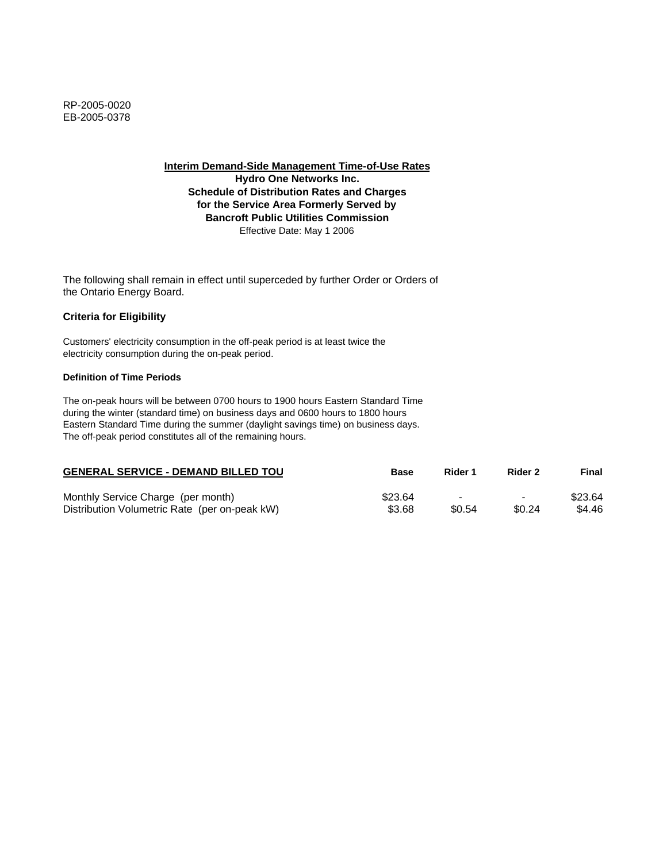**Hydro One Networks Inc. Schedule of Distribution Rates and Charges for the Service Area Formerly Served by Bancroft Public Utilities Commission** Effective Date: May 1 2006

The following shall remain in effect until superceded by further Order or Orders of the Ontario Energy Board.

## **Criteria for Eligibility**

Customers' electricity consumption in the off-peak period is at least twice the electricity consumption during the on-peak period.

#### **Definition of Time Periods**

| <b>GENERAL SERVICE - DEMAND BILLED TOU</b>    | <b>Base</b> | Rider 1                  | Rider 2                  | Final   |
|-----------------------------------------------|-------------|--------------------------|--------------------------|---------|
| Monthly Service Charge (per month)            | \$23.64     | $\overline{\phantom{0}}$ | $\overline{\phantom{0}}$ | \$23.64 |
| Distribution Volumetric Rate (per on-peak kW) | \$3.68      | \$0.54                   | \$0.24                   | \$4.46  |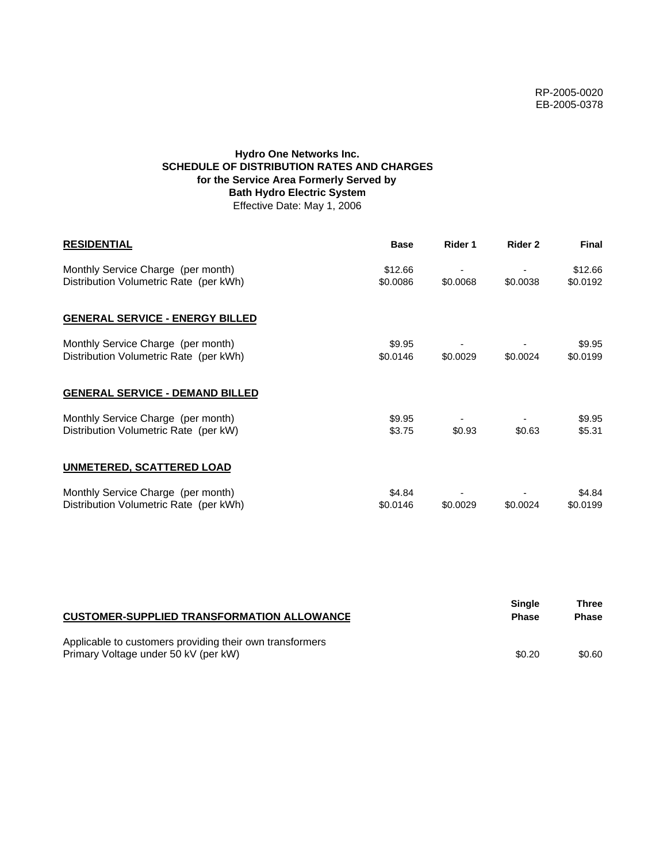# **Hydro One Networks Inc. SCHEDULE OF DISTRIBUTION RATES AND CHARGES for the Service Area Formerly Served by Bath Hydro Electric System** Effective Date: May 1, 2006

| <b>RESIDENTIAL</b>                                                           | <b>Base</b>         | Rider 1  | Rider 2  | <b>Final</b>        |
|------------------------------------------------------------------------------|---------------------|----------|----------|---------------------|
| Monthly Service Charge (per month)<br>Distribution Volumetric Rate (per kWh) | \$12.66<br>\$0.0086 | \$0.0068 | \$0.0038 | \$12.66<br>\$0.0192 |
| <b>GENERAL SERVICE - ENERGY BILLED</b>                                       |                     |          |          |                     |
| Monthly Service Charge (per month)<br>Distribution Volumetric Rate (per kWh) | \$9.95<br>\$0.0146  | \$0.0029 | \$0.0024 | \$9.95<br>\$0.0199  |
| <b>GENERAL SERVICE - DEMAND BILLED</b>                                       |                     |          |          |                     |
| Monthly Service Charge (per month)<br>Distribution Volumetric Rate (per kW)  | \$9.95<br>\$3.75    | \$0.93   | \$0.63   | \$9.95<br>\$5.31    |
| <b>UNMETERED, SCATTERED LOAD</b>                                             |                     |          |          |                     |
| Monthly Service Charge (per month)<br>Distribution Volumetric Rate (per kWh) | \$4.84<br>\$0.0146  | \$0.0029 | \$0.0024 | \$4.84<br>\$0.0199  |

| <b>CUSTOMER-SUPPLIED TRANSFORMATION ALLOWANCE</b>                                                | <b>Single</b><br><b>Phase</b> | Three<br><b>Phase</b> |
|--------------------------------------------------------------------------------------------------|-------------------------------|-----------------------|
| Applicable to customers providing their own transformers<br>Primary Voltage under 50 kV (per kW) | \$0.20                        | \$0.60                |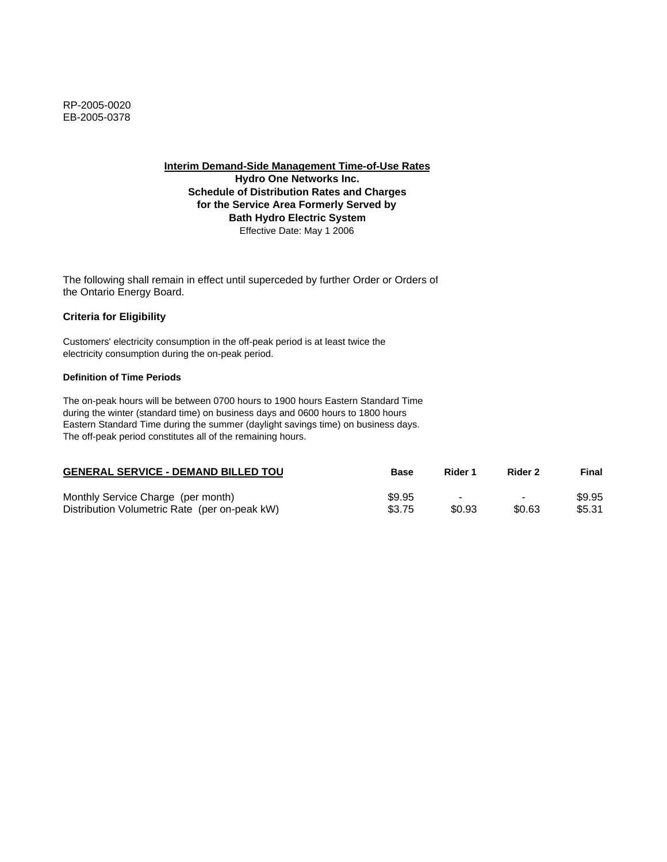**Hydro One Networks Inc. Schedule of Distribution Rates and Charges for the Service Area Formerly Served by Bath Hydro Electric System** Effective Date: May 1 2006

The following shall remain in effect until superceded by further Order or Orders of the Ontario Energy Board.

# **Criteria for Eligibility**

Customers' electricity consumption in the off-peak period is at least twice the electricity consumption during the on-peak period.

#### **Definition of Time Periods**

| <b>GENERAL SERVICE - DEMAND BILLED TOU</b>    | Base   | Rider 1 | Rider 2                  | Final  |
|-----------------------------------------------|--------|---------|--------------------------|--------|
| Monthly Service Charge (per month)            | \$9.95 | -       | $\overline{\phantom{0}}$ | \$9.95 |
| Distribution Volumetric Rate (per on-peak kW) | \$3.75 | \$0.93  | \$0.63                   | \$5.31 |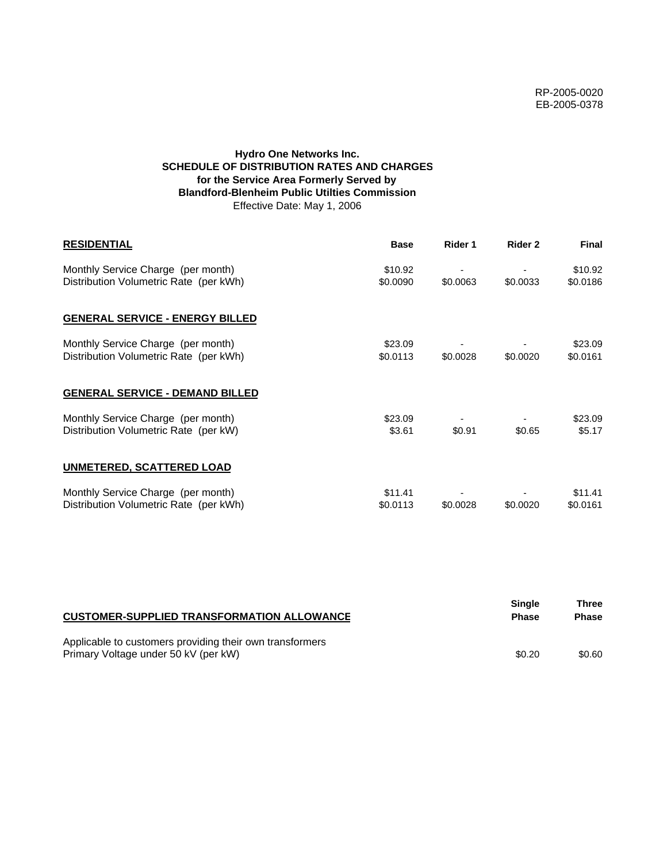# **Hydro One Networks Inc. SCHEDULE OF DISTRIBUTION RATES AND CHARGES for the Service Area Formerly Served by Blandford-Blenheim Public Utilties Commission** Effective Date: May 1, 2006

| <b>RESIDENTIAL</b>                                                           | <b>Base</b>         | Rider 1  | Rider 2  | <b>Final</b>        |
|------------------------------------------------------------------------------|---------------------|----------|----------|---------------------|
| Monthly Service Charge (per month)<br>Distribution Volumetric Rate (per kWh) | \$10.92<br>\$0.0090 | \$0.0063 | \$0.0033 | \$10.92<br>\$0.0186 |
| <b>GENERAL SERVICE - ENERGY BILLED</b>                                       |                     |          |          |                     |
| Monthly Service Charge (per month)<br>Distribution Volumetric Rate (per kWh) | \$23.09<br>\$0.0113 | \$0.0028 | \$0.0020 | \$23.09<br>\$0.0161 |
| <b>GENERAL SERVICE - DEMAND BILLED</b>                                       |                     |          |          |                     |
| Monthly Service Charge (per month)<br>Distribution Volumetric Rate (per kW)  | \$23.09<br>\$3.61   | \$0.91   | \$0.65   | \$23.09<br>\$5.17   |
| UNMETERED, SCATTERED LOAD                                                    |                     |          |          |                     |
| Monthly Service Charge (per month)<br>Distribution Volumetric Rate (per kWh) | \$11.41<br>\$0.0113 | \$0.0028 | \$0.0020 | \$11.41<br>\$0.0161 |

| <b>CUSTOMER-SUPPLIED TRANSFORMATION ALLOWANCE</b>                                                | Single<br><b>Phase</b> | Three<br><b>Phase</b> |
|--------------------------------------------------------------------------------------------------|------------------------|-----------------------|
| Applicable to customers providing their own transformers<br>Primary Voltage under 50 kV (per kW) | \$0.20                 | \$0.60                |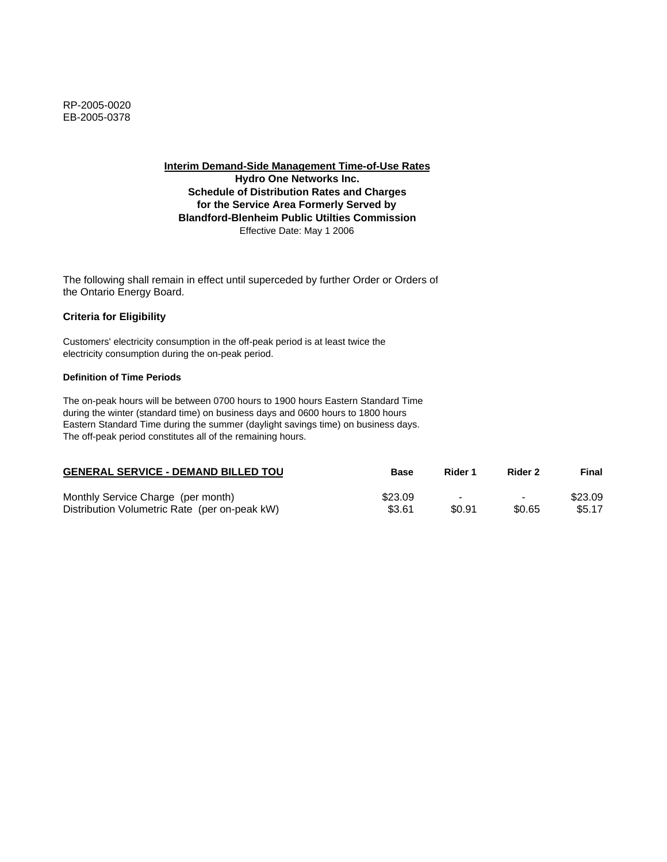**Hydro One Networks Inc. Schedule of Distribution Rates and Charges for the Service Area Formerly Served by Blandford-Blenheim Public Utilties Commission** Effective Date: May 1 2006

The following shall remain in effect until superceded by further Order or Orders of the Ontario Energy Board.

## **Criteria for Eligibility**

Customers' electricity consumption in the off-peak period is at least twice the electricity consumption during the on-peak period.

#### **Definition of Time Periods**

| <b>GENERAL SERVICE - DEMAND BILLED TOU</b>    | <b>Base</b> | Rider 1                  | Rider 2                  | Final   |
|-----------------------------------------------|-------------|--------------------------|--------------------------|---------|
| Monthly Service Charge (per month)            | \$23.09     | $\overline{\phantom{0}}$ | $\overline{\phantom{0}}$ | \$23.09 |
| Distribution Volumetric Rate (per on-peak kW) | \$3.61      | \$0.91                   | \$0.65                   | \$5.17  |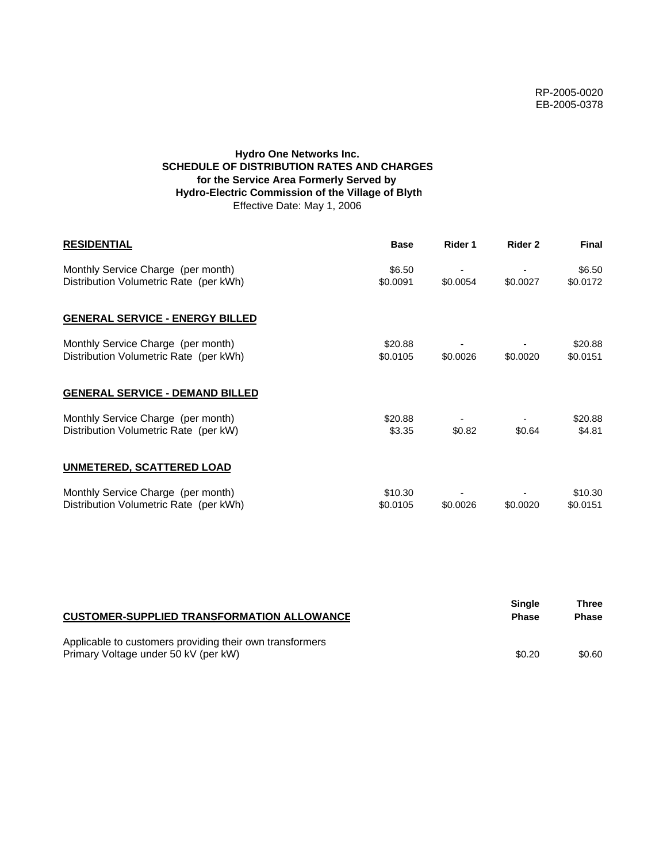# **Hydro One Networks Inc. SCHEDULE OF DISTRIBUTION RATES AND CHARGES for the Service Area Formerly Served by Hydro-Electric Commission of the Village of Blyth** Effective Date: May 1, 2006

| <b>RESIDENTIAL</b>                                                           | <b>Base</b>         | Rider 1  | Rider 2  | <b>Final</b>        |
|------------------------------------------------------------------------------|---------------------|----------|----------|---------------------|
| Monthly Service Charge (per month)<br>Distribution Volumetric Rate (per kWh) | \$6.50<br>\$0.0091  | \$0.0054 | \$0.0027 | \$6.50<br>\$0.0172  |
| <b>GENERAL SERVICE - ENERGY BILLED</b>                                       |                     |          |          |                     |
| Monthly Service Charge (per month)<br>Distribution Volumetric Rate (per kWh) | \$20.88<br>\$0.0105 | \$0.0026 | \$0.0020 | \$20.88<br>\$0.0151 |
| <b>GENERAL SERVICE - DEMAND BILLED</b>                                       |                     |          |          |                     |
| Monthly Service Charge (per month)<br>Distribution Volumetric Rate (per kW)  | \$20.88<br>\$3.35   | \$0.82   | \$0.64   | \$20.88<br>\$4.81   |
| UNMETERED, SCATTERED LOAD                                                    |                     |          |          |                     |
| Monthly Service Charge (per month)<br>Distribution Volumetric Rate (per kWh) | \$10.30<br>\$0.0105 | \$0.0026 | \$0.0020 | \$10.30<br>\$0.0151 |

| <b>CUSTOMER-SUPPLIED TRANSFORMATION ALLOWANCE</b>                                                | Single<br><b>Phase</b> | Three<br><b>Phase</b> |
|--------------------------------------------------------------------------------------------------|------------------------|-----------------------|
| Applicable to customers providing their own transformers<br>Primary Voltage under 50 kV (per kW) | \$0.20                 | \$0.60                |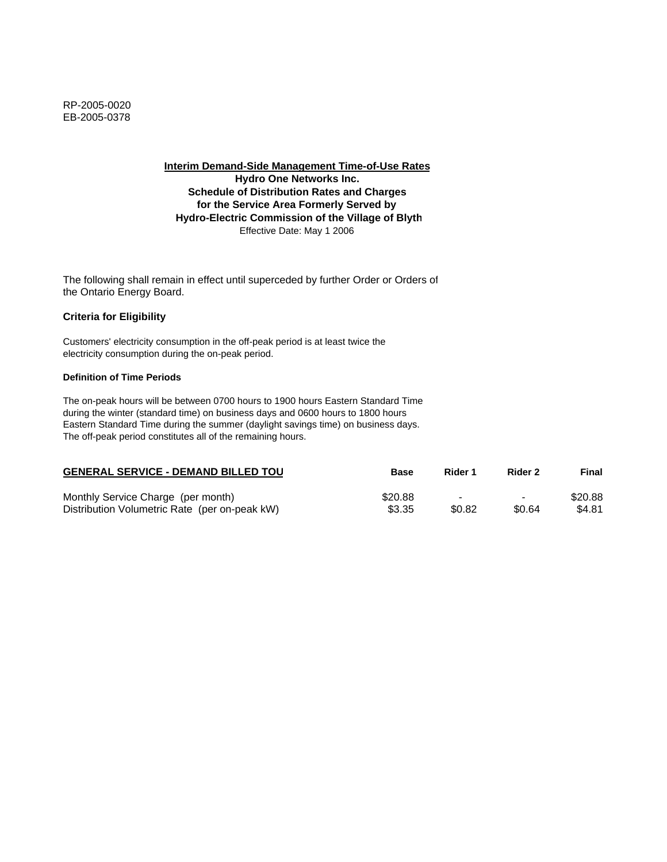**Interim Demand-Side Management Time-of-Use Rates Hydro One Networks Inc. Schedule of Distribution Rates and Charges for the Service Area Formerly Served by Hydro-Electric Commission of the Village of Blyth** Effective Date: May 1 2006

The following shall remain in effect until superceded by further Order or Orders of the Ontario Energy Board.

## **Criteria for Eligibility**

Customers' electricity consumption in the off-peak period is at least twice the electricity consumption during the on-peak period.

#### **Definition of Time Periods**

| <b>GENERAL SERVICE - DEMAND BILLED TOU</b>    | <b>Base</b> | Rider 1                  | Rider 2        | Final   |
|-----------------------------------------------|-------------|--------------------------|----------------|---------|
| Monthly Service Charge (per month)            | \$20.88     | $\overline{\phantom{0}}$ | $\blacksquare$ | \$20.88 |
| Distribution Volumetric Rate (per on-peak kW) | \$3.35      | \$0.82                   | \$0.64         | \$4.81  |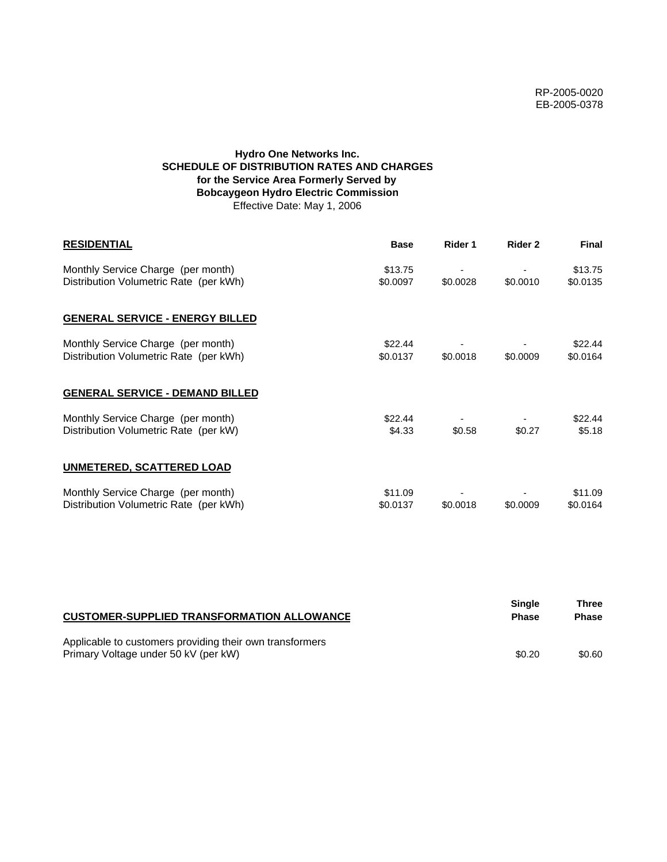# **Hydro One Networks Inc. SCHEDULE OF DISTRIBUTION RATES AND CHARGES for the Service Area Formerly Served by Bobcaygeon Hydro Electric Commission** Effective Date: May 1, 2006

| <b>RESIDENTIAL</b>                                                           | <b>Base</b>         | Rider 1  | Rider 2  | <b>Final</b>        |
|------------------------------------------------------------------------------|---------------------|----------|----------|---------------------|
| Monthly Service Charge (per month)<br>Distribution Volumetric Rate (per kWh) | \$13.75<br>\$0.0097 | \$0.0028 | \$0.0010 | \$13.75<br>\$0.0135 |
| <b>GENERAL SERVICE - ENERGY BILLED</b>                                       |                     |          |          |                     |
| Monthly Service Charge (per month)<br>Distribution Volumetric Rate (per kWh) | \$22.44<br>\$0.0137 | \$0.0018 | \$0.0009 | \$22.44<br>\$0.0164 |
| <b>GENERAL SERVICE - DEMAND BILLED</b>                                       |                     |          |          |                     |
| Monthly Service Charge (per month)<br>Distribution Volumetric Rate (per kW)  | \$22.44<br>\$4.33   | \$0.58   | \$0.27   | \$22.44<br>\$5.18   |
| <b>UNMETERED, SCATTERED LOAD</b>                                             |                     |          |          |                     |
| Monthly Service Charge (per month)<br>Distribution Volumetric Rate (per kWh) | \$11.09<br>\$0.0137 | \$0.0018 | \$0.0009 | \$11.09<br>\$0.0164 |

| <b>CUSTOMER-SUPPLIED TRANSFORMATION ALLOWANCE</b>                                                | Single<br><b>Phase</b> | Three<br><b>Phase</b> |
|--------------------------------------------------------------------------------------------------|------------------------|-----------------------|
| Applicable to customers providing their own transformers<br>Primary Voltage under 50 kV (per kW) | \$0.20                 | \$0.60                |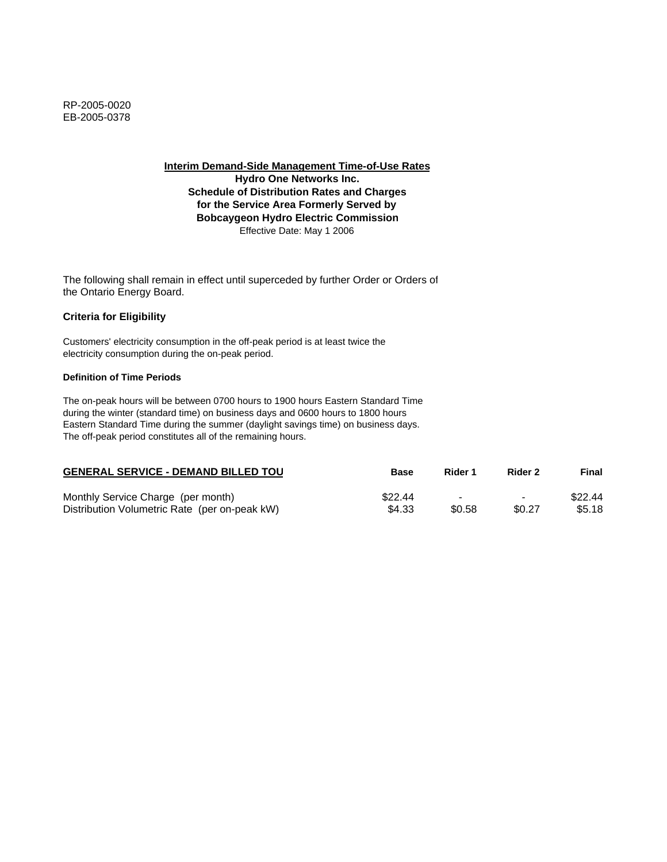**Hydro One Networks Inc. Schedule of Distribution Rates and Charges for the Service Area Formerly Served by Bobcaygeon Hydro Electric Commission** Effective Date: May 1 2006

The following shall remain in effect until superceded by further Order or Orders of the Ontario Energy Board.

## **Criteria for Eligibility**

Customers' electricity consumption in the off-peak period is at least twice the electricity consumption during the on-peak period.

#### **Definition of Time Periods**

| <b>GENERAL SERVICE - DEMAND BILLED TOU</b>    | Base    | Rider 1 | Rider 2                  | Final   |
|-----------------------------------------------|---------|---------|--------------------------|---------|
| Monthly Service Charge (per month)            | \$22.44 |         | $\overline{\phantom{0}}$ | \$22.44 |
| Distribution Volumetric Rate (per on-peak kW) | \$4.33  | \$0.58  | \$0.27                   | \$5.18  |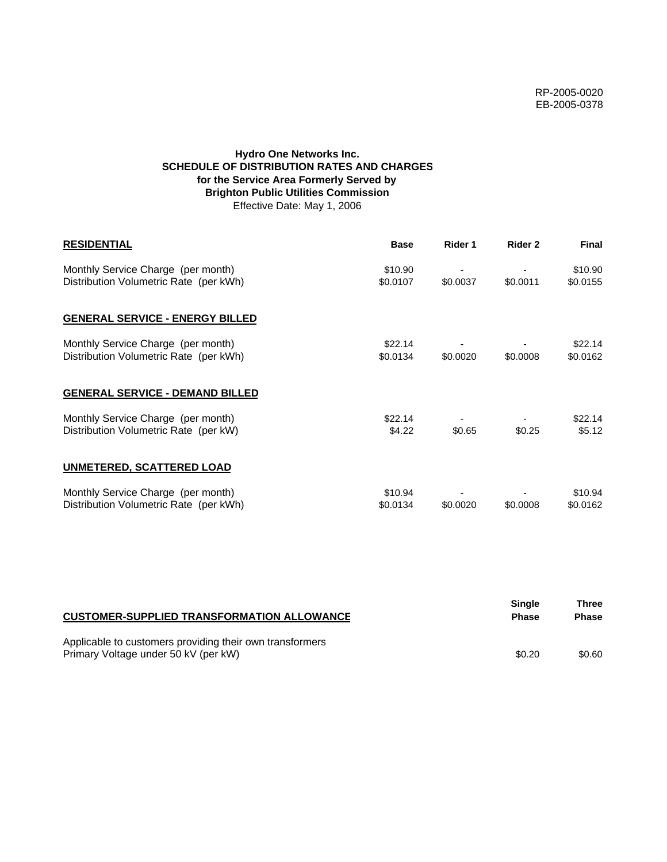# **Hydro One Networks Inc. SCHEDULE OF DISTRIBUTION RATES AND CHARGES for the Service Area Formerly Served by Brighton Public Utilities Commission** Effective Date: May 1, 2006

| <b>RESIDENTIAL</b>                                                           | <b>Base</b>         | Rider 1  | Rider 2  | <b>Final</b>        |
|------------------------------------------------------------------------------|---------------------|----------|----------|---------------------|
| Monthly Service Charge (per month)<br>Distribution Volumetric Rate (per kWh) | \$10.90<br>\$0.0107 | \$0.0037 | \$0.0011 | \$10.90<br>\$0.0155 |
| <b>GENERAL SERVICE - ENERGY BILLED</b>                                       |                     |          |          |                     |
| Monthly Service Charge (per month)<br>Distribution Volumetric Rate (per kWh) | \$22.14<br>\$0.0134 | \$0.0020 | \$0.0008 | \$22.14<br>\$0.0162 |
| <b>GENERAL SERVICE - DEMAND BILLED</b>                                       |                     |          |          |                     |
| Monthly Service Charge (per month)<br>Distribution Volumetric Rate (per kW)  | \$22.14<br>\$4.22   | \$0.65   | \$0.25   | \$22.14<br>\$5.12   |
| <b>UNMETERED, SCATTERED LOAD</b>                                             |                     |          |          |                     |
| Monthly Service Charge (per month)<br>Distribution Volumetric Rate (per kWh) | \$10.94<br>\$0.0134 | \$0.0020 | \$0.0008 | \$10.94<br>\$0.0162 |

| <b>CUSTOMER-SUPPLIED TRANSFORMATION ALLOWANCE</b>                                                | Single<br><b>Phase</b> | Three<br><b>Phase</b> |
|--------------------------------------------------------------------------------------------------|------------------------|-----------------------|
| Applicable to customers providing their own transformers<br>Primary Voltage under 50 kV (per kW) | \$0.20                 | \$0.60                |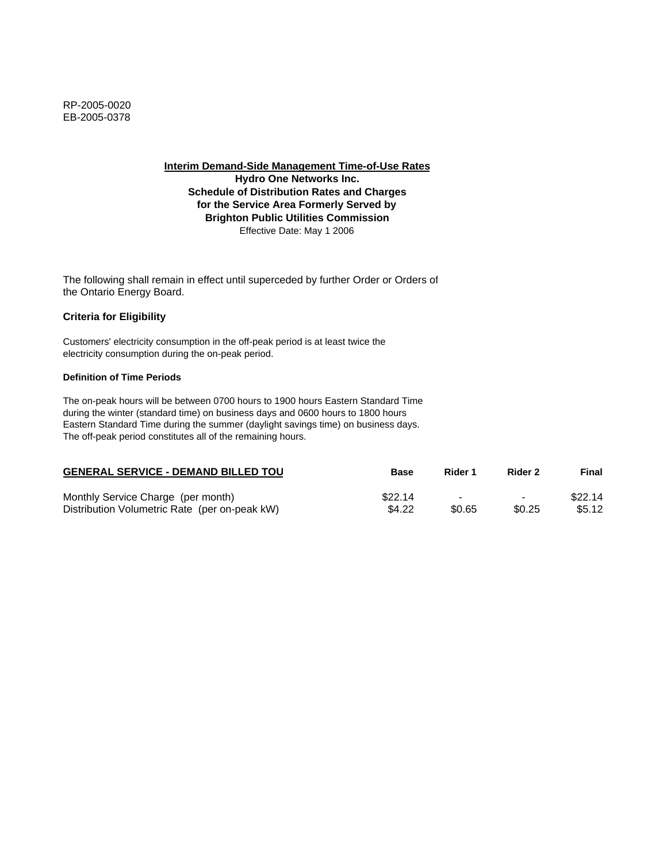**Hydro One Networks Inc. Schedule of Distribution Rates and Charges for the Service Area Formerly Served by Brighton Public Utilities Commission** Effective Date: May 1 2006

The following shall remain in effect until superceded by further Order or Orders of the Ontario Energy Board.

# **Criteria for Eligibility**

Customers' electricity consumption in the off-peak period is at least twice the electricity consumption during the on-peak period.

#### **Definition of Time Periods**

| <b>GENERAL SERVICE - DEMAND BILLED TOU</b>    | <b>Base</b> | Rider 1                  | Rider 2                  | Final   |
|-----------------------------------------------|-------------|--------------------------|--------------------------|---------|
| Monthly Service Charge (per month)            | \$22.14     | $\overline{\phantom{0}}$ | $\overline{\phantom{0}}$ | \$22.14 |
| Distribution Volumetric Rate (per on-peak kW) | \$4.22      | \$0.65                   | \$0.25                   | \$5.12  |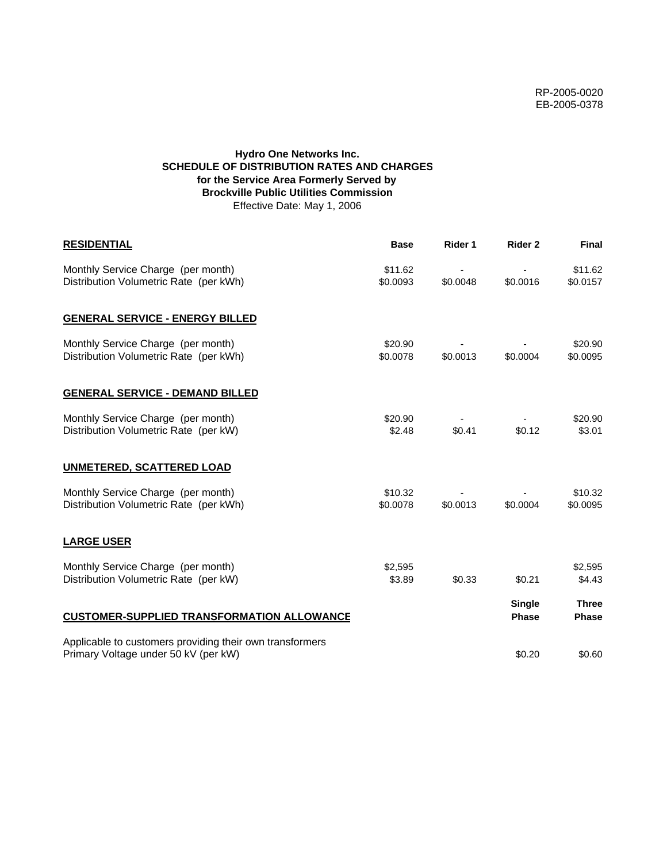# **Hydro One Networks Inc. SCHEDULE OF DISTRIBUTION RATES AND CHARGES for the Service Area Formerly Served by Brockville Public Utilities Commission** Effective Date: May 1, 2006

| <b>RESIDENTIAL</b>                                                                               | <b>Base</b>         | Rider 1  | Rider 2                       | <b>Final</b>                 |
|--------------------------------------------------------------------------------------------------|---------------------|----------|-------------------------------|------------------------------|
| Monthly Service Charge (per month)<br>Distribution Volumetric Rate (per kWh)                     | \$11.62<br>\$0.0093 | \$0.0048 | \$0.0016                      | \$11.62<br>\$0.0157          |
| <b>GENERAL SERVICE - ENERGY BILLED</b>                                                           |                     |          |                               |                              |
| Monthly Service Charge (per month)<br>Distribution Volumetric Rate (per kWh)                     | \$20.90<br>\$0.0078 | \$0.0013 | \$0.0004                      | \$20.90<br>\$0.0095          |
| <b>GENERAL SERVICE - DEMAND BILLED</b>                                                           |                     |          |                               |                              |
| Monthly Service Charge (per month)<br>Distribution Volumetric Rate (per kW)                      | \$20.90<br>\$2.48   | \$0.41   | \$0.12                        | \$20.90<br>\$3.01            |
| <b>UNMETERED, SCATTERED LOAD</b>                                                                 |                     |          |                               |                              |
| Monthly Service Charge (per month)<br>Distribution Volumetric Rate (per kWh)                     | \$10.32<br>\$0.0078 | \$0.0013 | \$0.0004                      | \$10.32<br>\$0.0095          |
| <b>LARGE USER</b>                                                                                |                     |          |                               |                              |
| Monthly Service Charge (per month)<br>Distribution Volumetric Rate (per kW)                      | \$2,595<br>\$3.89   | \$0.33   | \$0.21                        | \$2,595<br>\$4.43            |
| <b>CUSTOMER-SUPPLIED TRANSFORMATION ALLOWANCE</b>                                                |                     |          | <b>Single</b><br><b>Phase</b> | <b>Three</b><br><b>Phase</b> |
| Applicable to customers providing their own transformers<br>Primary Voltage under 50 kV (per kW) |                     |          | \$0.20                        | \$0.60                       |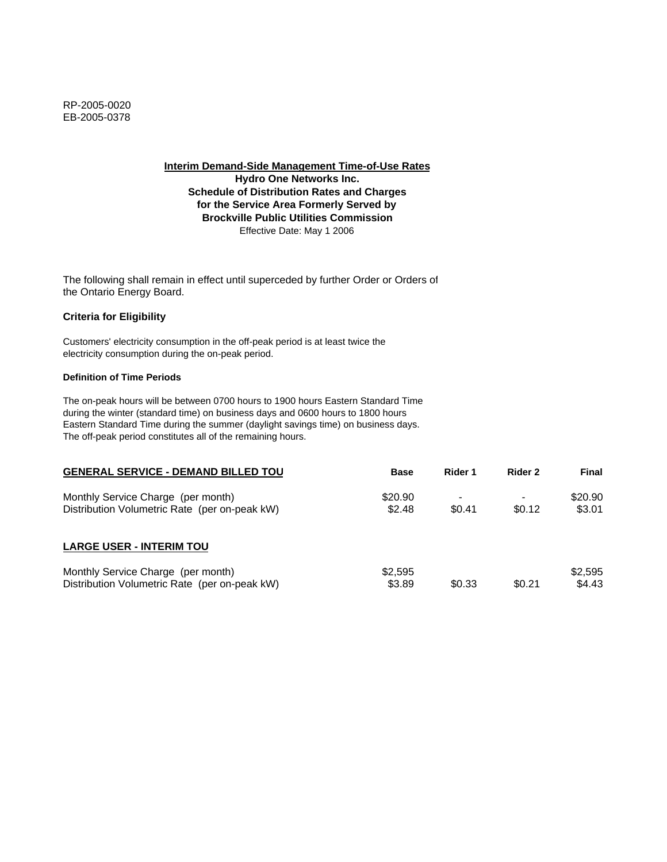**Hydro One Networks Inc. Schedule of Distribution Rates and Charges for the Service Area Formerly Served by Brockville Public Utilities Commission** Effective Date: May 1 2006

The following shall remain in effect until superceded by further Order or Orders of the Ontario Energy Board.

# **Criteria for Eligibility**

Customers' electricity consumption in the off-peak period is at least twice the electricity consumption during the on-peak period.

#### **Definition of Time Periods**

| <b>GENERAL SERVICE - DEMAND BILLED TOU</b>                                          | <b>Base</b>       | Rider 1 | Rider 2 | Final             |
|-------------------------------------------------------------------------------------|-------------------|---------|---------|-------------------|
| Monthly Service Charge (per month)<br>Distribution Volumetric Rate (per on-peak kW) | \$20.90<br>\$2.48 | \$0.41  | \$0.12  | \$20.90<br>\$3.01 |
| <b>LARGE USER - INTERIM TOU</b>                                                     |                   |         |         |                   |
| Monthly Service Charge (per month)<br>Distribution Volumetric Rate (per on-peak kW) | \$2,595<br>\$3.89 | \$0.33  | \$0.21  | \$2.595<br>\$4.43 |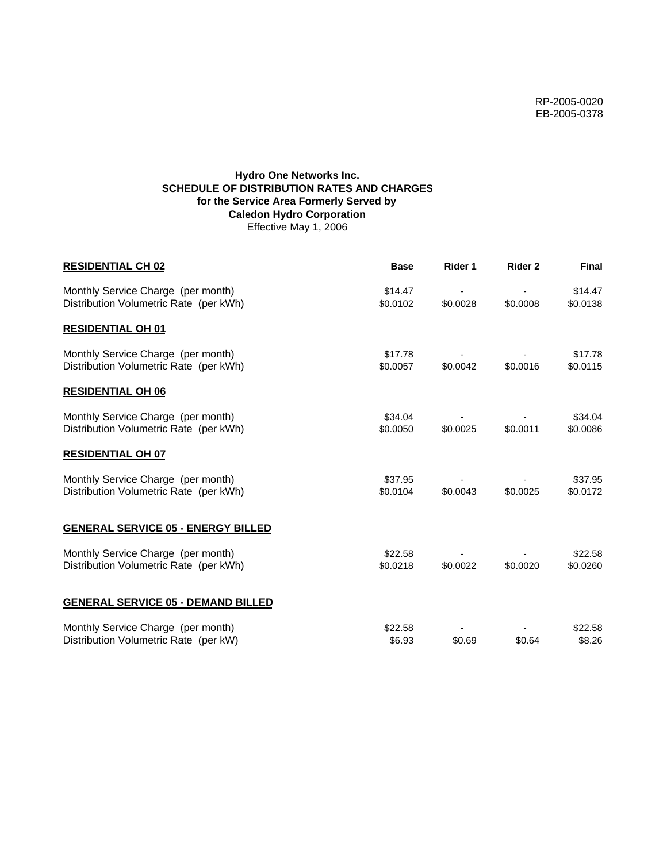RP-2005-0020 EB-2005-0378

# **Hydro One Networks Inc. SCHEDULE OF DISTRIBUTION RATES AND CHARGES for the Service Area Formerly Served by Caledon Hydro Corporation** Effective May 1, 2006

| <b>RESIDENTIAL CH 02</b>                                                     | <b>Base</b>         | Rider 1  | Rider 2  | Final               |
|------------------------------------------------------------------------------|---------------------|----------|----------|---------------------|
| Monthly Service Charge (per month)<br>Distribution Volumetric Rate (per kWh) | \$14.47<br>\$0.0102 | \$0.0028 | \$0.0008 | \$14.47<br>\$0.0138 |
| <b>RESIDENTIAL OH 01</b>                                                     |                     |          |          |                     |
| Monthly Service Charge (per month)<br>Distribution Volumetric Rate (per kWh) | \$17.78<br>\$0.0057 | \$0.0042 | \$0.0016 | \$17.78<br>\$0.0115 |
| <b>RESIDENTIAL OH 06</b>                                                     |                     |          |          |                     |
| Monthly Service Charge (per month)<br>Distribution Volumetric Rate (per kWh) | \$34.04<br>\$0.0050 | \$0.0025 | \$0.0011 | \$34.04<br>\$0.0086 |
| <b>RESIDENTIAL OH 07</b>                                                     |                     |          |          |                     |
| Monthly Service Charge (per month)<br>Distribution Volumetric Rate (per kWh) | \$37.95<br>\$0.0104 | \$0.0043 | \$0.0025 | \$37.95<br>\$0.0172 |
| <b>GENERAL SERVICE 05 - ENERGY BILLED</b>                                    |                     |          |          |                     |
| Monthly Service Charge (per month)<br>Distribution Volumetric Rate (per kWh) | \$22.58<br>\$0.0218 | \$0.0022 | \$0.0020 | \$22.58<br>\$0.0260 |
| <b>GENERAL SERVICE 05 - DEMAND BILLED</b>                                    |                     |          |          |                     |
| Monthly Service Charge (per month)<br>Distribution Volumetric Rate (per kW)  | \$22.58<br>\$6.93   | \$0.69   | \$0.64   | \$22.58<br>\$8.26   |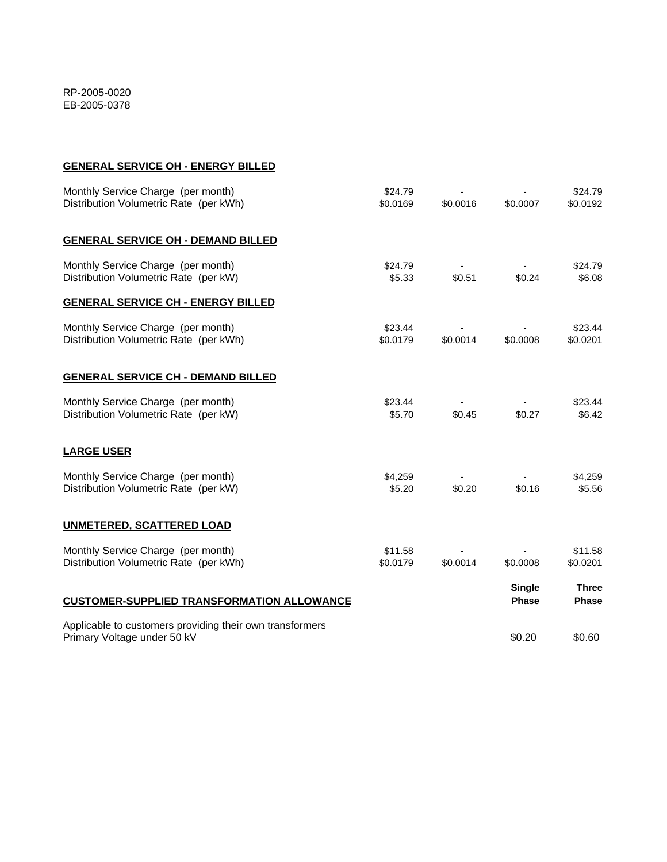# **GENERAL SERVICE OH - ENERGY BILLED**

| Monthly Service Charge (per month)<br>Distribution Volumetric Rate (per kWh)            | \$24.79<br>\$0.0169 | \$0.0016 | \$0.0007                      | \$24.79<br>\$0.0192          |
|-----------------------------------------------------------------------------------------|---------------------|----------|-------------------------------|------------------------------|
| <b>GENERAL SERVICE OH - DEMAND BILLED</b>                                               |                     |          |                               |                              |
| Monthly Service Charge (per month)<br>Distribution Volumetric Rate (per kW)             | \$24.79<br>\$5.33   | \$0.51   | \$0.24                        | \$24.79<br>\$6.08            |
| <b>GENERAL SERVICE CH - ENERGY BILLED</b>                                               |                     |          |                               |                              |
| Monthly Service Charge (per month)<br>Distribution Volumetric Rate (per kWh)            | \$23.44<br>\$0.0179 | \$0.0014 | \$0.0008                      | \$23.44<br>\$0.0201          |
| <b>GENERAL SERVICE CH - DEMAND BILLED</b>                                               |                     |          |                               |                              |
| Monthly Service Charge (per month)<br>Distribution Volumetric Rate (per kW)             | \$23.44<br>\$5.70   | \$0.45   | \$0.27                        | \$23.44<br>\$6.42            |
| <b>LARGE USER</b>                                                                       |                     |          |                               |                              |
| Monthly Service Charge (per month)<br>Distribution Volumetric Rate (per kW)             | \$4,259<br>\$5.20   | \$0.20   | \$0.16                        | \$4,259<br>\$5.56            |
| <b>UNMETERED, SCATTERED LOAD</b>                                                        |                     |          |                               |                              |
| Monthly Service Charge (per month)<br>Distribution Volumetric Rate (per kWh)            | \$11.58<br>\$0.0179 | \$0.0014 | \$0.0008                      | \$11.58<br>\$0.0201          |
| <b>CUSTOMER-SUPPLIED TRANSFORMATION ALLOWANCE</b>                                       |                     |          | <b>Single</b><br><b>Phase</b> | <b>Three</b><br><b>Phase</b> |
| Applicable to customers providing their own transformers<br>Primary Voltage under 50 kV |                     |          | \$0.20                        | \$0.60                       |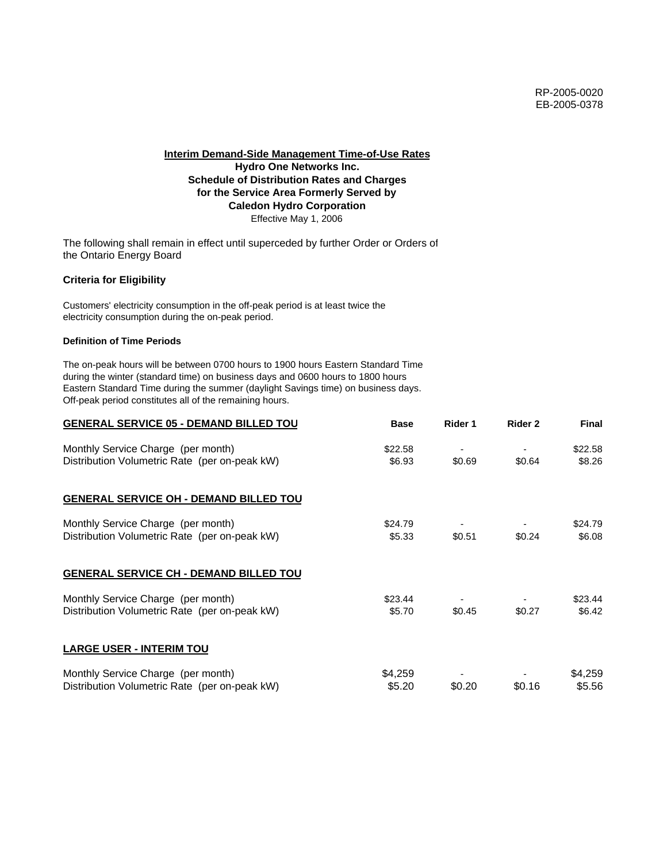# **Hydro One Networks Inc. Schedule of Distribution Rates and Charges for the Service Area Formerly Served by Caledon Hydro Corporation** Effective May 1, 2006

The following shall remain in effect until superceded by further Order or Orders of the Ontario Energy Board

# **Criteria for Eligibility**

Customers' electricity consumption in the off-peak period is at least twice the electricity consumption during the on-peak period.

# **Definition of Time Periods**

| <b>GENERAL SERVICE 05 - DEMAND BILLED TOU</b> | <b>Base</b> | Rider 1 | Rider 2 | <b>Final</b> |
|-----------------------------------------------|-------------|---------|---------|--------------|
| Monthly Service Charge (per month)            | \$22.58     |         |         | \$22.58      |
| Distribution Volumetric Rate (per on-peak kW) | \$6.93      | \$0.69  | \$0.64  | \$8.26       |
| <b>GENERAL SERVICE OH - DEMAND BILLED TOU</b> |             |         |         |              |
| Monthly Service Charge (per month)            | \$24.79     |         |         | \$24.79      |
| Distribution Volumetric Rate (per on-peak kW) | \$5.33      | \$0.51  | \$0.24  | \$6.08       |
| <b>GENERAL SERVICE CH - DEMAND BILLED TOU</b> |             |         |         |              |
| Monthly Service Charge (per month)            | \$23.44     |         |         | \$23.44      |
| Distribution Volumetric Rate (per on-peak kW) | \$5.70      | \$0.45  | \$0.27  | \$6.42       |
| <b>LARGE USER - INTERIM TOU</b>               |             |         |         |              |
| Monthly Service Charge (per month)            | \$4,259     |         |         | \$4,259      |
| Distribution Volumetric Rate (per on-peak kW) | \$5.20      | \$0.20  | \$0.16  | \$5.56       |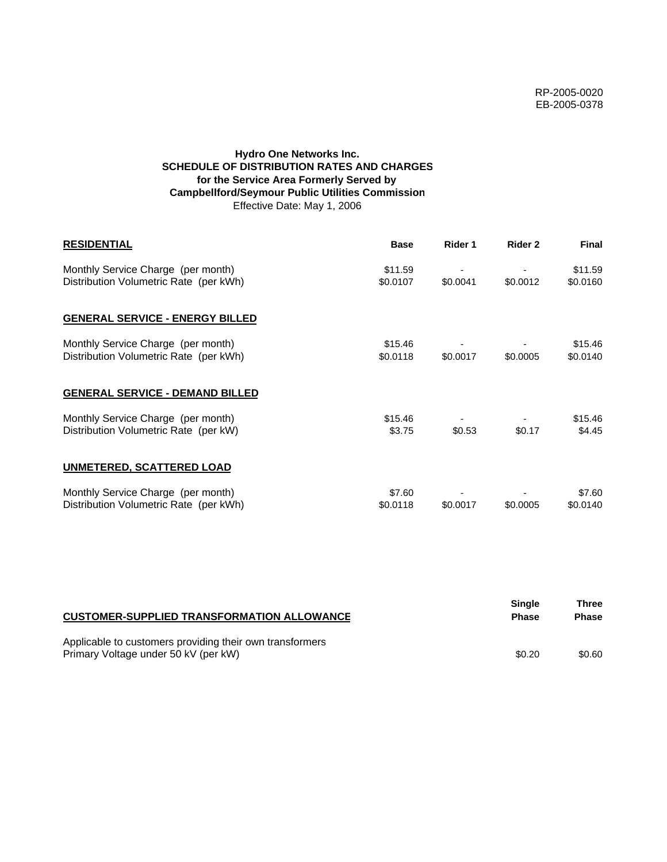# **Hydro One Networks Inc. SCHEDULE OF DISTRIBUTION RATES AND CHARGES for the Service Area Formerly Served by Campbellford/Seymour Public Utilities Commission** Effective Date: May 1, 2006

| <b>RESIDENTIAL</b>                                                           | <b>Base</b>         | Rider 1  | Rider 2  | <b>Final</b>        |
|------------------------------------------------------------------------------|---------------------|----------|----------|---------------------|
| Monthly Service Charge (per month)<br>Distribution Volumetric Rate (per kWh) | \$11.59<br>\$0.0107 | \$0.0041 | \$0.0012 | \$11.59<br>\$0.0160 |
| <b>GENERAL SERVICE - ENERGY BILLED</b>                                       |                     |          |          |                     |
| Monthly Service Charge (per month)<br>Distribution Volumetric Rate (per kWh) | \$15.46<br>\$0.0118 | \$0.0017 | \$0.0005 | \$15.46<br>\$0.0140 |
| <b>GENERAL SERVICE - DEMAND BILLED</b>                                       |                     |          |          |                     |
| Monthly Service Charge (per month)<br>Distribution Volumetric Rate (per kW)  | \$15.46<br>\$3.75   | \$0.53   | \$0.17   | \$15.46<br>\$4.45   |
| <b>UNMETERED, SCATTERED LOAD</b>                                             |                     |          |          |                     |
| Monthly Service Charge (per month)<br>Distribution Volumetric Rate (per kWh) | \$7.60<br>\$0.0118  | \$0.0017 | \$0.0005 | \$7.60<br>\$0.0140  |

| <b>CUSTOMER-SUPPLIED TRANSFORMATION ALLOWANCE</b>                                                | Single<br><b>Phase</b> | Three<br><b>Phase</b> |
|--------------------------------------------------------------------------------------------------|------------------------|-----------------------|
| Applicable to customers providing their own transformers<br>Primary Voltage under 50 kV (per kW) | \$0.20                 | \$0.60                |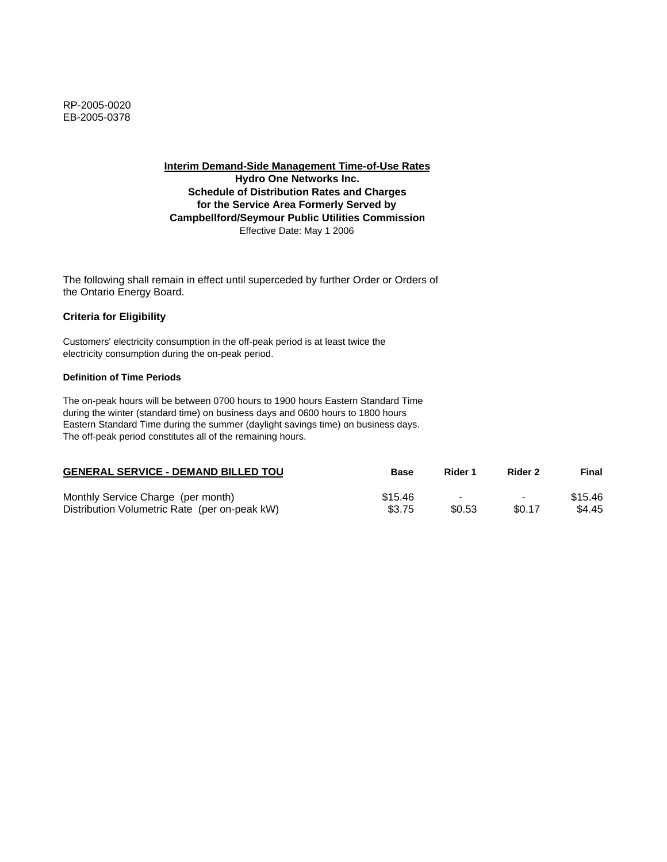**Interim Demand-Side Management Time-of-Use Rates Hydro One Networks Inc. Schedule of Distribution Rates and Charges for the Service Area Formerly Served by Campbellford/Seymour Public Utilities Commission** Effective Date: May 1 2006

The following shall remain in effect until superceded by further Order or Orders of the Ontario Energy Board.

## **Criteria for Eligibility**

Customers' electricity consumption in the off-peak period is at least twice the electricity consumption during the on-peak period.

#### **Definition of Time Periods**

| <b>GENERAL SERVICE - DEMAND BILLED TOU</b>    | <b>Base</b> | Rider 1 | Rider 2                  | Final   |
|-----------------------------------------------|-------------|---------|--------------------------|---------|
| Monthly Service Charge (per month)            | \$15.46     |         | $\overline{\phantom{0}}$ | \$15.46 |
| Distribution Volumetric Rate (per on-peak kW) | \$3.75      | \$0.53  | \$0.17                   | \$4.45  |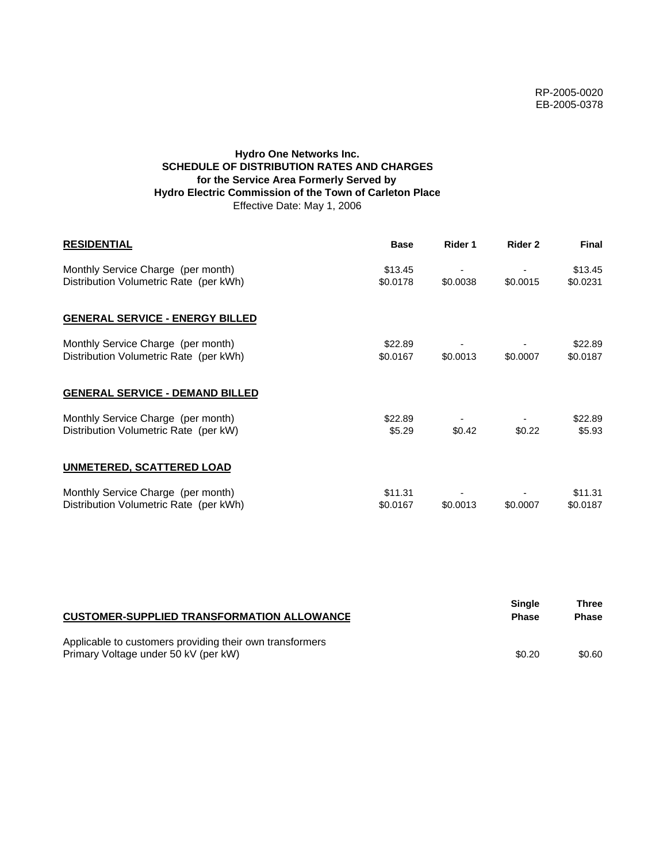# **Hydro One Networks Inc. SCHEDULE OF DISTRIBUTION RATES AND CHARGES for the Service Area Formerly Served by Hydro Electric Commission of the Town of Carleton Place** Effective Date: May 1, 2006

| <b>RESIDENTIAL</b>                                                           | <b>Base</b>         | Rider 1  | Rider 2  | <b>Final</b>        |
|------------------------------------------------------------------------------|---------------------|----------|----------|---------------------|
| Monthly Service Charge (per month)<br>Distribution Volumetric Rate (per kWh) | \$13.45<br>\$0.0178 | \$0.0038 | \$0.0015 | \$13.45<br>\$0.0231 |
| <b>GENERAL SERVICE - ENERGY BILLED</b>                                       |                     |          |          |                     |
| Monthly Service Charge (per month)<br>Distribution Volumetric Rate (per kWh) | \$22.89<br>\$0.0167 | \$0.0013 | \$0.0007 | \$22.89<br>\$0.0187 |
| <b>GENERAL SERVICE - DEMAND BILLED</b>                                       |                     |          |          |                     |
| Monthly Service Charge (per month)<br>Distribution Volumetric Rate (per kW)  | \$22.89<br>\$5.29   | \$0.42   | \$0.22   | \$22.89<br>\$5.93   |
| <b>UNMETERED, SCATTERED LOAD</b>                                             |                     |          |          |                     |
| Monthly Service Charge (per month)<br>Distribution Volumetric Rate (per kWh) | \$11.31<br>\$0.0167 | \$0.0013 | \$0.0007 | \$11.31<br>\$0.0187 |

| <b>CUSTOMER-SUPPLIED TRANSFORMATION ALLOWANCE</b>                                                | <b>Single</b><br><b>Phase</b> | Three<br><b>Phase</b> |
|--------------------------------------------------------------------------------------------------|-------------------------------|-----------------------|
| Applicable to customers providing their own transformers<br>Primary Voltage under 50 kV (per kW) | \$0.20                        | \$0.60                |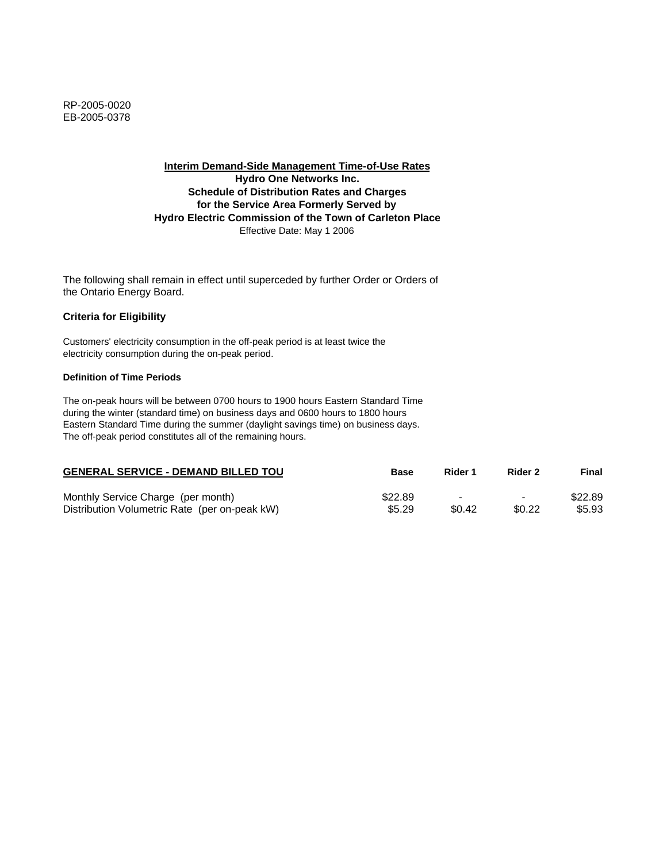**Interim Demand-Side Management Time-of-Use Rates Hydro One Networks Inc. Schedule of Distribution Rates and Charges for the Service Area Formerly Served by Hydro Electric Commission of the Town of Carleton Place** Effective Date: May 1 2006

The following shall remain in effect until superceded by further Order or Orders of the Ontario Energy Board.

## **Criteria for Eligibility**

Customers' electricity consumption in the off-peak period is at least twice the electricity consumption during the on-peak period.

#### **Definition of Time Periods**

| <b>GENERAL SERVICE - DEMAND BILLED TOU</b>    | Base    | Rider 1 | Rider 2                  | Final   |
|-----------------------------------------------|---------|---------|--------------------------|---------|
| Monthly Service Charge (per month)            | \$22.89 |         | $\overline{\phantom{0}}$ | \$22.89 |
| Distribution Volumetric Rate (per on-peak kW) | \$5.29  | \$0.42  | \$0.22                   | \$5.93  |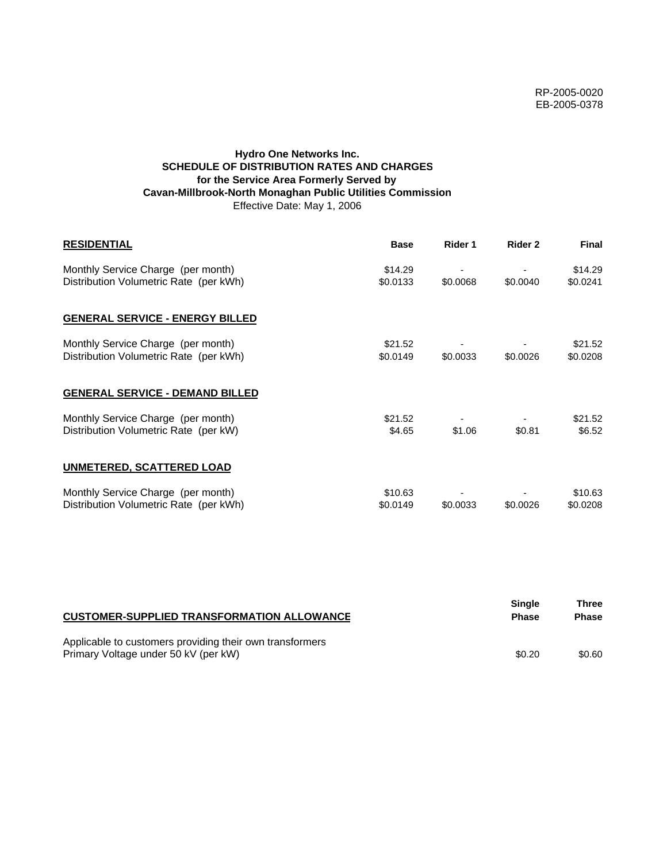# **Hydro One Networks Inc. SCHEDULE OF DISTRIBUTION RATES AND CHARGES for the Service Area Formerly Served by Cavan-Millbrook-North Monaghan Public Utilities Commission** Effective Date: May 1, 2006

| <b>RESIDENTIAL</b>                                                           | <b>Base</b>         | Rider 1  | Rider 2  | <b>Final</b>        |
|------------------------------------------------------------------------------|---------------------|----------|----------|---------------------|
| Monthly Service Charge (per month)<br>Distribution Volumetric Rate (per kWh) | \$14.29<br>\$0.0133 | \$0.0068 | \$0.0040 | \$14.29<br>\$0.0241 |
| <b>GENERAL SERVICE - ENERGY BILLED</b>                                       |                     |          |          |                     |
| Monthly Service Charge (per month)<br>Distribution Volumetric Rate (per kWh) | \$21.52<br>\$0.0149 | \$0.0033 | \$0.0026 | \$21.52<br>\$0.0208 |
| <b>GENERAL SERVICE - DEMAND BILLED</b>                                       |                     |          |          |                     |
| Monthly Service Charge (per month)<br>Distribution Volumetric Rate (per kW)  | \$21.52<br>\$4.65   | \$1.06   | \$0.81   | \$21.52<br>\$6.52   |
| <b>UNMETERED, SCATTERED LOAD</b>                                             |                     |          |          |                     |
| Monthly Service Charge (per month)<br>Distribution Volumetric Rate (per kWh) | \$10.63<br>\$0.0149 | \$0.0033 | \$0.0026 | \$10.63<br>\$0.0208 |

| <b>CUSTOMER-SUPPLIED TRANSFORMATION ALLOWANCE</b>                                                | Single<br><b>Phase</b> | Three<br><b>Phase</b> |
|--------------------------------------------------------------------------------------------------|------------------------|-----------------------|
| Applicable to customers providing their own transformers<br>Primary Voltage under 50 kV (per kW) | \$0.20                 | \$0.60                |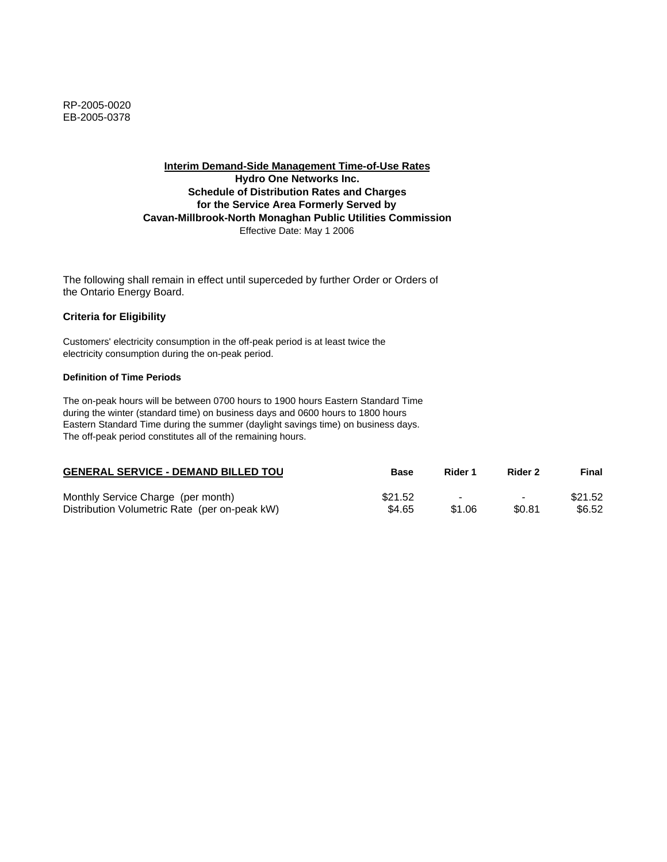# **Interim Demand-Side Management Time-of-Use Rates Hydro One Networks Inc. Schedule of Distribution Rates and Charges for the Service Area Formerly Served by Cavan-Millbrook-North Monaghan Public Utilities Commission** Effective Date: May 1 2006

The following shall remain in effect until superceded by further Order or Orders of the Ontario Energy Board.

## **Criteria for Eligibility**

Customers' electricity consumption in the off-peak period is at least twice the electricity consumption during the on-peak period.

#### **Definition of Time Periods**

| <b>GENERAL SERVICE - DEMAND BILLED TOU</b>    | Base    | Rider 1 | Rider 2                  | Final   |
|-----------------------------------------------|---------|---------|--------------------------|---------|
| Monthly Service Charge (per month)            | \$21.52 |         | $\overline{\phantom{0}}$ | \$21.52 |
| Distribution Volumetric Rate (per on-peak kW) | \$4.65  | \$1.06  | \$0.81                   | \$6.52  |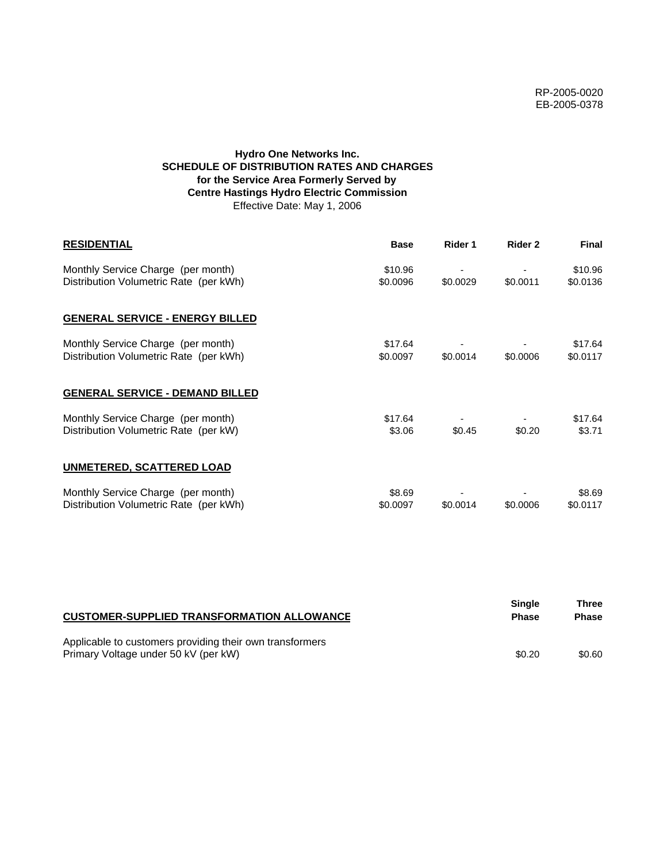# **Hydro One Networks Inc. SCHEDULE OF DISTRIBUTION RATES AND CHARGES for the Service Area Formerly Served by Centre Hastings Hydro Electric Commission** Effective Date: May 1, 2006

| <b>RESIDENTIAL</b>                                                           | <b>Base</b>         | Rider 1  | Rider 2  | <b>Final</b>        |
|------------------------------------------------------------------------------|---------------------|----------|----------|---------------------|
| Monthly Service Charge (per month)<br>Distribution Volumetric Rate (per kWh) | \$10.96<br>\$0.0096 | \$0.0029 | \$0.0011 | \$10.96<br>\$0.0136 |
| <b>GENERAL SERVICE - ENERGY BILLED</b>                                       |                     |          |          |                     |
| Monthly Service Charge (per month)<br>Distribution Volumetric Rate (per kWh) | \$17.64<br>\$0.0097 | \$0.0014 | \$0.0006 | \$17.64<br>\$0.0117 |
| <b>GENERAL SERVICE - DEMAND BILLED</b>                                       |                     |          |          |                     |
| Monthly Service Charge (per month)<br>Distribution Volumetric Rate (per kW)  | \$17.64<br>\$3.06   | \$0.45   | \$0.20   | \$17.64<br>\$3.71   |
| <b>UNMETERED, SCATTERED LOAD</b>                                             |                     |          |          |                     |
| Monthly Service Charge (per month)<br>Distribution Volumetric Rate (per kWh) | \$8.69<br>\$0.0097  | \$0.0014 | \$0.0006 | \$8.69<br>\$0.0117  |

| <b>CUSTOMER-SUPPLIED TRANSFORMATION ALLOWANCE</b>                                                | Single<br><b>Phase</b> | Three<br><b>Phase</b> |
|--------------------------------------------------------------------------------------------------|------------------------|-----------------------|
| Applicable to customers providing their own transformers<br>Primary Voltage under 50 kV (per kW) | \$0.20                 | \$0.60                |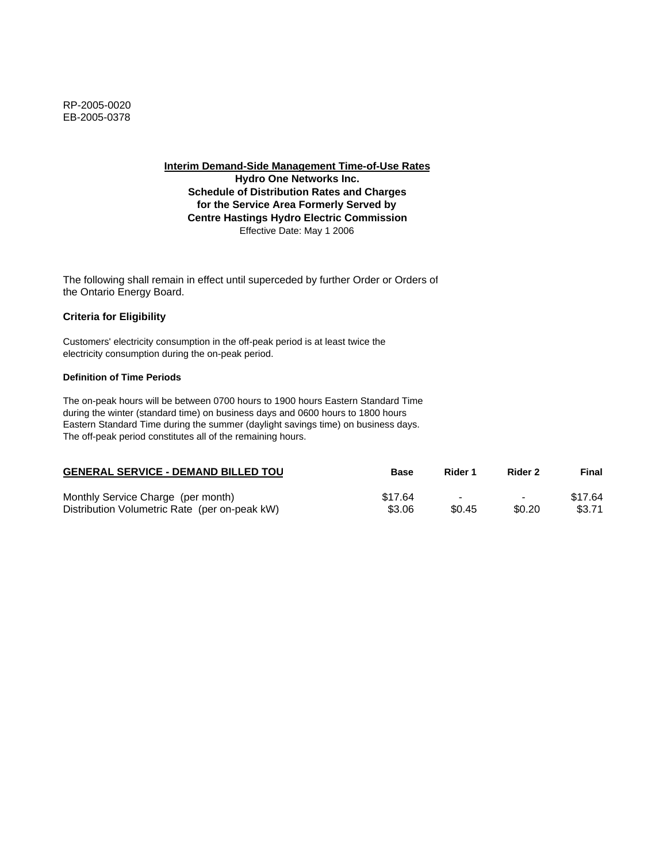**Hydro One Networks Inc. Schedule of Distribution Rates and Charges for the Service Area Formerly Served by Centre Hastings Hydro Electric Commission** Effective Date: May 1 2006

The following shall remain in effect until superceded by further Order or Orders of the Ontario Energy Board.

# **Criteria for Eligibility**

Customers' electricity consumption in the off-peak period is at least twice the electricity consumption during the on-peak period.

#### **Definition of Time Periods**

| <b>GENERAL SERVICE - DEMAND BILLED TOU</b>    | Base    | Rider 1                  | Rider 2                  | Final   |
|-----------------------------------------------|---------|--------------------------|--------------------------|---------|
| Monthly Service Charge (per month)            | \$17.64 | $\overline{\phantom{0}}$ | $\overline{\phantom{0}}$ | \$17.64 |
| Distribution Volumetric Rate (per on-peak kW) | \$3.06  | \$0.45                   | \$0.20                   | \$3.71  |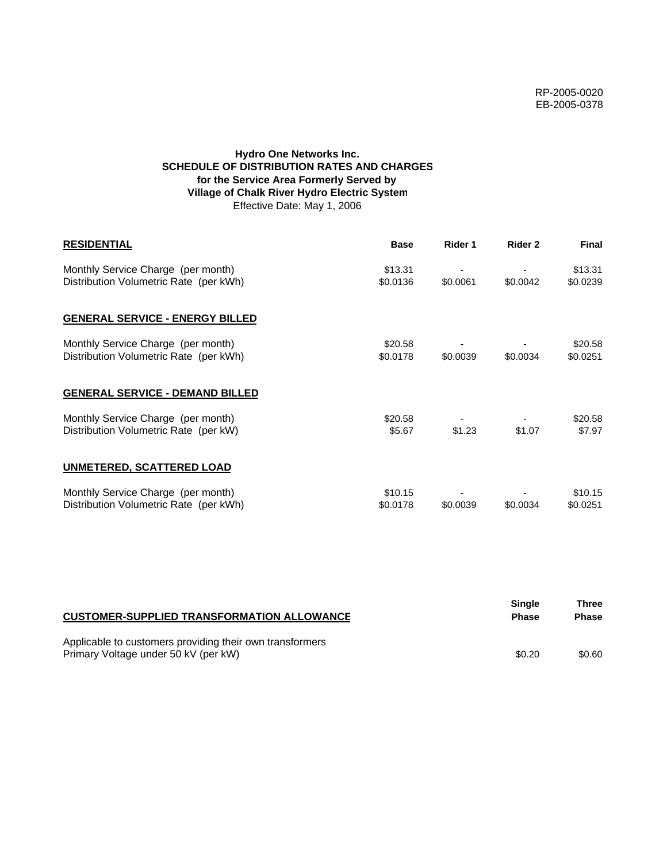# **Hydro One Networks Inc. SCHEDULE OF DISTRIBUTION RATES AND CHARGES for the Service Area Formerly Served by Village of Chalk River Hydro Electric System** Effective Date: May 1, 2006

| <b>RESIDENTIAL</b>                                                           | <b>Base</b>         | Rider 1  | Rider 2  | <b>Final</b>        |
|------------------------------------------------------------------------------|---------------------|----------|----------|---------------------|
| Monthly Service Charge (per month)<br>Distribution Volumetric Rate (per kWh) | \$13.31<br>\$0.0136 | \$0.0061 | \$0.0042 | \$13.31<br>\$0.0239 |
| <b>GENERAL SERVICE - ENERGY BILLED</b>                                       |                     |          |          |                     |
| Monthly Service Charge (per month)<br>Distribution Volumetric Rate (per kWh) | \$20.58<br>\$0.0178 | \$0.0039 | \$0.0034 | \$20.58<br>\$0.0251 |
| <b>GENERAL SERVICE - DEMAND BILLED</b>                                       |                     |          |          |                     |
| Monthly Service Charge (per month)<br>Distribution Volumetric Rate (per kW)  | \$20.58<br>\$5.67   | \$1.23   | \$1.07   | \$20.58<br>\$7.97   |
| UNMETERED, SCATTERED LOAD                                                    |                     |          |          |                     |
| Monthly Service Charge (per month)<br>Distribution Volumetric Rate (per kWh) | \$10.15<br>\$0.0178 | \$0.0039 | \$0.0034 | \$10.15<br>\$0.0251 |

| <b>CUSTOMER-SUPPLIED TRANSFORMATION ALLOWANCE</b>                                                | Single<br><b>Phase</b> | Three<br><b>Phase</b> |
|--------------------------------------------------------------------------------------------------|------------------------|-----------------------|
| Applicable to customers providing their own transformers<br>Primary Voltage under 50 kV (per kW) | \$0.20                 | \$0.60                |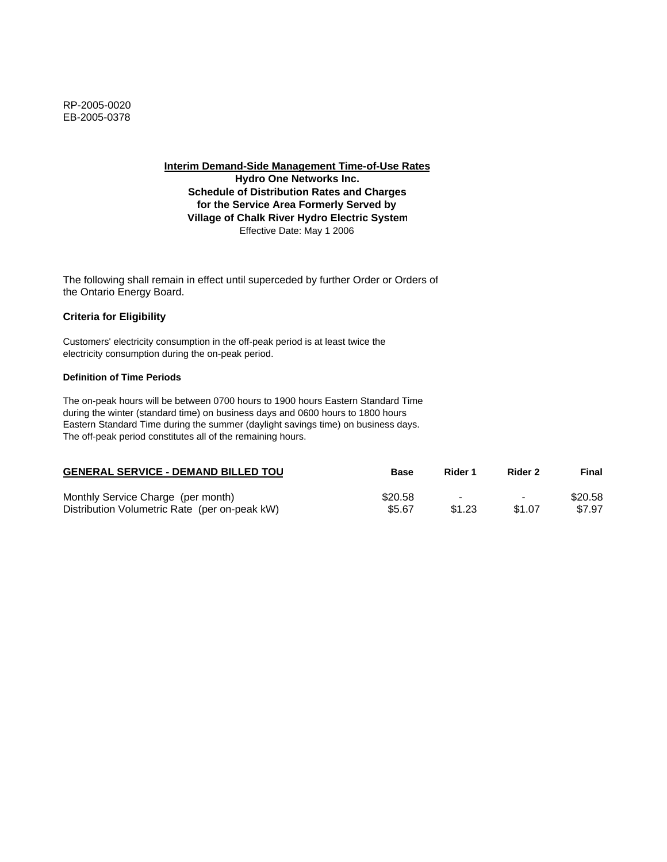**Interim Demand-Side Management Time-of-Use Rates**

**Hydro One Networks Inc. Schedule of Distribution Rates and Charges for the Service Area Formerly Served by Village of Chalk River Hydro Electric System** Effective Date: May 1 2006

The following shall remain in effect until superceded by further Order or Orders of the Ontario Energy Board.

# **Criteria for Eligibility**

Customers' electricity consumption in the off-peak period is at least twice the electricity consumption during the on-peak period.

### **Definition of Time Periods**

| <b>GENERAL SERVICE - DEMAND BILLED TOU</b>    | <b>Base</b> | Rider 1 | Rider 2        | Final   |
|-----------------------------------------------|-------------|---------|----------------|---------|
| Monthly Service Charge (per month)            | \$20.58     | $\sim$  | $\blacksquare$ | \$20.58 |
| Distribution Volumetric Rate (per on-peak kW) | \$5.67      | \$1.23  | \$1.07         | \$7.97  |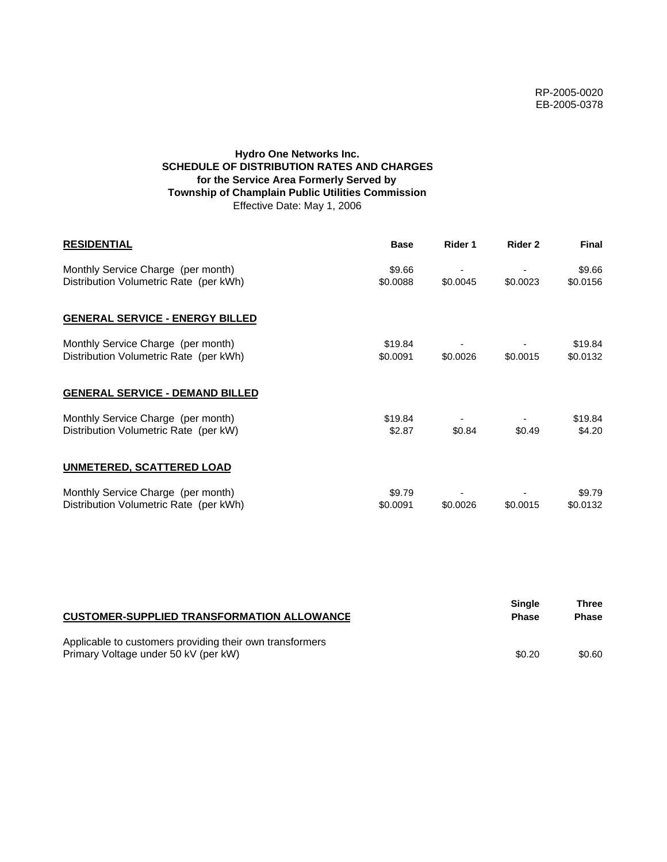# **Hydro One Networks Inc. SCHEDULE OF DISTRIBUTION RATES AND CHARGES for the Service Area Formerly Served by Township of Champlain Public Utilities Commission** Effective Date: May 1, 2006

| <b>RESIDENTIAL</b>                                                           | <b>Base</b>         | Rider 1  | Rider 2  | <b>Final</b>        |
|------------------------------------------------------------------------------|---------------------|----------|----------|---------------------|
| Monthly Service Charge (per month)<br>Distribution Volumetric Rate (per kWh) | \$9.66<br>\$0.0088  | \$0.0045 | \$0.0023 | \$9.66<br>\$0.0156  |
| <b>GENERAL SERVICE - ENERGY BILLED</b>                                       |                     |          |          |                     |
| Monthly Service Charge (per month)<br>Distribution Volumetric Rate (per kWh) | \$19.84<br>\$0.0091 | \$0.0026 | \$0.0015 | \$19.84<br>\$0.0132 |
| <b>GENERAL SERVICE - DEMAND BILLED</b>                                       |                     |          |          |                     |
| Monthly Service Charge (per month)<br>Distribution Volumetric Rate (per kW)  | \$19.84<br>\$2.87   | \$0.84   | \$0.49   | \$19.84<br>\$4.20   |
| <b>UNMETERED, SCATTERED LOAD</b>                                             |                     |          |          |                     |
| Monthly Service Charge (per month)<br>Distribution Volumetric Rate (per kWh) | \$9.79<br>\$0.0091  | \$0.0026 | \$0.0015 | \$9.79<br>\$0.0132  |

| <b>CUSTOMER-SUPPLIED TRANSFORMATION ALLOWANCE</b>                                                | <b>Single</b><br><b>Phase</b> | Three<br><b>Phase</b> |
|--------------------------------------------------------------------------------------------------|-------------------------------|-----------------------|
| Applicable to customers providing their own transformers<br>Primary Voltage under 50 kV (per kW) | \$0.20                        | \$0.60                |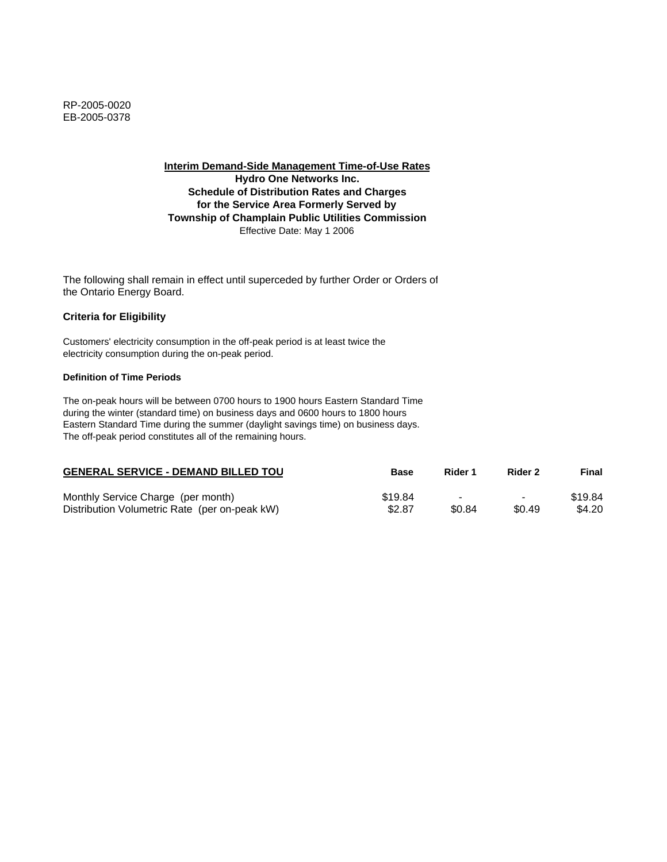**Interim Demand-Side Management Time-of-Use Rates Hydro One Networks Inc. Schedule of Distribution Rates and Charges for the Service Area Formerly Served by Township of Champlain Public Utilities Commission** Effective Date: May 1 2006

The following shall remain in effect until superceded by further Order or Orders of the Ontario Energy Board.

## **Criteria for Eligibility**

Customers' electricity consumption in the off-peak period is at least twice the electricity consumption during the on-peak period.

#### **Definition of Time Periods**

| <b>GENERAL SERVICE - DEMAND BILLED TOU</b>    | Base    | Rider 1 | Rider 2                  | Final   |
|-----------------------------------------------|---------|---------|--------------------------|---------|
| Monthly Service Charge (per month)            | \$19.84 |         | $\overline{\phantom{0}}$ | \$19.84 |
| Distribution Volumetric Rate (per on-peak kW) | \$2.87  | \$0.84  | \$0.49                   | \$4.20  |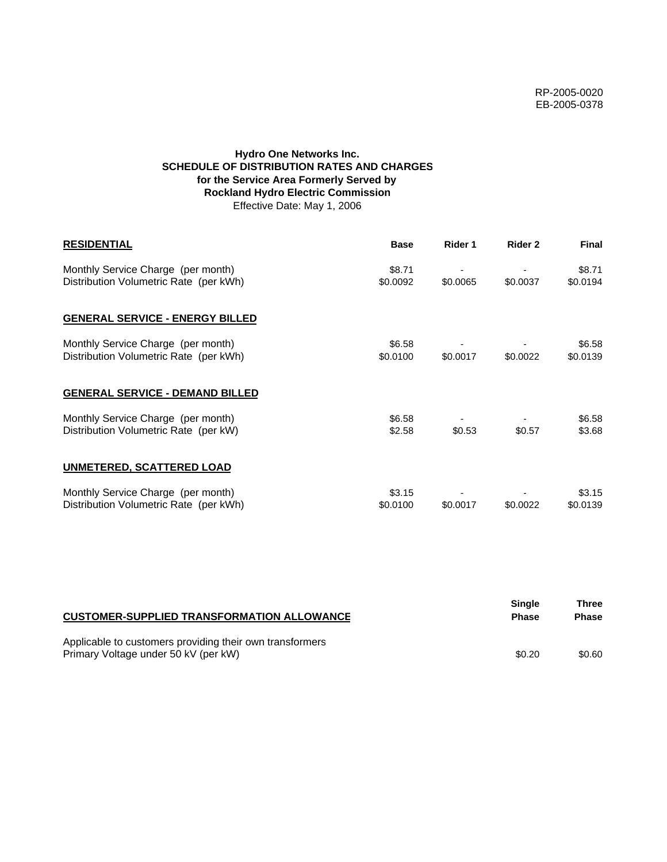# **Hydro One Networks Inc. SCHEDULE OF DISTRIBUTION RATES AND CHARGES for the Service Area Formerly Served by Rockland Hydro Electric Commission** Effective Date: May 1, 2006

| <b>RESIDENTIAL</b>                                                           | <b>Base</b>        | Rider 1  | Rider 2  | <b>Final</b>       |
|------------------------------------------------------------------------------|--------------------|----------|----------|--------------------|
| Monthly Service Charge (per month)<br>Distribution Volumetric Rate (per kWh) | \$8.71<br>\$0.0092 | \$0.0065 | \$0.0037 | \$8.71<br>\$0.0194 |
| <b>GENERAL SERVICE - ENERGY BILLED</b>                                       |                    |          |          |                    |
| Monthly Service Charge (per month)<br>Distribution Volumetric Rate (per kWh) | \$6.58<br>\$0.0100 | \$0.0017 | \$0.0022 | \$6.58<br>\$0.0139 |
| <b>GENERAL SERVICE - DEMAND BILLED</b>                                       |                    |          |          |                    |
| Monthly Service Charge (per month)<br>Distribution Volumetric Rate (per kW)  | \$6.58<br>\$2.58   | \$0.53   | \$0.57   | \$6.58<br>\$3.68   |
| <b>UNMETERED, SCATTERED LOAD</b>                                             |                    |          |          |                    |
| Monthly Service Charge (per month)<br>Distribution Volumetric Rate (per kWh) | \$3.15<br>\$0.0100 | \$0.0017 | \$0.0022 | \$3.15<br>\$0.0139 |

| <b>CUSTOMER-SUPPLIED TRANSFORMATION ALLOWANCE</b>                                                | <b>Single</b><br><b>Phase</b> | Three<br><b>Phase</b> |
|--------------------------------------------------------------------------------------------------|-------------------------------|-----------------------|
| Applicable to customers providing their own transformers<br>Primary Voltage under 50 kV (per kW) | \$0.20                        | \$0.60                |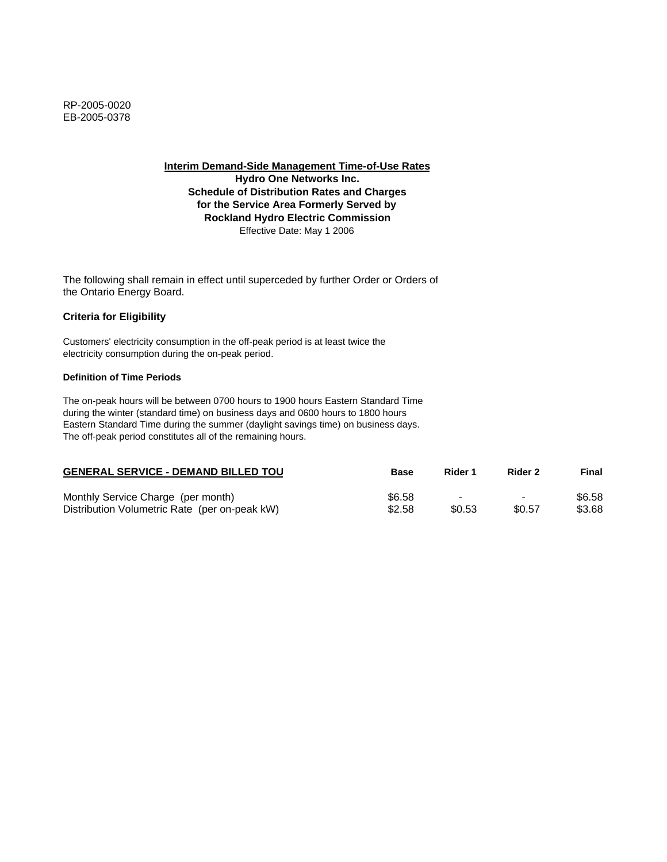**Interim Demand-Side Management Time-of-Use Rates**

**Hydro One Networks Inc. Schedule of Distribution Rates and Charges for the Service Area Formerly Served by Rockland Hydro Electric Commission** Effective Date: May 1 2006

The following shall remain in effect until superceded by further Order or Orders of the Ontario Energy Board.

## **Criteria for Eligibility**

Customers' electricity consumption in the off-peak period is at least twice the electricity consumption during the on-peak period.

### **Definition of Time Periods**

| <b>GENERAL SERVICE - DEMAND BILLED TOU</b>    | <b>Base</b> | Rider 1 | Rider 2                  | Final  |
|-----------------------------------------------|-------------|---------|--------------------------|--------|
| Monthly Service Charge (per month)            | \$6.58      | -       | $\overline{\phantom{0}}$ | \$6.58 |
| Distribution Volumetric Rate (per on-peak kW) | \$2.58      | \$0.53  | \$0.57                   | \$3.68 |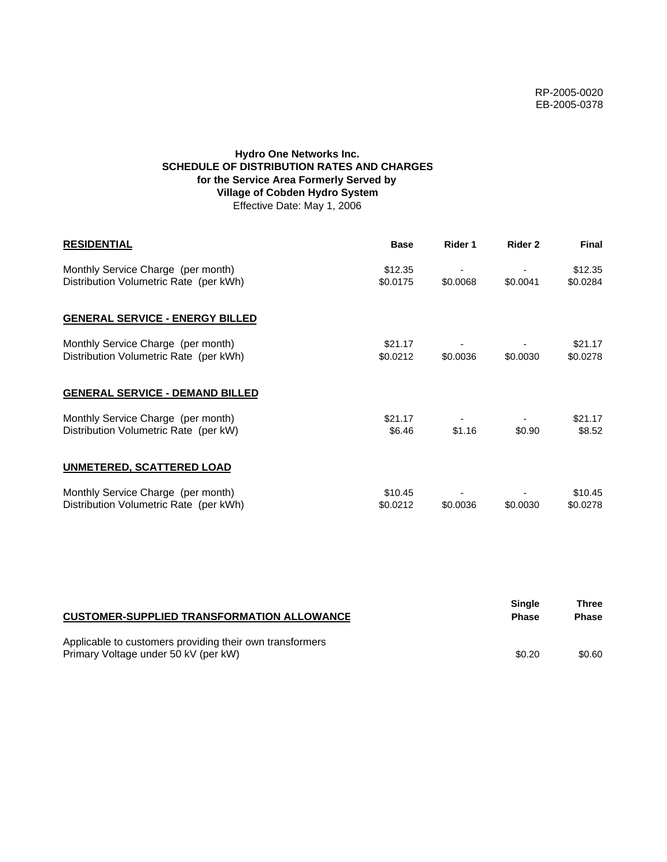# **Hydro One Networks Inc. SCHEDULE OF DISTRIBUTION RATES AND CHARGES for the Service Area Formerly Served by Village of Cobden Hydro System** Effective Date: May 1, 2006

| <b>RESIDENTIAL</b>                                                           | <b>Base</b>         | Rider 1  | Rider 2  | <b>Final</b>        |
|------------------------------------------------------------------------------|---------------------|----------|----------|---------------------|
| Monthly Service Charge (per month)<br>Distribution Volumetric Rate (per kWh) | \$12.35<br>\$0.0175 | \$0.0068 | \$0.0041 | \$12.35<br>\$0.0284 |
| <b>GENERAL SERVICE - ENERGY BILLED</b>                                       |                     |          |          |                     |
| Monthly Service Charge (per month)<br>Distribution Volumetric Rate (per kWh) | \$21.17<br>\$0.0212 | \$0.0036 | \$0.0030 | \$21.17<br>\$0.0278 |
| <b>GENERAL SERVICE - DEMAND BILLED</b>                                       |                     |          |          |                     |
| Monthly Service Charge (per month)<br>Distribution Volumetric Rate (per kW)  | \$21.17<br>\$6.46   | \$1.16   | \$0.90   | \$21.17<br>\$8.52   |
| <b>UNMETERED, SCATTERED LOAD</b>                                             |                     |          |          |                     |
| Monthly Service Charge (per month)<br>Distribution Volumetric Rate (per kWh) | \$10.45<br>\$0.0212 | \$0.0036 | \$0.0030 | \$10.45<br>\$0.0278 |

| <b>CUSTOMER-SUPPLIED TRANSFORMATION ALLOWANCE</b>                                                | Sinale<br><b>Phase</b> | Three<br><b>Phase</b> |
|--------------------------------------------------------------------------------------------------|------------------------|-----------------------|
| Applicable to customers providing their own transformers<br>Primary Voltage under 50 kV (per kW) | \$0.20                 | \$0.60                |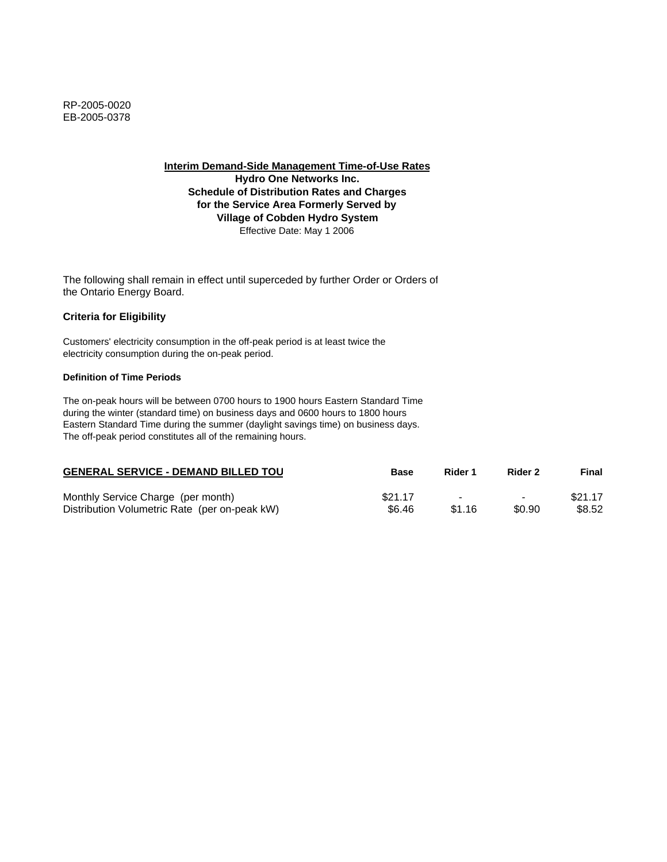**Interim Demand-Side Management Time-of-Use Rates**

**Hydro One Networks Inc. Schedule of Distribution Rates and Charges for the Service Area Formerly Served by Village of Cobden Hydro System** Effective Date: May 1 2006

The following shall remain in effect until superceded by further Order or Orders of the Ontario Energy Board.

# **Criteria for Eligibility**

Customers' electricity consumption in the off-peak period is at least twice the electricity consumption during the on-peak period.

### **Definition of Time Periods**

| <b>GENERAL SERVICE - DEMAND BILLED TOU</b>    | Base    | Rider 1                  | Rider 2                  | Final   |
|-----------------------------------------------|---------|--------------------------|--------------------------|---------|
| Monthly Service Charge (per month)            | \$21.17 | $\overline{\phantom{a}}$ | $\overline{\phantom{0}}$ | \$21.17 |
| Distribution Volumetric Rate (per on-peak kW) | \$6.46  | \$1.16                   | \$0.90                   | \$8.52  |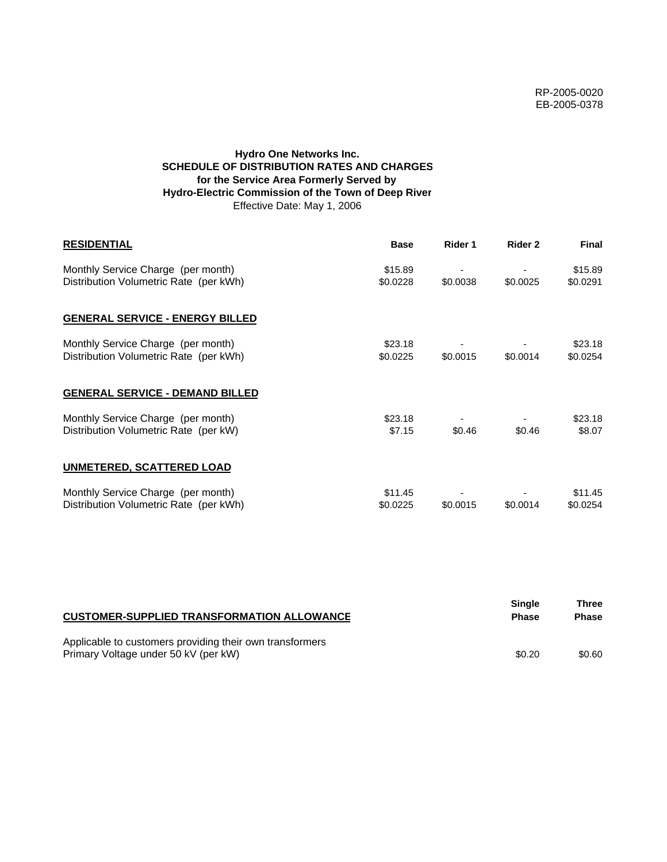# **Hydro One Networks Inc. SCHEDULE OF DISTRIBUTION RATES AND CHARGES for the Service Area Formerly Served by Hydro-Electric Commission of the Town of Deep River** Effective Date: May 1, 2006

| <b>RESIDENTIAL</b>                                                           | <b>Base</b>         | Rider 1  | Rider 2  | <b>Final</b>        |
|------------------------------------------------------------------------------|---------------------|----------|----------|---------------------|
| Monthly Service Charge (per month)<br>Distribution Volumetric Rate (per kWh) | \$15.89<br>\$0.0228 | \$0.0038 | \$0.0025 | \$15.89<br>\$0.0291 |
| <b>GENERAL SERVICE - ENERGY BILLED</b>                                       |                     |          |          |                     |
| Monthly Service Charge (per month)<br>Distribution Volumetric Rate (per kWh) | \$23.18<br>\$0.0225 | \$0.0015 | \$0.0014 | \$23.18<br>\$0.0254 |
| <b>GENERAL SERVICE - DEMAND BILLED</b>                                       |                     |          |          |                     |
| Monthly Service Charge (per month)<br>Distribution Volumetric Rate (per kW)  | \$23.18<br>\$7.15   | \$0.46   | \$0.46   | \$23.18<br>\$8.07   |
| UNMETERED, SCATTERED LOAD                                                    |                     |          |          |                     |
| Monthly Service Charge (per month)<br>Distribution Volumetric Rate (per kWh) | \$11.45<br>\$0.0225 | \$0.0015 | \$0.0014 | \$11.45<br>\$0.0254 |

| <b>CUSTOMER-SUPPLIED TRANSFORMATION ALLOWANCE</b>                                                | <b>Single</b><br><b>Phase</b> | Three<br><b>Phase</b> |
|--------------------------------------------------------------------------------------------------|-------------------------------|-----------------------|
| Applicable to customers providing their own transformers<br>Primary Voltage under 50 kV (per kW) | \$0.20                        | \$0.60                |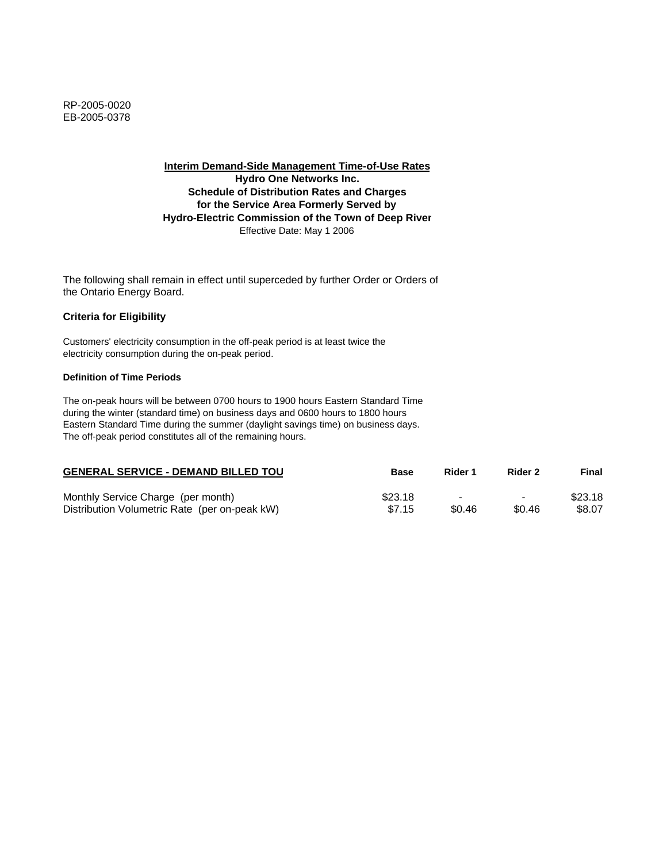**Interim Demand-Side Management Time-of-Use Rates Hydro One Networks Inc. Schedule of Distribution Rates and Charges for the Service Area Formerly Served by Hydro-Electric Commission of the Town of Deep River** Effective Date: May 1 2006

The following shall remain in effect until superceded by further Order or Orders of the Ontario Energy Board.

## **Criteria for Eligibility**

Customers' electricity consumption in the off-peak period is at least twice the electricity consumption during the on-peak period.

#### **Definition of Time Periods**

| <b>GENERAL SERVICE - DEMAND BILLED TOU</b>    | <b>Base</b> | Rider 1 | Rider 2                  | Final   |
|-----------------------------------------------|-------------|---------|--------------------------|---------|
| Monthly Service Charge (per month)            | \$23.18     | -       | $\overline{\phantom{0}}$ | \$23.18 |
| Distribution Volumetric Rate (per on-peak kW) | \$7.15      | \$0.46  | \$0.46                   | \$8.07  |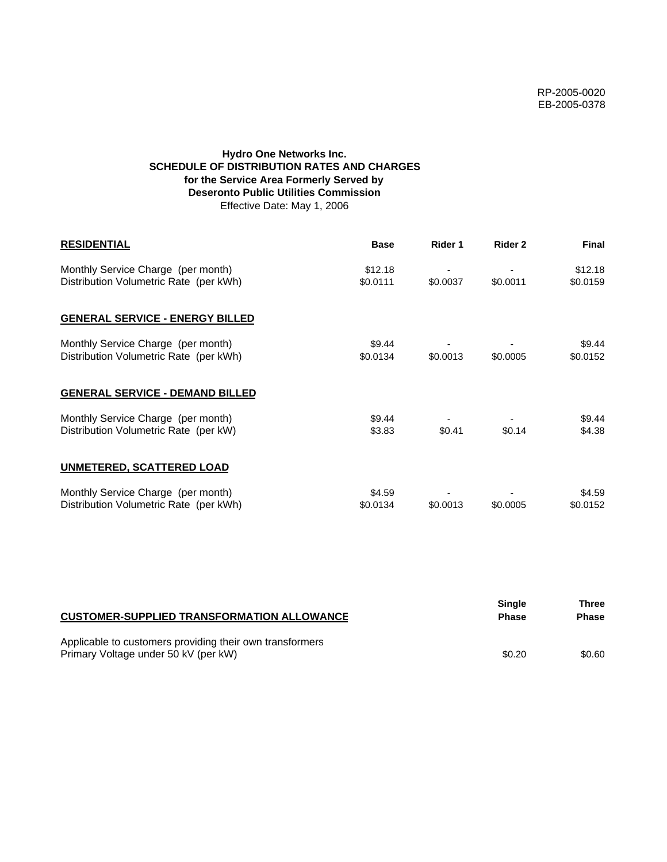# **Hydro One Networks Inc. SCHEDULE OF DISTRIBUTION RATES AND CHARGES for the Service Area Formerly Served by Deseronto Public Utilities Commission** Effective Date: May 1, 2006

| <b>RESIDENTIAL</b>                                                           | <b>Base</b>         | Rider 1  | Rider 2  | <b>Final</b>        |
|------------------------------------------------------------------------------|---------------------|----------|----------|---------------------|
| Monthly Service Charge (per month)<br>Distribution Volumetric Rate (per kWh) | \$12.18<br>\$0.0111 | \$0.0037 | \$0.0011 | \$12.18<br>\$0.0159 |
| <b>GENERAL SERVICE - ENERGY BILLED</b>                                       |                     |          |          |                     |
| Monthly Service Charge (per month)<br>Distribution Volumetric Rate (per kWh) | \$9.44<br>\$0.0134  | \$0.0013 | \$0.0005 | \$9.44<br>\$0.0152  |
| <b>GENERAL SERVICE - DEMAND BILLED</b>                                       |                     |          |          |                     |
| Monthly Service Charge (per month)<br>Distribution Volumetric Rate (per kW)  | \$9.44<br>\$3.83    | \$0.41   | \$0.14   | \$9.44<br>\$4.38    |
| UNMETERED, SCATTERED LOAD                                                    |                     |          |          |                     |
| Monthly Service Charge (per month)<br>Distribution Volumetric Rate (per kWh) | \$4.59<br>\$0.0134  | \$0.0013 | \$0.0005 | \$4.59<br>\$0.0152  |

| <b>CUSTOMER-SUPPLIED TRANSFORMATION ALLOWANCE</b>                                                | Single<br><b>Phase</b> | Three<br>Phase |
|--------------------------------------------------------------------------------------------------|------------------------|----------------|
| Applicable to customers providing their own transformers<br>Primary Voltage under 50 kV (per kW) | \$0.20                 | \$0.60         |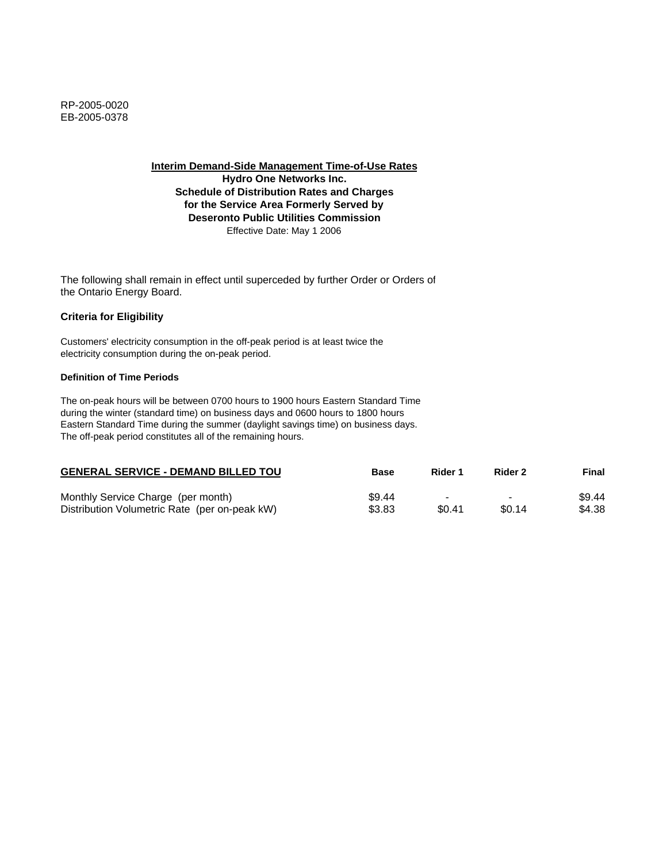**Interim Demand-Side Management Time-of-Use Rates**

**Hydro One Networks Inc. Schedule of Distribution Rates and Charges for the Service Area Formerly Served by Deseronto Public Utilities Commission** Effective Date: May 1 2006

The following shall remain in effect until superceded by further Order or Orders of the Ontario Energy Board.

## **Criteria for Eligibility**

Customers' electricity consumption in the off-peak period is at least twice the electricity consumption during the on-peak period.

### **Definition of Time Periods**

| <b>GENERAL SERVICE - DEMAND BILLED TOU</b>    | Base   | Rider 1 | Rider 2 | Final  |
|-----------------------------------------------|--------|---------|---------|--------|
| Monthly Service Charge (per month)            | \$9.44 | -       | $\,$    | \$9.44 |
| Distribution Volumetric Rate (per on-peak kW) | \$3.83 | \$0.41  | \$0.14  | \$4.38 |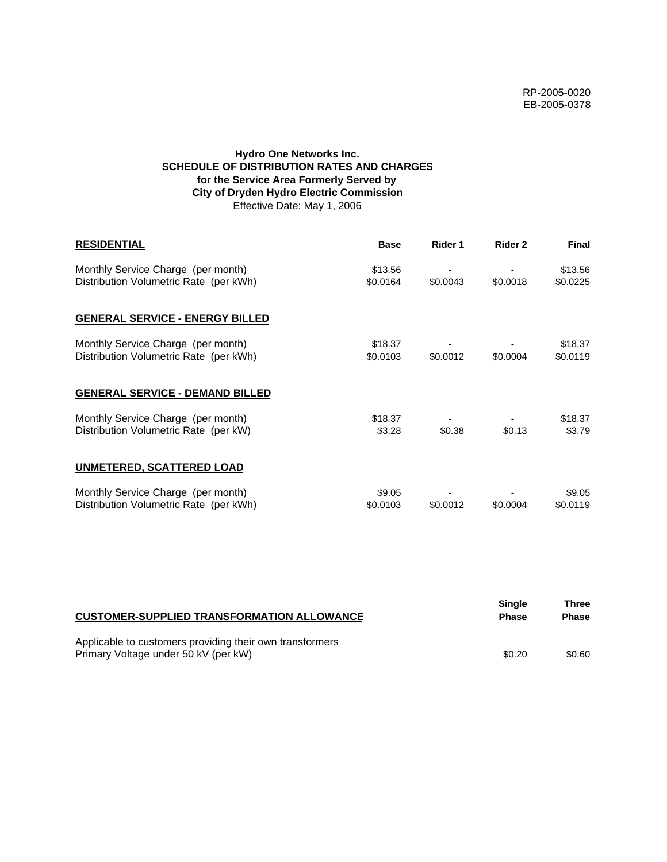# **Hydro One Networks Inc. SCHEDULE OF DISTRIBUTION RATES AND CHARGES for the Service Area Formerly Served by City of Dryden Hydro Electric Commission** Effective Date: May 1, 2006

| <b>RESIDENTIAL</b>                                                           | <b>Base</b>         | Rider 1  | Rider 2  | <b>Final</b>        |
|------------------------------------------------------------------------------|---------------------|----------|----------|---------------------|
| Monthly Service Charge (per month)<br>Distribution Volumetric Rate (per kWh) | \$13.56<br>\$0.0164 | \$0.0043 | \$0.0018 | \$13.56<br>\$0.0225 |
| <b>GENERAL SERVICE - ENERGY BILLED</b>                                       |                     |          |          |                     |
| Monthly Service Charge (per month)<br>Distribution Volumetric Rate (per kWh) | \$18.37<br>\$0.0103 | \$0.0012 | \$0.0004 | \$18.37<br>\$0.0119 |
| <b>GENERAL SERVICE - DEMAND BILLED</b>                                       |                     |          |          |                     |
| Monthly Service Charge (per month)<br>Distribution Volumetric Rate (per kW)  | \$18.37<br>\$3.28   | \$0.38   | \$0.13   | \$18.37<br>\$3.79   |
| <b>UNMETERED, SCATTERED LOAD</b>                                             |                     |          |          |                     |
| Monthly Service Charge (per month)<br>Distribution Volumetric Rate (per kWh) | \$9.05<br>\$0.0103  | \$0.0012 | \$0.0004 | \$9.05<br>\$0.0119  |

| <b>CUSTOMER-SUPPLIED TRANSFORMATION ALLOWANCE</b>                                                | Single<br><b>Phase</b> | Three<br><b>Phase</b> |
|--------------------------------------------------------------------------------------------------|------------------------|-----------------------|
| Applicable to customers providing their own transformers<br>Primary Voltage under 50 kV (per kW) | \$0.20                 | \$0.60                |
|                                                                                                  |                        |                       |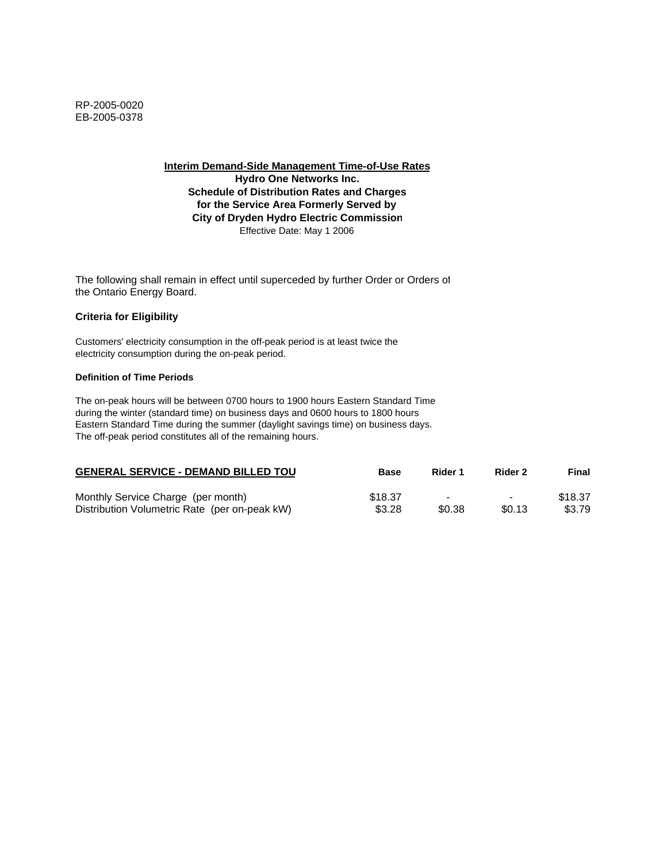**Interim Demand-Side Management Time-of-Use Rates Hydro One Networks Inc. Schedule of Distribution Rates and Charges for the Service Area Formerly Served by City of Dryden Hydro Electric Commission** Effective Date: May 1 2006

The following shall remain in effect until superceded by further Order or Orders of the Ontario Energy Board.

#### **Criteria for Eligibility**

Customers' electricity consumption in the off-peak period is at least twice the electricity consumption during the on-peak period.

#### **Definition of Time Periods**

| <b>GENERAL SERVICE - DEMAND BILLED TOU</b>    | <b>Base</b> | Rider 1                  | Rider 2        | Final   |
|-----------------------------------------------|-------------|--------------------------|----------------|---------|
| Monthly Service Charge (per month)            | \$18.37     | $\overline{\phantom{a}}$ | $\blacksquare$ | \$18.37 |
| Distribution Volumetric Rate (per on-peak kW) | \$3.28      | \$0.38                   | \$0.13         | \$3.79  |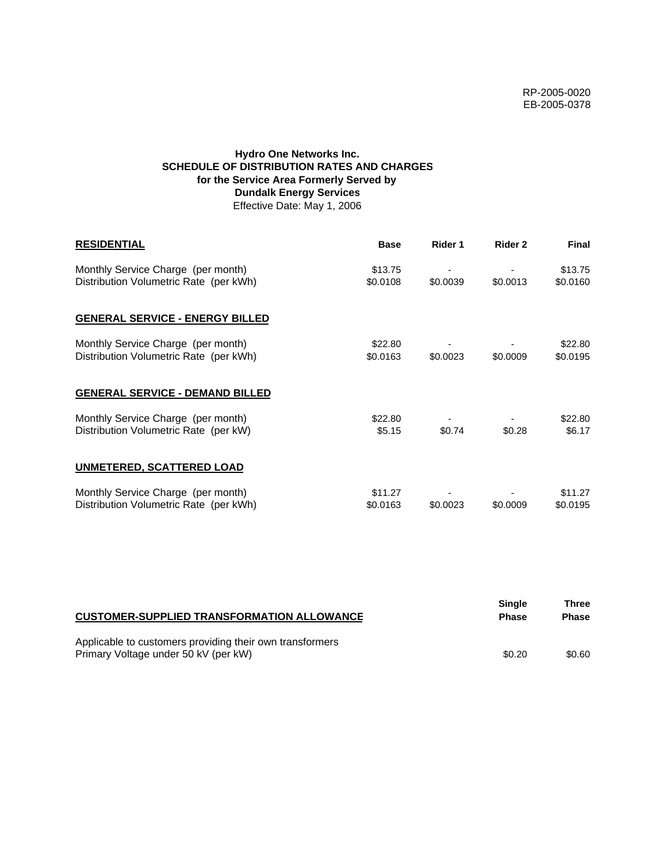# **Hydro One Networks Inc. SCHEDULE OF DISTRIBUTION RATES AND CHARGES for the Service Area Formerly Served by Dundalk Energy Services** Effective Date: May 1, 2006

| <b>RESIDENTIAL</b>                                                           | <b>Base</b>         | Rider 1  | Rider 2  | <b>Final</b>        |
|------------------------------------------------------------------------------|---------------------|----------|----------|---------------------|
| Monthly Service Charge (per month)<br>Distribution Volumetric Rate (per kWh) | \$13.75<br>\$0.0108 | \$0.0039 | \$0.0013 | \$13.75<br>\$0.0160 |
| <b>GENERAL SERVICE - ENERGY BILLED</b>                                       |                     |          |          |                     |
| Monthly Service Charge (per month)<br>Distribution Volumetric Rate (per kWh) | \$22.80<br>\$0.0163 | \$0.0023 | \$0.0009 | \$22.80<br>\$0.0195 |
| <b>GENERAL SERVICE - DEMAND BILLED</b>                                       |                     |          |          |                     |
| Monthly Service Charge (per month)<br>Distribution Volumetric Rate (per kW)  | \$22.80<br>\$5.15   | \$0.74   | \$0.28   | \$22.80<br>\$6.17   |
| <b>UNMETERED, SCATTERED LOAD</b>                                             |                     |          |          |                     |
| Monthly Service Charge (per month)<br>Distribution Volumetric Rate (per kWh) | \$11.27<br>\$0.0163 | \$0.0023 | \$0.0009 | \$11.27<br>\$0.0195 |

| <b>CUSTOMER-SUPPLIED TRANSFORMATION ALLOWANCE</b>        | Single<br><b>Phase</b> | Three<br><b>Phase</b> |
|----------------------------------------------------------|------------------------|-----------------------|
| Applicable to customers providing their own transformers |                        |                       |
| Primary Voltage under 50 kV (per kW)                     | \$0.20                 | \$0.60                |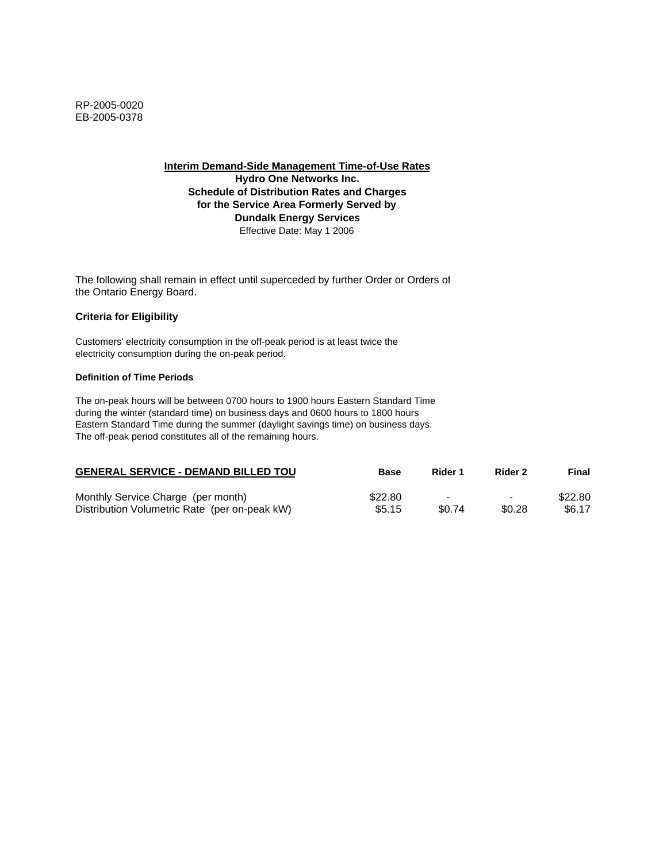**Interim Demand-Side Management Time-of-Use Rates Hydro One Networks Inc. Schedule of Distribution Rates and Charges for the Service Area Formerly Served by Dundalk Energy Services** Effective Date: May 1 2006

The following shall remain in effect until superceded by further Order or Orders of the Ontario Energy Board.

#### **Criteria for Eligibility**

Customers' electricity consumption in the off-peak period is at least twice the electricity consumption during the on-peak period.

#### **Definition of Time Periods**

| <b>GENERAL SERVICE - DEMAND BILLED TOU</b>    | <b>Base</b> | Rider 1                  | Rider 2                  | Final   |
|-----------------------------------------------|-------------|--------------------------|--------------------------|---------|
| Monthly Service Charge (per month)            | \$22.80     | $\overline{\phantom{a}}$ | $\overline{\phantom{a}}$ | \$22.80 |
| Distribution Volumetric Rate (per on-peak kW) | \$5.15      | \$0.74                   | \$0.28                   | \$6.17  |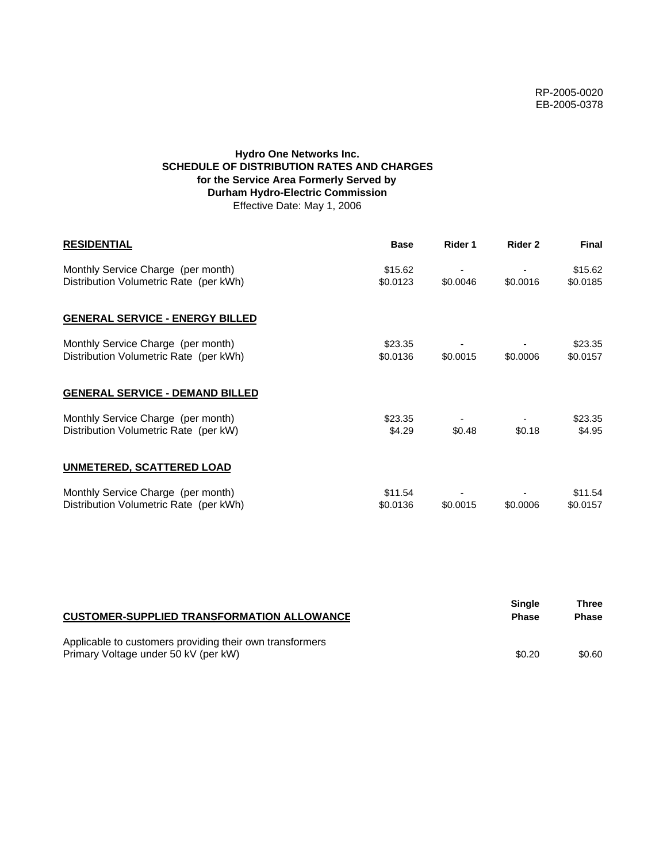# **Hydro One Networks Inc. SCHEDULE OF DISTRIBUTION RATES AND CHARGES for the Service Area Formerly Served by Durham Hydro-Electric Commission** Effective Date: May 1, 2006

| <b>RESIDENTIAL</b>                                                           | <b>Base</b>         | Rider 1  | Rider 2  | <b>Final</b>        |
|------------------------------------------------------------------------------|---------------------|----------|----------|---------------------|
| Monthly Service Charge (per month)<br>Distribution Volumetric Rate (per kWh) | \$15.62<br>\$0.0123 | \$0.0046 | \$0.0016 | \$15.62<br>\$0.0185 |
| <b>GENERAL SERVICE - ENERGY BILLED</b>                                       |                     |          |          |                     |
| Monthly Service Charge (per month)<br>Distribution Volumetric Rate (per kWh) | \$23.35<br>\$0.0136 | \$0.0015 | \$0.0006 | \$23.35<br>\$0.0157 |
| <b>GENERAL SERVICE - DEMAND BILLED</b>                                       |                     |          |          |                     |
| Monthly Service Charge (per month)<br>Distribution Volumetric Rate (per kW)  | \$23.35<br>\$4.29   | \$0.48   | \$0.18   | \$23.35<br>\$4.95   |
| <b>UNMETERED, SCATTERED LOAD</b>                                             |                     |          |          |                     |
| Monthly Service Charge (per month)<br>Distribution Volumetric Rate (per kWh) | \$11.54<br>\$0.0136 | \$0.0015 | \$0.0006 | \$11.54<br>\$0.0157 |

| <b>CUSTOMER-SUPPLIED TRANSFORMATION ALLOWANCE</b>                                                | Single<br><b>Phase</b> | Three<br><b>Phase</b> |
|--------------------------------------------------------------------------------------------------|------------------------|-----------------------|
| Applicable to customers providing their own transformers<br>Primary Voltage under 50 kV (per kW) | \$0.20                 | \$0.60                |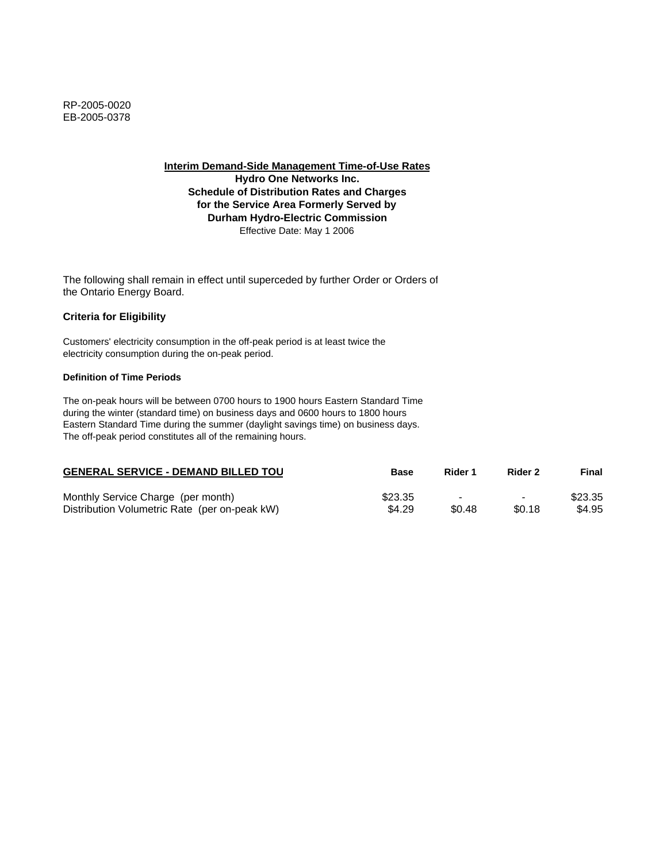**Interim Demand-Side Management Time-of-Use Rates**

**Hydro One Networks Inc. Schedule of Distribution Rates and Charges for the Service Area Formerly Served by Durham Hydro-Electric Commission** Effective Date: May 1 2006

The following shall remain in effect until superceded by further Order or Orders of the Ontario Energy Board.

## **Criteria for Eligibility**

Customers' electricity consumption in the off-peak period is at least twice the electricity consumption during the on-peak period.

### **Definition of Time Periods**

| <b>GENERAL SERVICE - DEMAND BILLED TOU</b>    | Base    | Rider 1 | Rider 2                  | Final   |
|-----------------------------------------------|---------|---------|--------------------------|---------|
| Monthly Service Charge (per month)            | \$23.35 | -       | $\overline{\phantom{0}}$ | \$23.35 |
| Distribution Volumetric Rate (per on-peak kW) | \$4.29  | \$0.48  | \$0.18                   | \$4.95  |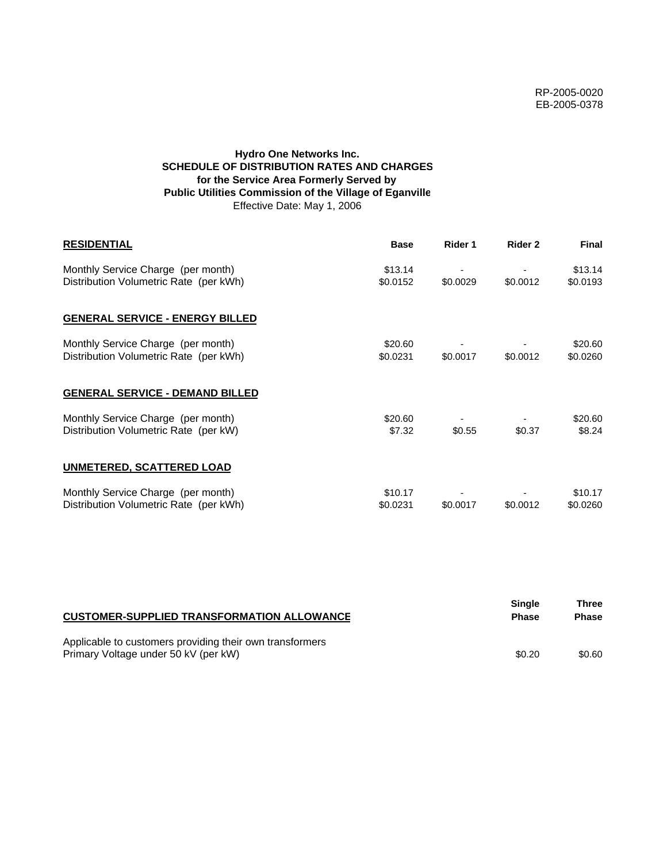# **Hydro One Networks Inc. SCHEDULE OF DISTRIBUTION RATES AND CHARGES for the Service Area Formerly Served by Public Utilities Commission of the Village of Eganville** Effective Date: May 1, 2006

| <b>RESIDENTIAL</b>                                                           | <b>Base</b>         | Rider 1  | Rider 2  | <b>Final</b>        |
|------------------------------------------------------------------------------|---------------------|----------|----------|---------------------|
| Monthly Service Charge (per month)<br>Distribution Volumetric Rate (per kWh) | \$13.14<br>\$0.0152 | \$0.0029 | \$0.0012 | \$13.14<br>\$0.0193 |
| <b>GENERAL SERVICE - ENERGY BILLED</b>                                       |                     |          |          |                     |
| Monthly Service Charge (per month)<br>Distribution Volumetric Rate (per kWh) | \$20.60<br>\$0.0231 | \$0.0017 | \$0.0012 | \$20.60<br>\$0.0260 |
| <b>GENERAL SERVICE - DEMAND BILLED</b>                                       |                     |          |          |                     |
| Monthly Service Charge (per month)<br>Distribution Volumetric Rate (per kW)  | \$20.60<br>\$7.32   | \$0.55   | \$0.37   | \$20.60<br>\$8.24   |
| <b>UNMETERED, SCATTERED LOAD</b>                                             |                     |          |          |                     |
| Monthly Service Charge (per month)<br>Distribution Volumetric Rate (per kWh) | \$10.17<br>\$0.0231 | \$0.0017 | \$0.0012 | \$10.17<br>\$0.0260 |

| <b>CUSTOMER-SUPPLIED TRANSFORMATION ALLOWANCE</b>                                                | Single<br><b>Phase</b> | Three<br><b>Phase</b> |
|--------------------------------------------------------------------------------------------------|------------------------|-----------------------|
| Applicable to customers providing their own transformers<br>Primary Voltage under 50 kV (per kW) | \$0.20                 | \$0.60                |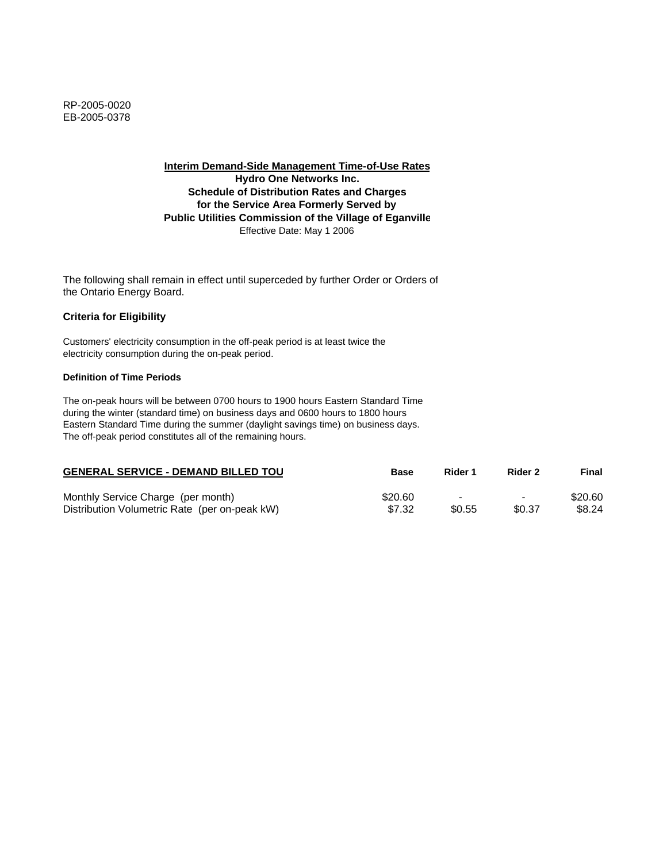**Interim Demand-Side Management Time-of-Use Rates Hydro One Networks Inc. Schedule of Distribution Rates and Charges for the Service Area Formerly Served by Public Utilities Commission of the Village of Eganville** Effective Date: May 1 2006

The following shall remain in effect until superceded by further Order or Orders of the Ontario Energy Board.

## **Criteria for Eligibility**

Customers' electricity consumption in the off-peak period is at least twice the electricity consumption during the on-peak period.

### **Definition of Time Periods**

| <b>GENERAL SERVICE - DEMAND BILLED TOU</b>    | Base    | Rider 1 | Rider 2                  | Final   |
|-----------------------------------------------|---------|---------|--------------------------|---------|
| Monthly Service Charge (per month)            | \$20.60 | -       | $\overline{\phantom{0}}$ | \$20.60 |
| Distribution Volumetric Rate (per on-peak kW) | \$7.32  | \$0.55  | \$0.37                   | \$8.24  |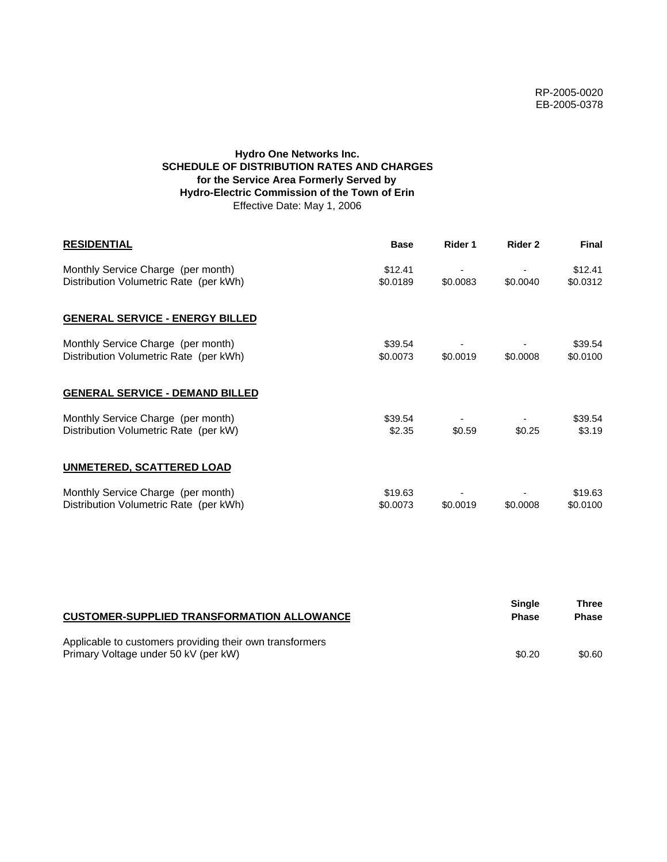# **Hydro One Networks Inc. SCHEDULE OF DISTRIBUTION RATES AND CHARGES for the Service Area Formerly Served by Hydro-Electric Commission of the Town of Erin** Effective Date: May 1, 2006

| <b>RESIDENTIAL</b>                                                           | <b>Base</b>         | Rider 1  | Rider 2  | <b>Final</b>        |
|------------------------------------------------------------------------------|---------------------|----------|----------|---------------------|
| Monthly Service Charge (per month)<br>Distribution Volumetric Rate (per kWh) | \$12.41<br>\$0.0189 | \$0.0083 | \$0.0040 | \$12.41<br>\$0.0312 |
| <b>GENERAL SERVICE - ENERGY BILLED</b>                                       |                     |          |          |                     |
| Monthly Service Charge (per month)<br>Distribution Volumetric Rate (per kWh) | \$39.54<br>\$0.0073 | \$0.0019 | \$0.0008 | \$39.54<br>\$0.0100 |
| <b>GENERAL SERVICE - DEMAND BILLED</b>                                       |                     |          |          |                     |
| Monthly Service Charge (per month)<br>Distribution Volumetric Rate (per kW)  | \$39.54<br>\$2.35   | \$0.59   | \$0.25   | \$39.54<br>\$3.19   |
| <b>UNMETERED, SCATTERED LOAD</b>                                             |                     |          |          |                     |
| Monthly Service Charge (per month)<br>Distribution Volumetric Rate (per kWh) | \$19.63<br>\$0.0073 | \$0.0019 | \$0,0008 | \$19.63<br>\$0.0100 |

| <b>CUSTOMER-SUPPLIED TRANSFORMATION ALLOWANCE</b>                                                | <b>Single</b><br><b>Phase</b> | Three<br><b>Phase</b> |
|--------------------------------------------------------------------------------------------------|-------------------------------|-----------------------|
| Applicable to customers providing their own transformers<br>Primary Voltage under 50 kV (per kW) | \$0.20                        | \$0.60                |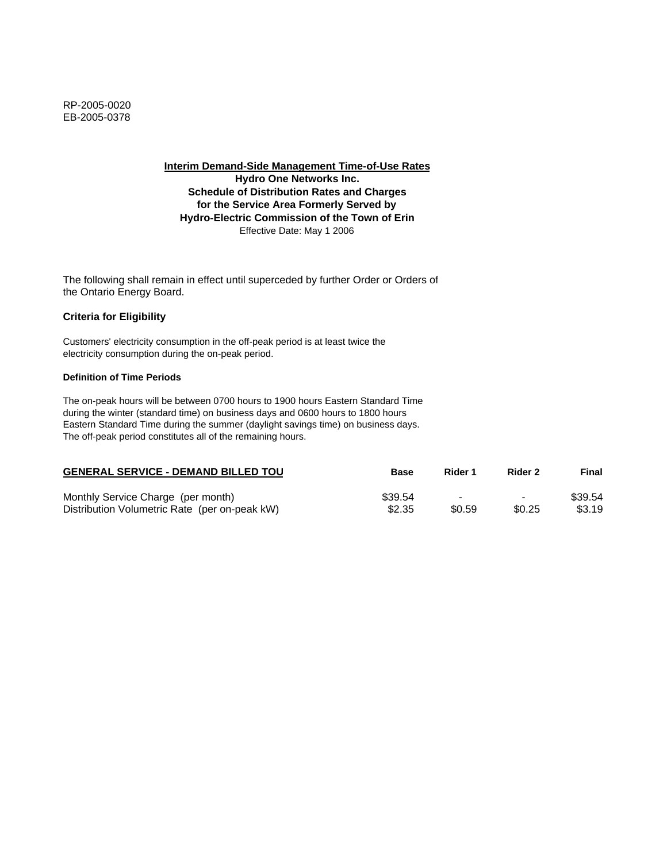**Interim Demand-Side Management Time-of-Use Rates Hydro One Networks Inc. Schedule of Distribution Rates and Charges for the Service Area Formerly Served by Hydro-Electric Commission of the Town of Erin** Effective Date: May 1 2006

The following shall remain in effect until superceded by further Order or Orders of the Ontario Energy Board.

## **Criteria for Eligibility**

Customers' electricity consumption in the off-peak period is at least twice the electricity consumption during the on-peak period.

### **Definition of Time Periods**

| <b>GENERAL SERVICE - DEMAND BILLED TOU</b>    | <b>Base</b> | Rider 1                  | Rider 2                  | Final   |
|-----------------------------------------------|-------------|--------------------------|--------------------------|---------|
| Monthly Service Charge (per month)            | \$39.54     | $\overline{\phantom{0}}$ | $\overline{\phantom{0}}$ | \$39.54 |
| Distribution Volumetric Rate (per on-peak kW) | \$2.35      | \$0.59                   | \$0.25                   | \$3.19  |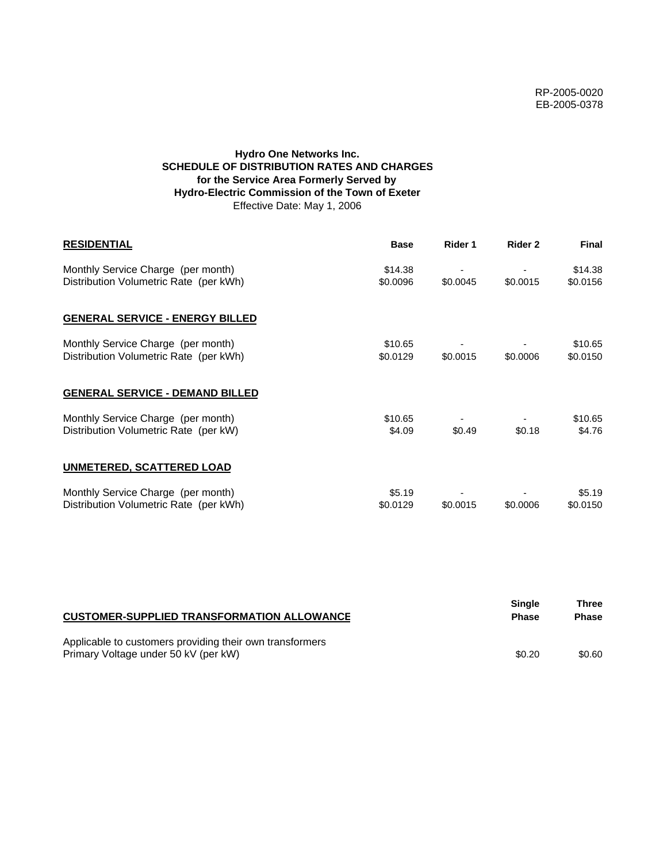# **Hydro One Networks Inc. SCHEDULE OF DISTRIBUTION RATES AND CHARGES for the Service Area Formerly Served by Hydro-Electric Commission of the Town of Exeter** Effective Date: May 1, 2006

| <b>RESIDENTIAL</b>                                                           | <b>Base</b>         | Rider 1  | Rider 2  | <b>Final</b>        |
|------------------------------------------------------------------------------|---------------------|----------|----------|---------------------|
| Monthly Service Charge (per month)<br>Distribution Volumetric Rate (per kWh) | \$14.38<br>\$0.0096 | \$0.0045 | \$0.0015 | \$14.38<br>\$0.0156 |
| <b>GENERAL SERVICE - ENERGY BILLED</b>                                       |                     |          |          |                     |
| Monthly Service Charge (per month)<br>Distribution Volumetric Rate (per kWh) | \$10.65<br>\$0.0129 | \$0.0015 | \$0.0006 | \$10.65<br>\$0.0150 |
| <b>GENERAL SERVICE - DEMAND BILLED</b>                                       |                     |          |          |                     |
| Monthly Service Charge (per month)<br>Distribution Volumetric Rate (per kW)  | \$10.65<br>\$4.09   | \$0.49   | \$0.18   | \$10.65<br>\$4.76   |
| <b>UNMETERED, SCATTERED LOAD</b>                                             |                     |          |          |                     |
| Monthly Service Charge (per month)<br>Distribution Volumetric Rate (per kWh) | \$5.19<br>\$0.0129  | \$0.0015 | \$0.0006 | \$5.19<br>\$0.0150  |

| <b>CUSTOMER-SUPPLIED TRANSFORMATION ALLOWANCE</b>                                                | <b>Single</b><br><b>Phase</b> | Three<br><b>Phase</b> |
|--------------------------------------------------------------------------------------------------|-------------------------------|-----------------------|
| Applicable to customers providing their own transformers<br>Primary Voltage under 50 kV (per kW) | \$0.20                        | \$0.60                |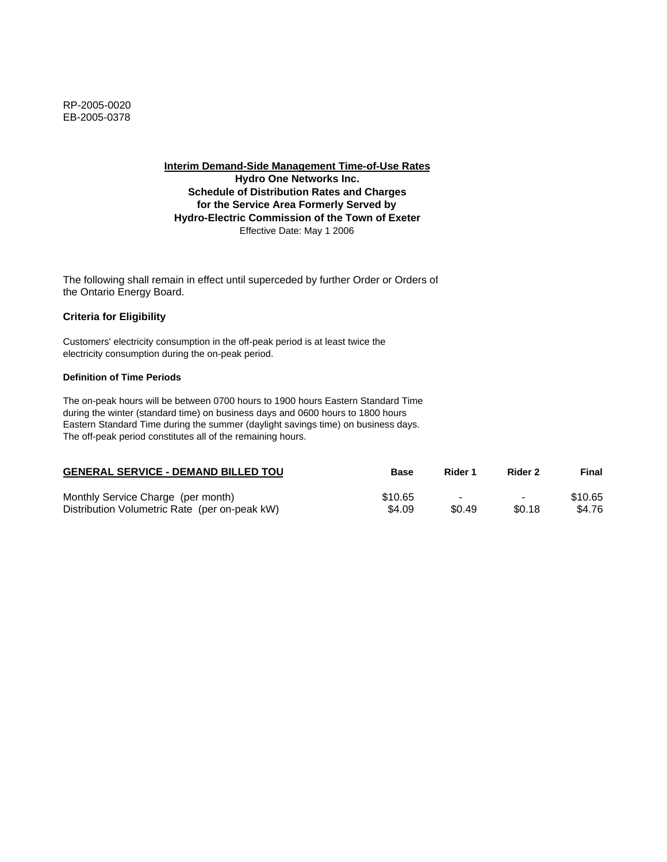**Interim Demand-Side Management Time-of-Use Rates Hydro One Networks Inc. Schedule of Distribution Rates and Charges for the Service Area Formerly Served by Hydro-Electric Commission of the Town of Exeter** Effective Date: May 1 2006

The following shall remain in effect until superceded by further Order or Orders of the Ontario Energy Board.

## **Criteria for Eligibility**

Customers' electricity consumption in the off-peak period is at least twice the electricity consumption during the on-peak period.

#### **Definition of Time Periods**

| <b>GENERAL SERVICE - DEMAND BILLED TOU</b>    | <b>Base</b> | Rider 1 | Rider 2                  | Final   |
|-----------------------------------------------|-------------|---------|--------------------------|---------|
| Monthly Service Charge (per month)            | \$10.65     |         | $\overline{\phantom{0}}$ | \$10.65 |
| Distribution Volumetric Rate (per on-peak kW) | \$4.09      | \$0.49  | \$0.18                   | \$4.76  |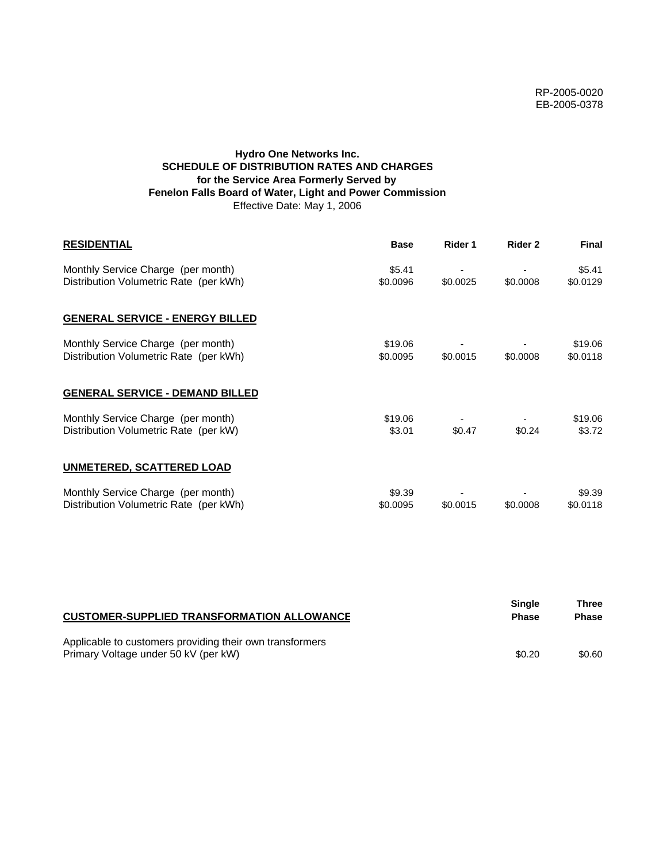# **Hydro One Networks Inc. SCHEDULE OF DISTRIBUTION RATES AND CHARGES for the Service Area Formerly Served by Fenelon Falls Board of Water, Light and Power Commission** Effective Date: May 1, 2006

| <b>RESIDENTIAL</b>                                                           | <b>Base</b>         | Rider 1  | Rider 2  | <b>Final</b>        |
|------------------------------------------------------------------------------|---------------------|----------|----------|---------------------|
| Monthly Service Charge (per month)<br>Distribution Volumetric Rate (per kWh) | \$5.41<br>\$0.0096  | \$0.0025 | \$0,0008 | \$5.41<br>\$0.0129  |
| <b>GENERAL SERVICE - ENERGY BILLED</b>                                       |                     |          |          |                     |
| Monthly Service Charge (per month)<br>Distribution Volumetric Rate (per kWh) | \$19.06<br>\$0.0095 | \$0.0015 | \$0.0008 | \$19.06<br>\$0.0118 |
| <b>GENERAL SERVICE - DEMAND BILLED</b>                                       |                     |          |          |                     |
| Monthly Service Charge (per month)<br>Distribution Volumetric Rate (per kW)  | \$19.06<br>\$3.01   | \$0.47   | \$0.24   | \$19.06<br>\$3.72   |
| <b>UNMETERED, SCATTERED LOAD</b>                                             |                     |          |          |                     |
| Monthly Service Charge (per month)<br>Distribution Volumetric Rate (per kWh) | \$9.39<br>\$0.0095  | \$0.0015 | \$0.0008 | \$9.39<br>\$0.0118  |

| <b>CUSTOMER-SUPPLIED TRANSFORMATION ALLOWANCE</b>                                                | Single<br><b>Phase</b> | Three<br><b>Phase</b> |
|--------------------------------------------------------------------------------------------------|------------------------|-----------------------|
| Applicable to customers providing their own transformers<br>Primary Voltage under 50 kV (per kW) | \$0.20                 | \$0.60                |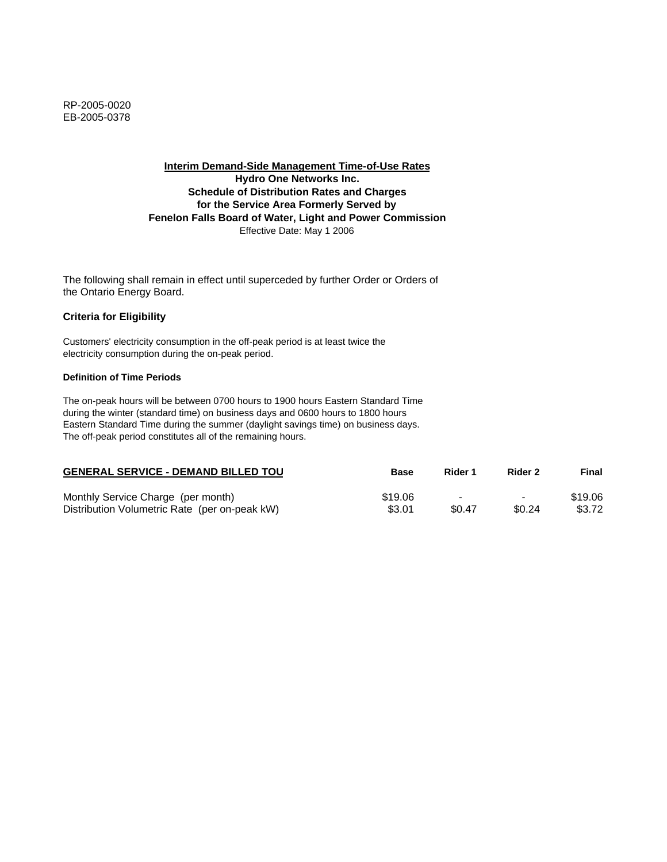**Interim Demand-Side Management Time-of-Use Rates Hydro One Networks Inc. Schedule of Distribution Rates and Charges for the Service Area Formerly Served by Fenelon Falls Board of Water, Light and Power Commission** Effective Date: May 1 2006

The following shall remain in effect until superceded by further Order or Orders of the Ontario Energy Board.

## **Criteria for Eligibility**

Customers' electricity consumption in the off-peak period is at least twice the electricity consumption during the on-peak period.

#### **Definition of Time Periods**

| <b>GENERAL SERVICE - DEMAND BILLED TOU</b>    | Base    | Rider 1 | Rider 2                  | Final   |
|-----------------------------------------------|---------|---------|--------------------------|---------|
| Monthly Service Charge (per month)            | \$19.06 |         | $\overline{\phantom{0}}$ | \$19.06 |
| Distribution Volumetric Rate (per on-peak kW) | \$3.01  | \$0.47  | \$0.24                   | \$3.72  |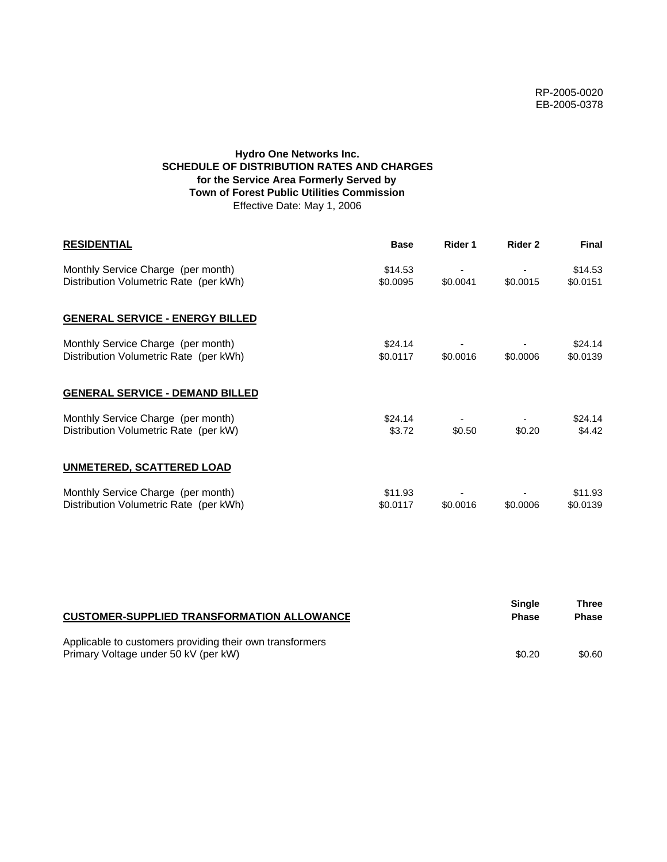# **Hydro One Networks Inc. SCHEDULE OF DISTRIBUTION RATES AND CHARGES for the Service Area Formerly Served by Town of Forest Public Utilities Commission** Effective Date: May 1, 2006

| <b>RESIDENTIAL</b>                                                           | <b>Base</b>         | Rider 1  | Rider 2  | <b>Final</b>        |
|------------------------------------------------------------------------------|---------------------|----------|----------|---------------------|
| Monthly Service Charge (per month)<br>Distribution Volumetric Rate (per kWh) | \$14.53<br>\$0.0095 | \$0.0041 | \$0.0015 | \$14.53<br>\$0.0151 |
| <b>GENERAL SERVICE - ENERGY BILLED</b>                                       |                     |          |          |                     |
| Monthly Service Charge (per month)<br>Distribution Volumetric Rate (per kWh) | \$24.14<br>\$0.0117 | \$0.0016 | \$0.0006 | \$24.14<br>\$0.0139 |
| <b>GENERAL SERVICE - DEMAND BILLED</b>                                       |                     |          |          |                     |
| Monthly Service Charge (per month)<br>Distribution Volumetric Rate (per kW)  | \$24.14<br>\$3.72   | \$0.50   | \$0.20   | \$24.14<br>\$4.42   |
| <b>UNMETERED, SCATTERED LOAD</b>                                             |                     |          |          |                     |
| Monthly Service Charge (per month)<br>Distribution Volumetric Rate (per kWh) | \$11.93<br>\$0.0117 | \$0.0016 | \$0.0006 | \$11.93<br>\$0.0139 |

| <b>CUSTOMER-SUPPLIED TRANSFORMATION ALLOWANCE</b>                                                | Single<br><b>Phase</b> | Three<br><b>Phase</b> |
|--------------------------------------------------------------------------------------------------|------------------------|-----------------------|
| Applicable to customers providing their own transformers<br>Primary Voltage under 50 kV (per kW) | \$0.20                 | \$0.60                |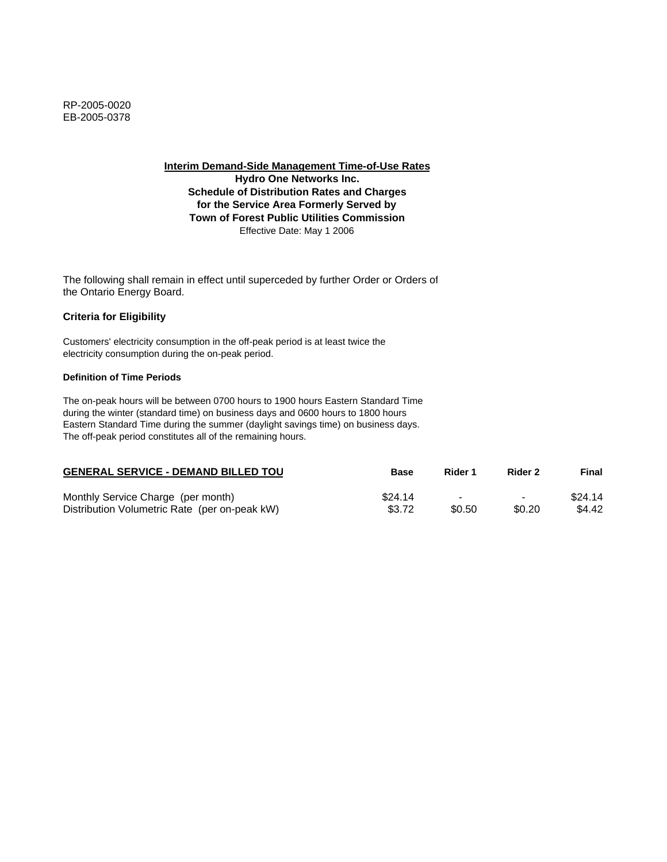**Interim Demand-Side Management Time-of-Use Rates**

**Hydro One Networks Inc. Schedule of Distribution Rates and Charges for the Service Area Formerly Served by Town of Forest Public Utilities Commission** Effective Date: May 1 2006

The following shall remain in effect until superceded by further Order or Orders of the Ontario Energy Board.

## **Criteria for Eligibility**

Customers' electricity consumption in the off-peak period is at least twice the electricity consumption during the on-peak period.

### **Definition of Time Periods**

| <b>GENERAL SERVICE - DEMAND BILLED TOU</b>    | <b>Base</b> | Rider 1                  | Rider 2                  | Final   |
|-----------------------------------------------|-------------|--------------------------|--------------------------|---------|
| Monthly Service Charge (per month)            | \$24.14     | $\overline{\phantom{0}}$ | $\overline{\phantom{0}}$ | \$24.14 |
| Distribution Volumetric Rate (per on-peak kW) | \$3.72      | \$0.50                   | \$0.20                   | \$4.42  |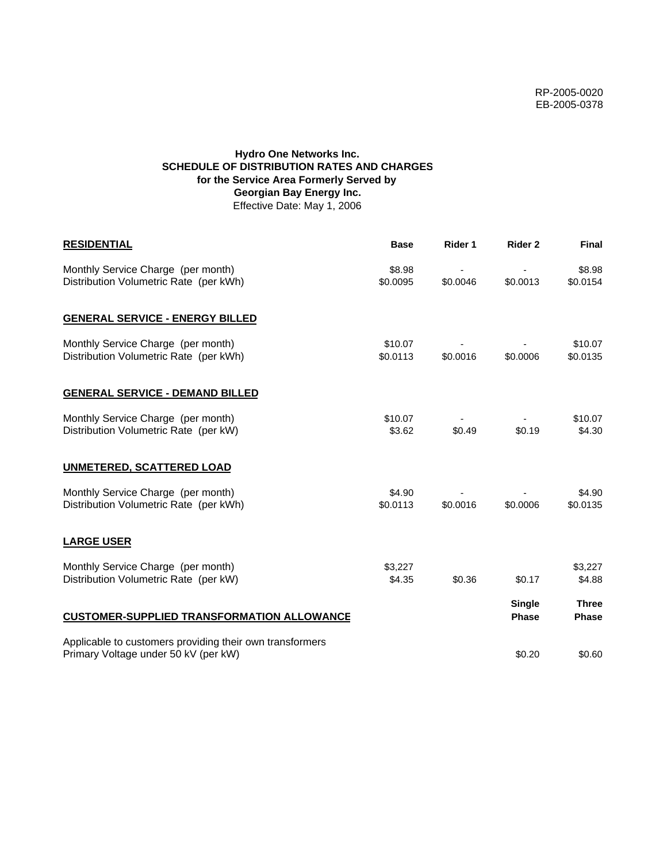# **Hydro One Networks Inc. SCHEDULE OF DISTRIBUTION RATES AND CHARGES for the Service Area Formerly Served by Georgian Bay Energy Inc.** Effective Date: May 1, 2006

| <b>RESIDENTIAL</b>                                                                               | <b>Base</b>         | Rider 1  | Rider 2                       | <b>Final</b>                 |
|--------------------------------------------------------------------------------------------------|---------------------|----------|-------------------------------|------------------------------|
| Monthly Service Charge (per month)<br>Distribution Volumetric Rate (per kWh)                     | \$8.98<br>\$0.0095  | \$0.0046 | \$0.0013                      | \$8.98<br>\$0.0154           |
| <b>GENERAL SERVICE - ENERGY BILLED</b>                                                           |                     |          |                               |                              |
| Monthly Service Charge (per month)<br>Distribution Volumetric Rate (per kWh)                     | \$10.07<br>\$0.0113 | \$0.0016 | \$0.0006                      | \$10.07<br>\$0.0135          |
| <b>GENERAL SERVICE - DEMAND BILLED</b>                                                           |                     |          |                               |                              |
| Monthly Service Charge (per month)<br>Distribution Volumetric Rate (per kW)                      | \$10.07<br>\$3.62   | \$0.49   | \$0.19                        | \$10.07<br>\$4.30            |
| <b>UNMETERED, SCATTERED LOAD</b>                                                                 |                     |          |                               |                              |
| Monthly Service Charge (per month)<br>Distribution Volumetric Rate (per kWh)                     | \$4.90<br>\$0.0113  | \$0.0016 | \$0.0006                      | \$4.90<br>\$0.0135           |
| <b>LARGE USER</b>                                                                                |                     |          |                               |                              |
| Monthly Service Charge (per month)<br>Distribution Volumetric Rate (per kW)                      | \$3,227<br>\$4.35   | \$0.36   | \$0.17                        | \$3,227<br>\$4.88            |
| <b>CUSTOMER-SUPPLIED TRANSFORMATION ALLOWANCE</b>                                                |                     |          | <b>Single</b><br><b>Phase</b> | <b>Three</b><br><b>Phase</b> |
| Applicable to customers providing their own transformers<br>Primary Voltage under 50 kV (per kW) |                     |          | \$0.20                        | \$0.60                       |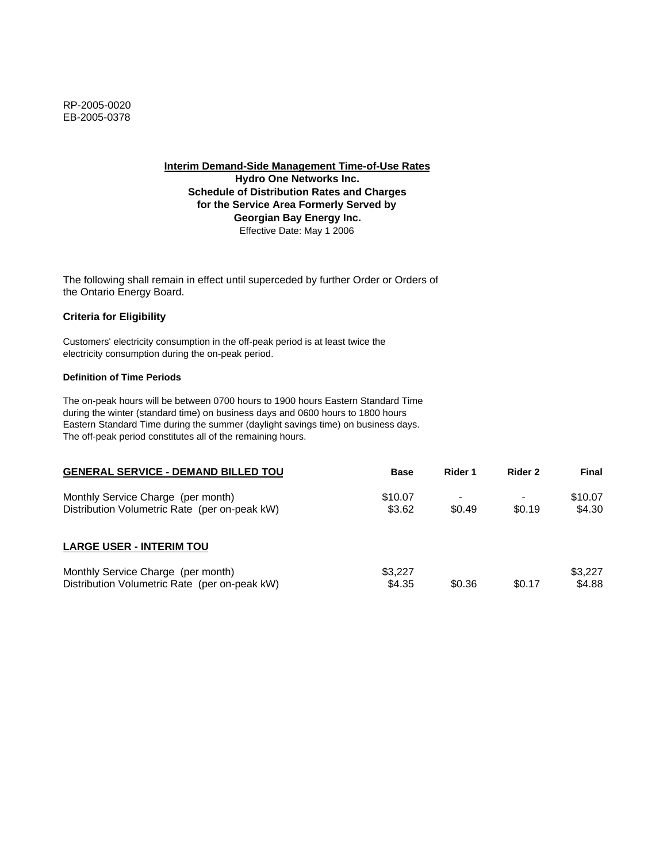**Interim Demand-Side Management Time-of-Use Rates Hydro One Networks Inc.**

**Schedule of Distribution Rates and Charges for the Service Area Formerly Served by Georgian Bay Energy Inc.** Effective Date: May 1 2006

The following shall remain in effect until superceded by further Order or Orders of the Ontario Energy Board.

## **Criteria for Eligibility**

Customers' electricity consumption in the off-peak period is at least twice the electricity consumption during the on-peak period.

### **Definition of Time Periods**

| <b>GENERAL SERVICE - DEMAND BILLED TOU</b>                                          | <b>Base</b>       | Rider 1          | Rider 2 | Final             |
|-------------------------------------------------------------------------------------|-------------------|------------------|---------|-------------------|
| Monthly Service Charge (per month)<br>Distribution Volumetric Rate (per on-peak kW) | \$10.07<br>\$3.62 | $\sim$<br>\$0.49 | \$0.19  | \$10.07<br>\$4.30 |
| <b>LARGE USER - INTERIM TOU</b>                                                     |                   |                  |         |                   |
| Monthly Service Charge (per month)<br>Distribution Volumetric Rate (per on-peak kW) | \$3.227<br>\$4.35 | \$0.36           | \$0.17  | \$3,227<br>\$4.88 |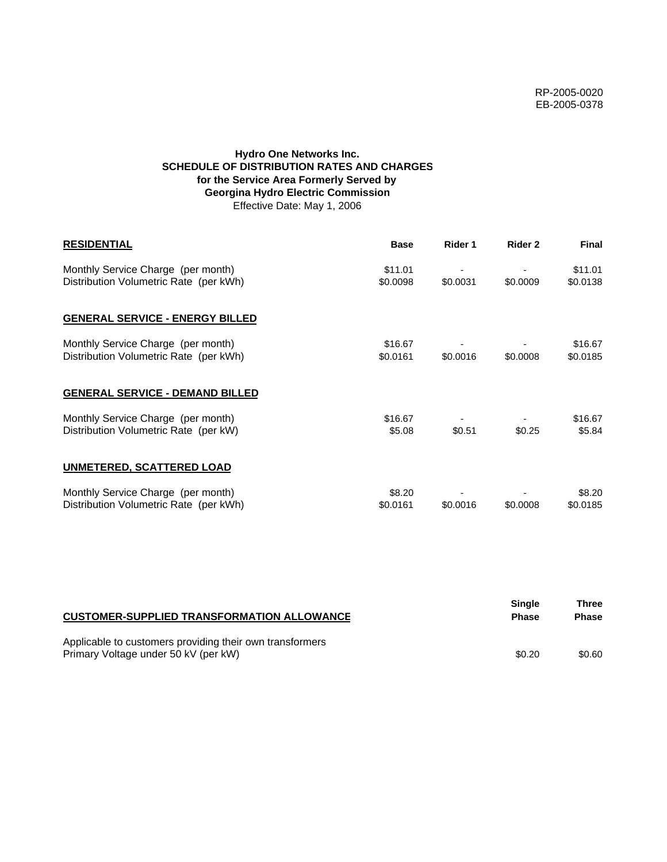# **Hydro One Networks Inc. SCHEDULE OF DISTRIBUTION RATES AND CHARGES for the Service Area Formerly Served by Georgina Hydro Electric Commission** Effective Date: May 1, 2006

| <b>RESIDENTIAL</b>                                                           | <b>Base</b>         | Rider 1  | Rider 2  | <b>Final</b>        |
|------------------------------------------------------------------------------|---------------------|----------|----------|---------------------|
| Monthly Service Charge (per month)<br>Distribution Volumetric Rate (per kWh) | \$11.01<br>\$0.0098 | \$0.0031 | \$0.0009 | \$11.01<br>\$0.0138 |
| <b>GENERAL SERVICE - ENERGY BILLED</b>                                       |                     |          |          |                     |
| Monthly Service Charge (per month)<br>Distribution Volumetric Rate (per kWh) | \$16.67<br>\$0.0161 | \$0.0016 | \$0.0008 | \$16.67<br>\$0.0185 |
| <b>GENERAL SERVICE - DEMAND BILLED</b>                                       |                     |          |          |                     |
| Monthly Service Charge (per month)<br>Distribution Volumetric Rate (per kW)  | \$16.67<br>\$5.08   | \$0.51   | \$0.25   | \$16.67<br>\$5.84   |
| <b>UNMETERED, SCATTERED LOAD</b>                                             |                     |          |          |                     |
| Monthly Service Charge (per month)<br>Distribution Volumetric Rate (per kWh) | \$8.20<br>\$0.0161  | \$0.0016 | \$0.0008 | \$8.20<br>\$0.0185  |

| <b>CUSTOMER-SUPPLIED TRANSFORMATION ALLOWANCE</b>                                                | Single<br><b>Phase</b> | Three<br><b>Phase</b> |
|--------------------------------------------------------------------------------------------------|------------------------|-----------------------|
| Applicable to customers providing their own transformers<br>Primary Voltage under 50 kV (per kW) | \$0.20                 | \$0.60                |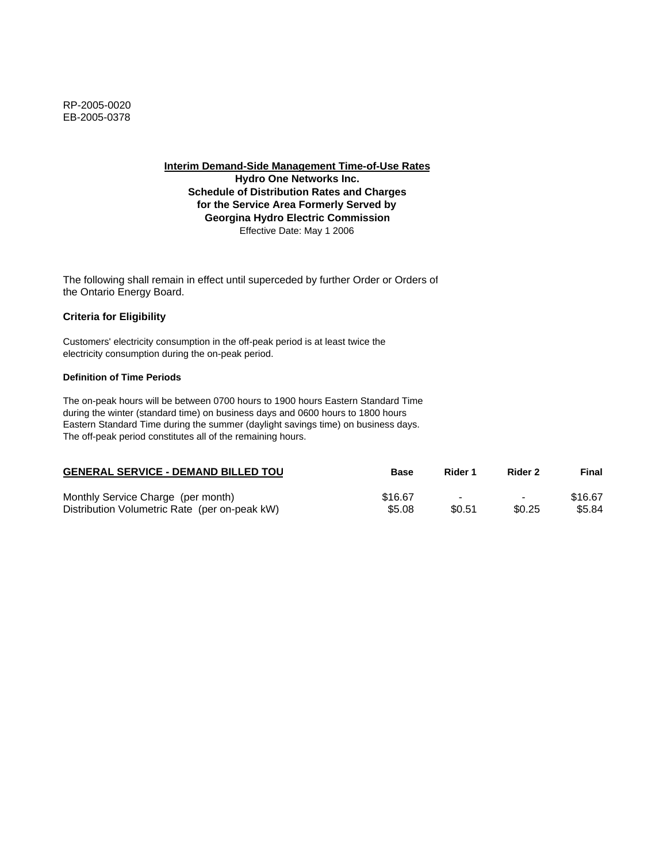**Interim Demand-Side Management Time-of-Use Rates**

**Hydro One Networks Inc. Schedule of Distribution Rates and Charges for the Service Area Formerly Served by Georgina Hydro Electric Commission** Effective Date: May 1 2006

The following shall remain in effect until superceded by further Order or Orders of the Ontario Energy Board.

## **Criteria for Eligibility**

Customers' electricity consumption in the off-peak period is at least twice the electricity consumption during the on-peak period.

### **Definition of Time Periods**

| <b>GENERAL SERVICE - DEMAND BILLED TOU</b>    | <b>Base</b> | Rider 1                  | Rider 2                  | Final   |
|-----------------------------------------------|-------------|--------------------------|--------------------------|---------|
| Monthly Service Charge (per month)            | \$16.67     | $\overline{\phantom{0}}$ | $\overline{\phantom{0}}$ | \$16.67 |
| Distribution Volumetric Rate (per on-peak kW) | \$5.08      | \$0.51                   | \$0.25                   | \$5.84  |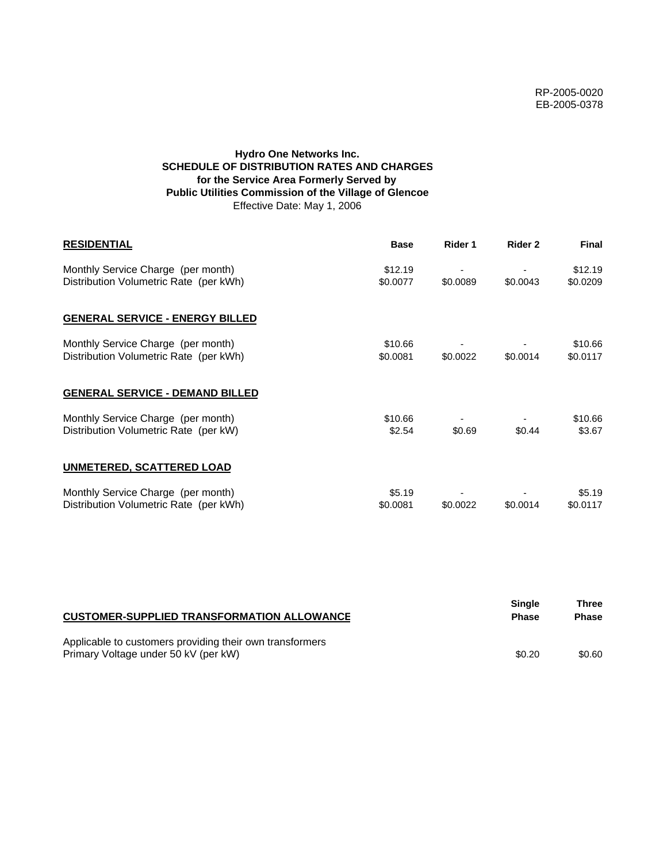# **Hydro One Networks Inc. SCHEDULE OF DISTRIBUTION RATES AND CHARGES for the Service Area Formerly Served by Public Utilities Commission of the Village of Glencoe** Effective Date: May 1, 2006

| <b>RESIDENTIAL</b>                                                           | <b>Base</b>         | Rider 1  | Rider 2  | <b>Final</b>        |
|------------------------------------------------------------------------------|---------------------|----------|----------|---------------------|
| Monthly Service Charge (per month)<br>Distribution Volumetric Rate (per kWh) | \$12.19<br>\$0.0077 | \$0.0089 | \$0.0043 | \$12.19<br>\$0.0209 |
| <b>GENERAL SERVICE - ENERGY BILLED</b>                                       |                     |          |          |                     |
| Monthly Service Charge (per month)<br>Distribution Volumetric Rate (per kWh) | \$10.66<br>\$0.0081 | \$0.0022 | \$0.0014 | \$10.66<br>\$0.0117 |
| <b>GENERAL SERVICE - DEMAND BILLED</b>                                       |                     |          |          |                     |
| Monthly Service Charge (per month)<br>Distribution Volumetric Rate (per kW)  | \$10.66<br>\$2.54   | \$0.69   | \$0.44   | \$10.66<br>\$3.67   |
| <b>UNMETERED, SCATTERED LOAD</b>                                             |                     |          |          |                     |
| Monthly Service Charge (per month)<br>Distribution Volumetric Rate (per kWh) | \$5.19<br>\$0.0081  | \$0.0022 | \$0.0014 | \$5.19<br>\$0.0117  |

| <b>CUSTOMER-SUPPLIED TRANSFORMATION ALLOWANCE</b>                                                | <b>Single</b><br><b>Phase</b> | Three<br><b>Phase</b> |
|--------------------------------------------------------------------------------------------------|-------------------------------|-----------------------|
| Applicable to customers providing their own transformers<br>Primary Voltage under 50 kV (per kW) | \$0.20                        | \$0.60                |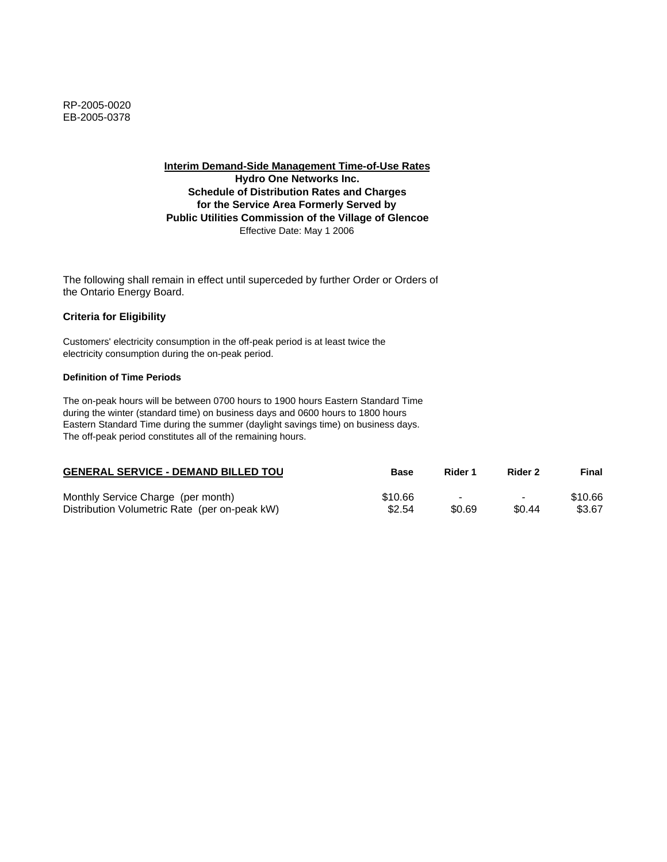**Interim Demand-Side Management Time-of-Use Rates Hydro One Networks Inc. Schedule of Distribution Rates and Charges for the Service Area Formerly Served by Public Utilities Commission of the Village of Glencoe** Effective Date: May 1 2006

The following shall remain in effect until superceded by further Order or Orders of the Ontario Energy Board.

## **Criteria for Eligibility**

Customers' electricity consumption in the off-peak period is at least twice the electricity consumption during the on-peak period.

#### **Definition of Time Periods**

| <b>GENERAL SERVICE - DEMAND BILLED TOU</b>    | Base    | Rider 1                  | Rider 2                  | Final   |
|-----------------------------------------------|---------|--------------------------|--------------------------|---------|
| Monthly Service Charge (per month)            | \$10.66 | $\overline{\phantom{a}}$ | $\overline{\phantom{0}}$ | \$10.66 |
| Distribution Volumetric Rate (per on-peak kW) | \$2.54  | \$0.69                   | \$0.44                   | \$3.67  |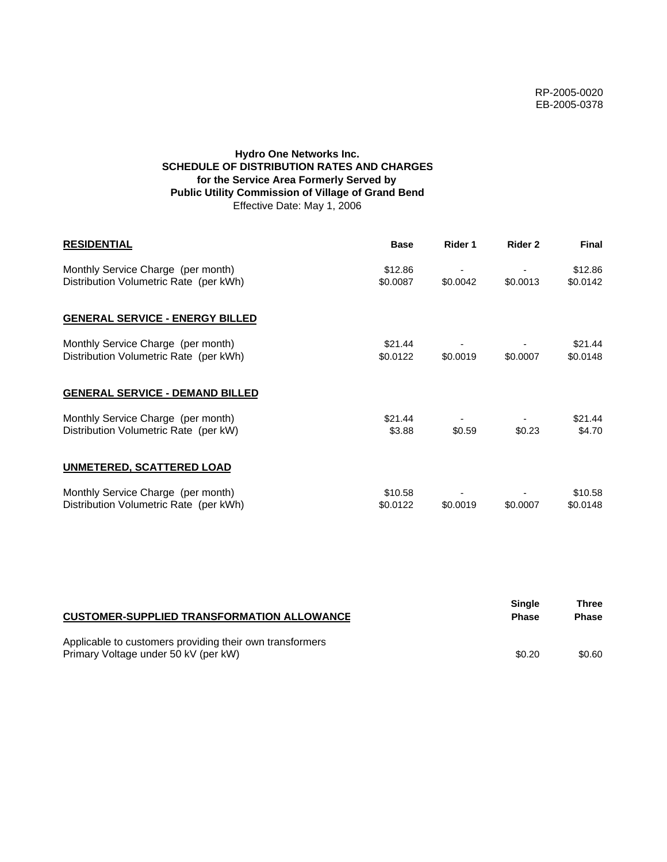# **Hydro One Networks Inc. SCHEDULE OF DISTRIBUTION RATES AND CHARGES for the Service Area Formerly Served by Public Utility Commission of Village of Grand Bend** Effective Date: May 1, 2006

| <b>RESIDENTIAL</b>                                                           | <b>Base</b>         | Rider 1  | Rider 2  | <b>Final</b>        |
|------------------------------------------------------------------------------|---------------------|----------|----------|---------------------|
| Monthly Service Charge (per month)<br>Distribution Volumetric Rate (per kWh) | \$12.86<br>\$0.0087 | \$0.0042 | \$0.0013 | \$12.86<br>\$0.0142 |
| <b>GENERAL SERVICE - ENERGY BILLED</b>                                       |                     |          |          |                     |
| Monthly Service Charge (per month)<br>Distribution Volumetric Rate (per kWh) | \$21.44<br>\$0.0122 | \$0.0019 | \$0.0007 | \$21.44<br>\$0.0148 |
| <b>GENERAL SERVICE - DEMAND BILLED</b>                                       |                     |          |          |                     |
| Monthly Service Charge (per month)<br>Distribution Volumetric Rate (per kW)  | \$21.44<br>\$3.88   | \$0.59   | \$0.23   | \$21.44<br>\$4.70   |
| <b>UNMETERED, SCATTERED LOAD</b>                                             |                     |          |          |                     |
| Monthly Service Charge (per month)<br>Distribution Volumetric Rate (per kWh) | \$10.58<br>\$0.0122 | \$0.0019 | \$0.0007 | \$10.58<br>\$0.0148 |

| <b>CUSTOMER-SUPPLIED TRANSFORMATION ALLOWANCE</b>                                                | Single<br><b>Phase</b> | Three<br><b>Phase</b> |
|--------------------------------------------------------------------------------------------------|------------------------|-----------------------|
| Applicable to customers providing their own transformers<br>Primary Voltage under 50 kV (per kW) | \$0.20                 | \$0.60                |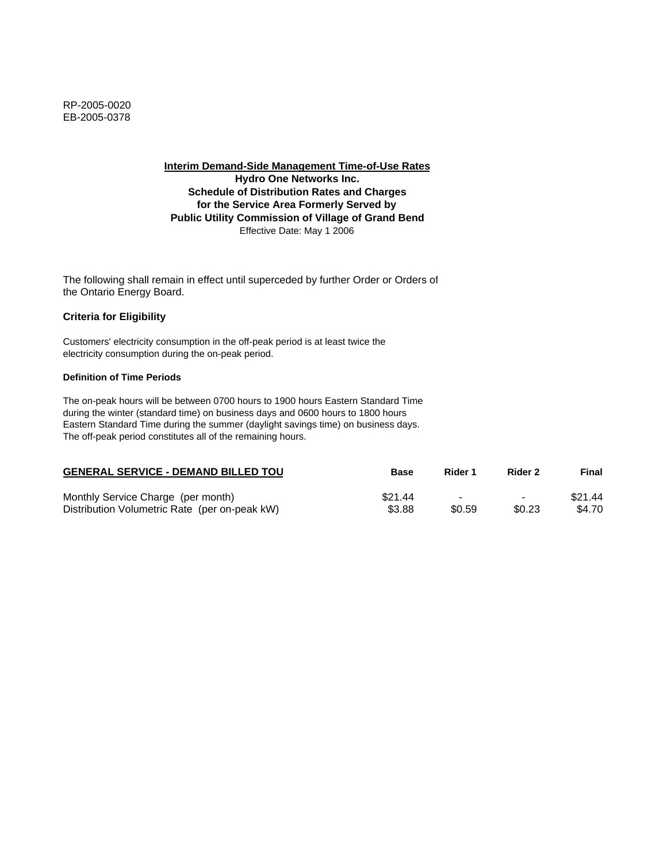**Interim Demand-Side Management Time-of-Use Rates Hydro One Networks Inc. Schedule of Distribution Rates and Charges for the Service Area Formerly Served by Public Utility Commission of Village of Grand Bend** Effective Date: May 1 2006

The following shall remain in effect until superceded by further Order or Orders of the Ontario Energy Board.

## **Criteria for Eligibility**

Customers' electricity consumption in the off-peak period is at least twice the electricity consumption during the on-peak period.

### **Definition of Time Periods**

| <b>GENERAL SERVICE - DEMAND BILLED TOU</b>    | <b>Base</b> | Rider 1                  | Rider 2                  | Final   |
|-----------------------------------------------|-------------|--------------------------|--------------------------|---------|
| Monthly Service Charge (per month)            | \$21.44     | $\overline{\phantom{0}}$ | $\overline{\phantom{0}}$ | \$21.44 |
| Distribution Volumetric Rate (per on-peak kW) | \$3.88      | \$0.59                   | \$0.23                   | \$4.70  |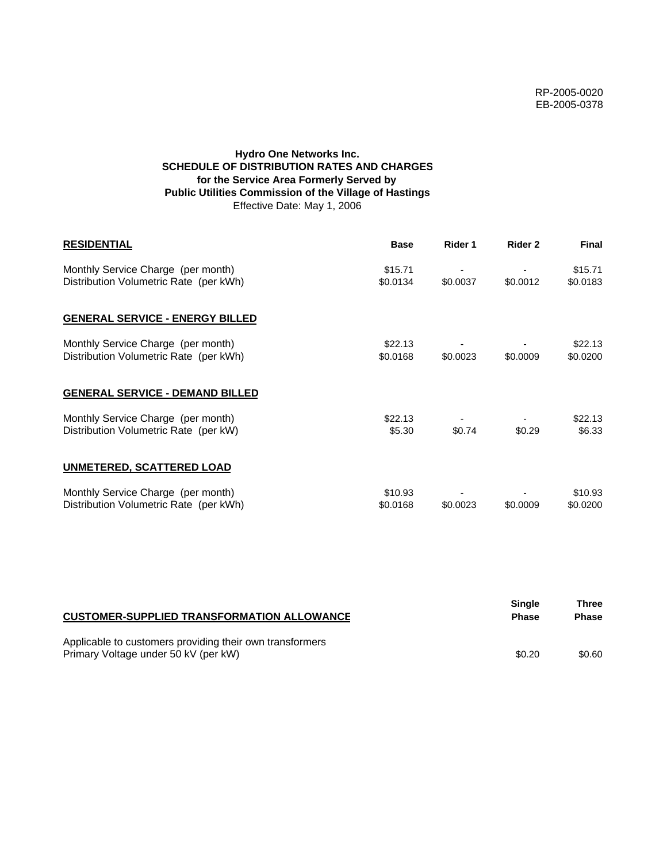# **Hydro One Networks Inc. SCHEDULE OF DISTRIBUTION RATES AND CHARGES for the Service Area Formerly Served by Public Utilities Commission of the Village of Hastings** Effective Date: May 1, 2006

| <b>RESIDENTIAL</b>                                                           | <b>Base</b>         | Rider 1  | Rider 2  | <b>Final</b>        |
|------------------------------------------------------------------------------|---------------------|----------|----------|---------------------|
| Monthly Service Charge (per month)<br>Distribution Volumetric Rate (per kWh) | \$15.71<br>\$0.0134 | \$0.0037 | \$0.0012 | \$15.71<br>\$0.0183 |
| <b>GENERAL SERVICE - ENERGY BILLED</b>                                       |                     |          |          |                     |
| Monthly Service Charge (per month)<br>Distribution Volumetric Rate (per kWh) | \$22.13<br>\$0.0168 | \$0.0023 | \$0.0009 | \$22.13<br>\$0.0200 |
| <b>GENERAL SERVICE - DEMAND BILLED</b>                                       |                     |          |          |                     |
| Monthly Service Charge (per month)<br>Distribution Volumetric Rate (per kW)  | \$22.13<br>\$5.30   | \$0.74   | \$0.29   | \$22.13<br>\$6.33   |
| UNMETERED, SCATTERED LOAD                                                    |                     |          |          |                     |
| Monthly Service Charge (per month)<br>Distribution Volumetric Rate (per kWh) | \$10.93<br>\$0.0168 | \$0.0023 | \$0.0009 | \$10.93<br>\$0.0200 |

| <b>CUSTOMER-SUPPLIED TRANSFORMATION ALLOWANCE</b>                                                | Single<br><b>Phase</b> | Three<br><b>Phase</b> |
|--------------------------------------------------------------------------------------------------|------------------------|-----------------------|
| Applicable to customers providing their own transformers<br>Primary Voltage under 50 kV (per kW) | \$0.20                 | \$0.60                |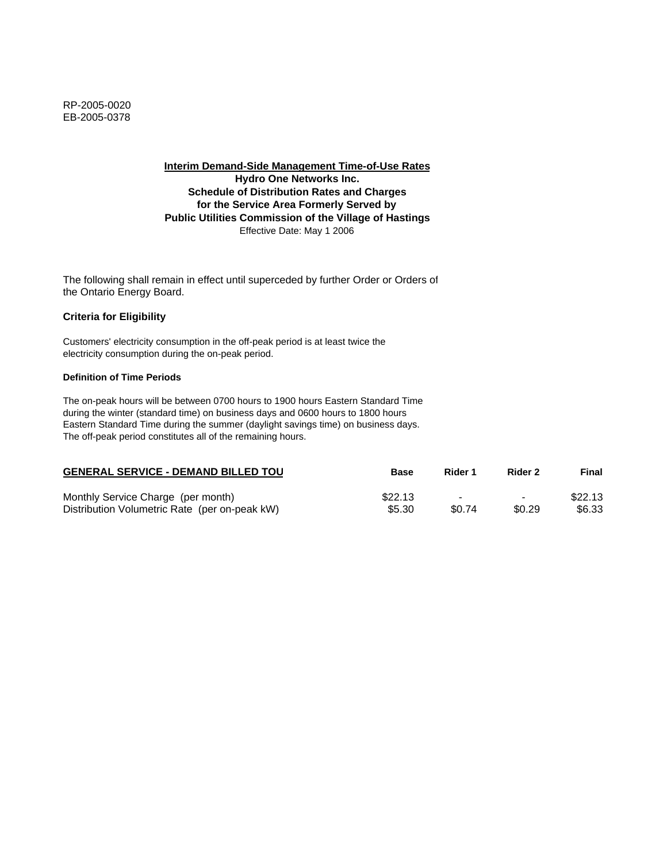**Interim Demand-Side Management Time-of-Use Rates Hydro One Networks Inc. Schedule of Distribution Rates and Charges for the Service Area Formerly Served by Public Utilities Commission of the Village of Hastings** Effective Date: May 1 2006

The following shall remain in effect until superceded by further Order or Orders of the Ontario Energy Board.

## **Criteria for Eligibility**

Customers' electricity consumption in the off-peak period is at least twice the electricity consumption during the on-peak period.

### **Definition of Time Periods**

| <b>GENERAL SERVICE - DEMAND BILLED TOU</b>    | <b>Base</b> | Rider 1 | Rider 2                  | Final   |
|-----------------------------------------------|-------------|---------|--------------------------|---------|
| Monthly Service Charge (per month)            | \$22.13     |         | $\overline{\phantom{0}}$ | \$22.13 |
| Distribution Volumetric Rate (per on-peak kW) | \$5.30      | \$0.74  | \$0.29                   | \$6.33  |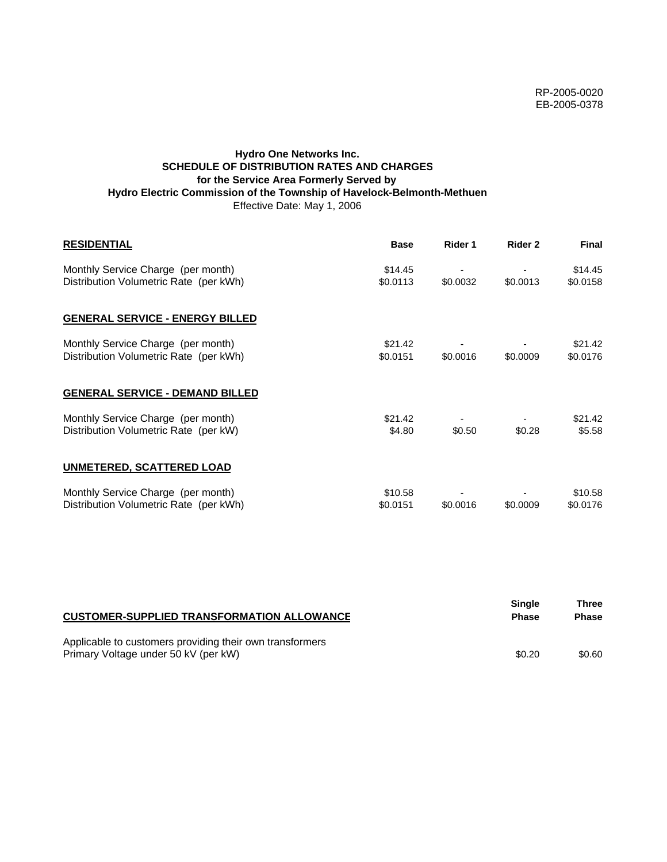# **Hydro One Networks Inc. SCHEDULE OF DISTRIBUTION RATES AND CHARGES for the Service Area Formerly Served by Hydro Electric Commission of the Township of Havelock-Belmonth-Methuen** Effective Date: May 1, 2006

| <b>RESIDENTIAL</b>                                                           | <b>Base</b>         | Rider 1  | Rider 2  | <b>Final</b>        |
|------------------------------------------------------------------------------|---------------------|----------|----------|---------------------|
| Monthly Service Charge (per month)<br>Distribution Volumetric Rate (per kWh) | \$14.45<br>\$0.0113 | \$0.0032 | \$0.0013 | \$14.45<br>\$0.0158 |
| <b>GENERAL SERVICE - ENERGY BILLED</b>                                       |                     |          |          |                     |
| Monthly Service Charge (per month)<br>Distribution Volumetric Rate (per kWh) | \$21.42<br>\$0.0151 | \$0.0016 | \$0.0009 | \$21.42<br>\$0.0176 |
| <b>GENERAL SERVICE - DEMAND BILLED</b>                                       |                     |          |          |                     |
| Monthly Service Charge (per month)<br>Distribution Volumetric Rate (per kW)  | \$21.42<br>\$4.80   | \$0.50   | \$0.28   | \$21.42<br>\$5.58   |
| <b>UNMETERED, SCATTERED LOAD</b>                                             |                     |          |          |                     |
| Monthly Service Charge (per month)<br>Distribution Volumetric Rate (per kWh) | \$10.58<br>\$0.0151 | \$0.0016 | \$0.0009 | \$10.58<br>\$0.0176 |

| <b>CUSTOMER-SUPPLIED TRANSFORMATION ALLOWANCE</b>                                                | <b>Single</b><br><b>Phase</b> | Three<br><b>Phase</b> |
|--------------------------------------------------------------------------------------------------|-------------------------------|-----------------------|
| Applicable to customers providing their own transformers<br>Primary Voltage under 50 kV (per kW) | \$0.20                        | \$0.60                |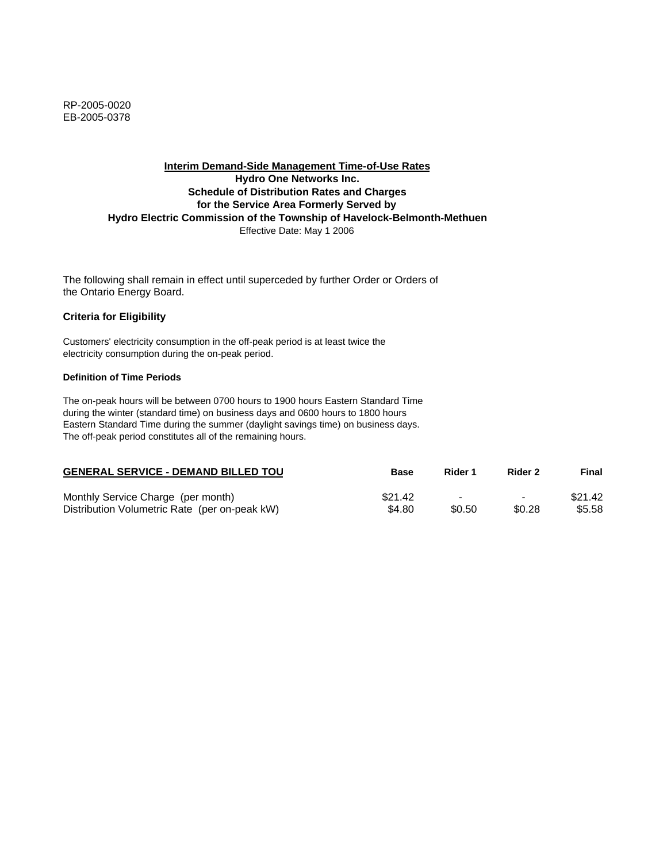RP-2005-0020 EB-2005-0378

## **Interim Demand-Side Management Time-of-Use Rates Hydro One Networks Inc. Schedule of Distribution Rates and Charges for the Service Area Formerly Served by Hydro Electric Commission of the Township of Havelock-Belmonth-Methuen** Effective Date: May 1 2006

The following shall remain in effect until superceded by further Order or Orders of the Ontario Energy Board.

### **Criteria for Eligibility**

Customers' electricity consumption in the off-peak period is at least twice the electricity consumption during the on-peak period.

### **Definition of Time Periods**

| <b>GENERAL SERVICE - DEMAND BILLED TOU</b>    | Base    | Rider 1 | Rider 2                  | Final   |
|-----------------------------------------------|---------|---------|--------------------------|---------|
| Monthly Service Charge (per month)            | \$21.42 |         | $\overline{\phantom{0}}$ | \$21.42 |
| Distribution Volumetric Rate (per on-peak kW) | \$4.80  | \$0.50  | \$0.28                   | \$5.58  |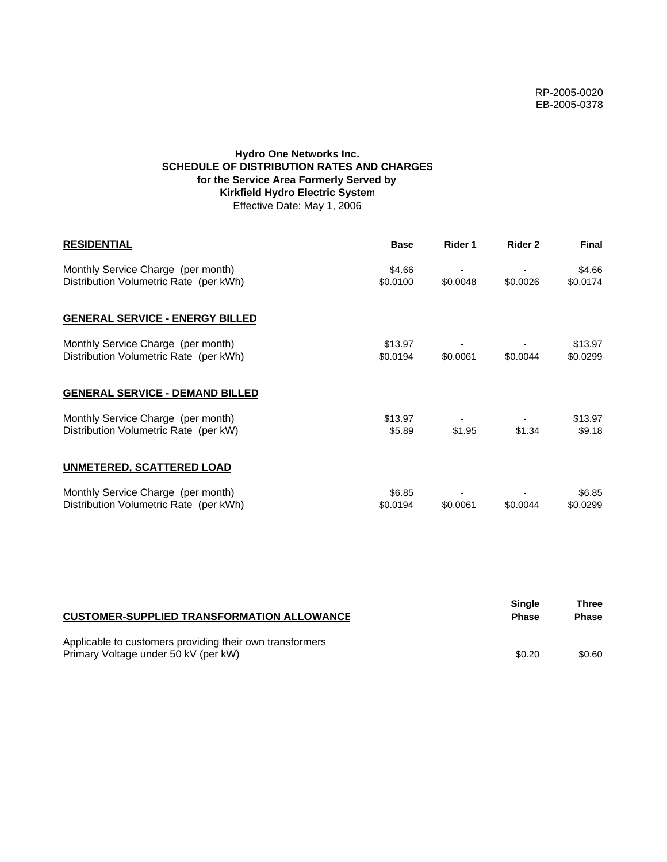# **Hydro One Networks Inc. SCHEDULE OF DISTRIBUTION RATES AND CHARGES for the Service Area Formerly Served by Kirkfield Hydro Electric System** Effective Date: May 1, 2006

| <b>RESIDENTIAL</b>                                                           | <b>Base</b>         | Rider 1  | Rider 2  | <b>Final</b>        |
|------------------------------------------------------------------------------|---------------------|----------|----------|---------------------|
| Monthly Service Charge (per month)<br>Distribution Volumetric Rate (per kWh) | \$4.66<br>\$0.0100  | \$0.0048 | \$0.0026 | \$4.66<br>\$0.0174  |
| <b>GENERAL SERVICE - ENERGY BILLED</b>                                       |                     |          |          |                     |
| Monthly Service Charge (per month)<br>Distribution Volumetric Rate (per kWh) | \$13.97<br>\$0.0194 | \$0.0061 | \$0.0044 | \$13.97<br>\$0.0299 |
| <b>GENERAL SERVICE - DEMAND BILLED</b>                                       |                     |          |          |                     |
| Monthly Service Charge (per month)<br>Distribution Volumetric Rate (per kW)  | \$13.97<br>\$5.89   | \$1.95   | \$1.34   | \$13.97<br>\$9.18   |
| <b>UNMETERED, SCATTERED LOAD</b>                                             |                     |          |          |                     |
| Monthly Service Charge (per month)<br>Distribution Volumetric Rate (per kWh) | \$6.85<br>\$0.0194  | \$0.0061 | \$0.0044 | \$6.85<br>\$0.0299  |

| <b>CUSTOMER-SUPPLIED TRANSFORMATION ALLOWANCE</b>                                                | <b>Single</b><br><b>Phase</b> | Three<br><b>Phase</b> |
|--------------------------------------------------------------------------------------------------|-------------------------------|-----------------------|
| Applicable to customers providing their own transformers<br>Primary Voltage under 50 kV (per kW) | \$0.20                        | \$0.60                |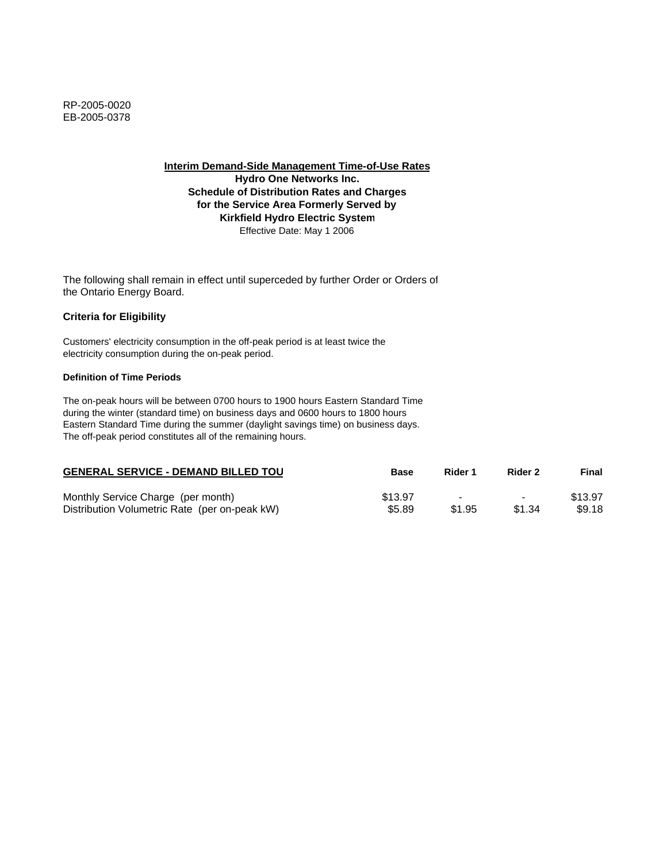**Interim Demand-Side Management Time-of-Use Rates**

**Hydro One Networks Inc. Schedule of Distribution Rates and Charges for the Service Area Formerly Served by Kirkfield Hydro Electric System** Effective Date: May 1 2006

The following shall remain in effect until superceded by further Order or Orders of the Ontario Energy Board.

# **Criteria for Eligibility**

Customers' electricity consumption in the off-peak period is at least twice the electricity consumption during the on-peak period.

### **Definition of Time Periods**

| <b>GENERAL SERVICE - DEMAND BILLED TOU</b>    | <b>Base</b> | Rider 1                  | Rider 2                  | Final   |
|-----------------------------------------------|-------------|--------------------------|--------------------------|---------|
| Monthly Service Charge (per month)            | \$13.97     | $\overline{\phantom{0}}$ | $\overline{\phantom{0}}$ | \$13.97 |
| Distribution Volumetric Rate (per on-peak kW) | \$5.89      | \$1.95                   | \$1.34                   | \$9.18  |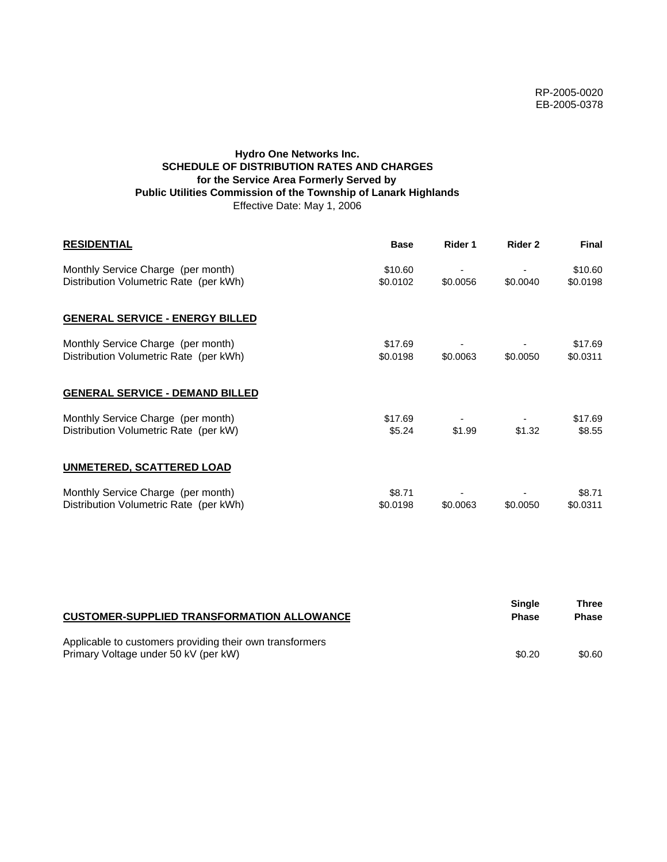# **Hydro One Networks Inc. SCHEDULE OF DISTRIBUTION RATES AND CHARGES for the Service Area Formerly Served by Public Utilities Commission of the Township of Lanark Highlands** Effective Date: May 1, 2006

| <b>RESIDENTIAL</b>                                                           | <b>Base</b>         | Rider 1  | Rider 2  | <b>Final</b>        |
|------------------------------------------------------------------------------|---------------------|----------|----------|---------------------|
| Monthly Service Charge (per month)<br>Distribution Volumetric Rate (per kWh) | \$10.60<br>\$0.0102 | \$0.0056 | \$0.0040 | \$10.60<br>\$0.0198 |
| <b>GENERAL SERVICE - ENERGY BILLED</b>                                       |                     |          |          |                     |
| Monthly Service Charge (per month)<br>Distribution Volumetric Rate (per kWh) | \$17.69<br>\$0.0198 | \$0.0063 | \$0,0050 | \$17.69<br>\$0.0311 |
| <b>GENERAL SERVICE - DEMAND BILLED</b>                                       |                     |          |          |                     |
| Monthly Service Charge (per month)<br>Distribution Volumetric Rate (per kW)  | \$17.69<br>\$5.24   | \$1.99   | \$1.32   | \$17.69<br>\$8.55   |
| <b>UNMETERED, SCATTERED LOAD</b>                                             |                     |          |          |                     |
| Monthly Service Charge (per month)<br>Distribution Volumetric Rate (per kWh) | \$8.71<br>\$0.0198  | \$0.0063 | \$0.0050 | \$8.71<br>\$0.0311  |

| <b>CUSTOMER-SUPPLIED TRANSFORMATION ALLOWANCE</b>                                                | Single<br><b>Phase</b> | Three<br><b>Phase</b> |
|--------------------------------------------------------------------------------------------------|------------------------|-----------------------|
| Applicable to customers providing their own transformers<br>Primary Voltage under 50 kV (per kW) | \$0.20                 | \$0.60                |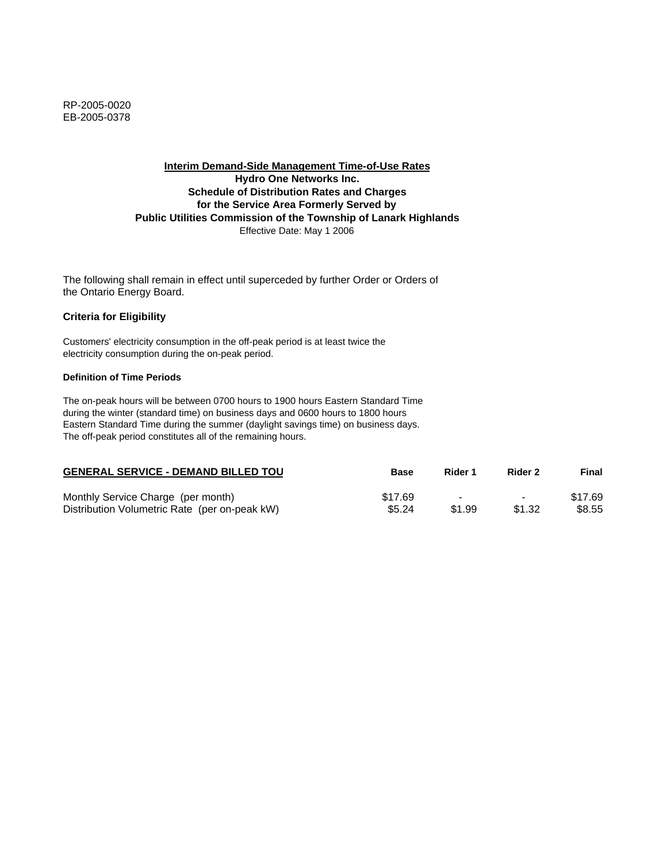# **Interim Demand-Side Management Time-of-Use Rates Hydro One Networks Inc. Schedule of Distribution Rates and Charges for the Service Area Formerly Served by Public Utilities Commission of the Township of Lanark Highlands** Effective Date: May 1 2006

The following shall remain in effect until superceded by further Order or Orders of the Ontario Energy Board.

## **Criteria for Eligibility**

Customers' electricity consumption in the off-peak period is at least twice the electricity consumption during the on-peak period.

### **Definition of Time Periods**

| <b>GENERAL SERVICE - DEMAND BILLED TOU</b>    | <b>Base</b> | Rider 1 | Rider 2                  | Final   |
|-----------------------------------------------|-------------|---------|--------------------------|---------|
| Monthly Service Charge (per month)            | \$17.69     | $\sim$  | $\overline{\phantom{0}}$ | \$17.69 |
| Distribution Volumetric Rate (per on-peak kW) | \$5.24      | \$1.99  | \$1.32                   | \$8.55  |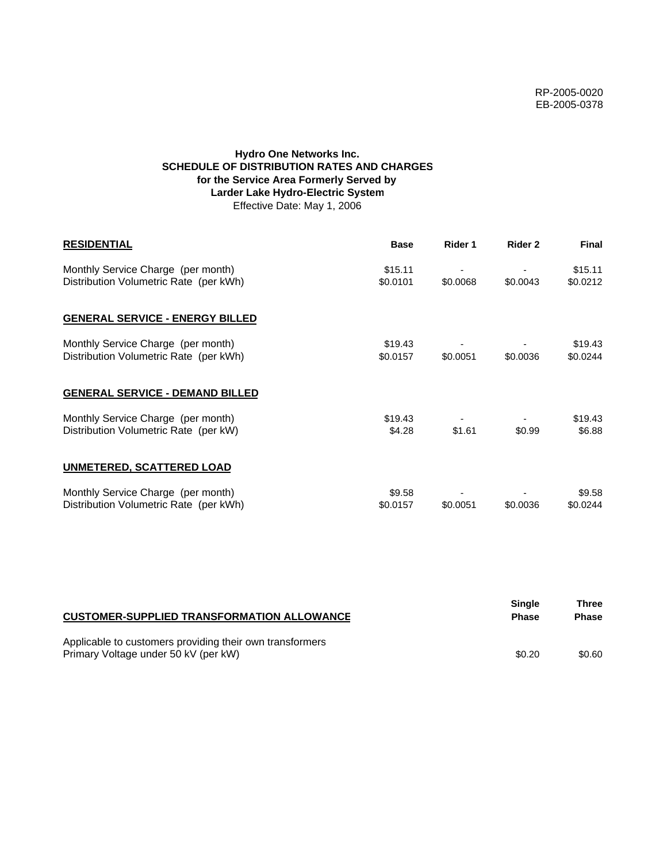# **Hydro One Networks Inc. SCHEDULE OF DISTRIBUTION RATES AND CHARGES for the Service Area Formerly Served by Larder Lake Hydro-Electric System** Effective Date: May 1, 2006

| <b>RESIDENTIAL</b>                                                           | <b>Base</b>         | Rider 1  | Rider 2  | <b>Final</b>        |
|------------------------------------------------------------------------------|---------------------|----------|----------|---------------------|
| Monthly Service Charge (per month)<br>Distribution Volumetric Rate (per kWh) | \$15.11<br>\$0.0101 | \$0.0068 | \$0.0043 | \$15.11<br>\$0.0212 |
| <b>GENERAL SERVICE - ENERGY BILLED</b>                                       |                     |          |          |                     |
| Monthly Service Charge (per month)<br>Distribution Volumetric Rate (per kWh) | \$19.43<br>\$0.0157 | \$0.0051 | \$0.0036 | \$19.43<br>\$0.0244 |
| <b>GENERAL SERVICE - DEMAND BILLED</b>                                       |                     |          |          |                     |
| Monthly Service Charge (per month)<br>Distribution Volumetric Rate (per kW)  | \$19.43<br>\$4.28   | \$1.61   | \$0.99   | \$19.43<br>\$6.88   |
| <b>UNMETERED, SCATTERED LOAD</b>                                             |                     |          |          |                     |
| Monthly Service Charge (per month)<br>Distribution Volumetric Rate (per kWh) | \$9.58<br>\$0.0157  | \$0.0051 | \$0.0036 | \$9.58<br>\$0.0244  |

| <b>CUSTOMER-SUPPLIED TRANSFORMATION ALLOWANCE</b>                                                | Single<br><b>Phase</b> | Three<br><b>Phase</b> |
|--------------------------------------------------------------------------------------------------|------------------------|-----------------------|
| Applicable to customers providing their own transformers<br>Primary Voltage under 50 kV (per kW) | \$0.20                 | \$0.60                |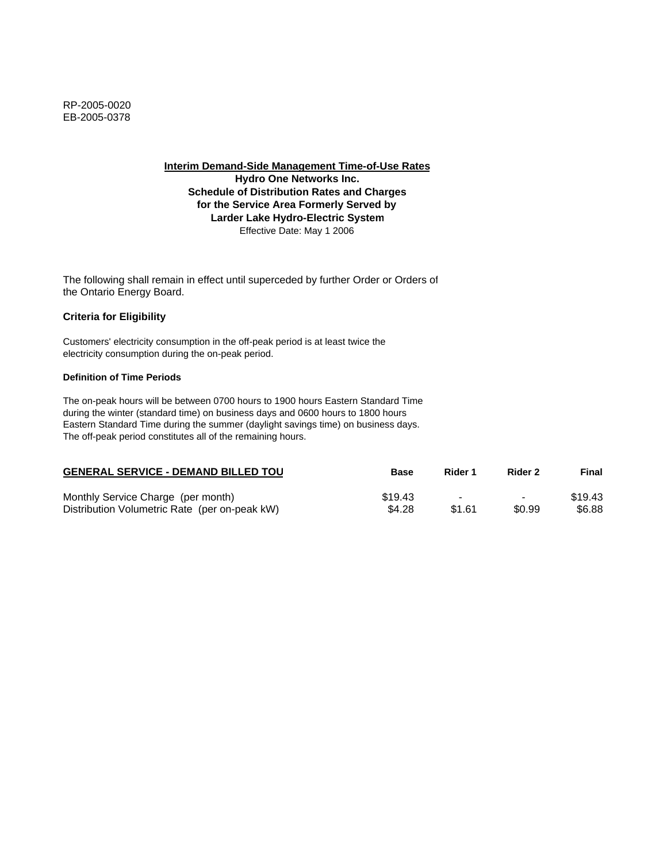**Interim Demand-Side Management Time-of-Use Rates**

**Hydro One Networks Inc. Schedule of Distribution Rates and Charges for the Service Area Formerly Served by Larder Lake Hydro-Electric System** Effective Date: May 1 2006

The following shall remain in effect until superceded by further Order or Orders of the Ontario Energy Board.

# **Criteria for Eligibility**

Customers' electricity consumption in the off-peak period is at least twice the electricity consumption during the on-peak period.

### **Definition of Time Periods**

| <b>GENERAL SERVICE - DEMAND BILLED TOU</b>    | <b>Base</b> | Rider 1 | Rider 2                  | Final   |
|-----------------------------------------------|-------------|---------|--------------------------|---------|
| Monthly Service Charge (per month)            | \$19.43     |         | $\overline{\phantom{0}}$ | \$19.43 |
| Distribution Volumetric Rate (per on-peak kW) | \$4.28      | \$1.61  | \$0.99                   | \$6.88  |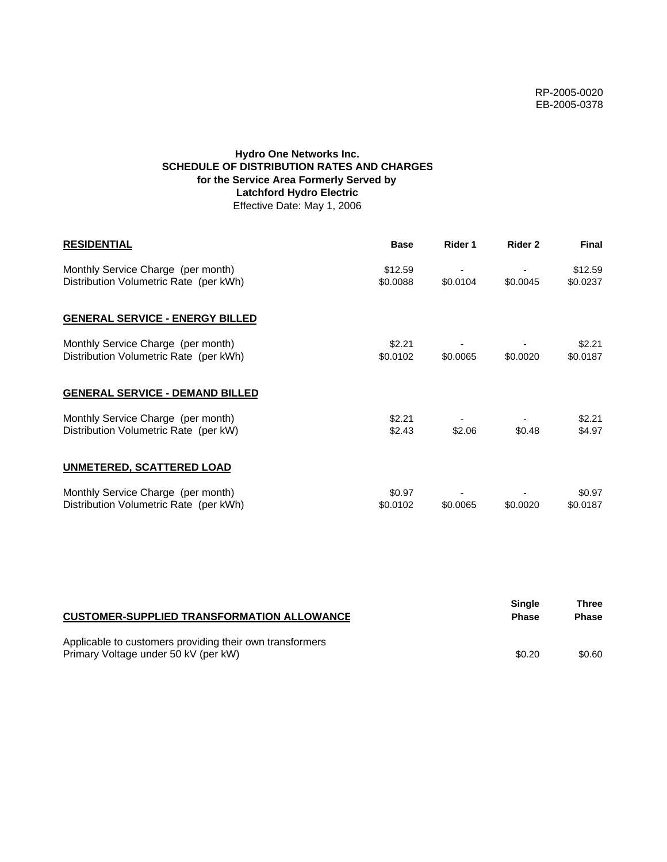# **Hydro One Networks Inc. SCHEDULE OF DISTRIBUTION RATES AND CHARGES for the Service Area Formerly Served by Latchford Hydro Electric** Effective Date: May 1, 2006

| <b>RESIDENTIAL</b>                                                           | <b>Base</b>         | Rider 1  | Rider 2  | <b>Final</b>        |
|------------------------------------------------------------------------------|---------------------|----------|----------|---------------------|
| Monthly Service Charge (per month)<br>Distribution Volumetric Rate (per kWh) | \$12.59<br>\$0.0088 | \$0.0104 | \$0.0045 | \$12.59<br>\$0.0237 |
| <b>GENERAL SERVICE - ENERGY BILLED</b>                                       |                     |          |          |                     |
| Monthly Service Charge (per month)<br>Distribution Volumetric Rate (per kWh) | \$2.21<br>\$0.0102  | \$0.0065 | \$0.0020 | \$2.21<br>\$0.0187  |
| <b>GENERAL SERVICE - DEMAND BILLED</b>                                       |                     |          |          |                     |
| Monthly Service Charge (per month)<br>Distribution Volumetric Rate (per kW)  | \$2.21<br>\$2.43    | \$2.06   | \$0.48   | \$2.21<br>\$4.97    |
| <b>UNMETERED, SCATTERED LOAD</b>                                             |                     |          |          |                     |
| Monthly Service Charge (per month)<br>Distribution Volumetric Rate (per kWh) | \$0.97<br>\$0.0102  | \$0.0065 | \$0.0020 | \$0.97<br>\$0.0187  |

| <b>CUSTOMER-SUPPLIED TRANSFORMATION ALLOWANCE</b>                                                | <b>Single</b><br><b>Phase</b> | Three<br><b>Phase</b> |
|--------------------------------------------------------------------------------------------------|-------------------------------|-----------------------|
| Applicable to customers providing their own transformers<br>Primary Voltage under 50 kV (per kW) | \$0.20                        | \$0.60                |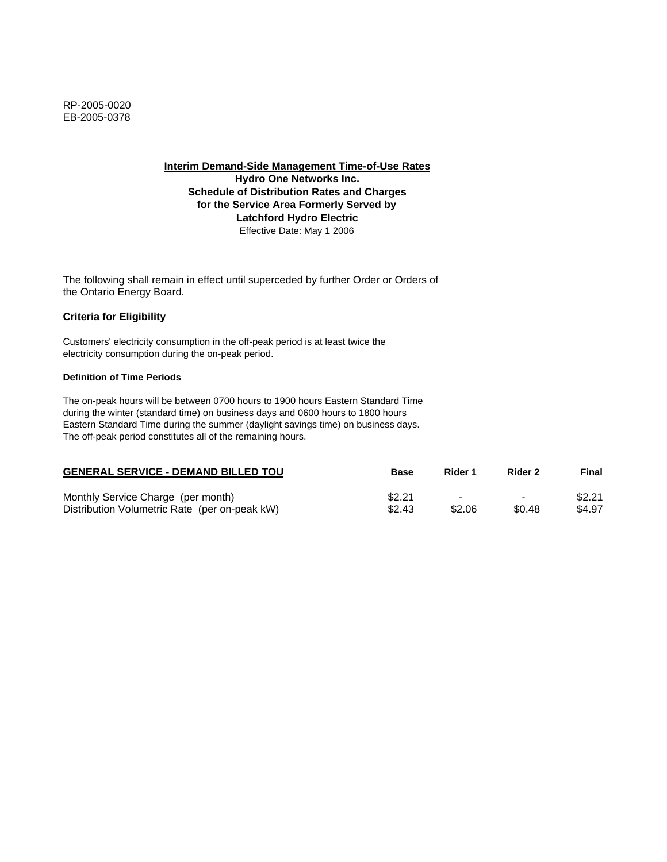**Interim Demand-Side Management Time-of-Use Rates Hydro One Networks Inc. Schedule of Distribution Rates and Charges for the Service Area Formerly Served by Latchford Hydro Electric** Effective Date: May 1 2006

The following shall remain in effect until superceded by further Order or Orders of the Ontario Energy Board.

## **Criteria for Eligibility**

Customers' electricity consumption in the off-peak period is at least twice the electricity consumption during the on-peak period.

### **Definition of Time Periods**

| <b>GENERAL SERVICE - DEMAND BILLED TOU</b>    | <b>Base</b> | Rider 1                  | Rider 2        | Final  |
|-----------------------------------------------|-------------|--------------------------|----------------|--------|
| Monthly Service Charge (per month)            | \$2.21      | $\overline{\phantom{a}}$ | $\blacksquare$ | \$2.21 |
| Distribution Volumetric Rate (per on-peak kW) | \$2.43      | \$2.06                   | \$0.48         | \$4.97 |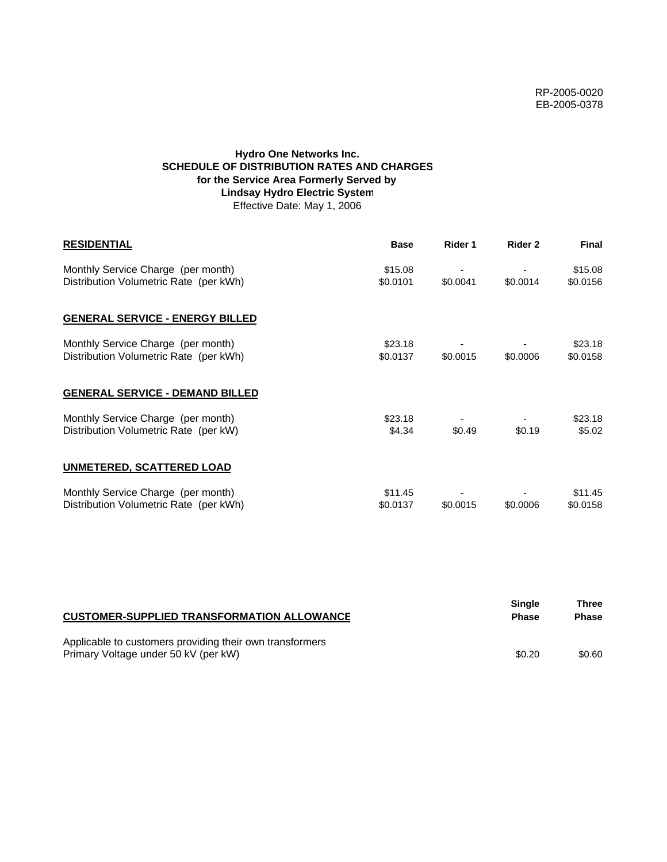# **Hydro One Networks Inc. SCHEDULE OF DISTRIBUTION RATES AND CHARGES for the Service Area Formerly Served by Lindsay Hydro Electric System** Effective Date: May 1, 2006

| <b>RESIDENTIAL</b>                                                           | <b>Base</b>         | Rider 1  | Rider 2  | <b>Final</b>        |
|------------------------------------------------------------------------------|---------------------|----------|----------|---------------------|
| Monthly Service Charge (per month)<br>Distribution Volumetric Rate (per kWh) | \$15.08<br>\$0.0101 | \$0.0041 | \$0.0014 | \$15.08<br>\$0.0156 |
| <b>GENERAL SERVICE - ENERGY BILLED</b>                                       |                     |          |          |                     |
| Monthly Service Charge (per month)<br>Distribution Volumetric Rate (per kWh) | \$23.18<br>\$0.0137 | \$0.0015 | \$0.0006 | \$23.18<br>\$0.0158 |
| <b>GENERAL SERVICE - DEMAND BILLED</b>                                       |                     |          |          |                     |
| Monthly Service Charge (per month)<br>Distribution Volumetric Rate (per kW)  | \$23.18<br>\$4.34   | \$0.49   | \$0.19   | \$23.18<br>\$5.02   |
| <b>UNMETERED, SCATTERED LOAD</b>                                             |                     |          |          |                     |
| Monthly Service Charge (per month)<br>Distribution Volumetric Rate (per kWh) | \$11.45<br>\$0.0137 | \$0.0015 | \$0.0006 | \$11.45<br>\$0.0158 |

| <b>CUSTOMER-SUPPLIED TRANSFORMATION ALLOWANCE</b>                                                | Single<br><b>Phase</b> | Three<br><b>Phase</b> |
|--------------------------------------------------------------------------------------------------|------------------------|-----------------------|
| Applicable to customers providing their own transformers<br>Primary Voltage under 50 kV (per kW) | \$0.20                 | \$0.60                |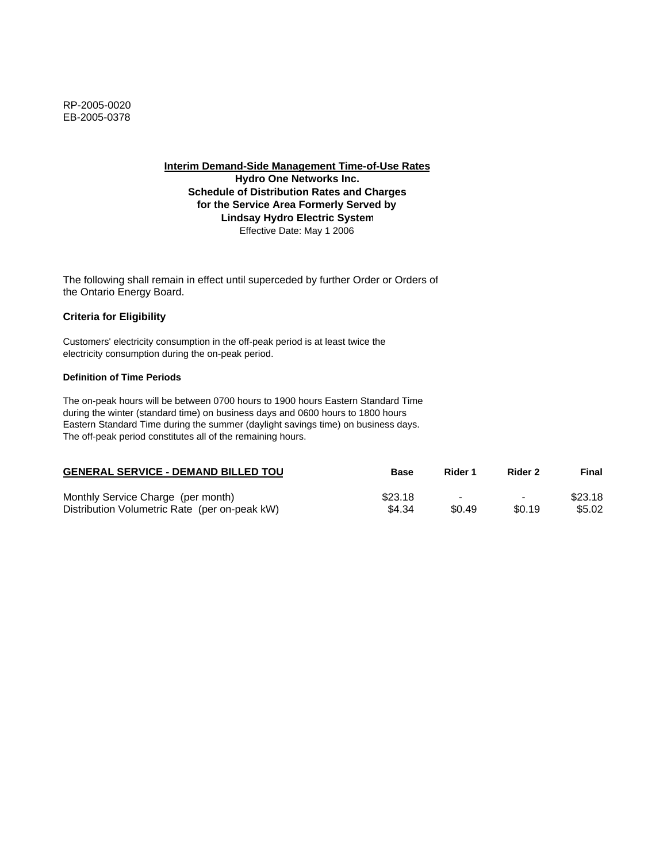**Interim Demand-Side Management Time-of-Use Rates**

**Hydro One Networks Inc. Schedule of Distribution Rates and Charges for the Service Area Formerly Served by Lindsay Hydro Electric System** Effective Date: May 1 2006

The following shall remain in effect until superceded by further Order or Orders of the Ontario Energy Board.

## **Criteria for Eligibility**

Customers' electricity consumption in the off-peak period is at least twice the electricity consumption during the on-peak period.

### **Definition of Time Periods**

| <b>GENERAL SERVICE - DEMAND BILLED TOU</b>    | Base    | Rider 1 | Rider 2                  | Final   |
|-----------------------------------------------|---------|---------|--------------------------|---------|
| Monthly Service Charge (per month)            | \$23.18 | -       | $\overline{\phantom{0}}$ | \$23.18 |
| Distribution Volumetric Rate (per on-peak kW) | \$4.34  | \$0.49  | \$0.19                   | \$5.02  |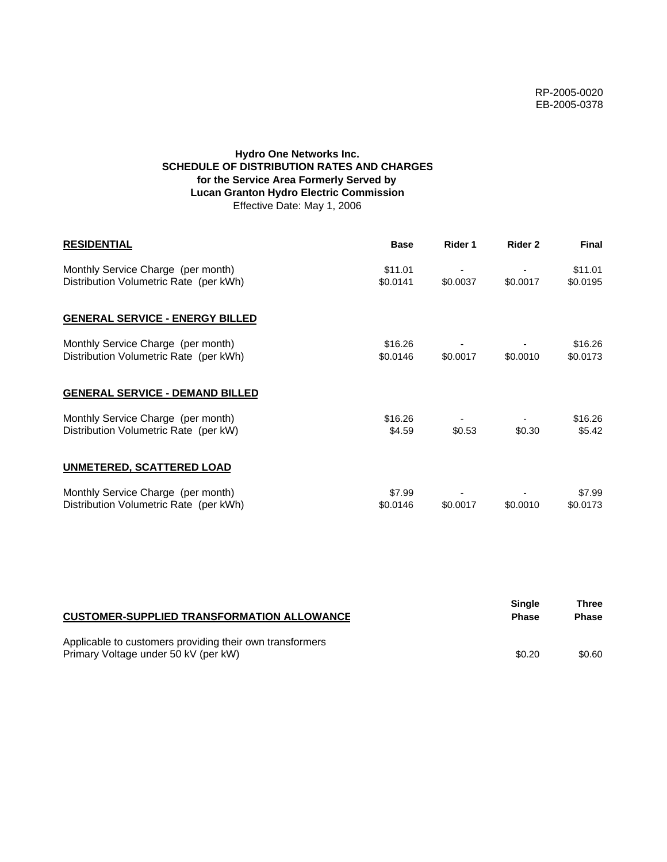# **Hydro One Networks Inc. SCHEDULE OF DISTRIBUTION RATES AND CHARGES for the Service Area Formerly Served by Lucan Granton Hydro Electric Commission** Effective Date: May 1, 2006

| <b>RESIDENTIAL</b>                                                           | <b>Base</b>         | Rider 1  | Rider 2  | <b>Final</b>        |
|------------------------------------------------------------------------------|---------------------|----------|----------|---------------------|
| Monthly Service Charge (per month)<br>Distribution Volumetric Rate (per kWh) | \$11.01<br>\$0.0141 | \$0.0037 | \$0.0017 | \$11.01<br>\$0.0195 |
| <b>GENERAL SERVICE - ENERGY BILLED</b>                                       |                     |          |          |                     |
| Monthly Service Charge (per month)<br>Distribution Volumetric Rate (per kWh) | \$16.26<br>\$0.0146 | \$0.0017 | \$0.0010 | \$16.26<br>\$0.0173 |
| <b>GENERAL SERVICE - DEMAND BILLED</b>                                       |                     |          |          |                     |
| Monthly Service Charge (per month)<br>Distribution Volumetric Rate (per kW)  | \$16.26<br>\$4.59   | \$0.53   | \$0.30   | \$16.26<br>\$5.42   |
| <b>UNMETERED, SCATTERED LOAD</b>                                             |                     |          |          |                     |
| Monthly Service Charge (per month)<br>Distribution Volumetric Rate (per kWh) | \$7.99<br>\$0.0146  | \$0.0017 | \$0.0010 | \$7.99<br>\$0.0173  |

| <b>CUSTOMER-SUPPLIED TRANSFORMATION ALLOWANCE</b>                                                | Single<br><b>Phase</b> | Three<br><b>Phase</b> |
|--------------------------------------------------------------------------------------------------|------------------------|-----------------------|
| Applicable to customers providing their own transformers<br>Primary Voltage under 50 kV (per kW) | \$0.20                 | \$0.60                |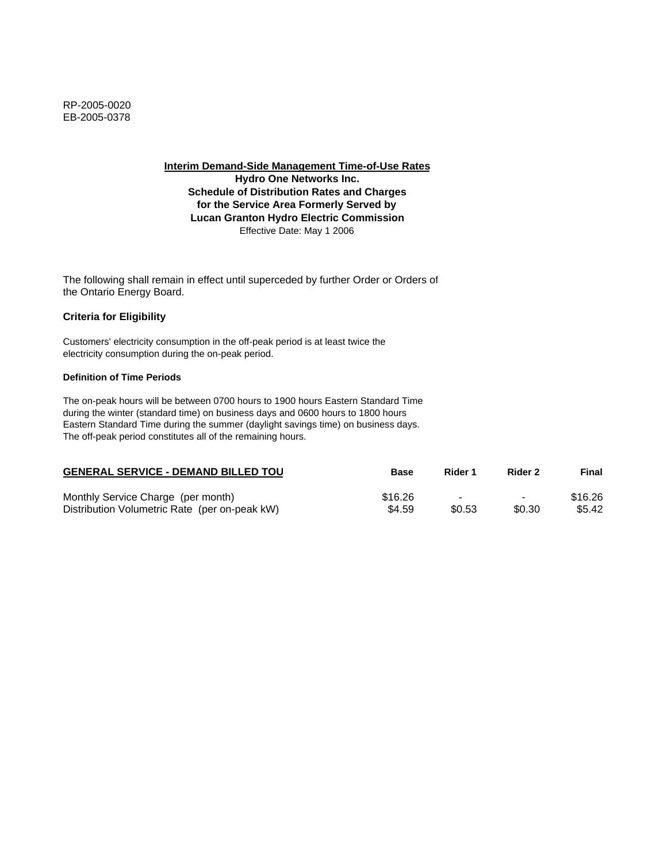**Interim Demand-Side Management Time-of-Use Rates**

**Hydro One Networks Inc. Schedule of Distribution Rates and Charges for the Service Area Formerly Served by Lucan Granton Hydro Electric Commission** Effective Date: May 1 2006

The following shall remain in effect until superceded by further Order or Orders of the Ontario Energy Board.

# **Criteria for Eligibility**

Customers' electricity consumption in the off-peak period is at least twice the electricity consumption during the on-peak period.

### **Definition of Time Periods**

| <b>GENERAL SERVICE - DEMAND BILLED TOU</b>    | Base    | Rider 1 | Rider 2                  | Final   |
|-----------------------------------------------|---------|---------|--------------------------|---------|
| Monthly Service Charge (per month)            | \$16.26 |         | $\overline{\phantom{0}}$ | \$16.26 |
| Distribution Volumetric Rate (per on-peak kW) | \$4.59  | \$0.53  | \$0.30                   | \$5.42  |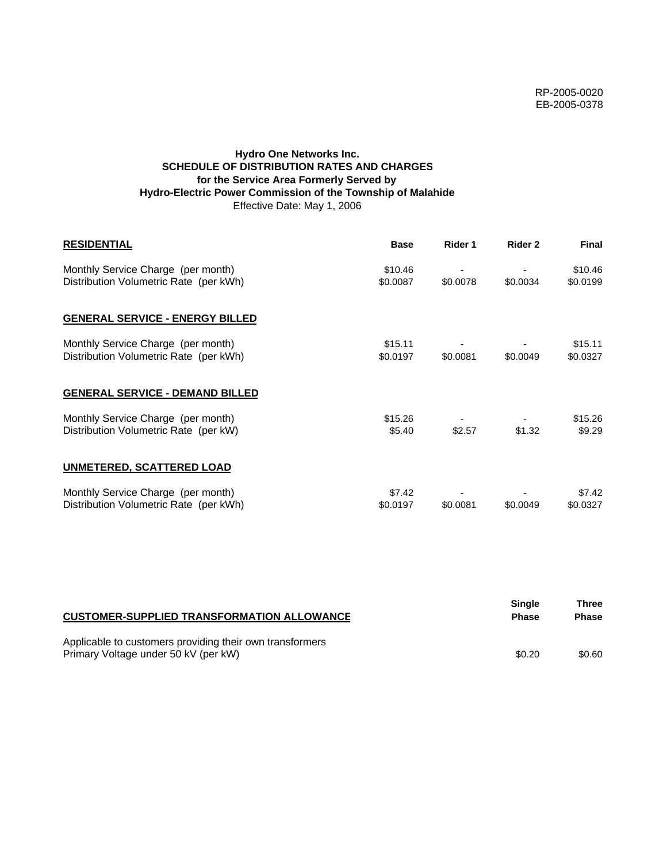# **Hydro One Networks Inc. SCHEDULE OF DISTRIBUTION RATES AND CHARGES for the Service Area Formerly Served by Hydro-Electric Power Commission of the Township of Malahide** Effective Date: May 1, 2006

| <b>RESIDENTIAL</b>                                                           | <b>Base</b>         | Rider 1  | Rider 2  | Final               |
|------------------------------------------------------------------------------|---------------------|----------|----------|---------------------|
| Monthly Service Charge (per month)<br>Distribution Volumetric Rate (per kWh) | \$10.46<br>\$0.0087 | \$0.0078 | \$0.0034 | \$10.46<br>\$0.0199 |
| <b>GENERAL SERVICE - ENERGY BILLED</b>                                       |                     |          |          |                     |
| Monthly Service Charge (per month)<br>Distribution Volumetric Rate (per kWh) | \$15.11<br>\$0.0197 | \$0.0081 | \$0.0049 | \$15.11<br>\$0.0327 |
| <b>GENERAL SERVICE - DEMAND BILLED</b>                                       |                     |          |          |                     |
| Monthly Service Charge (per month)<br>Distribution Volumetric Rate (per kW)  | \$15.26<br>\$5.40   | \$2.57   | \$1.32   | \$15.26<br>\$9.29   |
| <b>UNMETERED, SCATTERED LOAD</b>                                             |                     |          |          |                     |
| Monthly Service Charge (per month)<br>Distribution Volumetric Rate (per kWh) | \$7.42<br>\$0.0197  | \$0.0081 | \$0.0049 | \$7.42<br>\$0.0327  |

| <b>CUSTOMER-SUPPLIED TRANSFORMATION ALLOWANCE</b>                                                | Single<br><b>Phase</b> | Three<br><b>Phase</b> |
|--------------------------------------------------------------------------------------------------|------------------------|-----------------------|
| Applicable to customers providing their own transformers<br>Primary Voltage under 50 kV (per kW) | \$0.20                 | \$0.60                |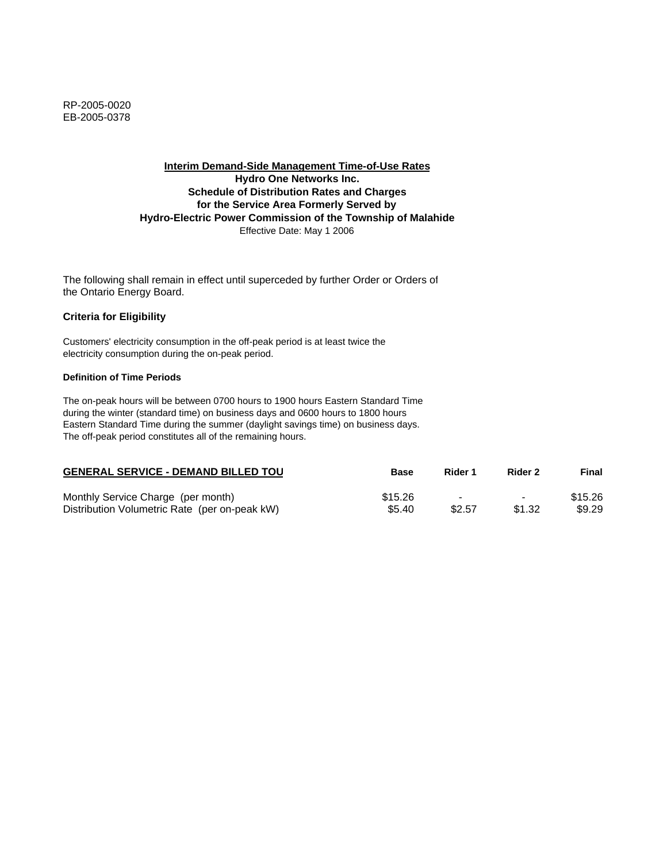# **Interim Demand-Side Management Time-of-Use Rates Hydro One Networks Inc. Schedule of Distribution Rates and Charges for the Service Area Formerly Served by Hydro-Electric Power Commission of the Township of Malahide** Effective Date: May 1 2006

The following shall remain in effect until superceded by further Order or Orders of the Ontario Energy Board.

## **Criteria for Eligibility**

Customers' electricity consumption in the off-peak period is at least twice the electricity consumption during the on-peak period.

### **Definition of Time Periods**

| <b>GENERAL SERVICE - DEMAND BILLED TOU</b>    | Base    | Rider 1 | Rider 2                  | Final   |
|-----------------------------------------------|---------|---------|--------------------------|---------|
| Monthly Service Charge (per month)            | \$15.26 |         | $\overline{\phantom{0}}$ | \$15.26 |
| Distribution Volumetric Rate (per on-peak kW) | \$5.40  | \$2.57  | \$1.32                   | \$9.29  |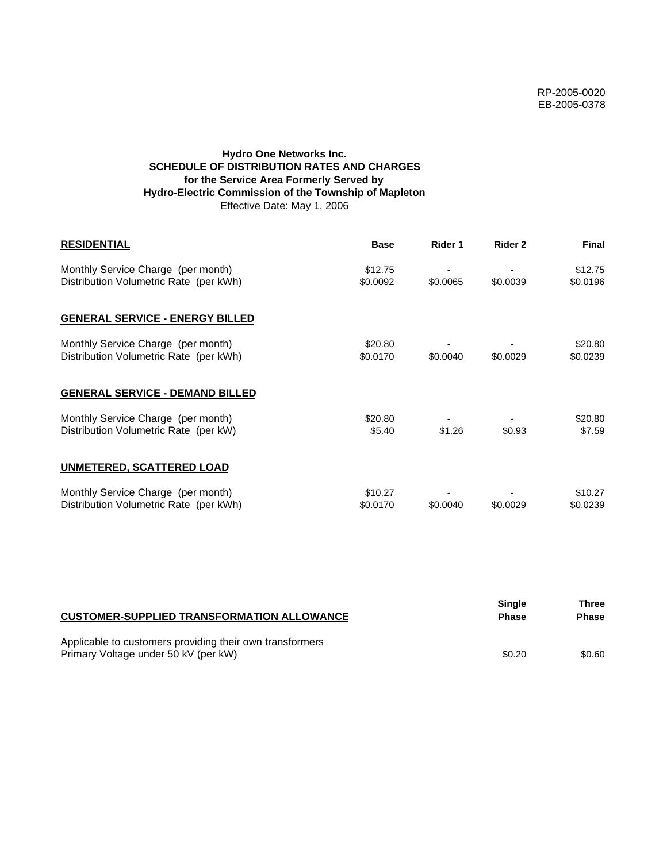# **Hydro One Networks Inc. SCHEDULE OF DISTRIBUTION RATES AND CHARGES for the Service Area Formerly Served by Hydro-Electric Commission of the Township of Mapleton** Effective Date: May 1, 2006

| <b>RESIDENTIAL</b>                                                           | <b>Base</b>         | Rider 1  | Rider 2  | <b>Final</b>        |
|------------------------------------------------------------------------------|---------------------|----------|----------|---------------------|
| Monthly Service Charge (per month)<br>Distribution Volumetric Rate (per kWh) | \$12.75<br>\$0.0092 | \$0.0065 | \$0.0039 | \$12.75<br>\$0.0196 |
| <b>GENERAL SERVICE - ENERGY BILLED</b>                                       |                     |          |          |                     |
| Monthly Service Charge (per month)<br>Distribution Volumetric Rate (per kWh) | \$20.80<br>\$0.0170 | \$0.0040 | \$0.0029 | \$20.80<br>\$0.0239 |
| <b>GENERAL SERVICE - DEMAND BILLED</b>                                       |                     |          |          |                     |
| Monthly Service Charge (per month)<br>Distribution Volumetric Rate (per kW)  | \$20.80<br>\$5.40   | \$1.26   | \$0.93   | \$20.80<br>\$7.59   |
| UNMETERED, SCATTERED LOAD                                                    |                     |          |          |                     |
| Monthly Service Charge (per month)<br>Distribution Volumetric Rate (per kWh) | \$10.27<br>\$0.0170 | \$0.0040 | \$0.0029 | \$10.27<br>\$0.0239 |

| <b>CUSTOMER-SUPPLIED TRANSFORMATION ALLOWANCE</b>                                                | <b>Single</b><br><b>Phase</b> | Three<br><b>Phase</b> |
|--------------------------------------------------------------------------------------------------|-------------------------------|-----------------------|
| Applicable to customers providing their own transformers<br>Primary Voltage under 50 kV (per kW) | \$0.20                        | \$0.60                |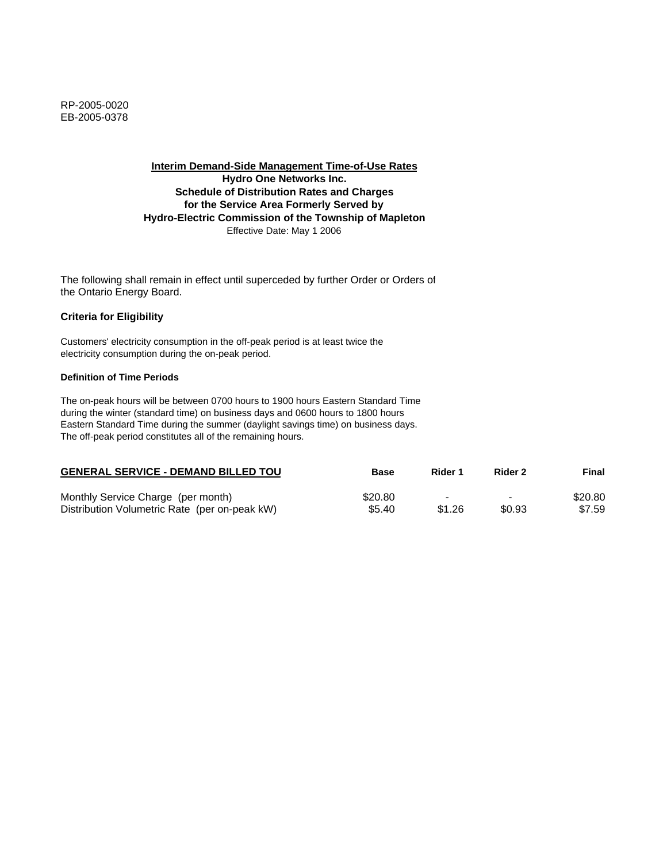### **Interim Demand-Side Management Time-of-Use Rates Hydro One Networks Inc. Schedule of Distribution Rates and Charges for the Service Area Formerly Served by**

# **Hydro-Electric Commission of the Township of Mapleton**

Effective Date: May 1 2006

The following shall remain in effect until superceded by further Order or Orders of the Ontario Energy Board.

## **Criteria for Eligibility**

Customers' electricity consumption in the off-peak period is at least twice the electricity consumption during the on-peak period.

### **Definition of Time Periods**

| <b>GENERAL SERVICE - DEMAND BILLED TOU</b>    | Base    | Rider 1 | Rider 2 | Final   |
|-----------------------------------------------|---------|---------|---------|---------|
| Monthly Service Charge (per month)            | \$20.80 |         | $\,$    | \$20.80 |
| Distribution Volumetric Rate (per on-peak kW) | \$5.40  | \$1.26  | \$0.93  | \$7.59  |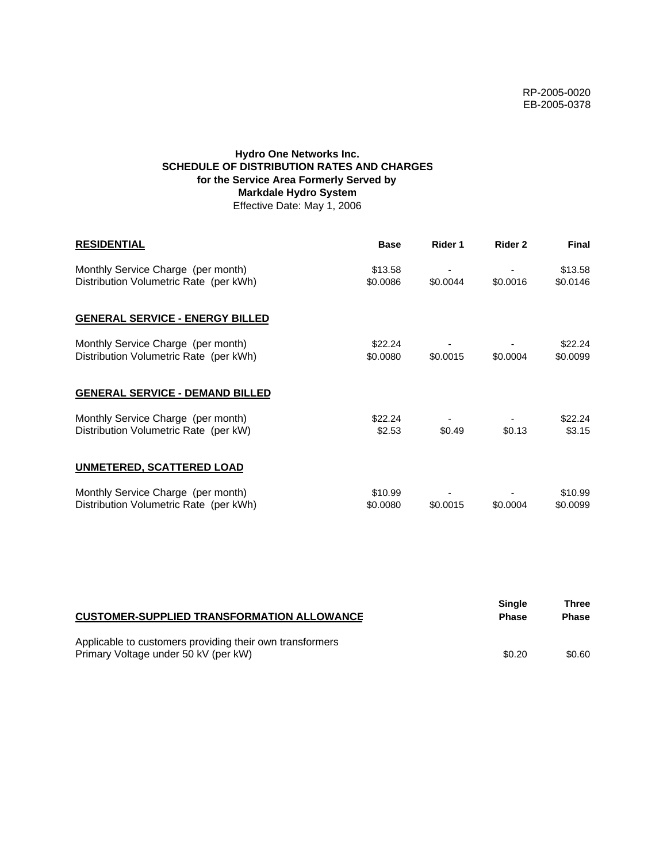# **Hydro One Networks Inc. SCHEDULE OF DISTRIBUTION RATES AND CHARGES for the Service Area Formerly Served by Markdale Hydro System** Effective Date: May 1, 2006

| <b>RESIDENTIAL</b>                                                           | <b>Base</b>         | Rider 1  | Rider 2  | <b>Final</b>        |
|------------------------------------------------------------------------------|---------------------|----------|----------|---------------------|
| Monthly Service Charge (per month)<br>Distribution Volumetric Rate (per kWh) | \$13.58<br>\$0.0086 | \$0.0044 | \$0.0016 | \$13.58<br>\$0.0146 |
| <b>GENERAL SERVICE - ENERGY BILLED</b>                                       |                     |          |          |                     |
| Monthly Service Charge (per month)<br>Distribution Volumetric Rate (per kWh) | \$22.24<br>\$0.0080 | \$0.0015 | \$0.0004 | \$22.24<br>\$0.0099 |
| <b>GENERAL SERVICE - DEMAND BILLED</b>                                       |                     |          |          |                     |
| Monthly Service Charge (per month)<br>Distribution Volumetric Rate (per kW)  | \$22.24<br>\$2.53   | \$0.49   | \$0.13   | \$22.24<br>\$3.15   |
| <b>UNMETERED, SCATTERED LOAD</b>                                             |                     |          |          |                     |
| Monthly Service Charge (per month)<br>Distribution Volumetric Rate (per kWh) | \$10.99<br>\$0.0080 | \$0.0015 | \$0.0004 | \$10.99<br>\$0.0099 |

| <b>CUSTOMER-SUPPLIED TRANSFORMATION ALLOWANCE</b>        | Single<br><b>Phase</b> | Three<br><b>Phase</b> |
|----------------------------------------------------------|------------------------|-----------------------|
| Applicable to customers providing their own transformers |                        |                       |
| Primary Voltage under 50 kV (per kW)                     | \$0.20                 | \$0.60                |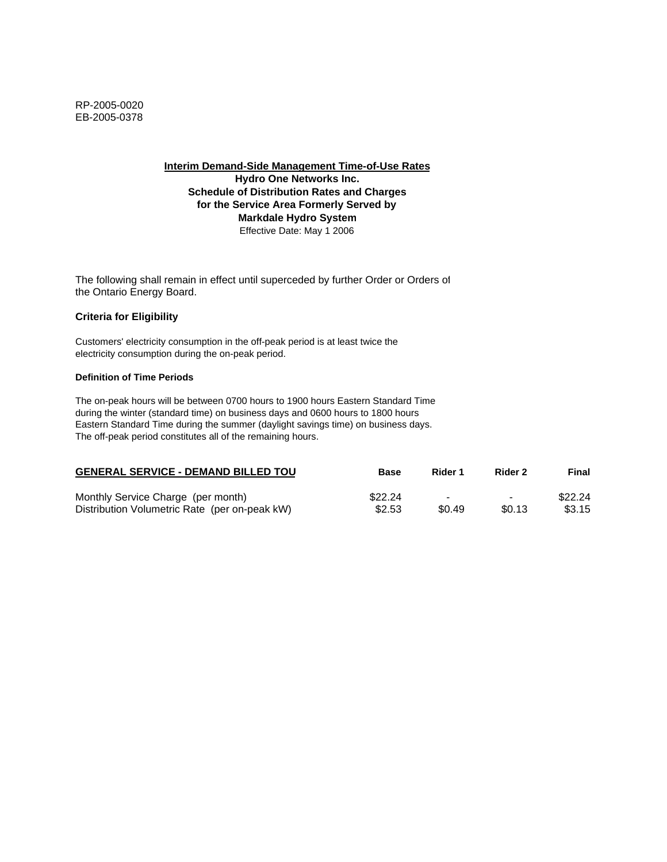**Interim Demand-Side Management Time-of-Use Rates Hydro One Networks Inc. Schedule of Distribution Rates and Charges for the Service Area Formerly Served by Markdale Hydro System** Effective Date: May 1 2006

The following shall remain in effect until superceded by further Order or Orders of the Ontario Energy Board.

### **Criteria for Eligibility**

Customers' electricity consumption in the off-peak period is at least twice the electricity consumption during the on-peak period.

### **Definition of Time Periods**

| <b>GENERAL SERVICE - DEMAND BILLED TOU</b>    | <b>Base</b> | Rider 1                  | Rider 2        | Final   |
|-----------------------------------------------|-------------|--------------------------|----------------|---------|
| Monthly Service Charge (per month)            | \$22.24     | $\overline{\phantom{a}}$ | $\blacksquare$ | \$22.24 |
| Distribution Volumetric Rate (per on-peak kW) | \$2.53      | \$0.49                   | \$0.13         | \$3.15  |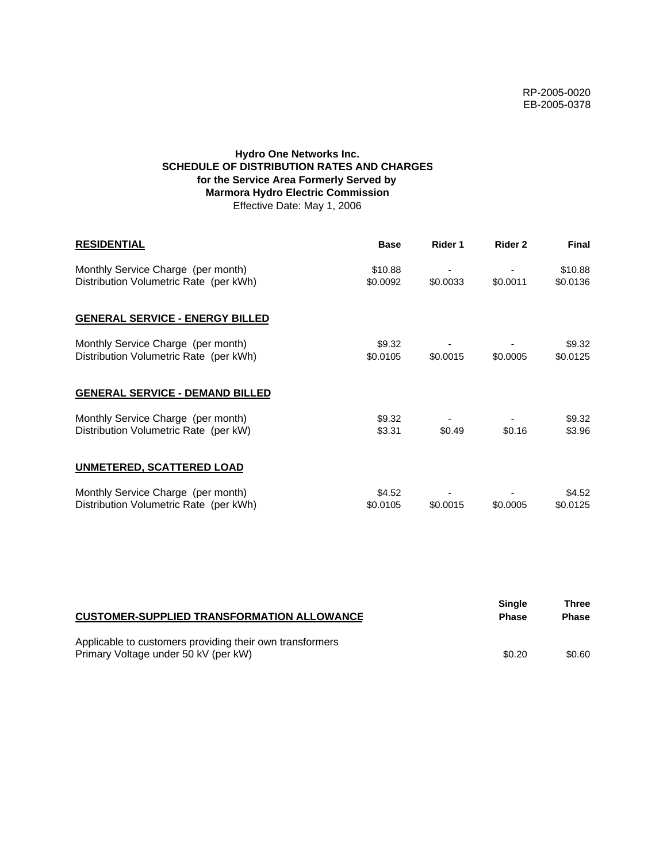# **Hydro One Networks Inc. SCHEDULE OF DISTRIBUTION RATES AND CHARGES for the Service Area Formerly Served by Marmora Hydro Electric Commission** Effective Date: May 1, 2006

| <b>RESIDENTIAL</b>                                                           | <b>Base</b>         | Rider 1  | Rider 2  | <b>Final</b>        |
|------------------------------------------------------------------------------|---------------------|----------|----------|---------------------|
| Monthly Service Charge (per month)<br>Distribution Volumetric Rate (per kWh) | \$10.88<br>\$0.0092 | \$0.0033 | \$0.0011 | \$10.88<br>\$0.0136 |
| <b>GENERAL SERVICE - ENERGY BILLED</b>                                       |                     |          |          |                     |
| Monthly Service Charge (per month)<br>Distribution Volumetric Rate (per kWh) | \$9.32<br>\$0.0105  | \$0.0015 | \$0.0005 | \$9.32<br>\$0.0125  |
| <b>GENERAL SERVICE - DEMAND BILLED</b>                                       |                     |          |          |                     |
| Monthly Service Charge (per month)<br>Distribution Volumetric Rate (per kW)  | \$9.32<br>\$3.31    | \$0.49   | \$0.16   | \$9.32<br>\$3.96    |
| UNMETERED, SCATTERED LOAD                                                    |                     |          |          |                     |
| Monthly Service Charge (per month)<br>Distribution Volumetric Rate (per kWh) | \$4.52<br>\$0.0105  | \$0.0015 | \$0.0005 | \$4.52<br>\$0.0125  |

| <b>CUSTOMER-SUPPLIED TRANSFORMATION ALLOWANCE</b>        | Single<br><b>Phase</b> | Three<br><b>Phase</b> |
|----------------------------------------------------------|------------------------|-----------------------|
| Applicable to customers providing their own transformers |                        |                       |
| Primary Voltage under 50 kV (per kW)                     | \$0.20                 | \$0.60                |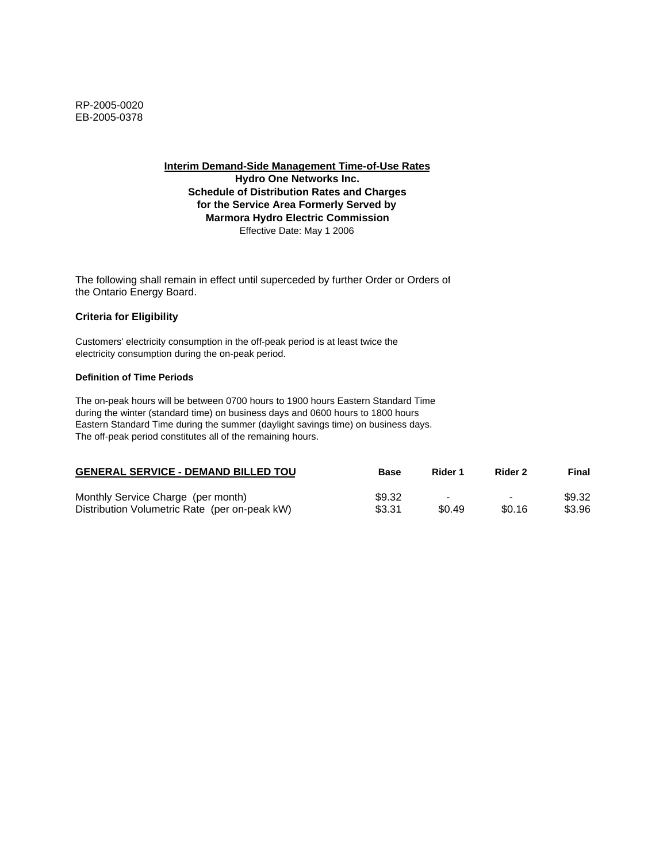**Interim Demand-Side Management Time-of-Use Rates Hydro One Networks Inc. Schedule of Distribution Rates and Charges for the Service Area Formerly Served by Marmora Hydro Electric Commission** Effective Date: May 1 2006

The following shall remain in effect until superceded by further Order or Orders of the Ontario Energy Board.

### **Criteria for Eligibility**

Customers' electricity consumption in the off-peak period is at least twice the electricity consumption during the on-peak period.

#### **Definition of Time Periods**

| <b>GENERAL SERVICE - DEMAND BILLED TOU</b>    | <b>Base</b> | Rider 1                  | Rider 2                  | Final  |
|-----------------------------------------------|-------------|--------------------------|--------------------------|--------|
| Monthly Service Charge (per month)            | \$9.32      | $\overline{\phantom{a}}$ | $\overline{\phantom{0}}$ | \$9.32 |
| Distribution Volumetric Rate (per on-peak kW) | \$3.31      | \$0.49                   | \$0.16                   | \$3.96 |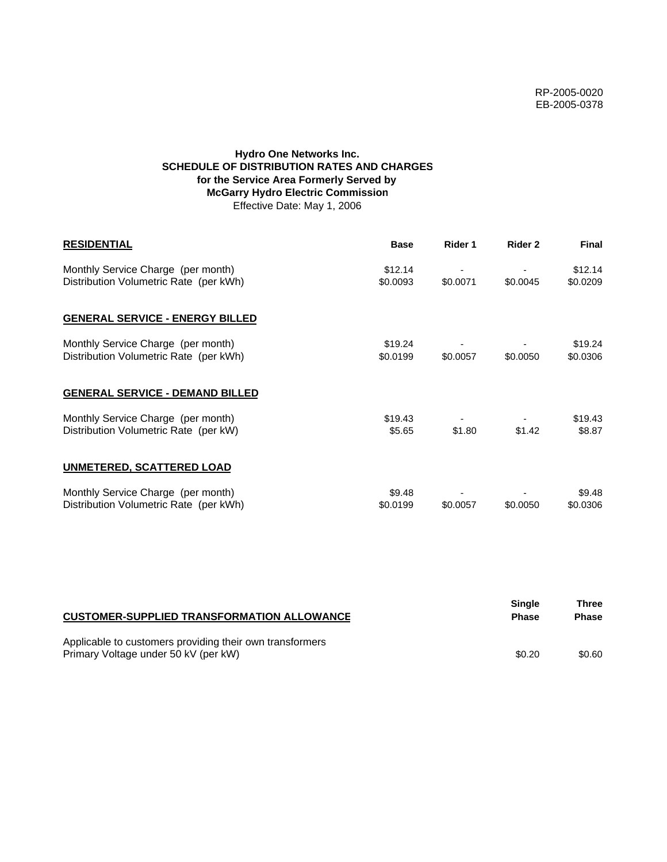# **Hydro One Networks Inc. SCHEDULE OF DISTRIBUTION RATES AND CHARGES for the Service Area Formerly Served by McGarry Hydro Electric Commission** Effective Date: May 1, 2006

| <b>RESIDENTIAL</b>                                                           | <b>Base</b>         | Rider 1  | Rider 2  | Final               |
|------------------------------------------------------------------------------|---------------------|----------|----------|---------------------|
| Monthly Service Charge (per month)<br>Distribution Volumetric Rate (per kWh) | \$12.14<br>\$0.0093 | \$0.0071 | \$0.0045 | \$12.14<br>\$0.0209 |
| <b>GENERAL SERVICE - ENERGY BILLED</b>                                       |                     |          |          |                     |
| Monthly Service Charge (per month)<br>Distribution Volumetric Rate (per kWh) | \$19.24<br>\$0.0199 | \$0.0057 | \$0.0050 | \$19.24<br>\$0.0306 |
| <b>GENERAL SERVICE - DEMAND BILLED</b>                                       |                     |          |          |                     |
| Monthly Service Charge (per month)<br>Distribution Volumetric Rate (per kW)  | \$19.43<br>\$5.65   | \$1.80   | \$1.42   | \$19.43<br>\$8.87   |
| <b>UNMETERED, SCATTERED LOAD</b>                                             |                     |          |          |                     |
| Monthly Service Charge (per month)<br>Distribution Volumetric Rate (per kWh) | \$9.48<br>\$0.0199  | \$0.0057 | \$0.0050 | \$9.48<br>\$0.0306  |

| <b>CUSTOMER-SUPPLIED TRANSFORMATION ALLOWANCE</b>                                                | <b>Single</b><br><b>Phase</b> | Three<br><b>Phase</b> |
|--------------------------------------------------------------------------------------------------|-------------------------------|-----------------------|
| Applicable to customers providing their own transformers<br>Primary Voltage under 50 kV (per kW) | \$0.20                        | \$0.60                |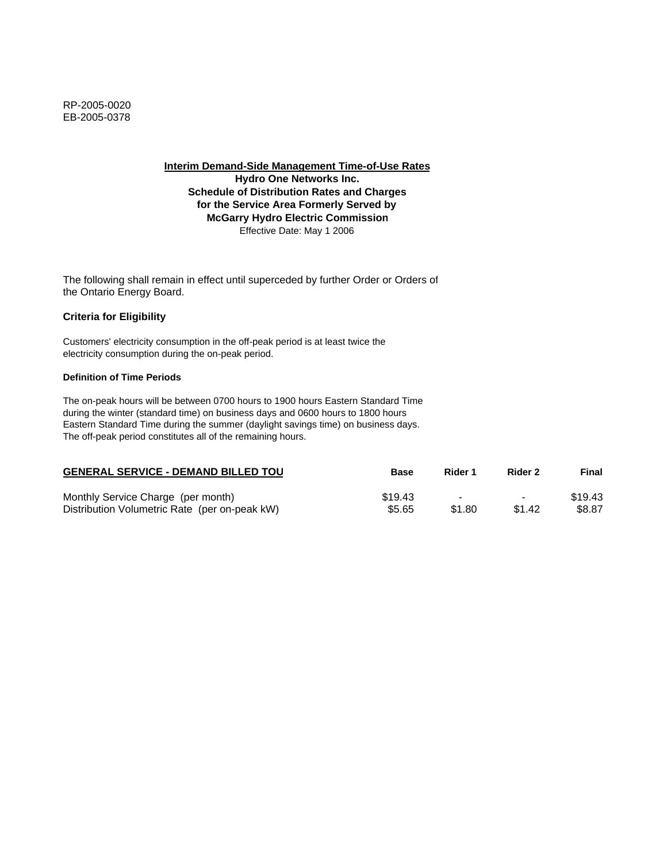**Interim Demand-Side Management Time-of-Use Rates**

**Hydro One Networks Inc. Schedule of Distribution Rates and Charges for the Service Area Formerly Served by McGarry Hydro Electric Commission** Effective Date: May 1 2006

The following shall remain in effect until superceded by further Order or Orders of the Ontario Energy Board.

# **Criteria for Eligibility**

Customers' electricity consumption in the off-peak period is at least twice the electricity consumption during the on-peak period.

### **Definition of Time Periods**

| <b>GENERAL SERVICE - DEMAND BILLED TOU</b>    | Base    | Rider 1 | Rider 2        | Final   |
|-----------------------------------------------|---------|---------|----------------|---------|
| Monthly Service Charge (per month)            | \$19.43 |         | $\blacksquare$ | \$19.43 |
| Distribution Volumetric Rate (per on-peak kW) | \$5.65  | \$1.80  | \$1.42         | \$8.87  |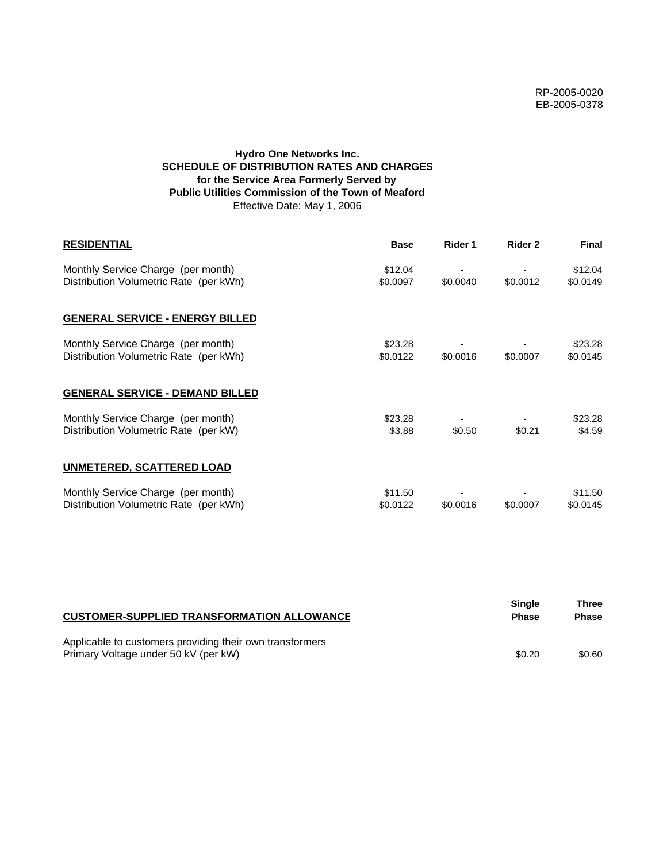# **Hydro One Networks Inc. SCHEDULE OF DISTRIBUTION RATES AND CHARGES for the Service Area Formerly Served by Public Utilities Commission of the Town of Meaford** Effective Date: May 1, 2006

| <b>RESIDENTIAL</b>                                                           | <b>Base</b>         | Rider 1  | Rider 2  | <b>Final</b>        |
|------------------------------------------------------------------------------|---------------------|----------|----------|---------------------|
| Monthly Service Charge (per month)<br>Distribution Volumetric Rate (per kWh) | \$12.04<br>\$0.0097 | \$0.0040 | \$0.0012 | \$12.04<br>\$0.0149 |
| <b>GENERAL SERVICE - ENERGY BILLED</b>                                       |                     |          |          |                     |
| Monthly Service Charge (per month)<br>Distribution Volumetric Rate (per kWh) | \$23.28<br>\$0.0122 | \$0.0016 | \$0.0007 | \$23.28<br>\$0.0145 |
| <b>GENERAL SERVICE - DEMAND BILLED</b>                                       |                     |          |          |                     |
| Monthly Service Charge (per month)<br>Distribution Volumetric Rate (per kW)  | \$23.28<br>\$3.88   | \$0.50   | \$0.21   | \$23.28<br>\$4.59   |
| <b>UNMETERED, SCATTERED LOAD</b>                                             |                     |          |          |                     |
| Monthly Service Charge (per month)<br>Distribution Volumetric Rate (per kWh) | \$11.50<br>\$0.0122 | \$0.0016 | \$0.0007 | \$11.50<br>\$0.0145 |

| <b>CUSTOMER-SUPPLIED TRANSFORMATION ALLOWANCE</b>                                                | Single<br><b>Phase</b> | Three<br><b>Phase</b> |
|--------------------------------------------------------------------------------------------------|------------------------|-----------------------|
| Applicable to customers providing their own transformers<br>Primary Voltage under 50 kV (per kW) | \$0.20                 | \$0.60                |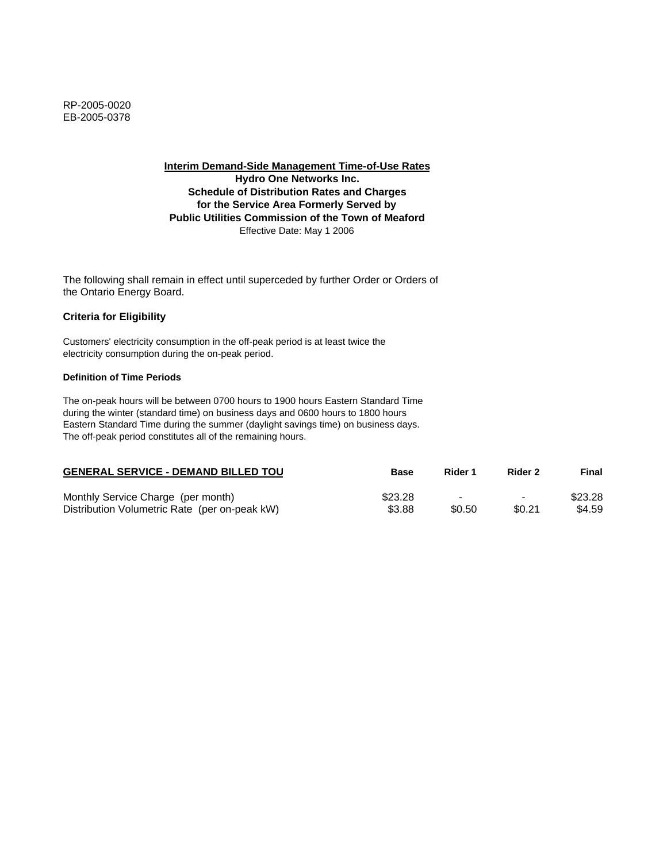**Interim Demand-Side Management Time-of-Use Rates Hydro One Networks Inc. Schedule of Distribution Rates and Charges for the Service Area Formerly Served by Public Utilities Commission of the Town of Meaford** Effective Date: May 1 2006

The following shall remain in effect until superceded by further Order or Orders of the Ontario Energy Board.

## **Criteria for Eligibility**

Customers' electricity consumption in the off-peak period is at least twice the electricity consumption during the on-peak period.

### **Definition of Time Periods**

| <b>GENERAL SERVICE - DEMAND BILLED TOU</b>    | Base    | Rider 1 | Rider 2                  | Final   |
|-----------------------------------------------|---------|---------|--------------------------|---------|
| Monthly Service Charge (per month)            | \$23.28 |         | $\overline{\phantom{0}}$ | \$23.28 |
| Distribution Volumetric Rate (per on-peak kW) | \$3.88  | \$0.50  | \$0.21                   | \$4.59  |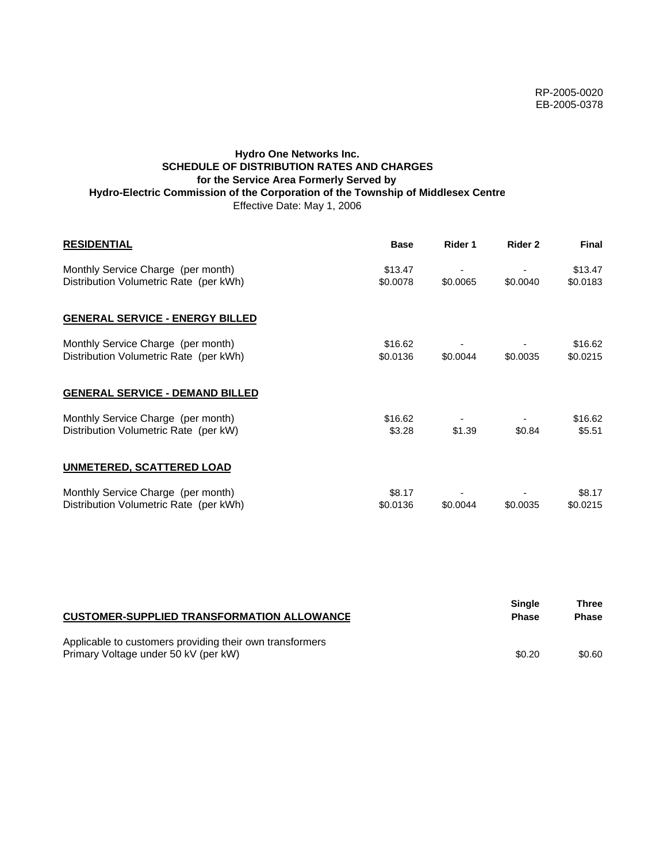# **Hydro One Networks Inc. SCHEDULE OF DISTRIBUTION RATES AND CHARGES for the Service Area Formerly Served by Hydro-Electric Commission of the Corporation of the Township of Middlesex Centre** Effective Date: May 1, 2006

| <b>RESIDENTIAL</b>                                                           | <b>Base</b>         | Rider 1  | Rider 2  | <b>Final</b>        |
|------------------------------------------------------------------------------|---------------------|----------|----------|---------------------|
| Monthly Service Charge (per month)<br>Distribution Volumetric Rate (per kWh) | \$13.47<br>\$0.0078 | \$0.0065 | \$0.0040 | \$13.47<br>\$0.0183 |
| <b>GENERAL SERVICE - ENERGY BILLED</b>                                       |                     |          |          |                     |
| Monthly Service Charge (per month)<br>Distribution Volumetric Rate (per kWh) | \$16.62<br>\$0.0136 | \$0.0044 | \$0.0035 | \$16.62<br>\$0.0215 |
| <b>GENERAL SERVICE - DEMAND BILLED</b>                                       |                     |          |          |                     |
| Monthly Service Charge (per month)<br>Distribution Volumetric Rate (per kW)  | \$16.62<br>\$3.28   | \$1.39   | \$0.84   | \$16.62<br>\$5.51   |
| UNMETERED, SCATTERED LOAD                                                    |                     |          |          |                     |
| Monthly Service Charge (per month)<br>Distribution Volumetric Rate (per kWh) | \$8.17<br>\$0.0136  | \$0.0044 | \$0.0035 | \$8.17<br>\$0.0215  |

| <b>CUSTOMER-SUPPLIED TRANSFORMATION ALLOWANCE</b>                                                | <b>Single</b><br><b>Phase</b> | Three<br><b>Phase</b> |
|--------------------------------------------------------------------------------------------------|-------------------------------|-----------------------|
| Applicable to customers providing their own transformers<br>Primary Voltage under 50 kV (per kW) | \$0.20                        | \$0.60                |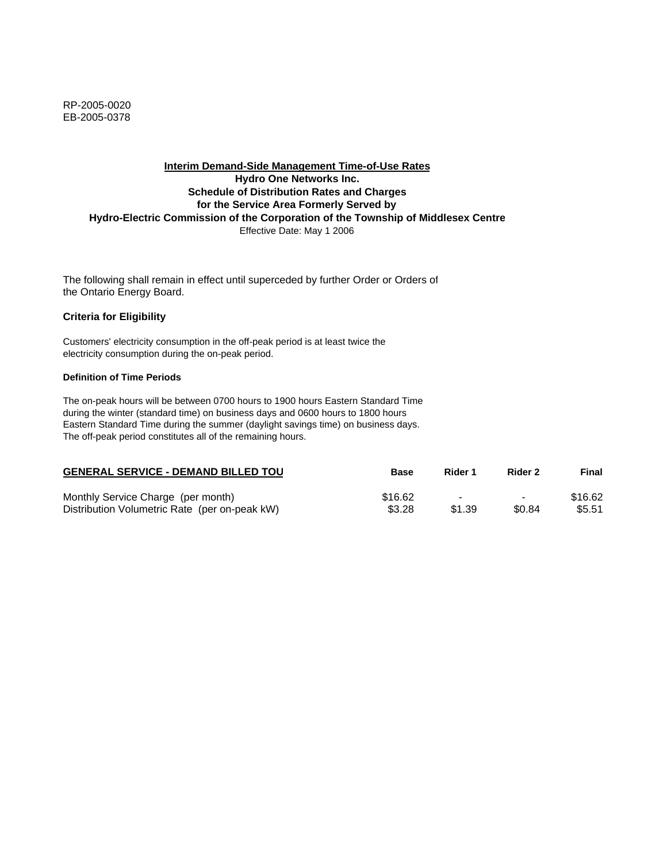RP-2005-0020 EB-2005-0378

## **Interim Demand-Side Management Time-of-Use Rates Hydro One Networks Inc. Schedule of Distribution Rates and Charges for the Service Area Formerly Served by Hydro-Electric Commission of the Corporation of the Township of Middlesex Centre** Effective Date: May 1 2006

The following shall remain in effect until superceded by further Order or Orders of the Ontario Energy Board.

### **Criteria for Eligibility**

Customers' electricity consumption in the off-peak period is at least twice the electricity consumption during the on-peak period.

### **Definition of Time Periods**

| <b>GENERAL SERVICE - DEMAND BILLED TOU</b>    | Base    | Rider 1                  | Rider 2                  | Final   |
|-----------------------------------------------|---------|--------------------------|--------------------------|---------|
| Monthly Service Charge (per month)            | \$16.62 | $\overline{\phantom{a}}$ | $\overline{\phantom{0}}$ | \$16.62 |
| Distribution Volumetric Rate (per on-peak kW) | \$3.28  | \$1.39                   | \$0.84                   | \$5.51  |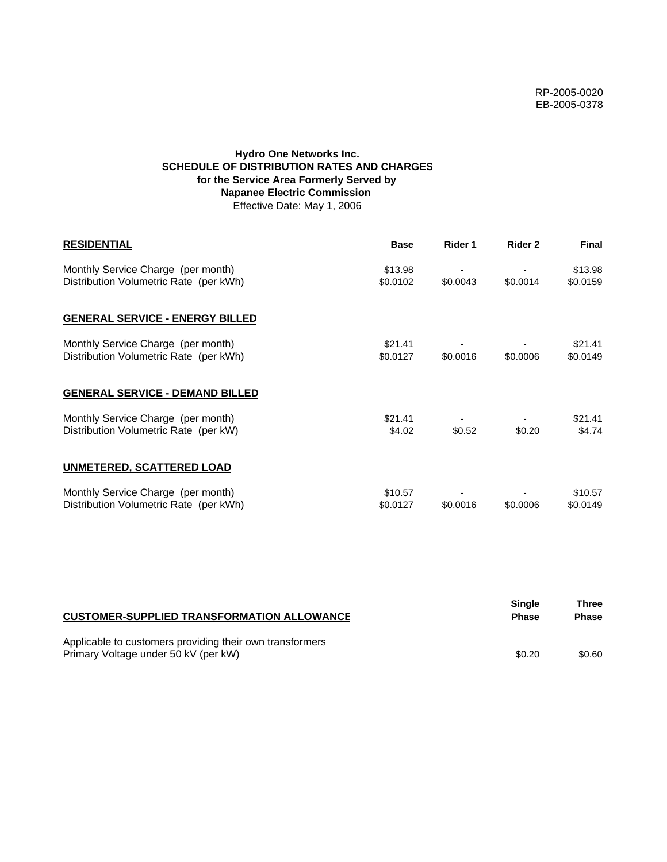# **Hydro One Networks Inc. SCHEDULE OF DISTRIBUTION RATES AND CHARGES for the Service Area Formerly Served by Napanee Electric Commission**  Effective Date: May 1, 2006

| <b>RESIDENTIAL</b>                                                           | <b>Base</b>         | Rider 1  | Rider 2  | <b>Final</b>        |
|------------------------------------------------------------------------------|---------------------|----------|----------|---------------------|
| Monthly Service Charge (per month)<br>Distribution Volumetric Rate (per kWh) | \$13.98<br>\$0.0102 | \$0.0043 | \$0.0014 | \$13.98<br>\$0.0159 |
| <b>GENERAL SERVICE - ENERGY BILLED</b>                                       |                     |          |          |                     |
| Monthly Service Charge (per month)<br>Distribution Volumetric Rate (per kWh) | \$21.41<br>\$0.0127 | \$0.0016 | \$0.0006 | \$21.41<br>\$0.0149 |
| <b>GENERAL SERVICE - DEMAND BILLED</b>                                       |                     |          |          |                     |
| Monthly Service Charge (per month)<br>Distribution Volumetric Rate (per kW)  | \$21.41<br>\$4.02   | \$0.52   | \$0.20   | \$21.41<br>\$4.74   |
| <b>UNMETERED, SCATTERED LOAD</b>                                             |                     |          |          |                     |
| Monthly Service Charge (per month)<br>Distribution Volumetric Rate (per kWh) | \$10.57<br>\$0.0127 | \$0.0016 | \$0.0006 | \$10.57<br>\$0.0149 |

| <b>CUSTOMER-SUPPLIED TRANSFORMATION ALLOWANCE</b>                                                | Single<br><b>Phase</b> | Three<br><b>Phase</b> |
|--------------------------------------------------------------------------------------------------|------------------------|-----------------------|
| Applicable to customers providing their own transformers<br>Primary Voltage under 50 kV (per kW) | \$0.20                 | \$0.60                |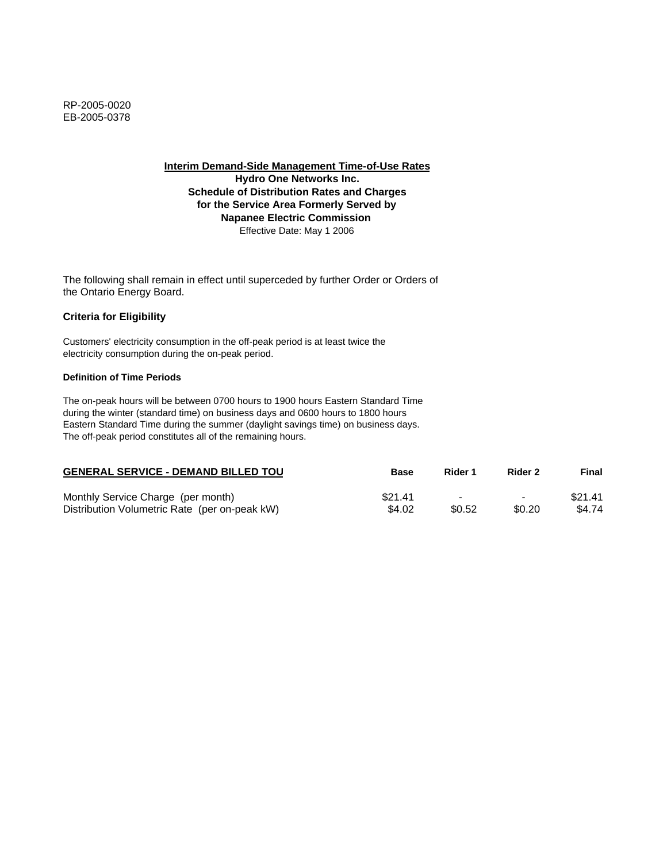**Interim Demand-Side Management Time-of-Use Rates**

**Hydro One Networks Inc. Schedule of Distribution Rates and Charges for the Service Area Formerly Served by Napanee Electric Commission**  Effective Date: May 1 2006

The following shall remain in effect until superceded by further Order or Orders of the Ontario Energy Board.

## **Criteria for Eligibility**

Customers' electricity consumption in the off-peak period is at least twice the electricity consumption during the on-peak period.

### **Definition of Time Periods**

| <b>GENERAL SERVICE - DEMAND BILLED TOU</b>    | Base    | Rider 1 | Rider 2                  | Final   |
|-----------------------------------------------|---------|---------|--------------------------|---------|
| Monthly Service Charge (per month)            | \$21.41 |         | $\overline{\phantom{0}}$ | \$21.41 |
| Distribution Volumetric Rate (per on-peak kW) | \$4.02  | \$0.52  | \$0.20                   | \$4.74  |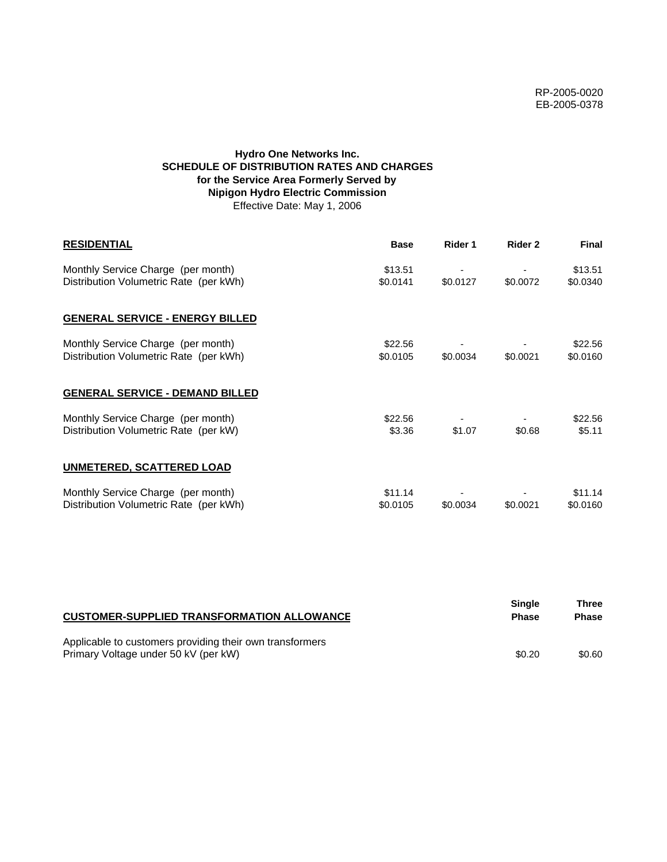# **Hydro One Networks Inc. SCHEDULE OF DISTRIBUTION RATES AND CHARGES for the Service Area Formerly Served by Nipigon Hydro Electric Commission** Effective Date: May 1, 2006

| <b>RESIDENTIAL</b>                                                           | <b>Base</b>         | Rider 1  | Rider 2  | <b>Final</b>        |
|------------------------------------------------------------------------------|---------------------|----------|----------|---------------------|
| Monthly Service Charge (per month)<br>Distribution Volumetric Rate (per kWh) | \$13.51<br>\$0.0141 | \$0.0127 | \$0.0072 | \$13.51<br>\$0.0340 |
| <b>GENERAL SERVICE - ENERGY BILLED</b>                                       |                     |          |          |                     |
| Monthly Service Charge (per month)<br>Distribution Volumetric Rate (per kWh) | \$22.56<br>\$0.0105 | \$0.0034 | \$0.0021 | \$22.56<br>\$0.0160 |
| <b>GENERAL SERVICE - DEMAND BILLED</b>                                       |                     |          |          |                     |
| Monthly Service Charge (per month)<br>Distribution Volumetric Rate (per kW)  | \$22.56<br>\$3.36   | \$1.07   | \$0.68   | \$22.56<br>\$5.11   |
| <b>UNMETERED, SCATTERED LOAD</b>                                             |                     |          |          |                     |
| Monthly Service Charge (per month)<br>Distribution Volumetric Rate (per kWh) | \$11.14<br>\$0.0105 | \$0.0034 | \$0.0021 | \$11.14<br>\$0.0160 |

| <b>CUSTOMER-SUPPLIED TRANSFORMATION ALLOWANCE</b>                                                | <b>Single</b><br><b>Phase</b> | Three<br><b>Phase</b> |
|--------------------------------------------------------------------------------------------------|-------------------------------|-----------------------|
| Applicable to customers providing their own transformers<br>Primary Voltage under 50 kV (per kW) | \$0.20                        | \$0.60                |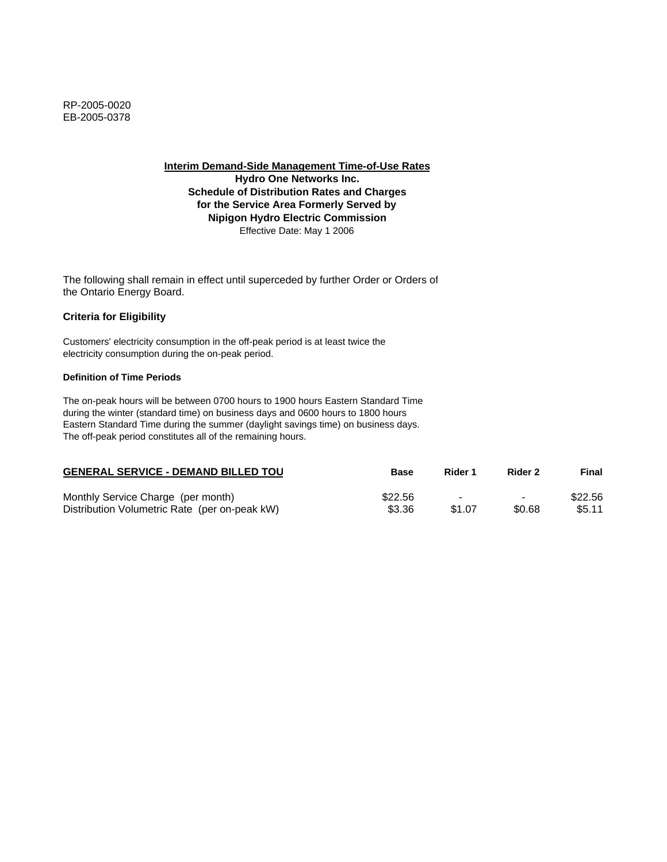**Interim Demand-Side Management Time-of-Use Rates**

**Hydro One Networks Inc. Schedule of Distribution Rates and Charges for the Service Area Formerly Served by Nipigon Hydro Electric Commission** Effective Date: May 1 2006

The following shall remain in effect until superceded by further Order or Orders of the Ontario Energy Board.

## **Criteria for Eligibility**

Customers' electricity consumption in the off-peak period is at least twice the electricity consumption during the on-peak period.

### **Definition of Time Periods**

| <b>GENERAL SERVICE - DEMAND BILLED TOU</b>    | Base    | Rider 1 | Rider 2                  | Final   |
|-----------------------------------------------|---------|---------|--------------------------|---------|
| Monthly Service Charge (per month)            | \$22.56 |         | $\overline{\phantom{0}}$ | \$22.56 |
| Distribution Volumetric Rate (per on-peak kW) | \$3.36  | \$1.07  | \$0.68                   | \$5.11  |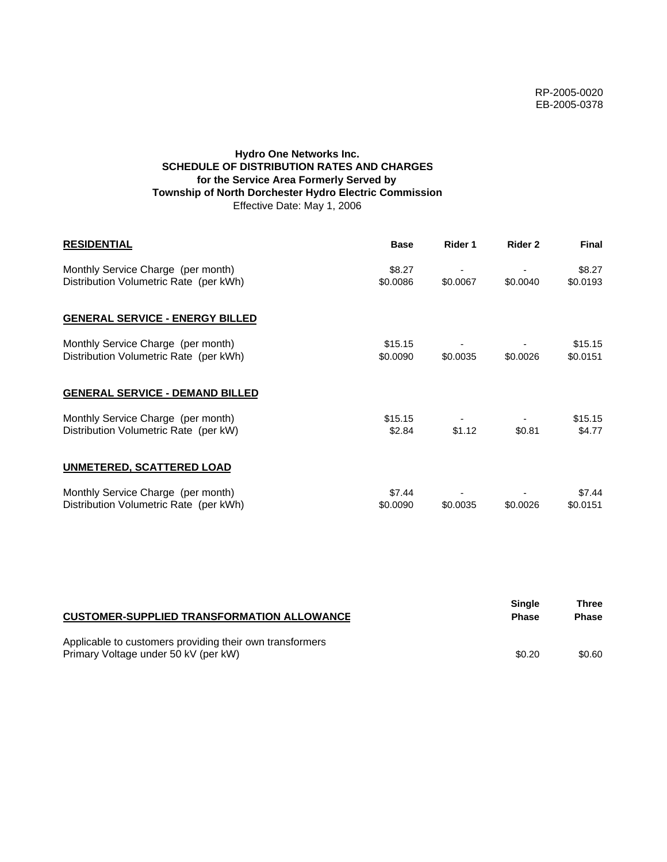# **Hydro One Networks Inc. SCHEDULE OF DISTRIBUTION RATES AND CHARGES for the Service Area Formerly Served by Township of North Dorchester Hydro Electric Commission** Effective Date: May 1, 2006

| <b>RESIDENTIAL</b>                                                           | <b>Base</b>         | Rider 1  | Rider 2  | <b>Final</b>        |
|------------------------------------------------------------------------------|---------------------|----------|----------|---------------------|
| Monthly Service Charge (per month)<br>Distribution Volumetric Rate (per kWh) | \$8.27<br>\$0.0086  | \$0.0067 | \$0.0040 | \$8.27<br>\$0.0193  |
| <b>GENERAL SERVICE - ENERGY BILLED</b>                                       |                     |          |          |                     |
| Monthly Service Charge (per month)<br>Distribution Volumetric Rate (per kWh) | \$15.15<br>\$0.0090 | \$0.0035 | \$0.0026 | \$15.15<br>\$0.0151 |
| <b>GENERAL SERVICE - DEMAND BILLED</b>                                       |                     |          |          |                     |
| Monthly Service Charge (per month)<br>Distribution Volumetric Rate (per kW)  | \$15.15<br>\$2.84   | \$1.12   | \$0.81   | \$15.15<br>\$4.77   |
| <b>UNMETERED, SCATTERED LOAD</b>                                             |                     |          |          |                     |
| Monthly Service Charge (per month)<br>Distribution Volumetric Rate (per kWh) | \$7.44<br>\$0.0090  | \$0.0035 | \$0.0026 | \$7.44<br>\$0.0151  |

| <b>CUSTOMER-SUPPLIED TRANSFORMATION ALLOWANCE</b>                                                | Single<br><b>Phase</b> | Three<br><b>Phase</b> |
|--------------------------------------------------------------------------------------------------|------------------------|-----------------------|
| Applicable to customers providing their own transformers<br>Primary Voltage under 50 kV (per kW) | \$0.20                 | \$0.60                |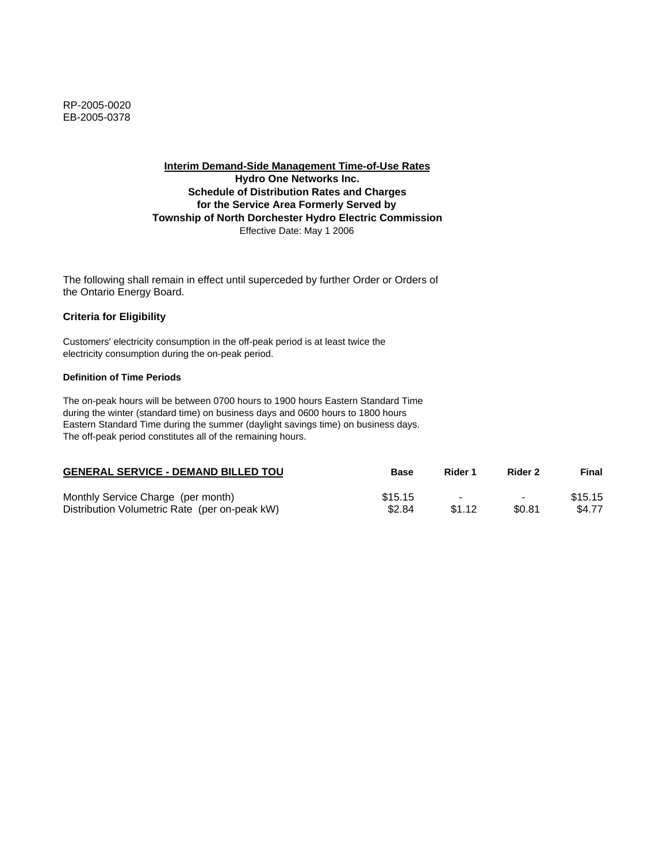**Interim Demand-Side Management Time-of-Use Rates Hydro One Networks Inc. Schedule of Distribution Rates and Charges for the Service Area Formerly Served by Township of North Dorchester Hydro Electric Commission** Effective Date: May 1 2006

The following shall remain in effect until superceded by further Order or Orders of the Ontario Energy Board.

## **Criteria for Eligibility**

Customers' electricity consumption in the off-peak period is at least twice the electricity consumption during the on-peak period.

### **Definition of Time Periods**

| <b>GENERAL SERVICE - DEMAND BILLED TOU</b>    | <b>Base</b> | Rider 1                  | Rider 2                  | Final   |
|-----------------------------------------------|-------------|--------------------------|--------------------------|---------|
| Monthly Service Charge (per month)            | \$15.15     | $\overline{\phantom{0}}$ | $\overline{\phantom{0}}$ | \$15.15 |
| Distribution Volumetric Rate (per on-peak kW) | \$2.84      | \$1.12                   | \$0.81                   | \$4.77  |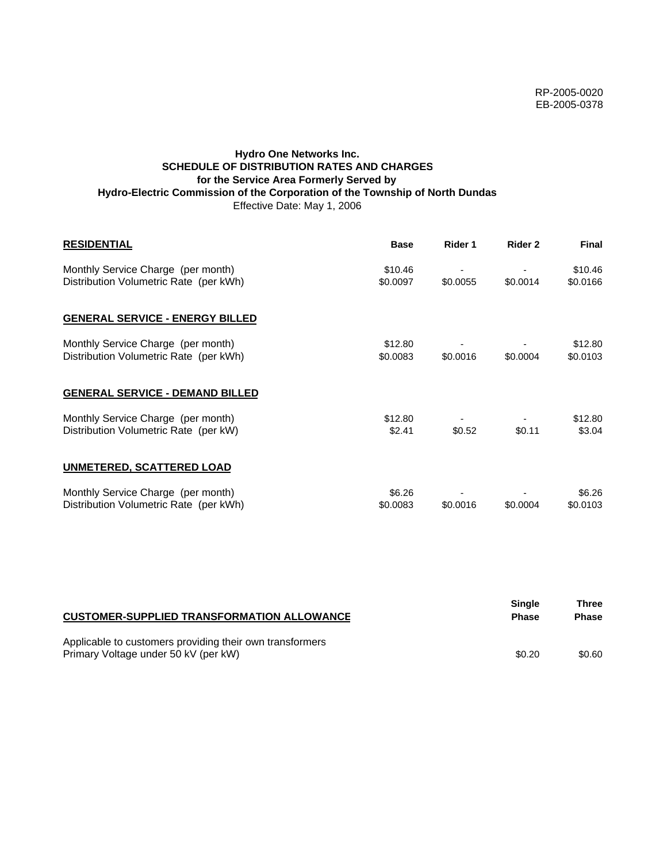# **Hydro One Networks Inc. SCHEDULE OF DISTRIBUTION RATES AND CHARGES for the Service Area Formerly Served by Hydro-Electric Commission of the Corporation of the Township of North Dundas** Effective Date: May 1, 2006

| <b>RESIDENTIAL</b>                                                           | <b>Base</b>         | Rider 1  | Rider 2  | <b>Final</b>        |
|------------------------------------------------------------------------------|---------------------|----------|----------|---------------------|
| Monthly Service Charge (per month)<br>Distribution Volumetric Rate (per kWh) | \$10.46<br>\$0.0097 | \$0.0055 | \$0.0014 | \$10.46<br>\$0.0166 |
| <b>GENERAL SERVICE - ENERGY BILLED</b>                                       |                     |          |          |                     |
| Monthly Service Charge (per month)<br>Distribution Volumetric Rate (per kWh) | \$12.80<br>\$0.0083 | \$0.0016 | \$0.0004 | \$12.80<br>\$0.0103 |
| <b>GENERAL SERVICE - DEMAND BILLED</b>                                       |                     |          |          |                     |
| Monthly Service Charge (per month)<br>Distribution Volumetric Rate (per kW)  | \$12.80<br>\$2.41   | \$0.52   | \$0.11   | \$12.80<br>\$3.04   |
| <b>UNMETERED, SCATTERED LOAD</b>                                             |                     |          |          |                     |
| Monthly Service Charge (per month)<br>Distribution Volumetric Rate (per kWh) | \$6.26<br>\$0.0083  | \$0.0016 | \$0.0004 | \$6.26<br>\$0.0103  |

| <b>CUSTOMER-SUPPLIED TRANSFORMATION ALLOWANCE</b>                                                | Single<br><b>Phase</b> | Three<br><b>Phase</b> |
|--------------------------------------------------------------------------------------------------|------------------------|-----------------------|
| Applicable to customers providing their own transformers<br>Primary Voltage under 50 kV (per kW) | \$0.20                 | \$0.60                |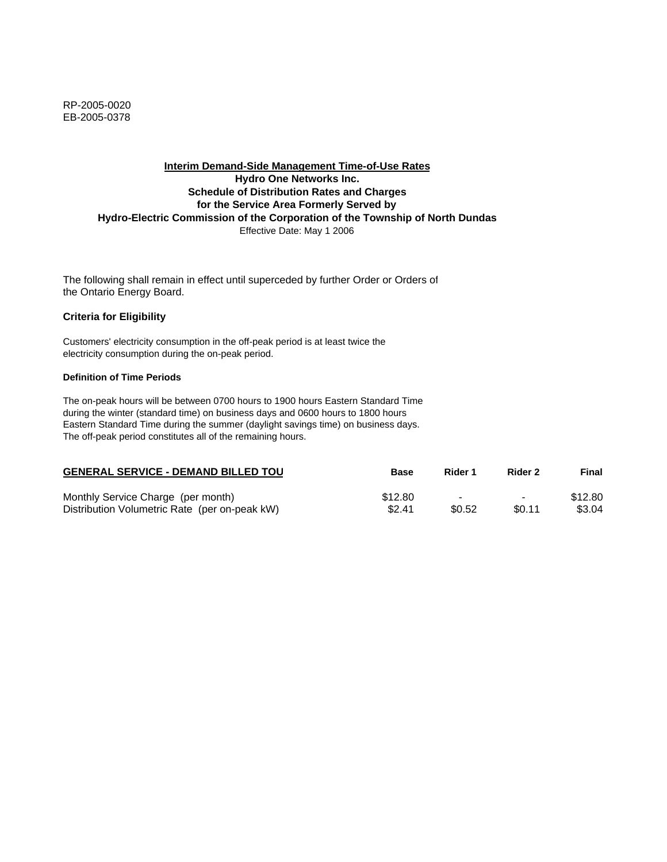RP-2005-0020 EB-2005-0378

## **Interim Demand-Side Management Time-of-Use Rates Hydro One Networks Inc. Schedule of Distribution Rates and Charges for the Service Area Formerly Served by Hydro-Electric Commission of the Corporation of the Township of North Dundas** Effective Date: May 1 2006

The following shall remain in effect until superceded by further Order or Orders of the Ontario Energy Board.

#### **Criteria for Eligibility**

Customers' electricity consumption in the off-peak period is at least twice the electricity consumption during the on-peak period.

#### **Definition of Time Periods**

| <b>GENERAL SERVICE - DEMAND BILLED TOU</b>    | Base    | Rider 1 | Rider 2                  | Final   |
|-----------------------------------------------|---------|---------|--------------------------|---------|
| Monthly Service Charge (per month)            | \$12.80 |         | $\overline{\phantom{0}}$ | \$12.80 |
| Distribution Volumetric Rate (per on-peak kW) | \$2.41  | \$0.52  | \$0.11                   | \$3.04  |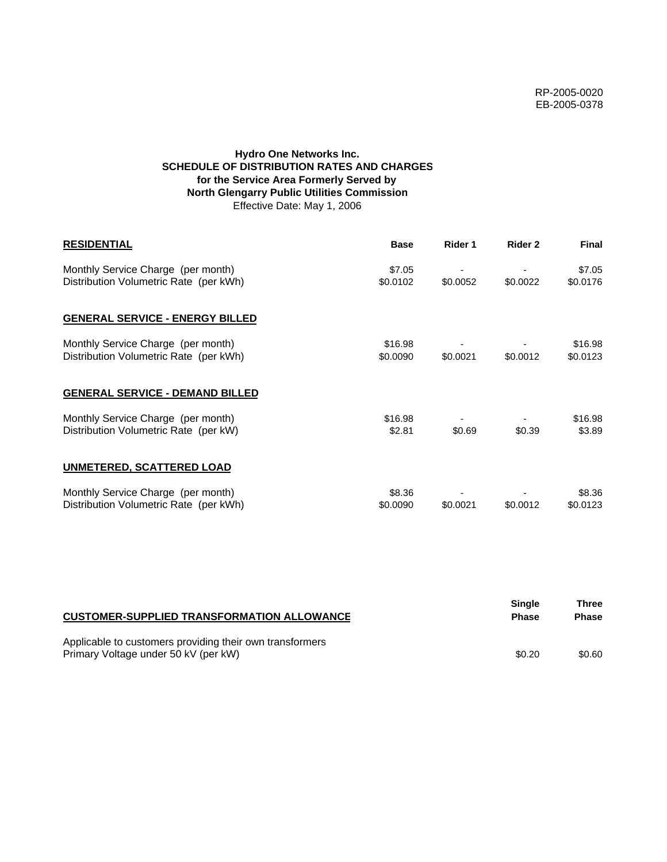# **Hydro One Networks Inc. SCHEDULE OF DISTRIBUTION RATES AND CHARGES for the Service Area Formerly Served by North Glengarry Public Utilities Commission** Effective Date: May 1, 2006

| <b>RESIDENTIAL</b>                                                           | <b>Base</b>         | Rider 1  | Rider 2  | <b>Final</b>        |
|------------------------------------------------------------------------------|---------------------|----------|----------|---------------------|
| Monthly Service Charge (per month)<br>Distribution Volumetric Rate (per kWh) | \$7.05<br>\$0.0102  | \$0.0052 | \$0.0022 | \$7.05<br>\$0.0176  |
| <b>GENERAL SERVICE - ENERGY BILLED</b>                                       |                     |          |          |                     |
| Monthly Service Charge (per month)<br>Distribution Volumetric Rate (per kWh) | \$16.98<br>\$0.0090 | \$0.0021 | \$0.0012 | \$16.98<br>\$0.0123 |
| <b>GENERAL SERVICE - DEMAND BILLED</b>                                       |                     |          |          |                     |
| Monthly Service Charge (per month)<br>Distribution Volumetric Rate (per kW)  | \$16.98<br>\$2.81   | \$0.69   | \$0.39   | \$16.98<br>\$3.89   |
| <b>UNMETERED, SCATTERED LOAD</b>                                             |                     |          |          |                     |
| Monthly Service Charge (per month)<br>Distribution Volumetric Rate (per kWh) | \$8.36<br>\$0.0090  | \$0.0021 | \$0.0012 | \$8.36<br>\$0.0123  |

| <b>CUSTOMER-SUPPLIED TRANSFORMATION ALLOWANCE</b>                                                | Single<br><b>Phase</b> | Three<br><b>Phase</b> |
|--------------------------------------------------------------------------------------------------|------------------------|-----------------------|
| Applicable to customers providing their own transformers<br>Primary Voltage under 50 kV (per kW) | \$0.20                 | \$0.60                |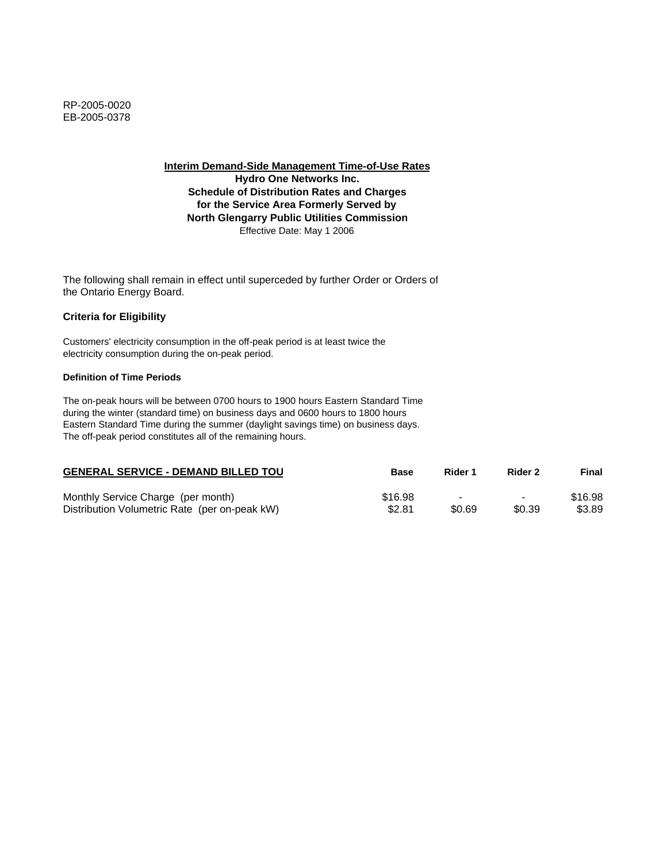**Hydro One Networks Inc. Schedule of Distribution Rates and Charges for the Service Area Formerly Served by North Glengarry Public Utilities Commission** Effective Date: May 1 2006

The following shall remain in effect until superceded by further Order or Orders of the Ontario Energy Board.

# **Criteria for Eligibility**

Customers' electricity consumption in the off-peak period is at least twice the electricity consumption during the on-peak period.

### **Definition of Time Periods**

| <b>GENERAL SERVICE - DEMAND BILLED TOU</b>    | <b>Base</b> | Rider 1                  | Rider 2                  | Final   |
|-----------------------------------------------|-------------|--------------------------|--------------------------|---------|
| Monthly Service Charge (per month)            | \$16.98     | $\overline{\phantom{0}}$ | $\overline{\phantom{0}}$ | \$16.98 |
| Distribution Volumetric Rate (per on-peak kW) | \$2.81      | \$0.69                   | \$0.39                   | \$3.89  |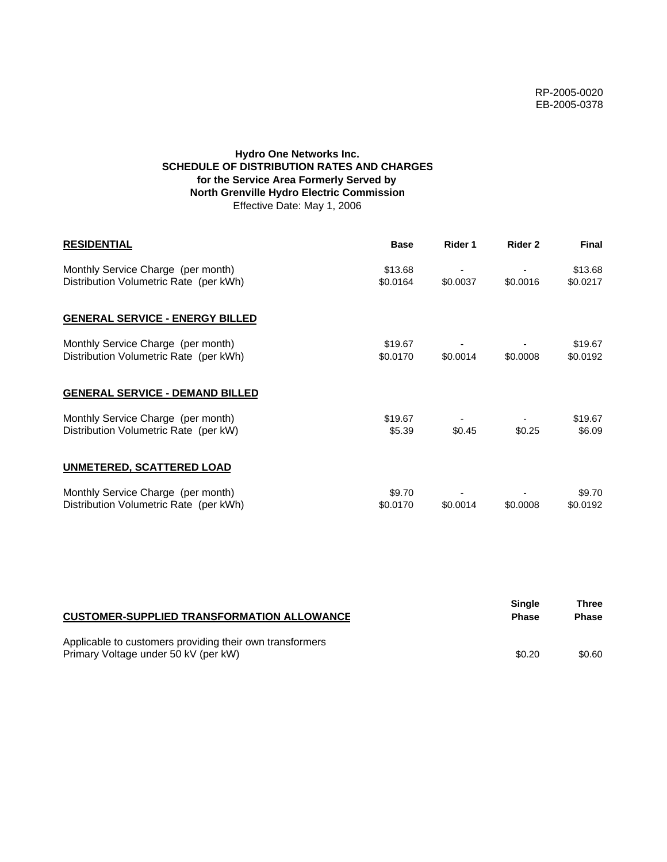# **Hydro One Networks Inc. SCHEDULE OF DISTRIBUTION RATES AND CHARGES for the Service Area Formerly Served by North Grenville Hydro Electric Commission** Effective Date: May 1, 2006

| <b>RESIDENTIAL</b>                                                           | <b>Base</b>         | Rider 1  | Rider 2  | <b>Final</b>        |
|------------------------------------------------------------------------------|---------------------|----------|----------|---------------------|
| Monthly Service Charge (per month)<br>Distribution Volumetric Rate (per kWh) | \$13.68<br>\$0.0164 | \$0.0037 | \$0.0016 | \$13.68<br>\$0.0217 |
| <b>GENERAL SERVICE - ENERGY BILLED</b>                                       |                     |          |          |                     |
| Monthly Service Charge (per month)<br>Distribution Volumetric Rate (per kWh) | \$19.67<br>\$0.0170 | \$0.0014 | \$0.0008 | \$19.67<br>\$0.0192 |
| <b>GENERAL SERVICE - DEMAND BILLED</b>                                       |                     |          |          |                     |
| Monthly Service Charge (per month)<br>Distribution Volumetric Rate (per kW)  | \$19.67<br>\$5.39   | \$0.45   | \$0.25   | \$19.67<br>\$6.09   |
| <b>UNMETERED, SCATTERED LOAD</b>                                             |                     |          |          |                     |
| Monthly Service Charge (per month)<br>Distribution Volumetric Rate (per kWh) | \$9.70<br>\$0.0170  | \$0.0014 | \$0.0008 | \$9.70<br>\$0.0192  |

| <b>CUSTOMER-SUPPLIED TRANSFORMATION ALLOWANCE</b>                                                | Single<br><b>Phase</b> | Three<br><b>Phase</b> |
|--------------------------------------------------------------------------------------------------|------------------------|-----------------------|
| Applicable to customers providing their own transformers<br>Primary Voltage under 50 kV (per kW) | \$0.20                 | \$0.60                |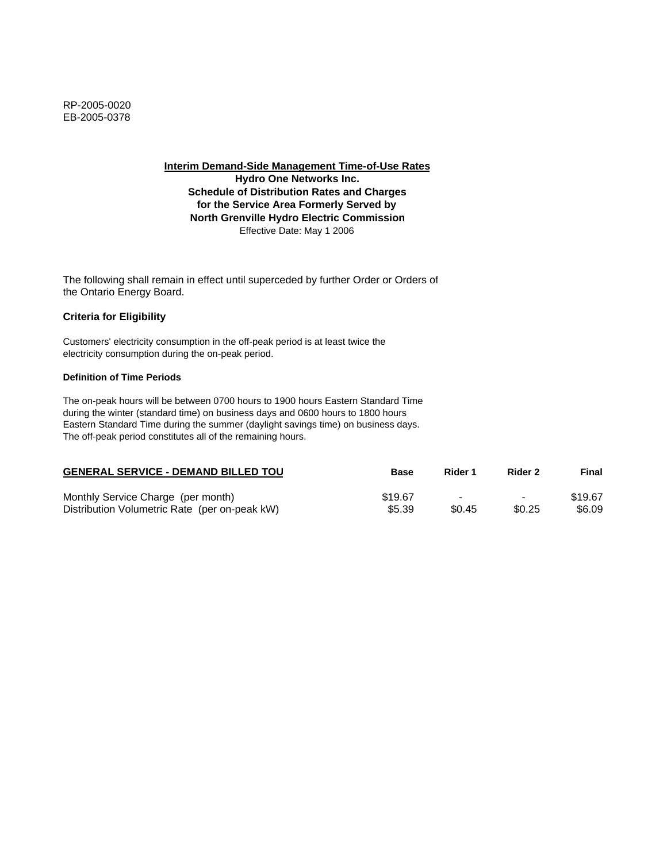**Hydro One Networks Inc. Schedule of Distribution Rates and Charges for the Service Area Formerly Served by North Grenville Hydro Electric Commission** Effective Date: May 1 2006

The following shall remain in effect until superceded by further Order or Orders of the Ontario Energy Board.

## **Criteria for Eligibility**

Customers' electricity consumption in the off-peak period is at least twice the electricity consumption during the on-peak period.

### **Definition of Time Periods**

| <b>GENERAL SERVICE - DEMAND BILLED TOU</b>    | <b>Base</b> | Rider 1                  | Rider 2                  | Final   |
|-----------------------------------------------|-------------|--------------------------|--------------------------|---------|
| Monthly Service Charge (per month)            | \$19.67     | $\overline{\phantom{0}}$ | $\overline{\phantom{0}}$ | \$19.67 |
| Distribution Volumetric Rate (per on-peak kW) | \$5.39      | \$0.45                   | \$0.25                   | \$6.09  |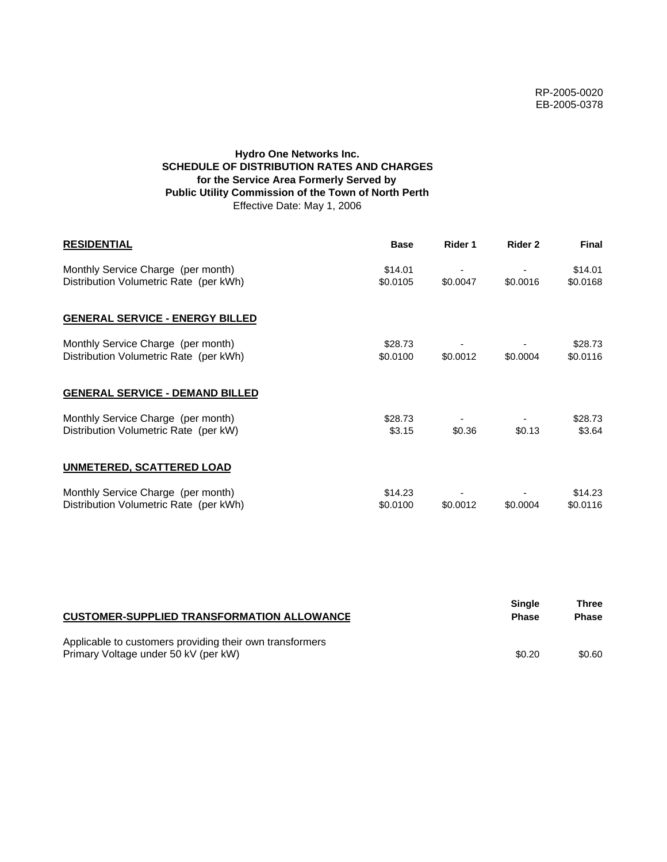# **Hydro One Networks Inc. SCHEDULE OF DISTRIBUTION RATES AND CHARGES for the Service Area Formerly Served by Public Utility Commission of the Town of North Perth** Effective Date: May 1, 2006

| <b>RESIDENTIAL</b>                                                           | <b>Base</b>         | Rider 1  | Rider 2  | <b>Final</b>        |
|------------------------------------------------------------------------------|---------------------|----------|----------|---------------------|
| Monthly Service Charge (per month)<br>Distribution Volumetric Rate (per kWh) | \$14.01<br>\$0.0105 | \$0.0047 | \$0.0016 | \$14.01<br>\$0.0168 |
| <b>GENERAL SERVICE - ENERGY BILLED</b>                                       |                     |          |          |                     |
| Monthly Service Charge (per month)<br>Distribution Volumetric Rate (per kWh) | \$28.73<br>\$0.0100 | \$0.0012 | \$0.0004 | \$28.73<br>\$0.0116 |
| <b>GENERAL SERVICE - DEMAND BILLED</b>                                       |                     |          |          |                     |
| Monthly Service Charge (per month)<br>Distribution Volumetric Rate (per kW)  | \$28.73<br>\$3.15   | \$0.36   | \$0.13   | \$28.73<br>\$3.64   |
| <b>UNMETERED, SCATTERED LOAD</b>                                             |                     |          |          |                     |
| Monthly Service Charge (per month)<br>Distribution Volumetric Rate (per kWh) | \$14.23<br>\$0.0100 | \$0.0012 | \$0.0004 | \$14.23<br>\$0.0116 |

| <b>CUSTOMER-SUPPLIED TRANSFORMATION ALLOWANCE</b>                                                | <b>Single</b><br><b>Phase</b> | Three<br><b>Phase</b> |
|--------------------------------------------------------------------------------------------------|-------------------------------|-----------------------|
| Applicable to customers providing their own transformers<br>Primary Voltage under 50 kV (per kW) | \$0.20                        | \$0.60                |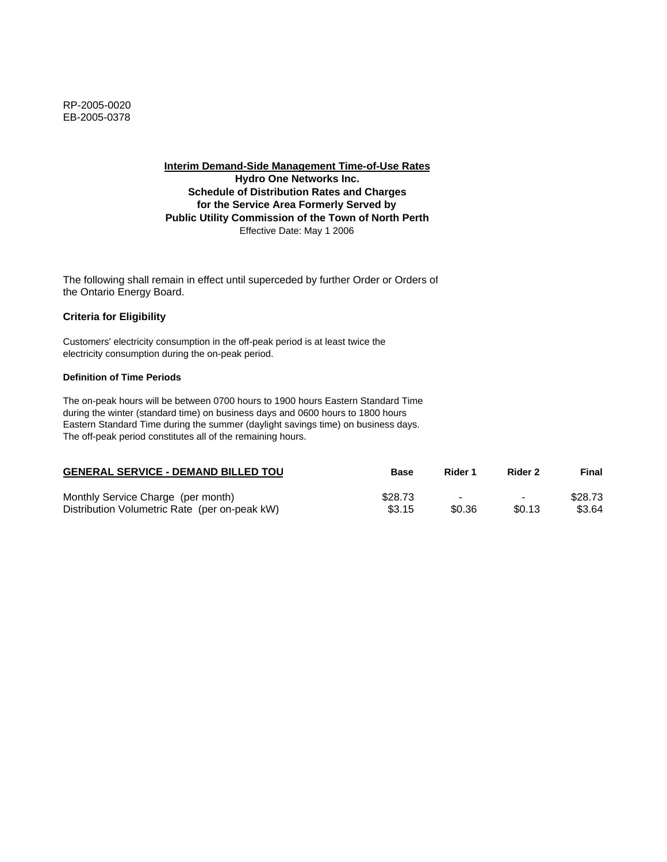**Interim Demand-Side Management Time-of-Use Rates Hydro One Networks Inc. Schedule of Distribution Rates and Charges for the Service Area Formerly Served by Public Utility Commission of the Town of North Perth** Effective Date: May 1 2006

The following shall remain in effect until superceded by further Order or Orders of the Ontario Energy Board.

## **Criteria for Eligibility**

Customers' electricity consumption in the off-peak period is at least twice the electricity consumption during the on-peak period.

### **Definition of Time Periods**

| <b>GENERAL SERVICE - DEMAND BILLED TOU</b>    | Base    | Rider 1 | Rider 2                  | Final   |
|-----------------------------------------------|---------|---------|--------------------------|---------|
| Monthly Service Charge (per month)            | \$28.73 |         | $\overline{\phantom{0}}$ | \$28.73 |
| Distribution Volumetric Rate (per on-peak kW) | \$3.15  | \$0.36  | \$0.13                   | \$3.64  |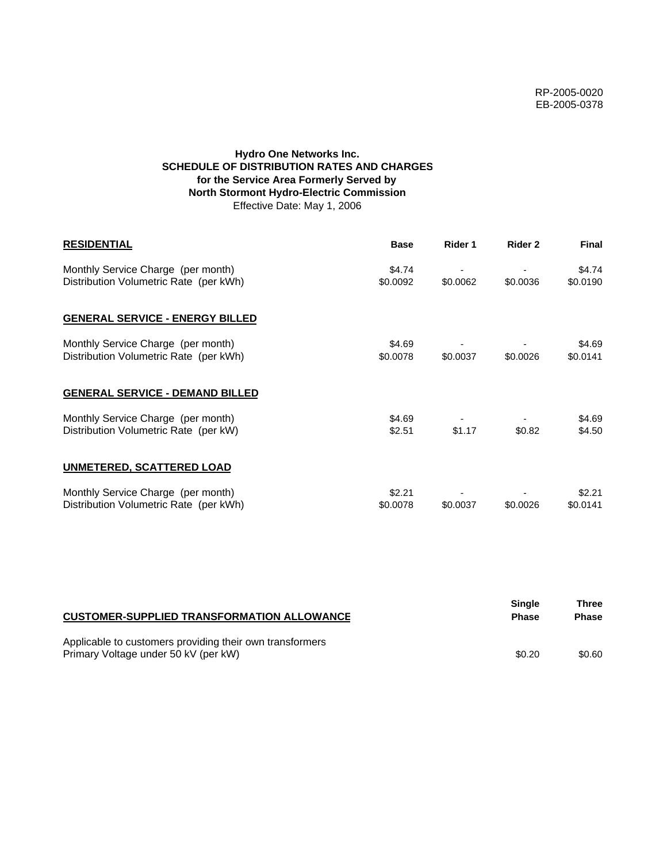# **Hydro One Networks Inc. SCHEDULE OF DISTRIBUTION RATES AND CHARGES for the Service Area Formerly Served by North Stormont Hydro-Electric Commission** Effective Date: May 1, 2006

| <b>RESIDENTIAL</b>                                                           | <b>Base</b>        | Rider 1  | Rider 2  | <b>Final</b>       |
|------------------------------------------------------------------------------|--------------------|----------|----------|--------------------|
| Monthly Service Charge (per month)<br>Distribution Volumetric Rate (per kWh) | \$4.74<br>\$0.0092 | \$0.0062 | \$0.0036 | \$4.74<br>\$0.0190 |
| <b>GENERAL SERVICE - ENERGY BILLED</b>                                       |                    |          |          |                    |
| Monthly Service Charge (per month)<br>Distribution Volumetric Rate (per kWh) | \$4.69<br>\$0.0078 | \$0.0037 | \$0.0026 | \$4.69<br>\$0.0141 |
| <b>GENERAL SERVICE - DEMAND BILLED</b>                                       |                    |          |          |                    |
| Monthly Service Charge (per month)<br>Distribution Volumetric Rate (per kW)  | \$4.69<br>\$2.51   | \$1.17   | \$0.82   | \$4.69<br>\$4.50   |
| <b>UNMETERED, SCATTERED LOAD</b>                                             |                    |          |          |                    |
| Monthly Service Charge (per month)<br>Distribution Volumetric Rate (per kWh) | \$2.21<br>\$0.0078 | \$0.0037 | \$0.0026 | \$2.21<br>\$0.0141 |

| <b>CUSTOMER-SUPPLIED TRANSFORMATION ALLOWANCE</b>                                                | Single<br><b>Phase</b> | Three<br><b>Phase</b> |
|--------------------------------------------------------------------------------------------------|------------------------|-----------------------|
| Applicable to customers providing their own transformers<br>Primary Voltage under 50 kV (per kW) | \$0.20                 | \$0.60                |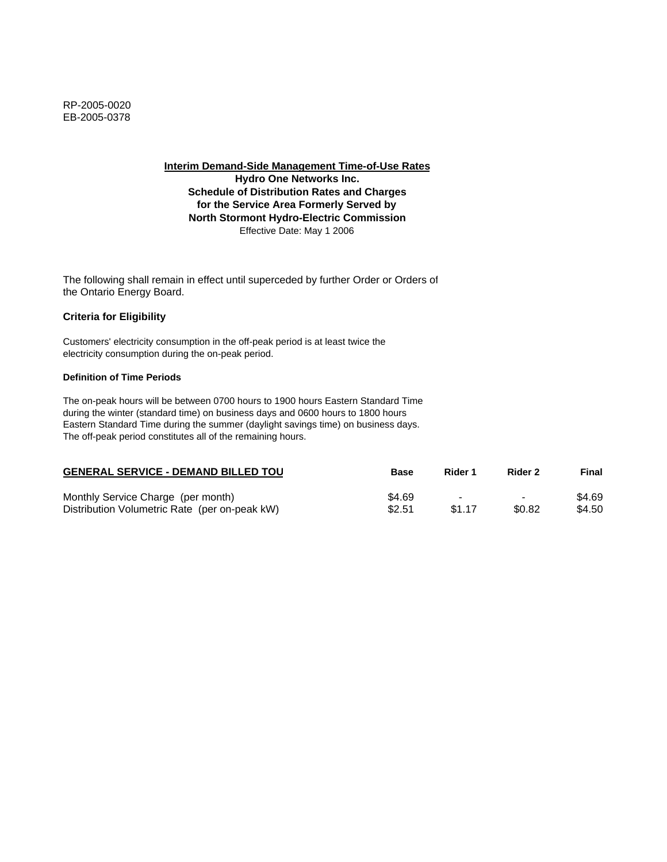**Hydro One Networks Inc. Schedule of Distribution Rates and Charges for the Service Area Formerly Served by North Stormont Hydro-Electric Commission** Effective Date: May 1 2006

The following shall remain in effect until superceded by further Order or Orders of the Ontario Energy Board.

## **Criteria for Eligibility**

Customers' electricity consumption in the off-peak period is at least twice the electricity consumption during the on-peak period.

### **Definition of Time Periods**

| <b>GENERAL SERVICE - DEMAND BILLED TOU</b>    | Base   | Rider 1 | Rider 2        | Final  |
|-----------------------------------------------|--------|---------|----------------|--------|
| Monthly Service Charge (per month)            | \$4.69 |         | $\blacksquare$ | \$4.69 |
| Distribution Volumetric Rate (per on-peak kW) | \$2.51 | \$1.17  | \$0.82         | \$4.50 |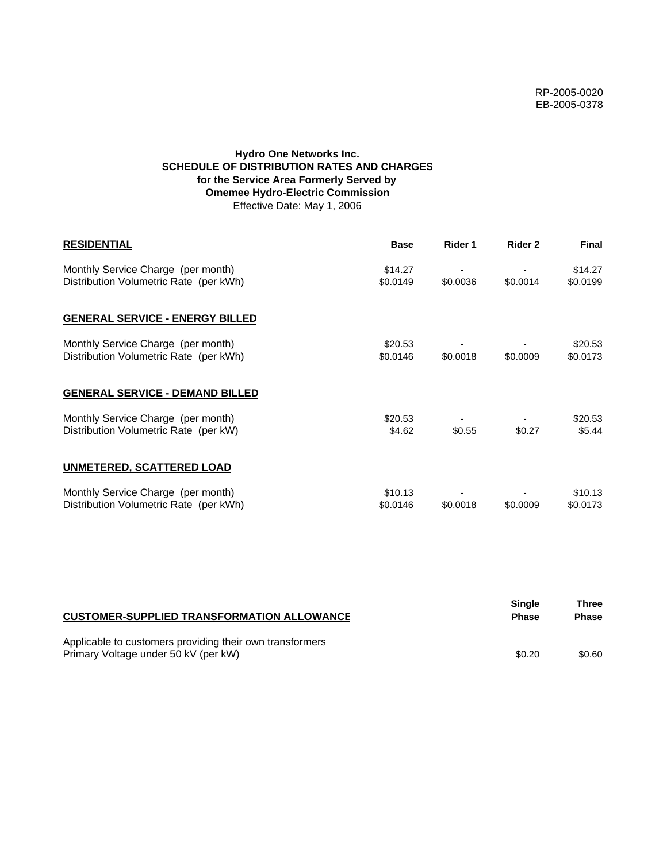# **Hydro One Networks Inc. SCHEDULE OF DISTRIBUTION RATES AND CHARGES for the Service Area Formerly Served by Omemee Hydro-Electric Commission** Effective Date: May 1, 2006

| <b>RESIDENTIAL</b>                                                           | <b>Base</b>         | Rider 1  | Rider 2  | <b>Final</b>        |
|------------------------------------------------------------------------------|---------------------|----------|----------|---------------------|
| Monthly Service Charge (per month)<br>Distribution Volumetric Rate (per kWh) | \$14.27<br>\$0.0149 | \$0.0036 | \$0.0014 | \$14.27<br>\$0.0199 |
| <b>GENERAL SERVICE - ENERGY BILLED</b>                                       |                     |          |          |                     |
| Monthly Service Charge (per month)<br>Distribution Volumetric Rate (per kWh) | \$20.53<br>\$0.0146 | \$0.0018 | \$0.0009 | \$20.53<br>\$0.0173 |
| <b>GENERAL SERVICE - DEMAND BILLED</b>                                       |                     |          |          |                     |
| Monthly Service Charge (per month)<br>Distribution Volumetric Rate (per kW)  | \$20.53<br>\$4.62   | \$0.55   | \$0.27   | \$20.53<br>\$5.44   |
| <b>UNMETERED, SCATTERED LOAD</b>                                             |                     |          |          |                     |
| Monthly Service Charge (per month)<br>Distribution Volumetric Rate (per kWh) | \$10.13<br>\$0.0146 | \$0.0018 | \$0.0009 | \$10.13<br>\$0.0173 |

| <b>CUSTOMER-SUPPLIED TRANSFORMATION ALLOWANCE</b>                                                | <b>Single</b><br><b>Phase</b> | Three<br><b>Phase</b> |
|--------------------------------------------------------------------------------------------------|-------------------------------|-----------------------|
| Applicable to customers providing their own transformers<br>Primary Voltage under 50 kV (per kW) | \$0.20                        | \$0.60                |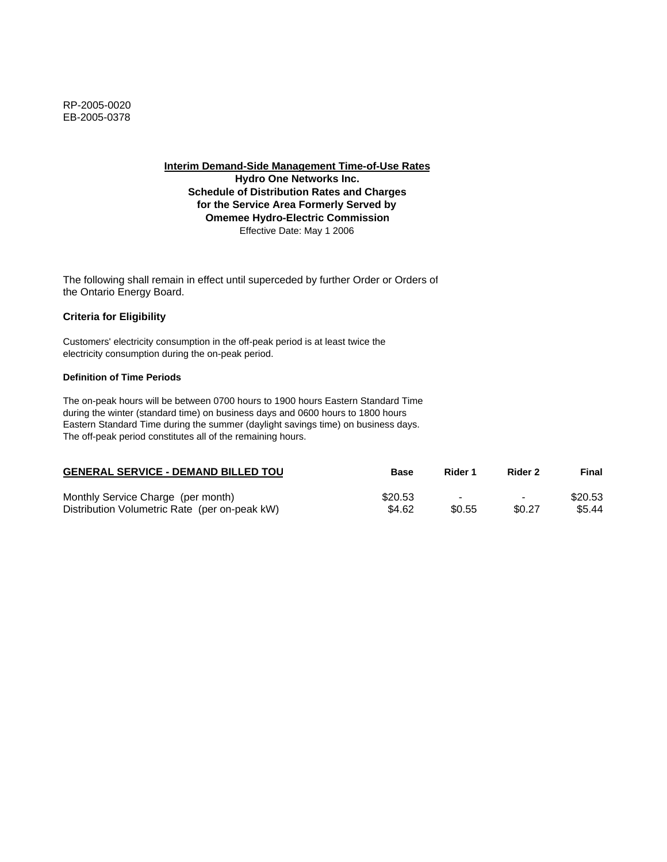**Hydro One Networks Inc. Schedule of Distribution Rates and Charges for the Service Area Formerly Served by Omemee Hydro-Electric Commission** Effective Date: May 1 2006

The following shall remain in effect until superceded by further Order or Orders of the Ontario Energy Board.

## **Criteria for Eligibility**

Customers' electricity consumption in the off-peak period is at least twice the electricity consumption during the on-peak period.

### **Definition of Time Periods**

| <b>GENERAL SERVICE - DEMAND BILLED TOU</b>    | Base    | Rider 1 | Rider 2                  | Final   |
|-----------------------------------------------|---------|---------|--------------------------|---------|
| Monthly Service Charge (per month)            | \$20.53 |         | $\overline{\phantom{0}}$ | \$20.53 |
| Distribution Volumetric Rate (per on-peak kW) | \$4.62  | \$0.55  | \$0.27                   | \$5.44  |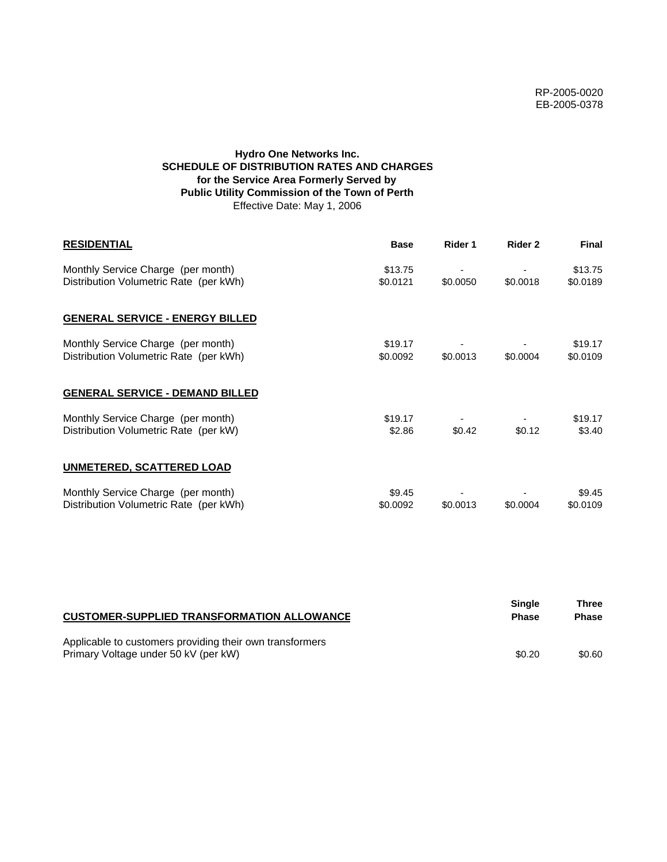# **Hydro One Networks Inc. SCHEDULE OF DISTRIBUTION RATES AND CHARGES for the Service Area Formerly Served by Public Utility Commission of the Town of Perth** Effective Date: May 1, 2006

| <b>RESIDENTIAL</b>                                                           | <b>Base</b>         | Rider 1  | Rider 2  | <b>Final</b>        |
|------------------------------------------------------------------------------|---------------------|----------|----------|---------------------|
| Monthly Service Charge (per month)<br>Distribution Volumetric Rate (per kWh) | \$13.75<br>\$0.0121 | \$0.0050 | \$0.0018 | \$13.75<br>\$0.0189 |
| <b>GENERAL SERVICE - ENERGY BILLED</b>                                       |                     |          |          |                     |
| Monthly Service Charge (per month)<br>Distribution Volumetric Rate (per kWh) | \$19.17<br>\$0,0092 | \$0.0013 | \$0.0004 | \$19.17<br>\$0.0109 |
| <b>GENERAL SERVICE - DEMAND BILLED</b>                                       |                     |          |          |                     |
| Monthly Service Charge (per month)<br>Distribution Volumetric Rate (per kW)  | \$19.17<br>\$2.86   | \$0.42   | \$0.12   | \$19.17<br>\$3.40   |
| <b>UNMETERED, SCATTERED LOAD</b>                                             |                     |          |          |                     |
| Monthly Service Charge (per month)<br>Distribution Volumetric Rate (per kWh) | \$9.45<br>\$0.0092  | \$0.0013 | \$0.0004 | \$9.45<br>\$0.0109  |

| <b>CUSTOMER-SUPPLIED TRANSFORMATION ALLOWANCE</b>                                                | Single<br><b>Phase</b> | Three<br><b>Phase</b> |
|--------------------------------------------------------------------------------------------------|------------------------|-----------------------|
| Applicable to customers providing their own transformers<br>Primary Voltage under 50 kV (per kW) | \$0.20                 | \$0.60                |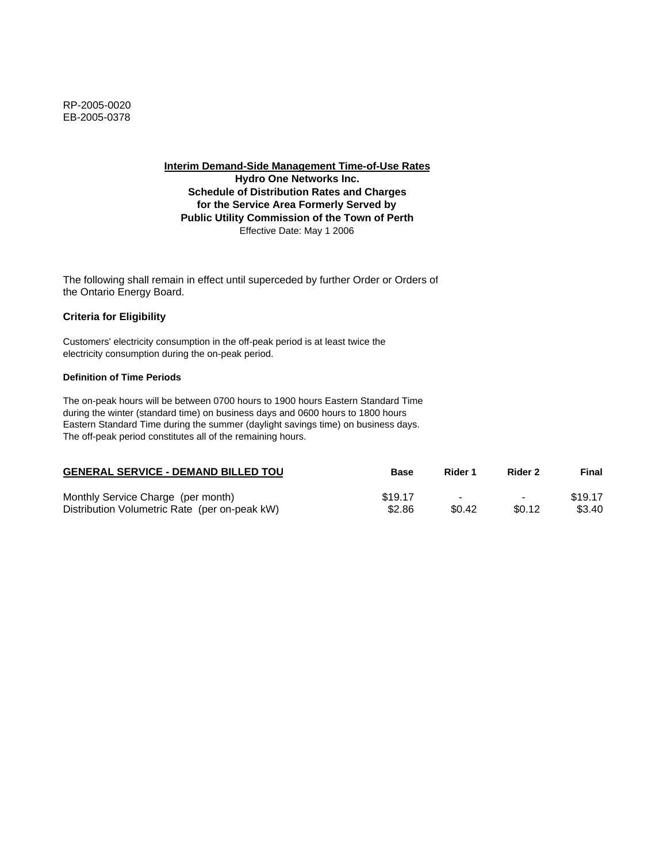**Interim Demand-Side Management Time-of-Use Rates Hydro One Networks Inc. Schedule of Distribution Rates and Charges for the Service Area Formerly Served by Public Utility Commission of the Town of Perth** Effective Date: May 1 2006

The following shall remain in effect until superceded by further Order or Orders of the Ontario Energy Board.

## **Criteria for Eligibility**

Customers' electricity consumption in the off-peak period is at least twice the electricity consumption during the on-peak period.

### **Definition of Time Periods**

| <b>GENERAL SERVICE - DEMAND BILLED TOU</b>    | <b>Base</b> | Rider 1                  | Rider 2                  | Final   |
|-----------------------------------------------|-------------|--------------------------|--------------------------|---------|
| Monthly Service Charge (per month)            | \$19.17     | $\overline{\phantom{0}}$ | $\overline{\phantom{0}}$ | \$19.17 |
| Distribution Volumetric Rate (per on-peak kW) | \$2.86      | \$0.42                   | \$0.12                   | \$3.40  |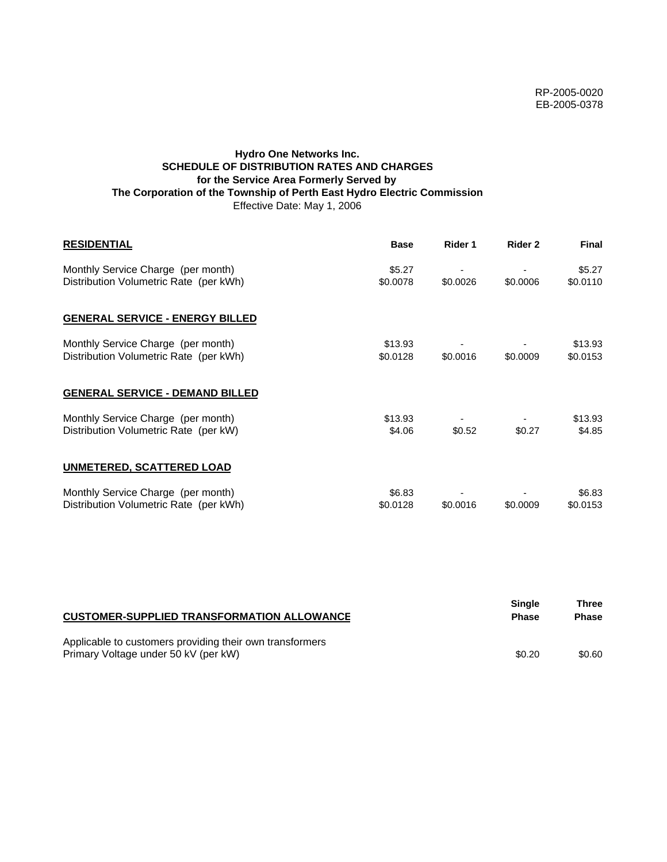# **Hydro One Networks Inc. SCHEDULE OF DISTRIBUTION RATES AND CHARGES for the Service Area Formerly Served by The Corporation of the Township of Perth East Hydro Electric Commission** Effective Date: May 1, 2006

| <b>RESIDENTIAL</b>                                                           | <b>Base</b>         | Rider 1  | Rider 2  | <b>Final</b>        |
|------------------------------------------------------------------------------|---------------------|----------|----------|---------------------|
| Monthly Service Charge (per month)<br>Distribution Volumetric Rate (per kWh) | \$5.27<br>\$0.0078  | \$0.0026 | \$0.0006 | \$5.27<br>\$0.0110  |
| <b>GENERAL SERVICE - ENERGY BILLED</b>                                       |                     |          |          |                     |
| Monthly Service Charge (per month)<br>Distribution Volumetric Rate (per kWh) | \$13.93<br>\$0.0128 | \$0.0016 | \$0.0009 | \$13.93<br>\$0.0153 |
| <b>GENERAL SERVICE - DEMAND BILLED</b>                                       |                     |          |          |                     |
| Monthly Service Charge (per month)<br>Distribution Volumetric Rate (per kW)  | \$13.93<br>\$4.06   | \$0.52   | \$0.27   | \$13.93<br>\$4.85   |
| UNMETERED, SCATTERED LOAD                                                    |                     |          |          |                     |
| Monthly Service Charge (per month)<br>Distribution Volumetric Rate (per kWh) | \$6.83<br>\$0.0128  | \$0.0016 | \$0.0009 | \$6.83<br>\$0.0153  |

| <b>CUSTOMER-SUPPLIED TRANSFORMATION ALLOWANCE</b>                                                | <b>Single</b><br><b>Phase</b> | Three<br><b>Phase</b> |
|--------------------------------------------------------------------------------------------------|-------------------------------|-----------------------|
| Applicable to customers providing their own transformers<br>Primary Voltage under 50 kV (per kW) | \$0.20                        | \$0.60                |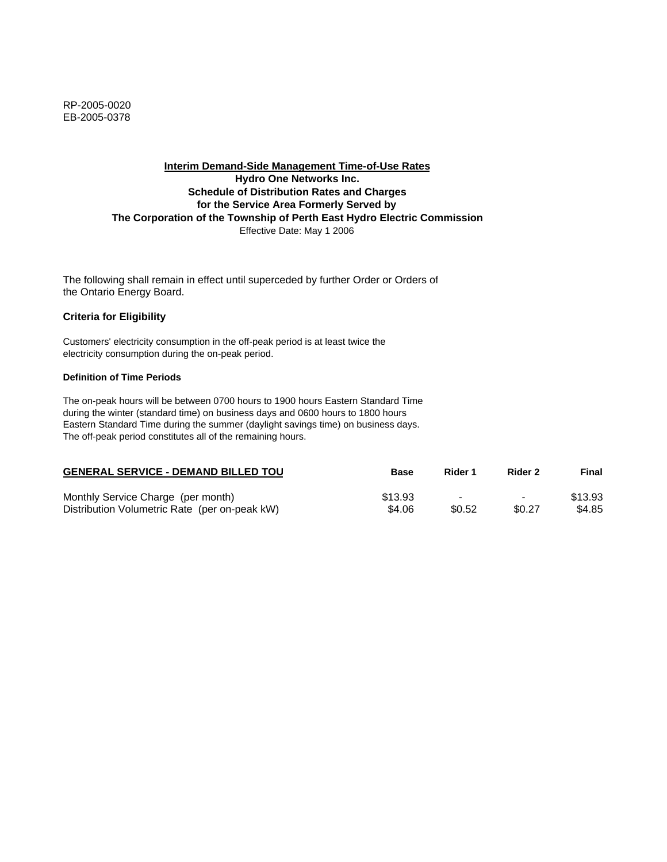RP-2005-0020 EB-2005-0378

## **Interim Demand-Side Management Time-of-Use Rates Hydro One Networks Inc. Schedule of Distribution Rates and Charges for the Service Area Formerly Served by The Corporation of the Township of Perth East Hydro Electric Commission** Effective Date: May 1 2006

The following shall remain in effect until superceded by further Order or Orders of the Ontario Energy Board.

#### **Criteria for Eligibility**

Customers' electricity consumption in the off-peak period is at least twice the electricity consumption during the on-peak period.

#### **Definition of Time Periods**

| <b>GENERAL SERVICE - DEMAND BILLED TOU</b>    | Base    | Rider 1 | Rider 2                  | Final   |
|-----------------------------------------------|---------|---------|--------------------------|---------|
| Monthly Service Charge (per month)            | \$13.93 |         | $\overline{\phantom{0}}$ | \$13.93 |
| Distribution Volumetric Rate (per on-peak kW) | \$4.06  | \$0.52  | \$0.27                   | \$4.85  |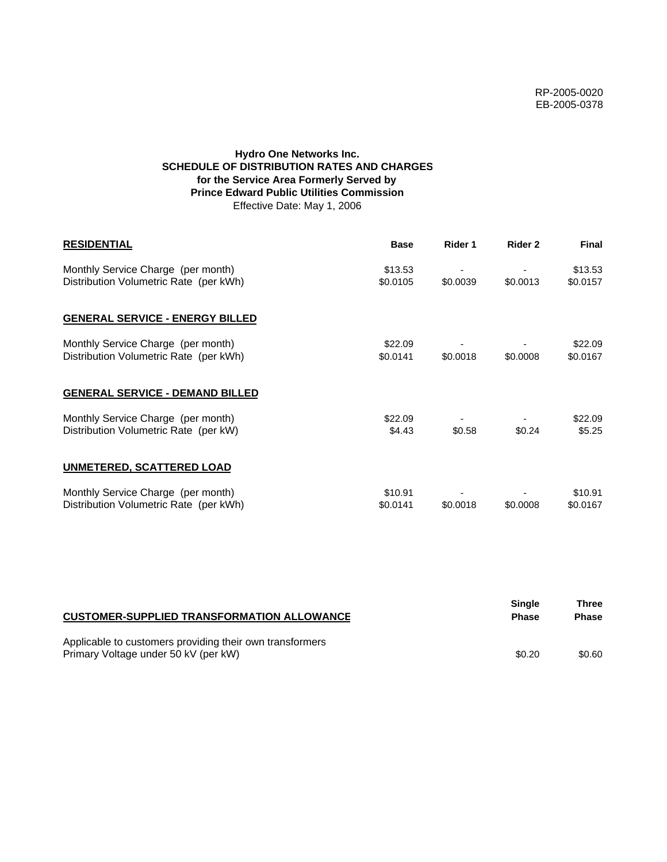# **Hydro One Networks Inc. SCHEDULE OF DISTRIBUTION RATES AND CHARGES for the Service Area Formerly Served by Prince Edward Public Utilities Commission** Effective Date: May 1, 2006

| <b>RESIDENTIAL</b>                                                           | <b>Base</b>         | Rider 1  | Rider 2  | <b>Final</b>        |
|------------------------------------------------------------------------------|---------------------|----------|----------|---------------------|
| Monthly Service Charge (per month)<br>Distribution Volumetric Rate (per kWh) | \$13.53<br>\$0.0105 | \$0.0039 | \$0.0013 | \$13.53<br>\$0.0157 |
| <b>GENERAL SERVICE - ENERGY BILLED</b>                                       |                     |          |          |                     |
| Monthly Service Charge (per month)<br>Distribution Volumetric Rate (per kWh) | \$22.09<br>\$0.0141 | \$0.0018 | \$0.0008 | \$22.09<br>\$0.0167 |
| <b>GENERAL SERVICE - DEMAND BILLED</b>                                       |                     |          |          |                     |
| Monthly Service Charge (per month)<br>Distribution Volumetric Rate (per kW)  | \$22.09<br>\$4.43   | \$0.58   | \$0.24   | \$22.09<br>\$5.25   |
| <b>UNMETERED, SCATTERED LOAD</b>                                             |                     |          |          |                     |
| Monthly Service Charge (per month)<br>Distribution Volumetric Rate (per kWh) | \$10.91<br>\$0.0141 | \$0.0018 | \$0.0008 | \$10.91<br>\$0.0167 |

| <b>CUSTOMER-SUPPLIED TRANSFORMATION ALLOWANCE</b>                                                | Single<br><b>Phase</b> | Three<br><b>Phase</b> |
|--------------------------------------------------------------------------------------------------|------------------------|-----------------------|
| Applicable to customers providing their own transformers<br>Primary Voltage under 50 kV (per kW) | \$0.20                 | \$0.60                |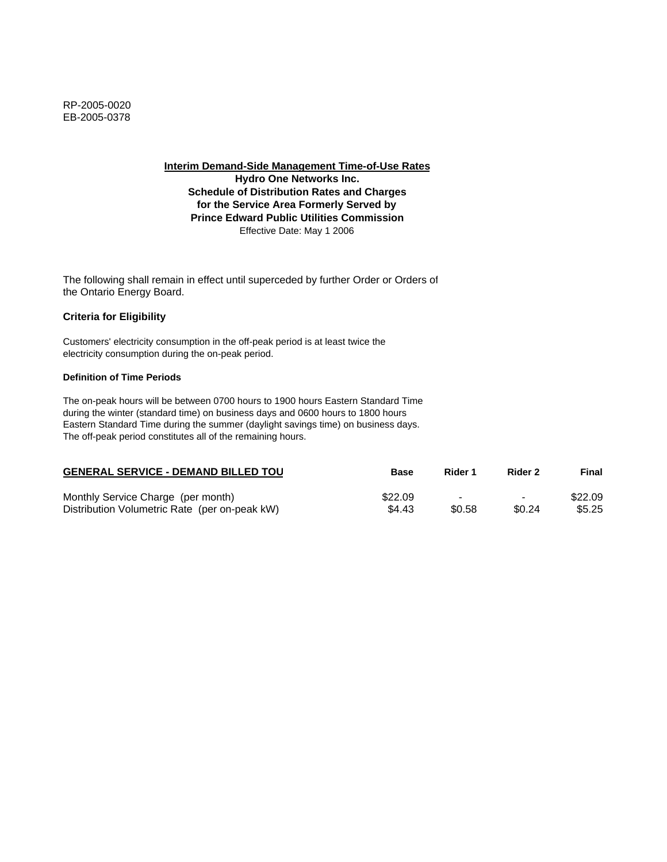**Hydro One Networks Inc. Schedule of Distribution Rates and Charges for the Service Area Formerly Served by Prince Edward Public Utilities Commission** Effective Date: May 1 2006

The following shall remain in effect until superceded by further Order or Orders of the Ontario Energy Board.

## **Criteria for Eligibility**

Customers' electricity consumption in the off-peak period is at least twice the electricity consumption during the on-peak period.

### **Definition of Time Periods**

| <b>GENERAL SERVICE - DEMAND BILLED TOU</b>    | <b>Base</b> | Rider 1 | Rider 2                  | Final   |
|-----------------------------------------------|-------------|---------|--------------------------|---------|
| Monthly Service Charge (per month)            | \$22.09     |         | $\overline{\phantom{0}}$ | \$22.09 |
| Distribution Volumetric Rate (per on-peak kW) | \$4.43      | \$0.58  | \$0.24                   | \$5.25  |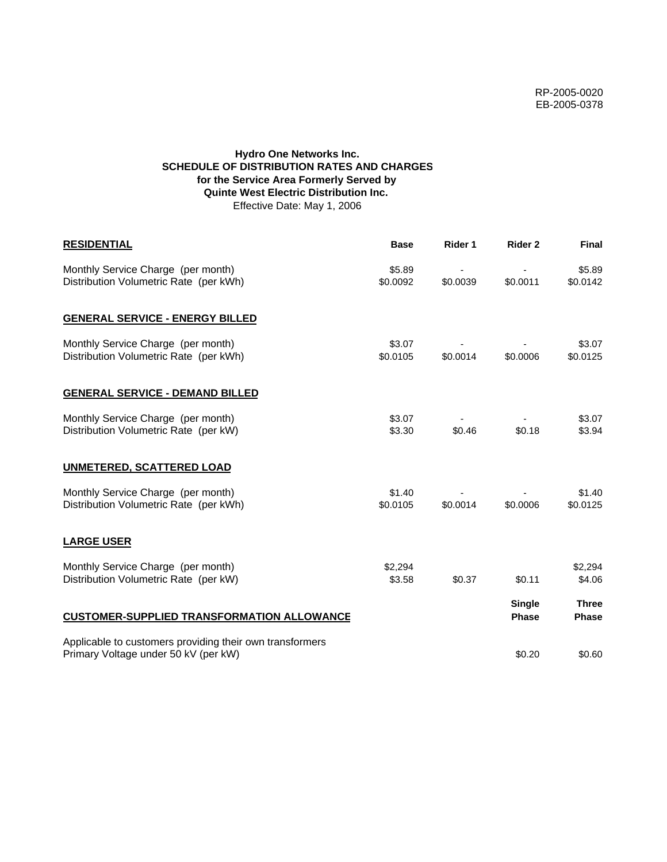# **Hydro One Networks Inc. SCHEDULE OF DISTRIBUTION RATES AND CHARGES for the Service Area Formerly Served by Quinte West Electric Distribution Inc.**  Effective Date: May 1, 2006

| <b>RESIDENTIAL</b>                                                                               | <b>Base</b>        | Rider 1  | Rider 2                       | <b>Final</b>                 |
|--------------------------------------------------------------------------------------------------|--------------------|----------|-------------------------------|------------------------------|
| Monthly Service Charge (per month)<br>Distribution Volumetric Rate (per kWh)                     | \$5.89<br>\$0.0092 | \$0.0039 | \$0.0011                      | \$5.89<br>\$0.0142           |
| <b>GENERAL SERVICE - ENERGY BILLED</b>                                                           |                    |          |                               |                              |
| Monthly Service Charge (per month)<br>Distribution Volumetric Rate (per kWh)                     | \$3.07<br>\$0.0105 | \$0.0014 | \$0.0006                      | \$3.07<br>\$0.0125           |
| <b>GENERAL SERVICE - DEMAND BILLED</b>                                                           |                    |          |                               |                              |
| Monthly Service Charge (per month)<br>Distribution Volumetric Rate (per kW)                      | \$3.07<br>\$3.30   | \$0.46   | \$0.18                        | \$3.07<br>\$3.94             |
| <b>UNMETERED, SCATTERED LOAD</b>                                                                 |                    |          |                               |                              |
| Monthly Service Charge (per month)<br>Distribution Volumetric Rate (per kWh)                     | \$1.40<br>\$0.0105 | \$0.0014 | \$0.0006                      | \$1.40<br>\$0.0125           |
| <b>LARGE USER</b>                                                                                |                    |          |                               |                              |
| Monthly Service Charge (per month)<br>Distribution Volumetric Rate (per kW)                      | \$2,294<br>\$3.58  | \$0.37   | \$0.11                        | \$2,294<br>\$4.06            |
| <b>CUSTOMER-SUPPLIED TRANSFORMATION ALLOWANCE</b>                                                |                    |          | <b>Single</b><br><b>Phase</b> | <b>Three</b><br><b>Phase</b> |
| Applicable to customers providing their own transformers<br>Primary Voltage under 50 kV (per kW) |                    |          | \$0.20                        | \$0.60                       |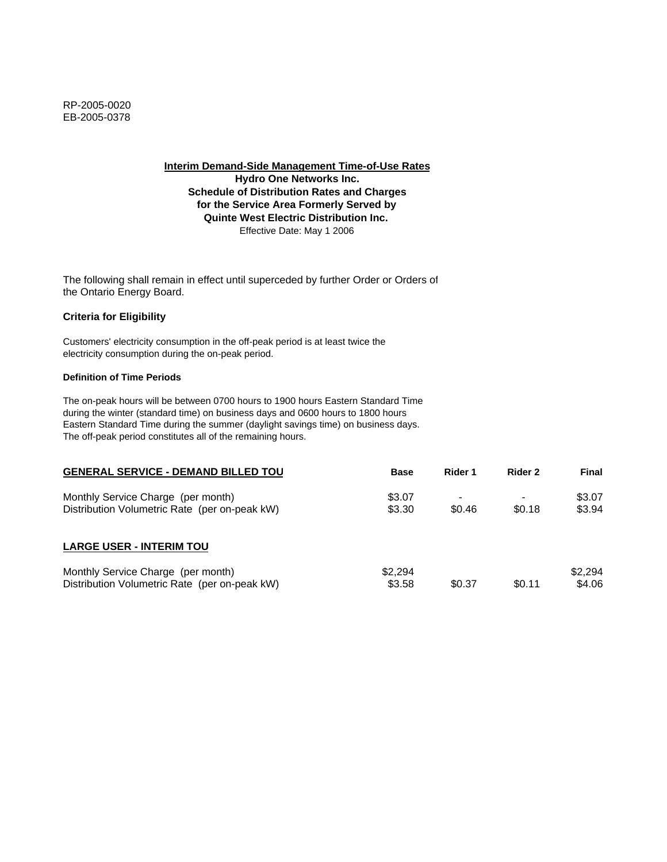**Hydro One Networks Inc. Schedule of Distribution Rates and Charges for the Service Area Formerly Served by Quinte West Electric Distribution Inc.**  Effective Date: May 1 2006

The following shall remain in effect until superceded by further Order or Orders of the Ontario Energy Board.

# **Criteria for Eligibility**

Customers' electricity consumption in the off-peak period is at least twice the electricity consumption during the on-peak period.

### **Definition of Time Periods**

| <b>GENERAL SERVICE - DEMAND BILLED TOU</b>                                          | <b>Base</b>       | Rider 1 | Rider 2 | Final             |
|-------------------------------------------------------------------------------------|-------------------|---------|---------|-------------------|
| Monthly Service Charge (per month)<br>Distribution Volumetric Rate (per on-peak kW) | \$3.07<br>\$3.30  | \$0.46  | \$0.18  | \$3.07<br>\$3.94  |
| <b>LARGE USER - INTERIM TOU</b>                                                     |                   |         |         |                   |
| Monthly Service Charge (per month)<br>Distribution Volumetric Rate (per on-peak kW) | \$2.294<br>\$3.58 | \$0.37  | \$0.11  | \$2.294<br>\$4.06 |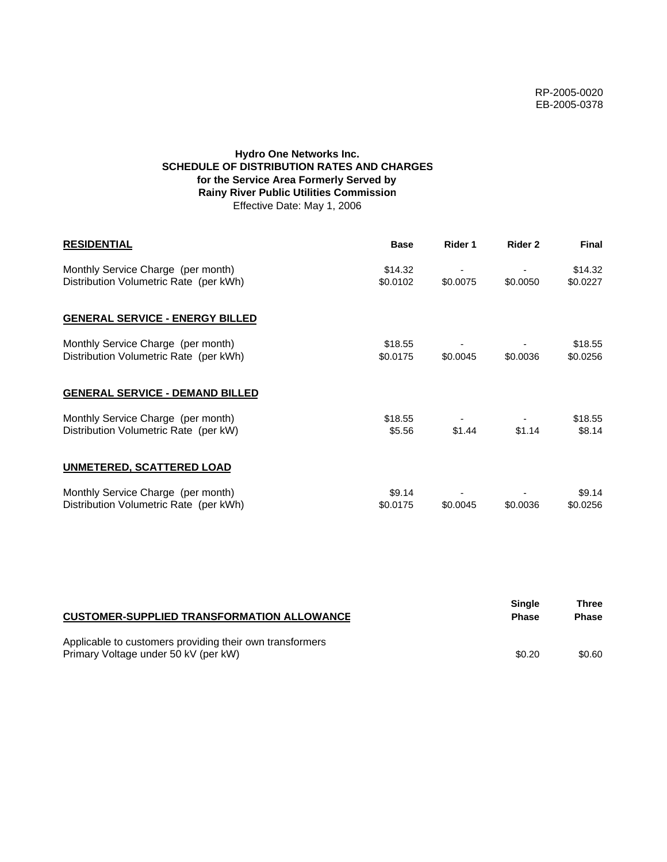# **Hydro One Networks Inc. SCHEDULE OF DISTRIBUTION RATES AND CHARGES for the Service Area Formerly Served by Rainy River Public Utilities Commission** Effective Date: May 1, 2006

| <b>RESIDENTIAL</b>                                                           | <b>Base</b>         | Rider 1  | Rider 2  | <b>Final</b>        |
|------------------------------------------------------------------------------|---------------------|----------|----------|---------------------|
| Monthly Service Charge (per month)<br>Distribution Volumetric Rate (per kWh) | \$14.32<br>\$0.0102 | \$0.0075 | \$0.0050 | \$14.32<br>\$0.0227 |
| <b>GENERAL SERVICE - ENERGY BILLED</b>                                       |                     |          |          |                     |
| Monthly Service Charge (per month)<br>Distribution Volumetric Rate (per kWh) | \$18.55<br>\$0.0175 | \$0.0045 | \$0.0036 | \$18.55<br>\$0.0256 |
| <b>GENERAL SERVICE - DEMAND BILLED</b>                                       |                     |          |          |                     |
| Monthly Service Charge (per month)<br>Distribution Volumetric Rate (per kW)  | \$18.55<br>\$5.56   | \$1.44   | \$1.14   | \$18.55<br>\$8.14   |
| <b>UNMETERED, SCATTERED LOAD</b>                                             |                     |          |          |                     |
| Monthly Service Charge (per month)<br>Distribution Volumetric Rate (per kWh) | \$9.14<br>\$0.0175  | \$0.0045 | \$0.0036 | \$9.14<br>\$0.0256  |

| <b>CUSTOMER-SUPPLIED TRANSFORMATION ALLOWANCE</b>                                                | Single<br><b>Phase</b> | Three<br><b>Phase</b> |
|--------------------------------------------------------------------------------------------------|------------------------|-----------------------|
| Applicable to customers providing their own transformers<br>Primary Voltage under 50 kV (per kW) | \$0.20                 | \$0.60                |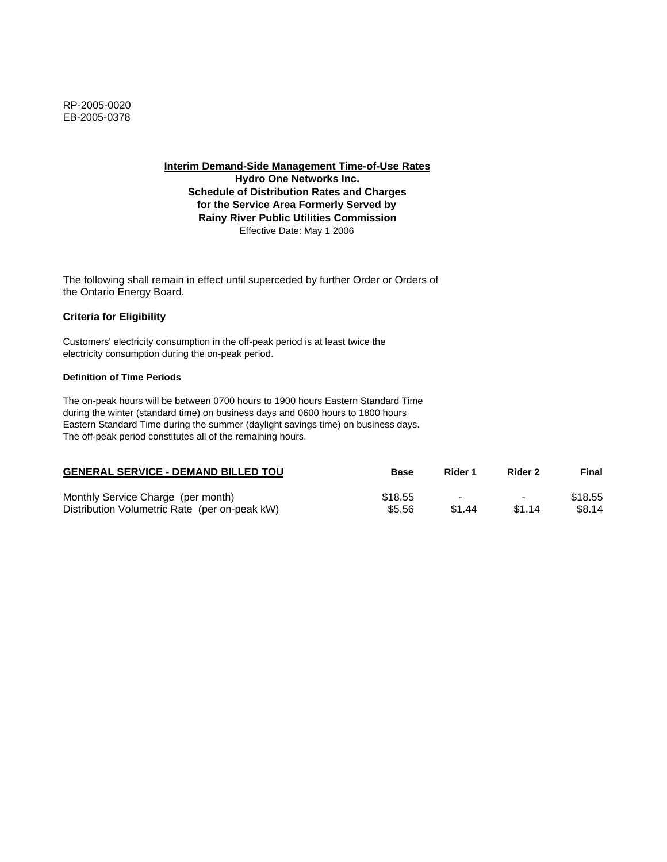**Interim Demand-Side Management Time-of-Use Rates Hydro One Networks Inc.**

**Schedule of Distribution Rates and Charges for the Service Area Formerly Served by Rainy River Public Utilities Commission** Effective Date: May 1 2006

The following shall remain in effect until superceded by further Order or Orders of the Ontario Energy Board.

## **Criteria for Eligibility**

Customers' electricity consumption in the off-peak period is at least twice the electricity consumption during the on-peak period.

### **Definition of Time Periods**

| <b>GENERAL SERVICE - DEMAND BILLED TOU</b>    | <b>Base</b> | Rider 1 | Rider 2                  | Final   |
|-----------------------------------------------|-------------|---------|--------------------------|---------|
| Monthly Service Charge (per month)            | \$18.55     |         | $\overline{\phantom{0}}$ | \$18.55 |
| Distribution Volumetric Rate (per on-peak kW) | \$5.56      | \$1.44  | \$1.14                   | \$8.14  |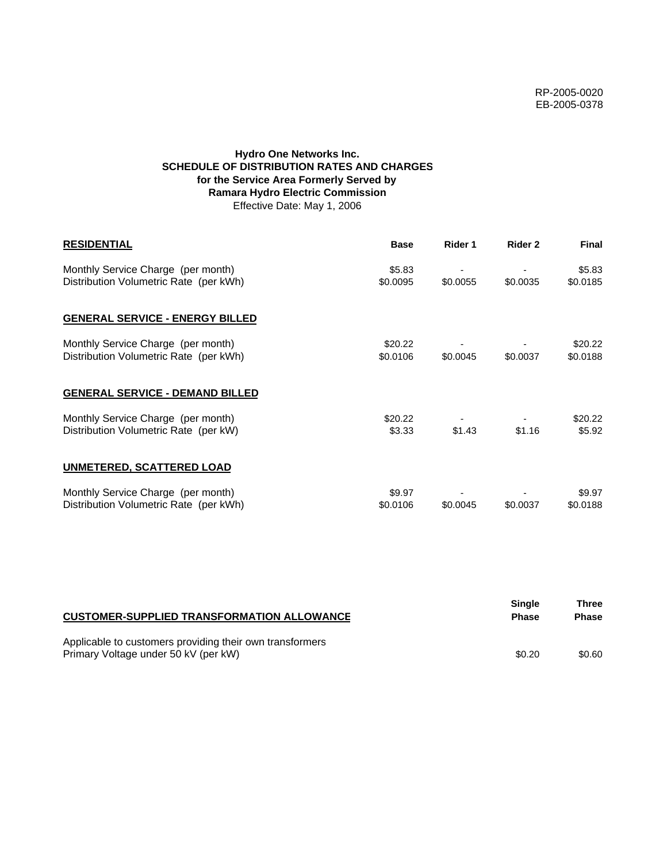# **Hydro One Networks Inc. SCHEDULE OF DISTRIBUTION RATES AND CHARGES for the Service Area Formerly Served by Ramara Hydro Electric Commission** Effective Date: May 1, 2006

| <b>RESIDENTIAL</b>                                                           | <b>Base</b>         | Rider 1  | Rider 2  | <b>Final</b>        |
|------------------------------------------------------------------------------|---------------------|----------|----------|---------------------|
| Monthly Service Charge (per month)<br>Distribution Volumetric Rate (per kWh) | \$5.83<br>\$0.0095  | \$0.0055 | \$0.0035 | \$5.83<br>\$0.0185  |
| <b>GENERAL SERVICE - ENERGY BILLED</b>                                       |                     |          |          |                     |
| Monthly Service Charge (per month)<br>Distribution Volumetric Rate (per kWh) | \$20.22<br>\$0.0106 | \$0.0045 | \$0.0037 | \$20.22<br>\$0.0188 |
| <b>GENERAL SERVICE - DEMAND BILLED</b>                                       |                     |          |          |                     |
| Monthly Service Charge (per month)<br>Distribution Volumetric Rate (per kW)  | \$20.22<br>\$3.33   | \$1.43   | \$1.16   | \$20.22<br>\$5.92   |
| <b>UNMETERED, SCATTERED LOAD</b>                                             |                     |          |          |                     |
| Monthly Service Charge (per month)<br>Distribution Volumetric Rate (per kWh) | \$9.97<br>\$0.0106  | \$0.0045 | \$0.0037 | \$9.97<br>\$0.0188  |

| <b>CUSTOMER-SUPPLIED TRANSFORMATION ALLOWANCE</b>                                                | <b>Single</b><br><b>Phase</b> | Three<br><b>Phase</b> |
|--------------------------------------------------------------------------------------------------|-------------------------------|-----------------------|
| Applicable to customers providing their own transformers<br>Primary Voltage under 50 kV (per kW) | \$0.20                        | \$0.60                |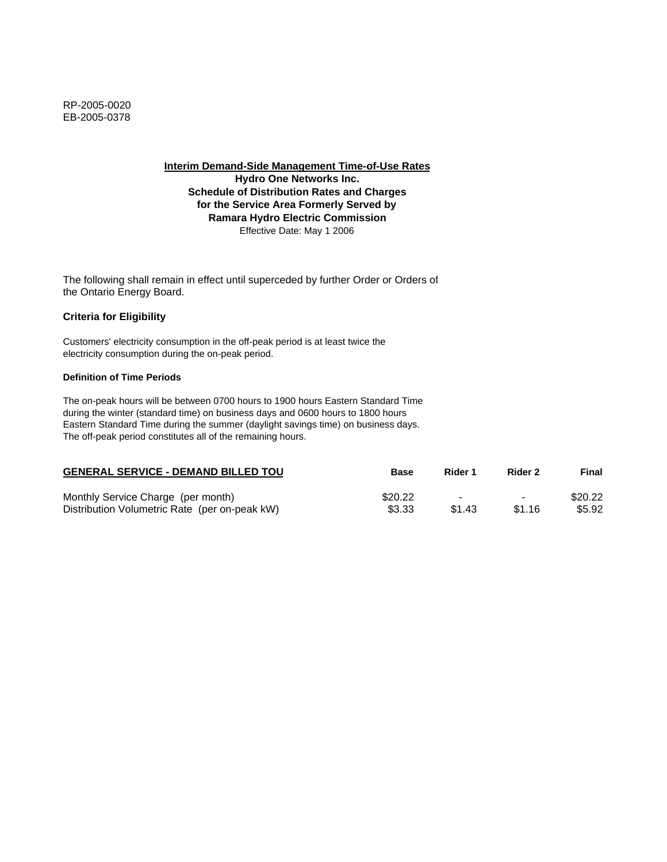**Hydro One Networks Inc. Schedule of Distribution Rates and Charges for the Service Area Formerly Served by Ramara Hydro Electric Commission** Effective Date: May 1 2006

The following shall remain in effect until superceded by further Order or Orders of the Ontario Energy Board.

## **Criteria for Eligibility**

Customers' electricity consumption in the off-peak period is at least twice the electricity consumption during the on-peak period.

### **Definition of Time Periods**

| <b>GENERAL SERVICE - DEMAND BILLED TOU</b>    | Base    | Rider 1 | Rider 2                  | Final   |
|-----------------------------------------------|---------|---------|--------------------------|---------|
| Monthly Service Charge (per month)            | \$20.22 | -       | $\overline{\phantom{0}}$ | \$20.22 |
| Distribution Volumetric Rate (per on-peak kW) | \$3.33  | \$1.43  | \$1.16                   | \$5.92  |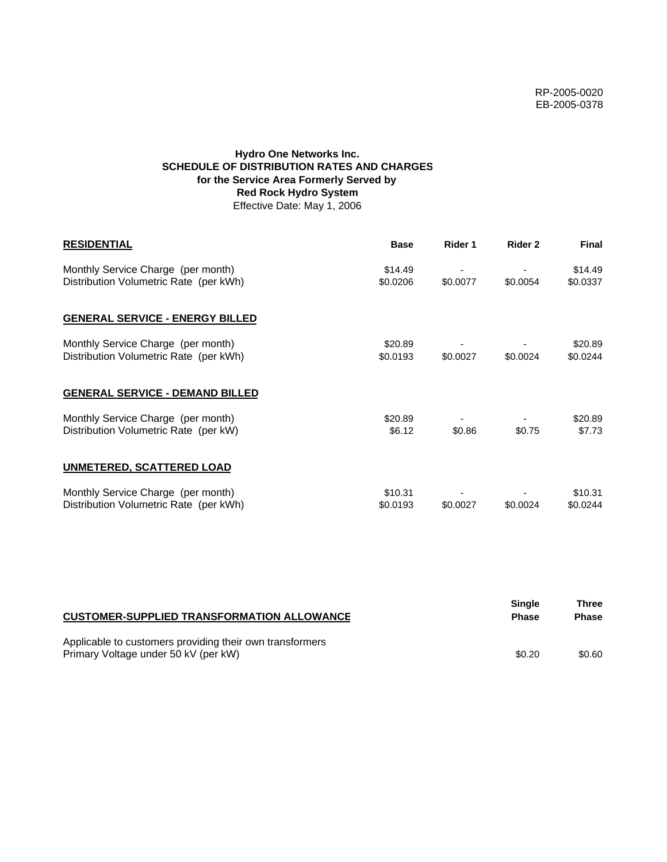# **Hydro One Networks Inc. SCHEDULE OF DISTRIBUTION RATES AND CHARGES for the Service Area Formerly Served by Red Rock Hydro System** Effective Date: May 1, 2006

| <b>RESIDENTIAL</b>                                                           | <b>Base</b>         | Rider 1  | Rider 2  | <b>Final</b>        |
|------------------------------------------------------------------------------|---------------------|----------|----------|---------------------|
| Monthly Service Charge (per month)<br>Distribution Volumetric Rate (per kWh) | \$14.49<br>\$0.0206 | \$0.0077 | \$0.0054 | \$14.49<br>\$0.0337 |
| <b>GENERAL SERVICE - ENERGY BILLED</b>                                       |                     |          |          |                     |
| Monthly Service Charge (per month)<br>Distribution Volumetric Rate (per kWh) | \$20.89<br>\$0.0193 | \$0.0027 | \$0.0024 | \$20.89<br>\$0.0244 |
| <b>GENERAL SERVICE - DEMAND BILLED</b>                                       |                     |          |          |                     |
| Monthly Service Charge (per month)<br>Distribution Volumetric Rate (per kW)  | \$20.89<br>\$6.12   | \$0.86   | \$0.75   | \$20.89<br>\$7.73   |
| <b>UNMETERED, SCATTERED LOAD</b>                                             |                     |          |          |                     |
| Monthly Service Charge (per month)<br>Distribution Volumetric Rate (per kWh) | \$10.31<br>\$0.0193 | \$0.0027 | \$0.0024 | \$10.31<br>\$0.0244 |

| <b>CUSTOMER-SUPPLIED TRANSFORMATION ALLOWANCE</b>                                                | <b>Single</b><br><b>Phase</b> | Three<br><b>Phase</b> |
|--------------------------------------------------------------------------------------------------|-------------------------------|-----------------------|
| Applicable to customers providing their own transformers<br>Primary Voltage under 50 kV (per kW) | \$0.20                        | \$0.60                |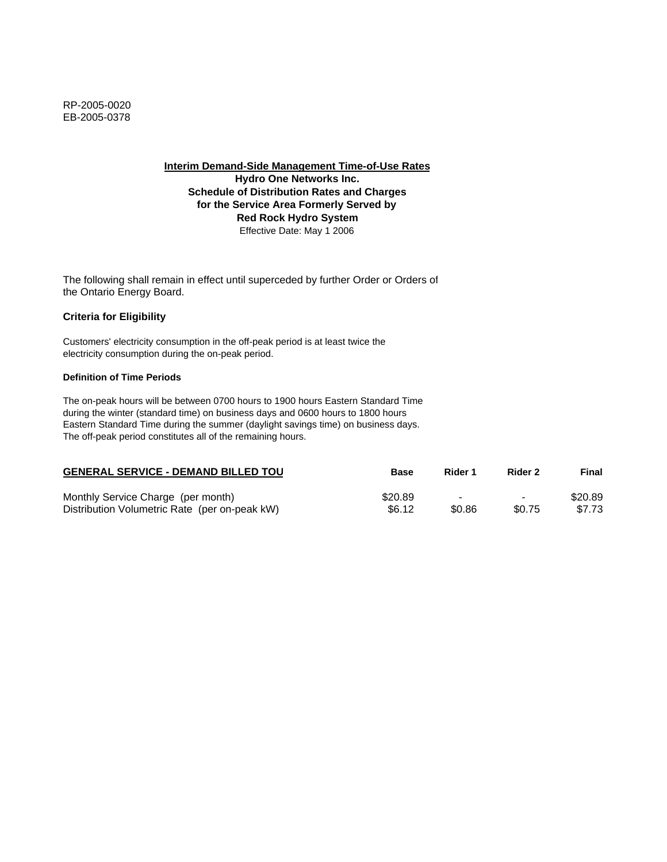**Interim Demand-Side Management Time-of-Use Rates Hydro One Networks Inc. Schedule of Distribution Rates and Charges**

**for the Service Area Formerly Served by Red Rock Hydro System** Effective Date: May 1 2006

The following shall remain in effect until superceded by further Order or Orders of the Ontario Energy Board.

# **Criteria for Eligibility**

Customers' electricity consumption in the off-peak period is at least twice the electricity consumption during the on-peak period.

### **Definition of Time Periods**

| <b>GENERAL SERVICE - DEMAND BILLED TOU</b>    | <b>Base</b> | Rider 1                  | Rider 2                  | Final   |
|-----------------------------------------------|-------------|--------------------------|--------------------------|---------|
| Monthly Service Charge (per month)            | \$20.89     | $\overline{\phantom{0}}$ | $\overline{\phantom{0}}$ | \$20.89 |
| Distribution Volumetric Rate (per on-peak kW) | \$6.12      | \$0.86                   | \$0.75                   | \$7.73  |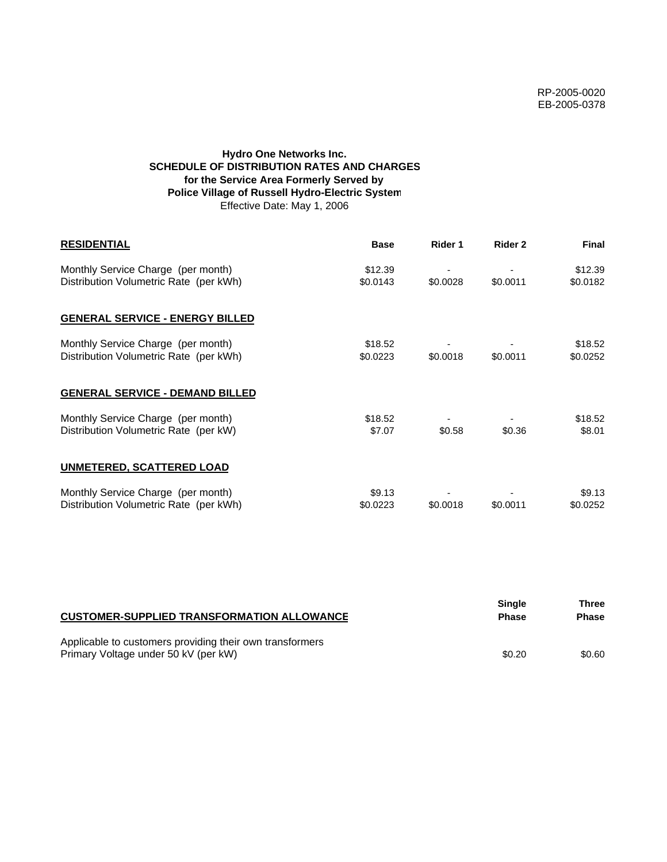# **Hydro One Networks Inc. SCHEDULE OF DISTRIBUTION RATES AND CHARGES for the Service Area Formerly Served by Police Village of Russell Hydro-Electric System** Effective Date: May 1, 2006

| <b>RESIDENTIAL</b>                                                           | <b>Base</b>         | Rider 1  | Rider 2  | <b>Final</b>        |
|------------------------------------------------------------------------------|---------------------|----------|----------|---------------------|
| Monthly Service Charge (per month)<br>Distribution Volumetric Rate (per kWh) | \$12.39<br>\$0.0143 | \$0.0028 | \$0.0011 | \$12.39<br>\$0.0182 |
| <b>GENERAL SERVICE - ENERGY BILLED</b>                                       |                     |          |          |                     |
| Monthly Service Charge (per month)<br>Distribution Volumetric Rate (per kWh) | \$18.52<br>\$0.0223 | \$0.0018 | \$0.0011 | \$18.52<br>\$0.0252 |
| <b>GENERAL SERVICE - DEMAND BILLED</b>                                       |                     |          |          |                     |
| Monthly Service Charge (per month)<br>Distribution Volumetric Rate (per kW)  | \$18.52<br>\$7.07   | \$0.58   | \$0.36   | \$18.52<br>\$8.01   |
| <b>UNMETERED, SCATTERED LOAD</b>                                             |                     |          |          |                     |
| Monthly Service Charge (per month)<br>Distribution Volumetric Rate (per kWh) | \$9.13<br>\$0.0223  | \$0.0018 | \$0.0011 | \$9.13<br>\$0.0252  |

| <b>CUSTOMER-SUPPLIED TRANSFORMATION ALLOWANCE</b>                                                | <b>Single</b><br><b>Phase</b> | Three<br>Phase |
|--------------------------------------------------------------------------------------------------|-------------------------------|----------------|
| Applicable to customers providing their own transformers<br>Primary Voltage under 50 kV (per kW) | \$0.20                        | \$0.60         |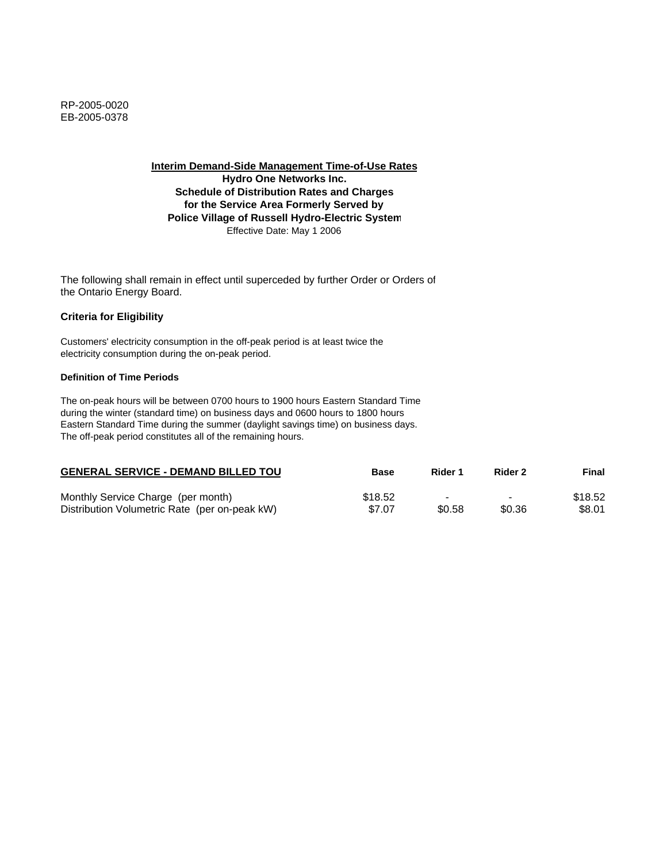RP-2005-0020 EB-2005-0378

**Interim Demand-Side Management Time-of-Use Rates**

**Hydro One Networks Inc. Schedule of Distribution Rates and Charges for the Service Area Formerly Served by Police Village of Russell Hydro-Electric System** Effective Date: May 1 2006

The following shall remain in effect until superceded by further Order or Orders of the Ontario Energy Board.

#### **Criteria for Eligibility**

Customers' electricity consumption in the off-peak period is at least twice the electricity consumption during the on-peak period.

#### **Definition of Time Periods**

| <b>GENERAL SERVICE - DEMAND BILLED TOU</b>    | Base    | Rider 1 | Rider 2        | Final   |
|-----------------------------------------------|---------|---------|----------------|---------|
| Monthly Service Charge (per month)            | \$18.52 |         | $\blacksquare$ | \$18.52 |
| Distribution Volumetric Rate (per on-peak kW) | \$7.07  | \$0.58  | \$0.36         | \$8.01  |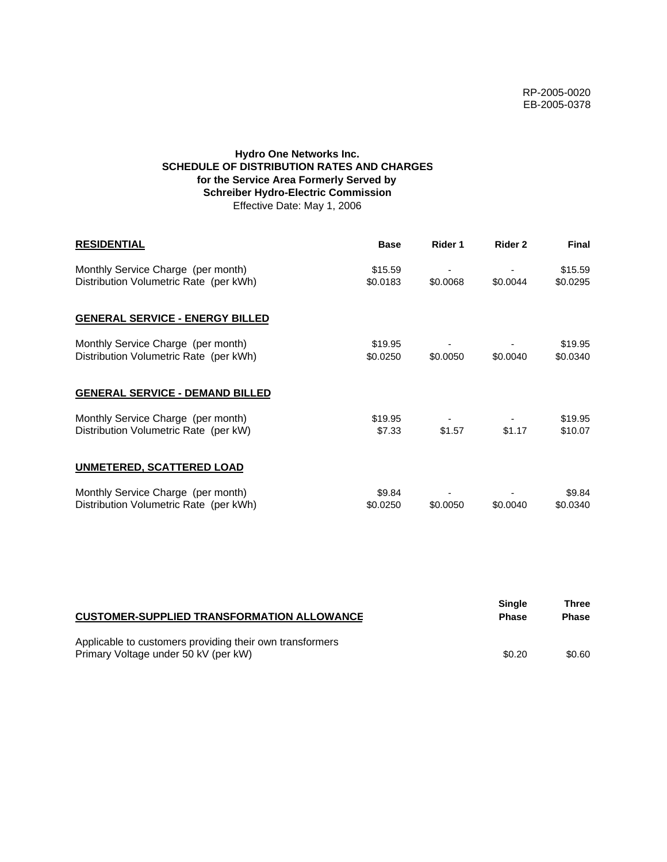# **Hydro One Networks Inc. SCHEDULE OF DISTRIBUTION RATES AND CHARGES for the Service Area Formerly Served by Schreiber Hydro-Electric Commission** Effective Date: May 1, 2006

| <b>RESIDENTIAL</b>                                                           | <b>Base</b>         | Rider 1  | Rider 2  | <b>Final</b>        |
|------------------------------------------------------------------------------|---------------------|----------|----------|---------------------|
| Monthly Service Charge (per month)<br>Distribution Volumetric Rate (per kWh) | \$15.59<br>\$0.0183 | \$0.0068 | \$0.0044 | \$15.59<br>\$0.0295 |
| <b>GENERAL SERVICE - ENERGY BILLED</b>                                       |                     |          |          |                     |
| Monthly Service Charge (per month)<br>Distribution Volumetric Rate (per kWh) | \$19.95<br>\$0.0250 | \$0.0050 | \$0.0040 | \$19.95<br>\$0.0340 |
| <b>GENERAL SERVICE - DEMAND BILLED</b>                                       |                     |          |          |                     |
| Monthly Service Charge (per month)<br>Distribution Volumetric Rate (per kW)  | \$19.95<br>\$7.33   | \$1.57   | \$1.17   | \$19.95<br>\$10.07  |
| UNMETERED, SCATTERED LOAD                                                    |                     |          |          |                     |
| Monthly Service Charge (per month)<br>Distribution Volumetric Rate (per kWh) | \$9.84<br>\$0.0250  | \$0.0050 | \$0.0040 | \$9.84<br>\$0.0340  |

| <b>CUSTOMER-SUPPLIED TRANSFORMATION ALLOWANCE</b>        | Single<br><b>Phase</b> | Three<br><b>Phase</b> |
|----------------------------------------------------------|------------------------|-----------------------|
| Applicable to customers providing their own transformers |                        |                       |
| Primary Voltage under 50 kV (per kW)                     | \$0.20                 | \$0.60                |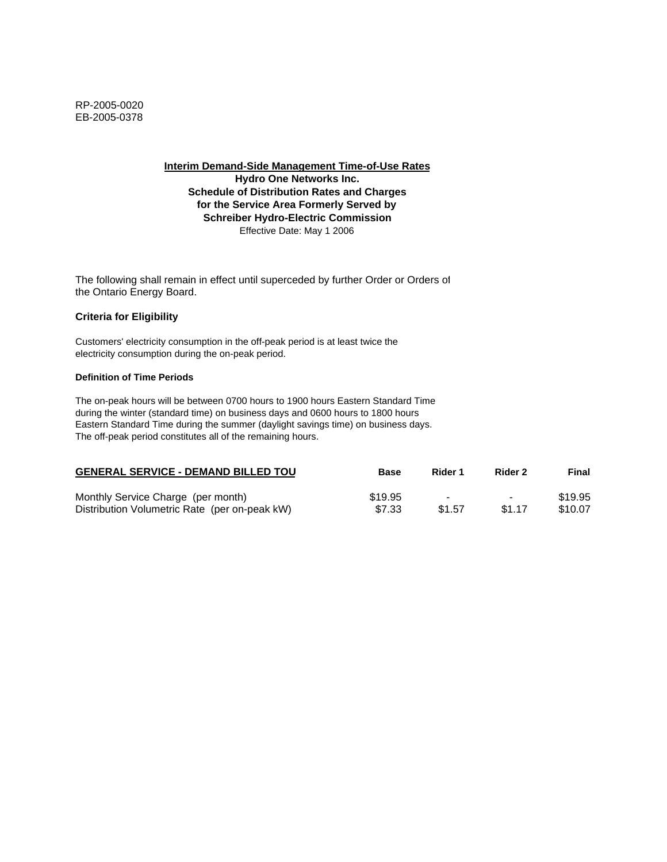**Interim Demand-Side Management Time-of-Use Rates Hydro One Networks Inc. Schedule of Distribution Rates and Charges for the Service Area Formerly Served by Schreiber Hydro-Electric Commission** Effective Date: May 1 2006

The following shall remain in effect until superceded by further Order or Orders of the Ontario Energy Board.

#### **Criteria for Eligibility**

Customers' electricity consumption in the off-peak period is at least twice the electricity consumption during the on-peak period.

#### **Definition of Time Periods**

| <b>GENERAL SERVICE - DEMAND BILLED TOU</b>    | <b>Base</b> | Rider 1                  | Rider 2        | Final   |
|-----------------------------------------------|-------------|--------------------------|----------------|---------|
| Monthly Service Charge (per month)            | \$19.95     | $\overline{\phantom{a}}$ | $\blacksquare$ | \$19.95 |
| Distribution Volumetric Rate (per on-peak kW) | \$7.33      | \$1.57                   | \$1.17         | \$10.07 |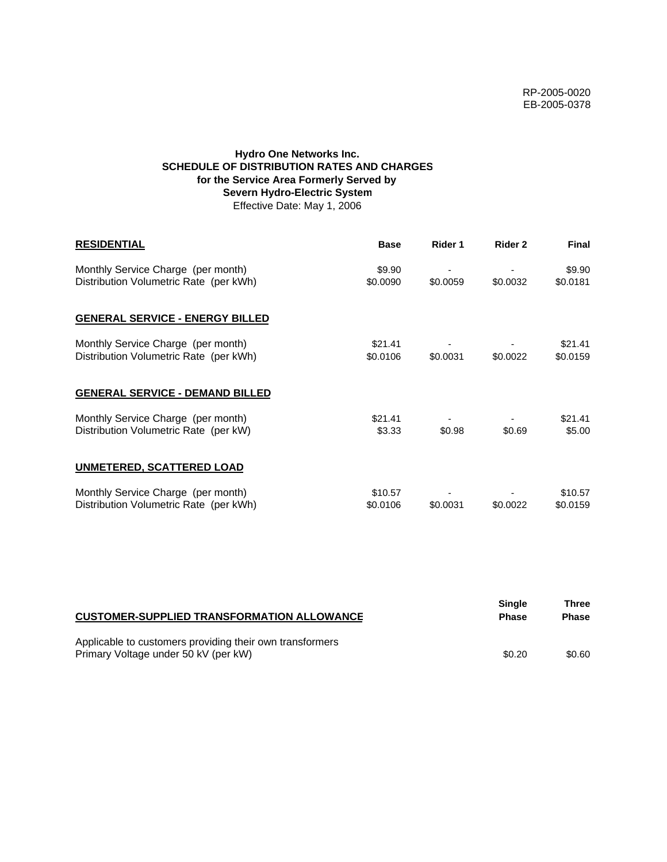# **Hydro One Networks Inc. SCHEDULE OF DISTRIBUTION RATES AND CHARGES for the Service Area Formerly Served by Severn Hydro-Electric System** Effective Date: May 1, 2006

| <b>RESIDENTIAL</b>                                                           | <b>Base</b>         | Rider 1  | Rider 2  | <b>Final</b>        |
|------------------------------------------------------------------------------|---------------------|----------|----------|---------------------|
| Monthly Service Charge (per month)<br>Distribution Volumetric Rate (per kWh) | \$9.90<br>\$0.0090  | \$0.0059 | \$0.0032 | \$9.90<br>\$0.0181  |
| <b>GENERAL SERVICE - ENERGY BILLED</b>                                       |                     |          |          |                     |
| Monthly Service Charge (per month)<br>Distribution Volumetric Rate (per kWh) | \$21.41<br>\$0.0106 | \$0.0031 | \$0.0022 | \$21.41<br>\$0.0159 |
| <b>GENERAL SERVICE - DEMAND BILLED</b>                                       |                     |          |          |                     |
| Monthly Service Charge (per month)<br>Distribution Volumetric Rate (per kW)  | \$21.41<br>\$3.33   | \$0.98   | \$0.69   | \$21.41<br>\$5.00   |
| UNMETERED, SCATTERED LOAD                                                    |                     |          |          |                     |
| Monthly Service Charge (per month)<br>Distribution Volumetric Rate (per kWh) | \$10.57<br>\$0.0106 | \$0.0031 | \$0.0022 | \$10.57<br>\$0.0159 |

| <b>CUSTOMER-SUPPLIED TRANSFORMATION ALLOWANCE</b>        | Single<br><b>Phase</b> | Three<br><b>Phase</b> |
|----------------------------------------------------------|------------------------|-----------------------|
| Applicable to customers providing their own transformers |                        |                       |
| Primary Voltage under 50 kV (per kW)                     | \$0.20                 | \$0.60                |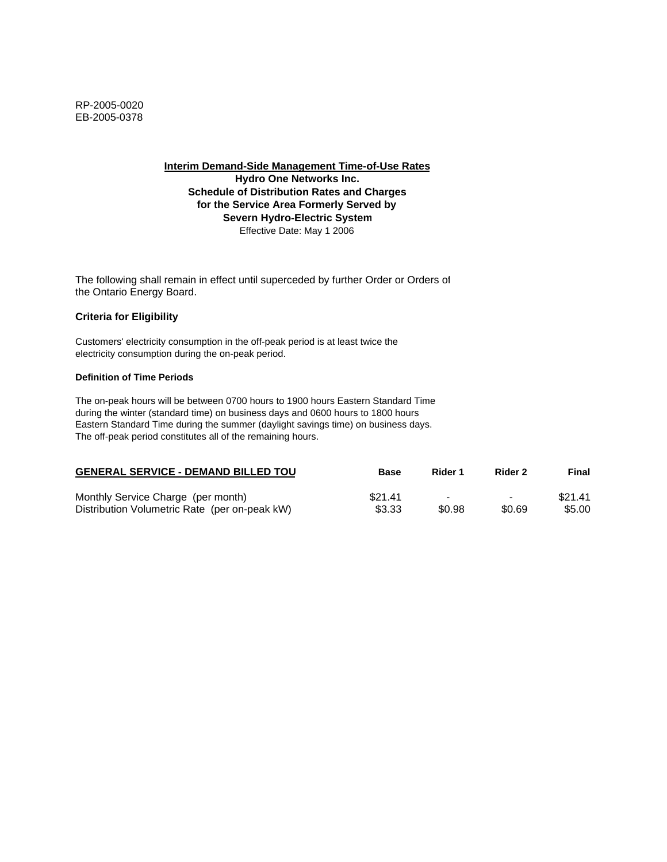**Interim Demand-Side Management Time-of-Use Rates Hydro One Networks Inc. Schedule of Distribution Rates and Charges for the Service Area Formerly Served by Severn Hydro-Electric System** Effective Date: May 1 2006

The following shall remain in effect until superceded by further Order or Orders of the Ontario Energy Board.

#### **Criteria for Eligibility**

Customers' electricity consumption in the off-peak period is at least twice the electricity consumption during the on-peak period.

#### **Definition of Time Periods**

| <b>GENERAL SERVICE - DEMAND BILLED TOU</b>    | <b>Base</b> | Rider 1 | Rider 2 | Final   |
|-----------------------------------------------|-------------|---------|---------|---------|
| Monthly Service Charge (per month)            | \$21.41     | -       | -       | \$21.41 |
| Distribution Volumetric Rate (per on-peak kW) | \$3.33      | \$0.98  | \$0.69  | \$5.00  |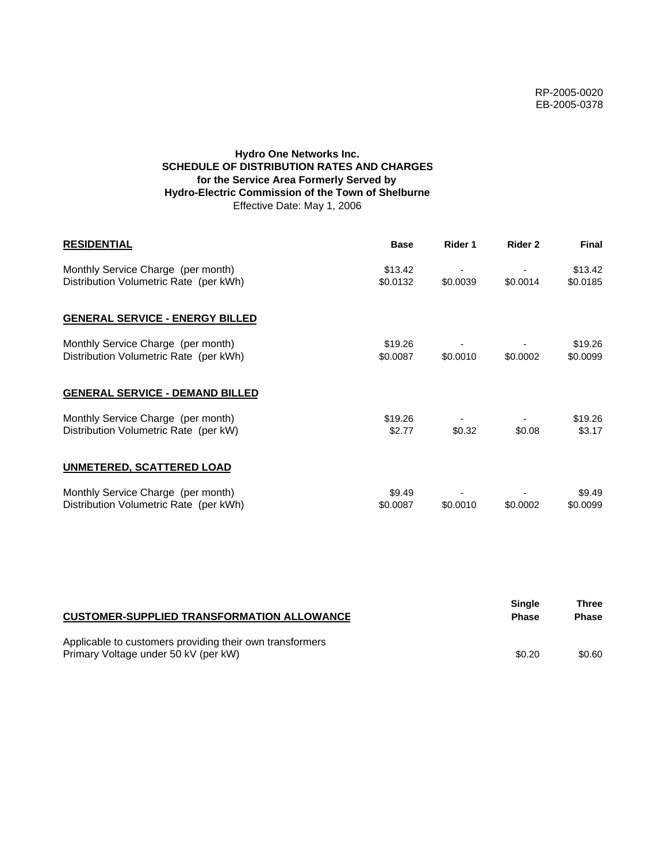# **Hydro One Networks Inc. SCHEDULE OF DISTRIBUTION RATES AND CHARGES for the Service Area Formerly Served by Hydro-Electric Commission of the Town of Shelburne** Effective Date: May 1, 2006

| <b>RESIDENTIAL</b>                                                           | <b>Base</b>         | Rider 1  | Rider 2  | <b>Final</b>        |
|------------------------------------------------------------------------------|---------------------|----------|----------|---------------------|
| Monthly Service Charge (per month)<br>Distribution Volumetric Rate (per kWh) | \$13.42<br>\$0.0132 | \$0.0039 | \$0.0014 | \$13.42<br>\$0.0185 |
| <b>GENERAL SERVICE - ENERGY BILLED</b>                                       |                     |          |          |                     |
| Monthly Service Charge (per month)<br>Distribution Volumetric Rate (per kWh) | \$19.26<br>\$0.0087 | \$0.0010 | \$0.0002 | \$19.26<br>\$0.0099 |
| <b>GENERAL SERVICE - DEMAND BILLED</b>                                       |                     |          |          |                     |
| Monthly Service Charge (per month)<br>Distribution Volumetric Rate (per kW)  | \$19.26<br>\$2.77   | \$0.32   | \$0.08   | \$19.26<br>\$3.17   |
| <b>UNMETERED, SCATTERED LOAD</b>                                             |                     |          |          |                     |
| Monthly Service Charge (per month)<br>Distribution Volumetric Rate (per kWh) | \$9.49<br>\$0.0087  | \$0.0010 | \$0.0002 | \$9.49<br>\$0.0099  |

| <b>CUSTOMER-SUPPLIED TRANSFORMATION ALLOWANCE</b>                                                | Single<br><b>Phase</b> | Three<br><b>Phase</b> |
|--------------------------------------------------------------------------------------------------|------------------------|-----------------------|
| Applicable to customers providing their own transformers<br>Primary Voltage under 50 kV (per kW) | \$0.20                 | \$0.60                |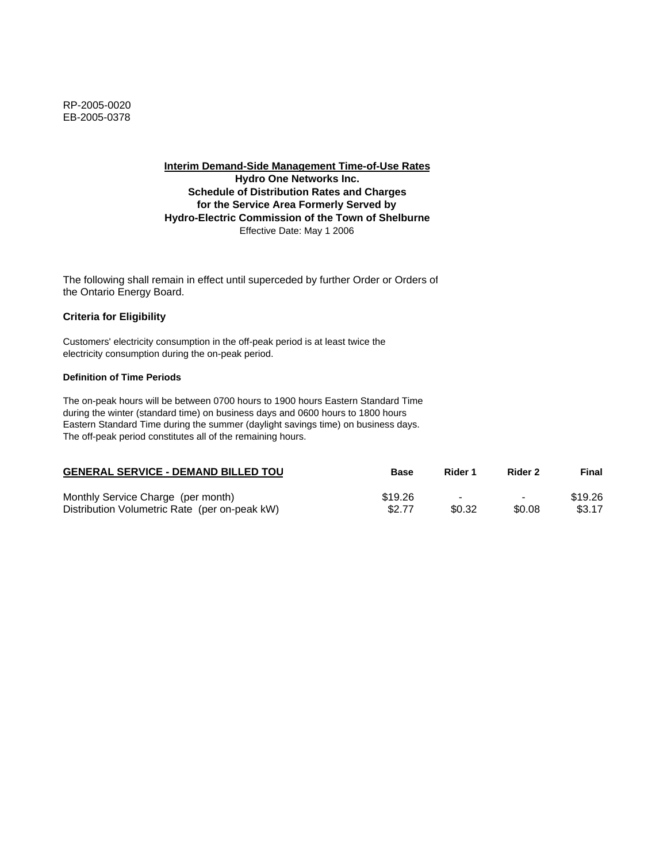**Interim Demand-Side Management Time-of-Use Rates Hydro One Networks Inc. Schedule of Distribution Rates and Charges for the Service Area Formerly Served by Hydro-Electric Commission of the Town of Shelburne** Effective Date: May 1 2006

The following shall remain in effect until superceded by further Order or Orders of the Ontario Energy Board.

## **Criteria for Eligibility**

Customers' electricity consumption in the off-peak period is at least twice the electricity consumption during the on-peak period.

### **Definition of Time Periods**

| <b>GENERAL SERVICE - DEMAND BILLED TOU</b>    | Base    | Rider 1                  | Rider 2                  | Final   |
|-----------------------------------------------|---------|--------------------------|--------------------------|---------|
| Monthly Service Charge (per month)            | \$19.26 | $\overline{\phantom{a}}$ | $\overline{\phantom{0}}$ | \$19.26 |
| Distribution Volumetric Rate (per on-peak kW) | \$2.77  | \$0.32                   | \$0.08                   | \$3.17  |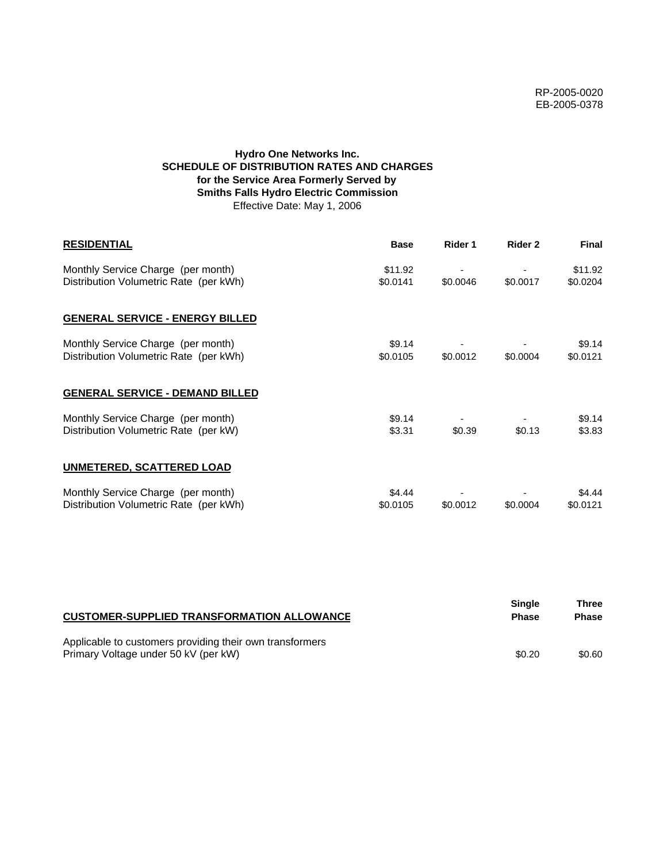# **Hydro One Networks Inc. SCHEDULE OF DISTRIBUTION RATES AND CHARGES for the Service Area Formerly Served by Smiths Falls Hydro Electric Commission** Effective Date: May 1, 2006

| <b>RESIDENTIAL</b>                                                           | <b>Base</b>         | Rider 1  | Rider 2  | Final               |
|------------------------------------------------------------------------------|---------------------|----------|----------|---------------------|
| Monthly Service Charge (per month)<br>Distribution Volumetric Rate (per kWh) | \$11.92<br>\$0.0141 | \$0.0046 | \$0.0017 | \$11.92<br>\$0.0204 |
| <b>GENERAL SERVICE - ENERGY BILLED</b>                                       |                     |          |          |                     |
| Monthly Service Charge (per month)<br>Distribution Volumetric Rate (per kWh) | \$9.14<br>\$0.0105  | \$0.0012 | \$0.0004 | \$9.14<br>\$0.0121  |
| <b>GENERAL SERVICE - DEMAND BILLED</b>                                       |                     |          |          |                     |
| Monthly Service Charge (per month)<br>Distribution Volumetric Rate (per kW)  | \$9.14<br>\$3.31    | \$0.39   | \$0.13   | \$9.14<br>\$3.83    |
| <b>UNMETERED, SCATTERED LOAD</b>                                             |                     |          |          |                     |
| Monthly Service Charge (per month)<br>Distribution Volumetric Rate (per kWh) | \$4.44<br>\$0.0105  | \$0.0012 | \$0.0004 | \$4.44<br>\$0.0121  |

| <b>CUSTOMER-SUPPLIED TRANSFORMATION ALLOWANCE</b>                                                | Single<br><b>Phase</b> | Three<br><b>Phase</b> |
|--------------------------------------------------------------------------------------------------|------------------------|-----------------------|
| Applicable to customers providing their own transformers<br>Primary Voltage under 50 kV (per kW) | \$0.20                 | \$0.60                |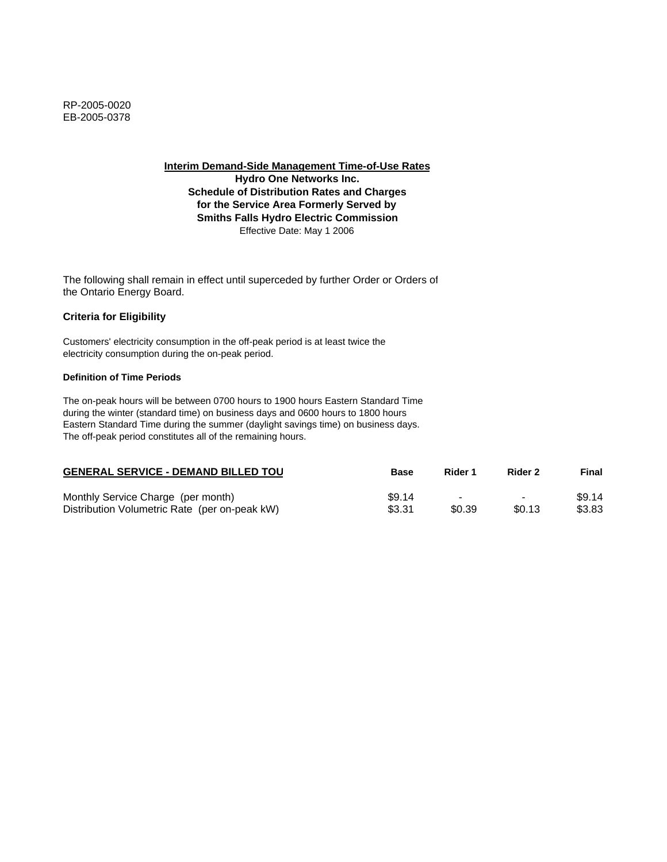**Hydro One Networks Inc. Schedule of Distribution Rates and Charges for the Service Area Formerly Served by Smiths Falls Hydro Electric Commission** Effective Date: May 1 2006

The following shall remain in effect until superceded by further Order or Orders of the Ontario Energy Board.

## **Criteria for Eligibility**

Customers' electricity consumption in the off-peak period is at least twice the electricity consumption during the on-peak period.

### **Definition of Time Periods**

| <b>GENERAL SERVICE - DEMAND BILLED TOU</b>    | <b>Base</b> | Rider 1                  | Rider 2                  | Final  |
|-----------------------------------------------|-------------|--------------------------|--------------------------|--------|
| Monthly Service Charge (per month)            | \$9.14      | $\overline{\phantom{0}}$ | $\overline{\phantom{0}}$ | \$9.14 |
| Distribution Volumetric Rate (per on-peak kW) | \$3.31      | \$0.39                   | \$0.13                   | \$3.83 |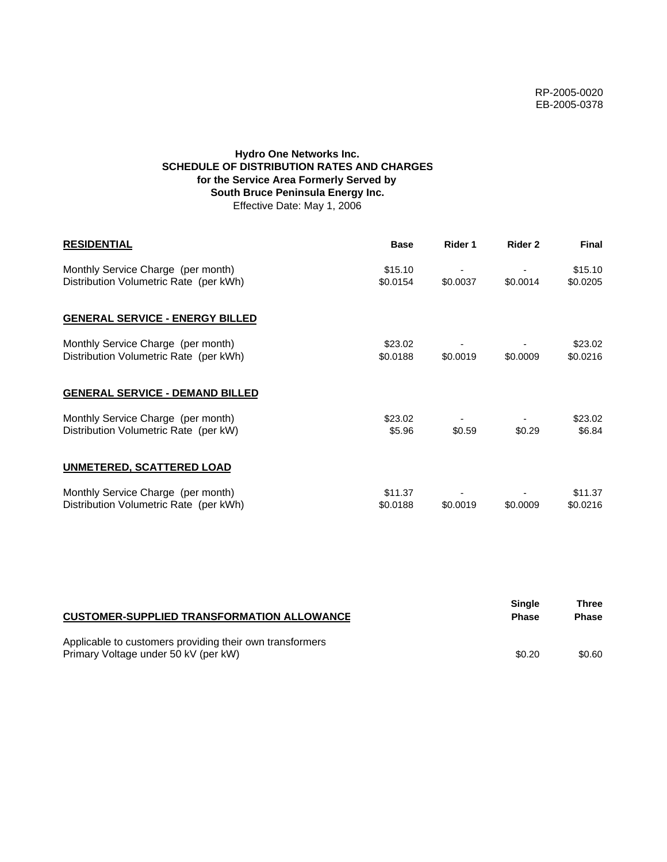# **Hydro One Networks Inc. SCHEDULE OF DISTRIBUTION RATES AND CHARGES for the Service Area Formerly Served by South Bruce Peninsula Energy Inc.** Effective Date: May 1, 2006

| <b>RESIDENTIAL</b>                                                           | <b>Base</b>         | Rider 1  | Rider 2  | <b>Final</b>        |
|------------------------------------------------------------------------------|---------------------|----------|----------|---------------------|
| Monthly Service Charge (per month)<br>Distribution Volumetric Rate (per kWh) | \$15.10<br>\$0.0154 | \$0.0037 | \$0.0014 | \$15.10<br>\$0.0205 |
| <b>GENERAL SERVICE - ENERGY BILLED</b>                                       |                     |          |          |                     |
| Monthly Service Charge (per month)<br>Distribution Volumetric Rate (per kWh) | \$23.02<br>\$0.0188 | \$0.0019 | \$0.0009 | \$23.02<br>\$0.0216 |
| <b>GENERAL SERVICE - DEMAND BILLED</b>                                       |                     |          |          |                     |
| Monthly Service Charge (per month)<br>Distribution Volumetric Rate (per kW)  | \$23.02<br>\$5.96   | \$0.59   | \$0.29   | \$23.02<br>\$6.84   |
| <b>UNMETERED, SCATTERED LOAD</b>                                             |                     |          |          |                     |
| Monthly Service Charge (per month)<br>Distribution Volumetric Rate (per kWh) | \$11.37<br>\$0.0188 | \$0.0019 | \$0.0009 | \$11.37<br>\$0.0216 |

| <b>CUSTOMER-SUPPLIED TRANSFORMATION ALLOWANCE</b>                                                | <b>Single</b><br><b>Phase</b> | Three<br><b>Phase</b> |
|--------------------------------------------------------------------------------------------------|-------------------------------|-----------------------|
| Applicable to customers providing their own transformers<br>Primary Voltage under 50 kV (per kW) | \$0.20                        | \$0.60                |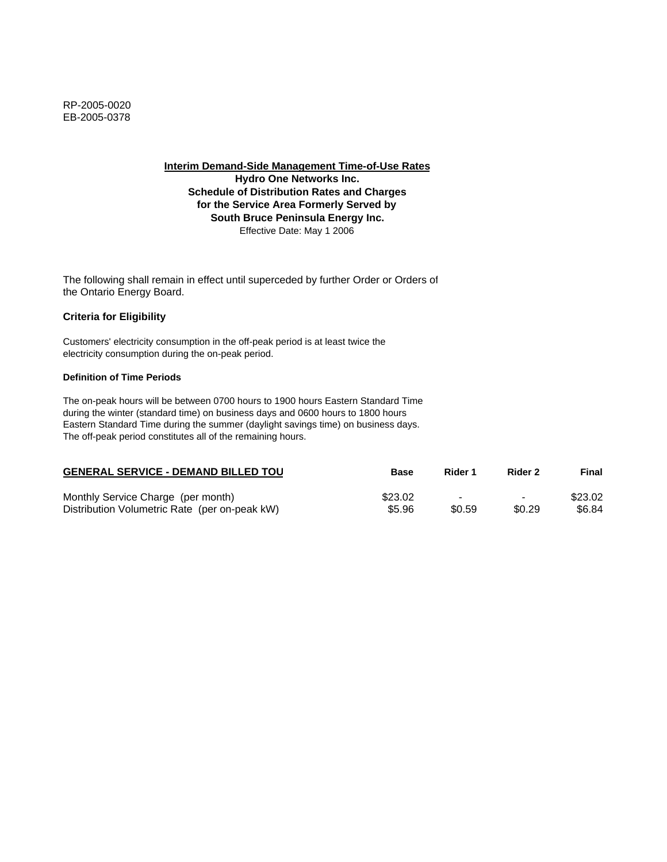**Interim Demand-Side Management Time-of-Use Rates Hydro One Networks Inc.**

**Schedule of Distribution Rates and Charges for the Service Area Formerly Served by South Bruce Peninsula Energy Inc.** Effective Date: May 1 2006

The following shall remain in effect until superceded by further Order or Orders of the Ontario Energy Board.

### **Criteria for Eligibility**

Customers' electricity consumption in the off-peak period is at least twice the electricity consumption during the on-peak period.

### **Definition of Time Periods**

| <b>GENERAL SERVICE - DEMAND BILLED TOU</b>    | <b>Base</b> | Rider 1                  | Rider 2                  | Final   |
|-----------------------------------------------|-------------|--------------------------|--------------------------|---------|
| Monthly Service Charge (per month)            | \$23.02     | $\overline{\phantom{0}}$ | $\overline{\phantom{0}}$ | \$23.02 |
| Distribution Volumetric Rate (per on-peak kW) | \$5.96      | \$0.59                   | \$0.29                   | \$6.84  |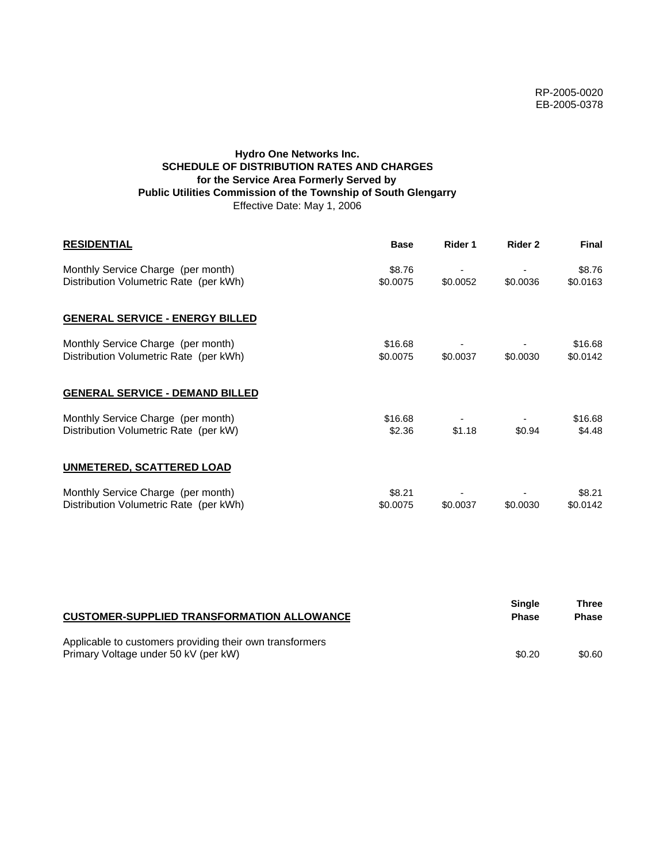## **Hydro One Networks Inc. SCHEDULE OF DISTRIBUTION RATES AND CHARGES for the Service Area Formerly Served by Public Utilities Commission of the Township of South Glengarry** Effective Date: May 1, 2006

| <b>RESIDENTIAL</b>                                                           | <b>Base</b>         | Rider 1  | Rider 2  | Final               |
|------------------------------------------------------------------------------|---------------------|----------|----------|---------------------|
| Monthly Service Charge (per month)<br>Distribution Volumetric Rate (per kWh) | \$8.76<br>\$0.0075  | \$0.0052 | \$0.0036 | \$8.76<br>\$0.0163  |
| <b>GENERAL SERVICE - ENERGY BILLED</b>                                       |                     |          |          |                     |
| Monthly Service Charge (per month)<br>Distribution Volumetric Rate (per kWh) | \$16.68<br>\$0.0075 | \$0.0037 | \$0.0030 | \$16.68<br>\$0.0142 |
| <b>GENERAL SERVICE - DEMAND BILLED</b>                                       |                     |          |          |                     |
| Monthly Service Charge (per month)<br>Distribution Volumetric Rate (per kW)  | \$16.68<br>\$2.36   | \$1.18   | \$0.94   | \$16.68<br>\$4.48   |
| <b>UNMETERED, SCATTERED LOAD</b>                                             |                     |          |          |                     |
| Monthly Service Charge (per month)<br>Distribution Volumetric Rate (per kWh) | \$8.21<br>\$0.0075  | \$0.0037 | \$0.0030 | \$8.21<br>\$0.0142  |

| <b>CUSTOMER-SUPPLIED TRANSFORMATION ALLOWANCE</b>                                                | Single<br><b>Phase</b> | Three<br><b>Phase</b> |
|--------------------------------------------------------------------------------------------------|------------------------|-----------------------|
| Applicable to customers providing their own transformers<br>Primary Voltage under 50 kV (per kW) | \$0.20                 | \$0.60                |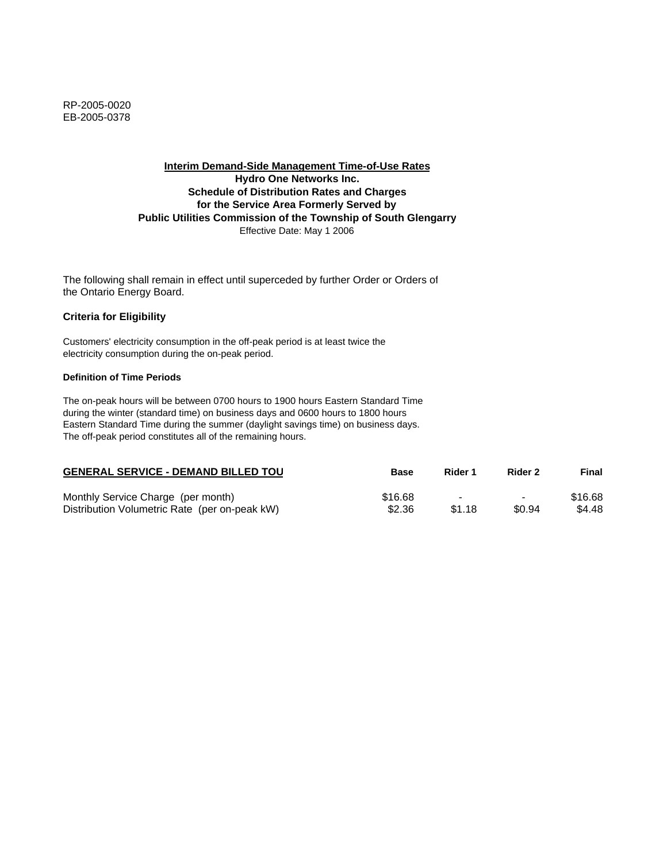## **Interim Demand-Side Management Time-of-Use Rates Hydro One Networks Inc. Schedule of Distribution Rates and Charges for the Service Area Formerly Served by Public Utilities Commission of the Township of South Glengarry** Effective Date: May 1 2006

The following shall remain in effect until superceded by further Order or Orders of the Ontario Energy Board.

### **Criteria for Eligibility**

Customers' electricity consumption in the off-peak period is at least twice the electricity consumption during the on-peak period.

#### **Definition of Time Periods**

| <b>GENERAL SERVICE - DEMAND BILLED TOU</b>    | Base    | Rider 1 | Rider 2                  | Final   |
|-----------------------------------------------|---------|---------|--------------------------|---------|
| Monthly Service Charge (per month)            | \$16.68 |         | $\overline{\phantom{0}}$ | \$16.68 |
| Distribution Volumetric Rate (per on-peak kW) | \$2.36  | \$1.18  | \$0.94                   | \$4.48  |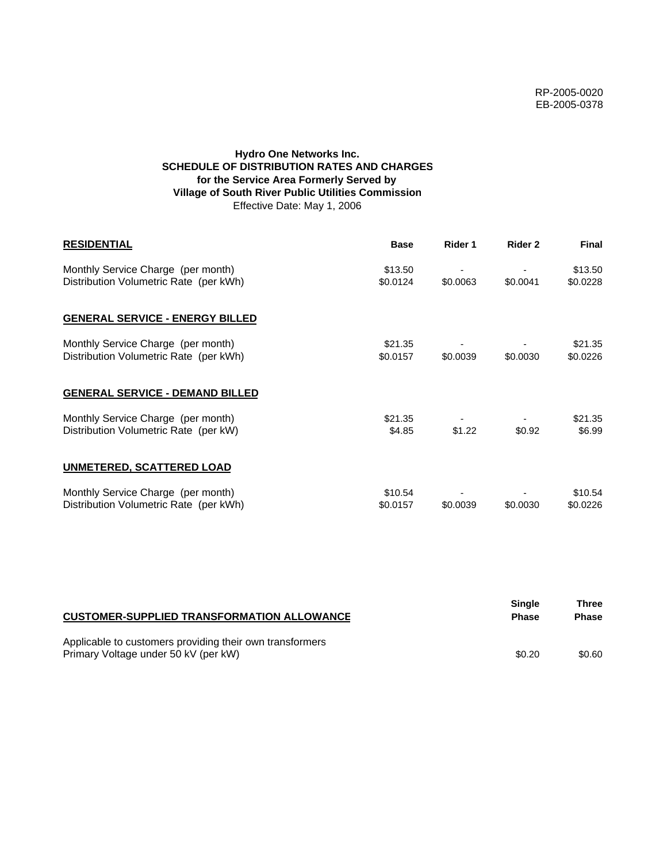## **Hydro One Networks Inc. SCHEDULE OF DISTRIBUTION RATES AND CHARGES for the Service Area Formerly Served by Village of South River Public Utilities Commission** Effective Date: May 1, 2006

| <b>RESIDENTIAL</b>                                                           | <b>Base</b>         | Rider 1  | Rider 2  | <b>Final</b>        |
|------------------------------------------------------------------------------|---------------------|----------|----------|---------------------|
| Monthly Service Charge (per month)<br>Distribution Volumetric Rate (per kWh) | \$13.50<br>\$0.0124 | \$0.0063 | \$0.0041 | \$13.50<br>\$0.0228 |
| <b>GENERAL SERVICE - ENERGY BILLED</b>                                       |                     |          |          |                     |
| Monthly Service Charge (per month)<br>Distribution Volumetric Rate (per kWh) | \$21.35<br>\$0.0157 | \$0.0039 | \$0.0030 | \$21.35<br>\$0.0226 |
| <b>GENERAL SERVICE - DEMAND BILLED</b>                                       |                     |          |          |                     |
| Monthly Service Charge (per month)<br>Distribution Volumetric Rate (per kW)  | \$21.35<br>\$4.85   | \$1.22   | \$0.92   | \$21.35<br>\$6.99   |
| UNMETERED, SCATTERED LOAD                                                    |                     |          |          |                     |
| Monthly Service Charge (per month)<br>Distribution Volumetric Rate (per kWh) | \$10.54<br>\$0.0157 | \$0.0039 | \$0.0030 | \$10.54<br>\$0.0226 |

| <b>CUSTOMER-SUPPLIED TRANSFORMATION ALLOWANCE</b>                                                | Single<br><b>Phase</b> | Three<br><b>Phase</b> |
|--------------------------------------------------------------------------------------------------|------------------------|-----------------------|
| Applicable to customers providing their own transformers<br>Primary Voltage under 50 kV (per kW) | \$0.20                 | \$0.60                |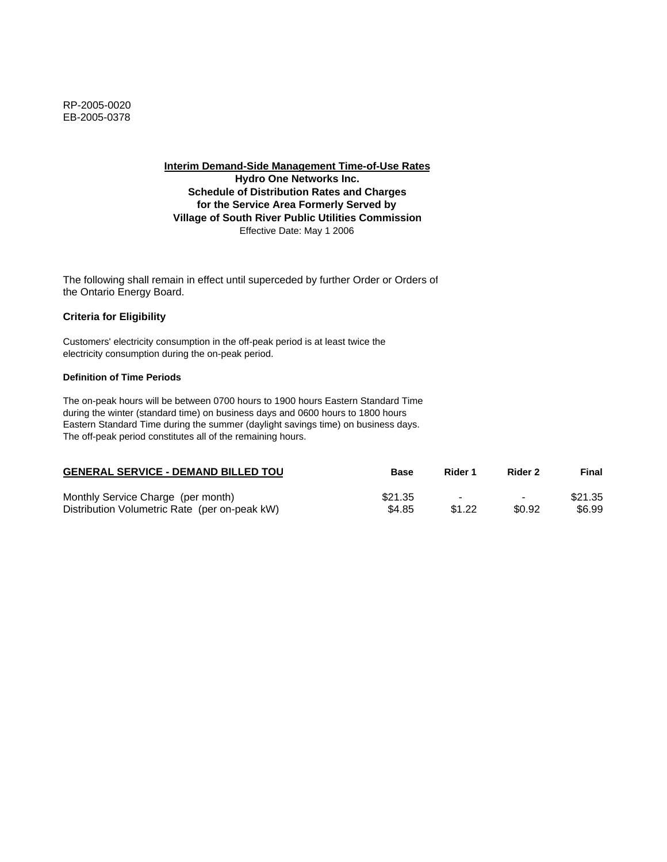**Interim Demand-Side Management Time-of-Use Rates Hydro One Networks Inc. Schedule of Distribution Rates and Charges for the Service Area Formerly Served by Village of South River Public Utilities Commission** Effective Date: May 1 2006

The following shall remain in effect until superceded by further Order or Orders of the Ontario Energy Board.

### **Criteria for Eligibility**

Customers' electricity consumption in the off-peak period is at least twice the electricity consumption during the on-peak period.

### **Definition of Time Periods**

| <b>GENERAL SERVICE - DEMAND BILLED TOU</b>    | <b>Base</b> | Rider 1 | Rider 2                  | Final   |
|-----------------------------------------------|-------------|---------|--------------------------|---------|
| Monthly Service Charge (per month)            | \$21.35     |         | $\overline{\phantom{0}}$ | \$21.35 |
| Distribution Volumetric Rate (per on-peak kW) | \$4.85      | \$1.22  | \$0.92                   | \$6.99  |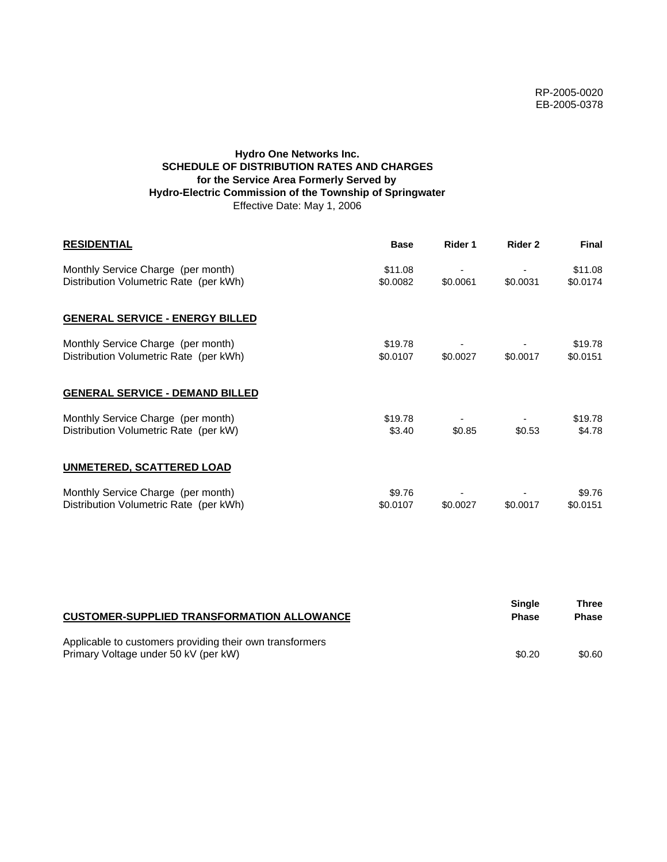## **Hydro One Networks Inc. SCHEDULE OF DISTRIBUTION RATES AND CHARGES for the Service Area Formerly Served by Hydro-Electric Commission of the Township of Springwater** Effective Date: May 1, 2006

| <b>RESIDENTIAL</b>                                                           | <b>Base</b>         | Rider 1  | Rider 2  | Final               |
|------------------------------------------------------------------------------|---------------------|----------|----------|---------------------|
| Monthly Service Charge (per month)<br>Distribution Volumetric Rate (per kWh) | \$11.08<br>\$0.0082 | \$0.0061 | \$0.0031 | \$11.08<br>\$0.0174 |
| <b>GENERAL SERVICE - ENERGY BILLED</b>                                       |                     |          |          |                     |
| Monthly Service Charge (per month)<br>Distribution Volumetric Rate (per kWh) | \$19.78<br>\$0.0107 | \$0.0027 | \$0.0017 | \$19.78<br>\$0.0151 |
| <b>GENERAL SERVICE - DEMAND BILLED</b>                                       |                     |          |          |                     |
| Monthly Service Charge (per month)<br>Distribution Volumetric Rate (per kW)  | \$19.78<br>\$3.40   | \$0.85   | \$0.53   | \$19.78<br>\$4.78   |
| UNMETERED, SCATTERED LOAD                                                    |                     |          |          |                     |
| Monthly Service Charge (per month)<br>Distribution Volumetric Rate (per kWh) | \$9.76<br>\$0.0107  | \$0.0027 | \$0.0017 | \$9.76<br>\$0.0151  |

| <b>CUSTOMER-SUPPLIED TRANSFORMATION ALLOWANCE</b>                                                | <b>Single</b><br><b>Phase</b> | Three<br><b>Phase</b> |
|--------------------------------------------------------------------------------------------------|-------------------------------|-----------------------|
| Applicable to customers providing their own transformers<br>Primary Voltage under 50 kV (per kW) | \$0.20                        | \$0.60                |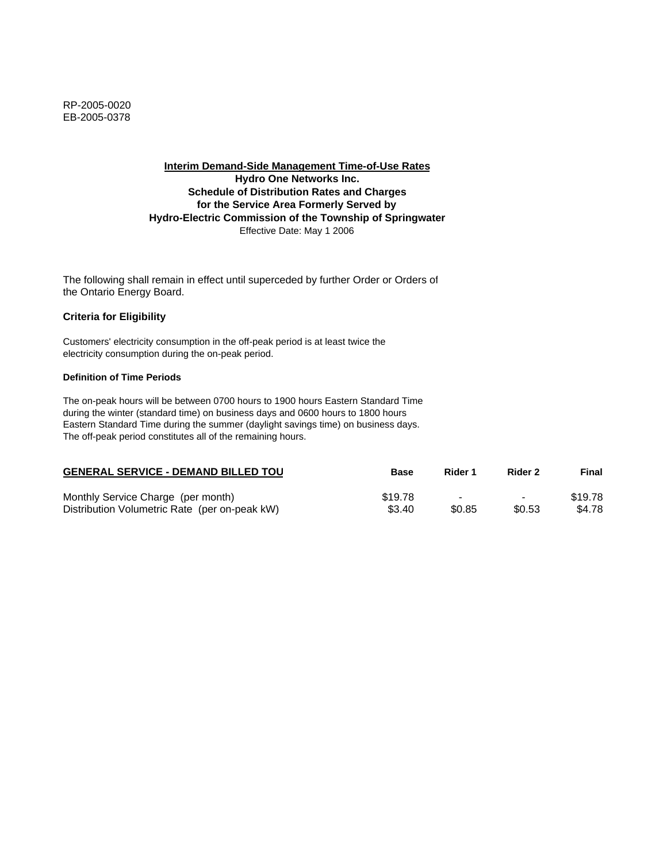**Interim Demand-Side Management Time-of-Use Rates Hydro One Networks Inc. Schedule of Distribution Rates and Charges for the Service Area Formerly Served by Hydro-Electric Commission of the Township of Springwater** Effective Date: May 1 2006

The following shall remain in effect until superceded by further Order or Orders of the Ontario Energy Board.

### **Criteria for Eligibility**

Customers' electricity consumption in the off-peak period is at least twice the electricity consumption during the on-peak period.

### **Definition of Time Periods**

| <b>GENERAL SERVICE - DEMAND BILLED TOU</b>    | Base    | Rider 1 | Rider 2                  | Final   |
|-----------------------------------------------|---------|---------|--------------------------|---------|
| Monthly Service Charge (per month)            | \$19.78 |         | $\overline{\phantom{0}}$ | \$19.78 |
| Distribution Volumetric Rate (per on-peak kW) | \$3.40  | \$0.85  | \$0.53                   | \$4.78  |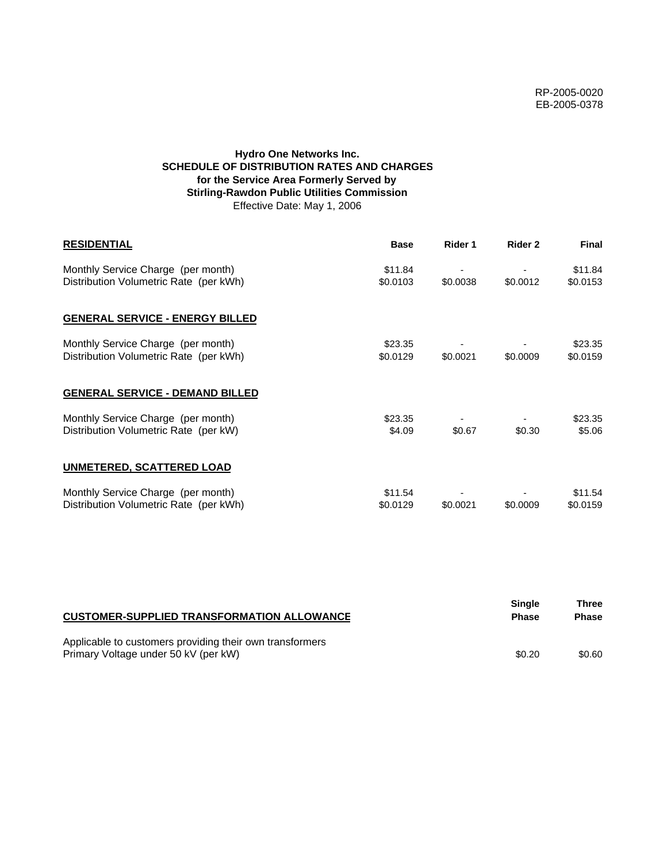# **Hydro One Networks Inc. SCHEDULE OF DISTRIBUTION RATES AND CHARGES for the Service Area Formerly Served by Stirling-Rawdon Public Utilities Commission** Effective Date: May 1, 2006

| <b>RESIDENTIAL</b>                                                           | <b>Base</b>         | Rider 1  | Rider 2  | <b>Final</b>        |
|------------------------------------------------------------------------------|---------------------|----------|----------|---------------------|
| Monthly Service Charge (per month)<br>Distribution Volumetric Rate (per kWh) | \$11.84<br>\$0.0103 | \$0.0038 | \$0.0012 | \$11.84<br>\$0.0153 |
| <b>GENERAL SERVICE - ENERGY BILLED</b>                                       |                     |          |          |                     |
| Monthly Service Charge (per month)<br>Distribution Volumetric Rate (per kWh) | \$23.35<br>\$0.0129 | \$0.0021 | \$0.0009 | \$23.35<br>\$0.0159 |
| <b>GENERAL SERVICE - DEMAND BILLED</b>                                       |                     |          |          |                     |
| Monthly Service Charge (per month)<br>Distribution Volumetric Rate (per kW)  | \$23.35<br>\$4.09   | \$0.67   | \$0.30   | \$23.35<br>\$5.06   |
| <b>UNMETERED, SCATTERED LOAD</b>                                             |                     |          |          |                     |
| Monthly Service Charge (per month)<br>Distribution Volumetric Rate (per kWh) | \$11.54<br>\$0.0129 | \$0.0021 | \$0.0009 | \$11.54<br>\$0.0159 |

| <b>CUSTOMER-SUPPLIED TRANSFORMATION ALLOWANCE</b>                                                | Single<br><b>Phase</b> | Three<br><b>Phase</b> |
|--------------------------------------------------------------------------------------------------|------------------------|-----------------------|
| Applicable to customers providing their own transformers<br>Primary Voltage under 50 kV (per kW) | \$0.20                 | \$0.60                |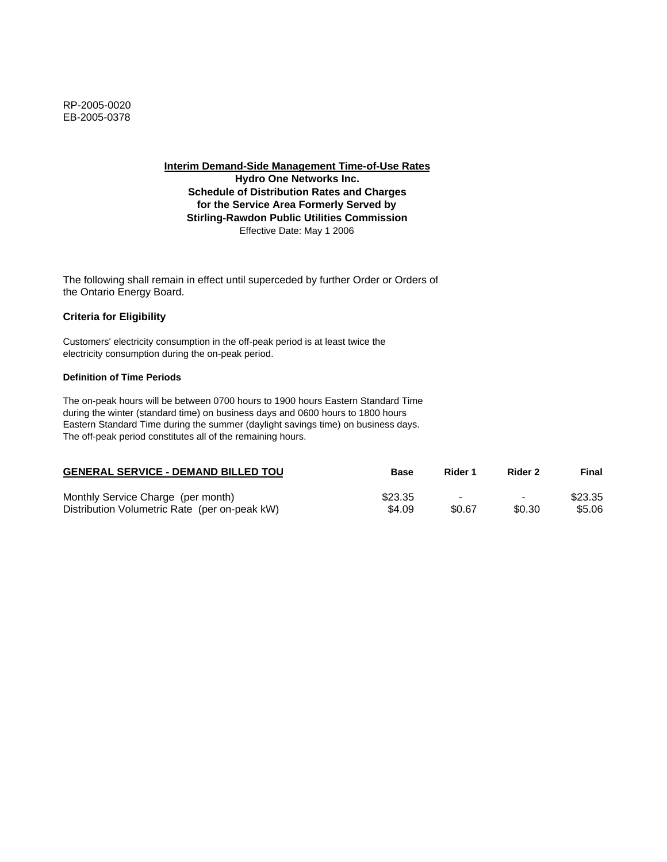**Hydro One Networks Inc. Schedule of Distribution Rates and Charges for the Service Area Formerly Served by Stirling-Rawdon Public Utilities Commission** Effective Date: May 1 2006

The following shall remain in effect until superceded by further Order or Orders of the Ontario Energy Board.

# **Criteria for Eligibility**

Customers' electricity consumption in the off-peak period is at least twice the electricity consumption during the on-peak period.

### **Definition of Time Periods**

| <b>GENERAL SERVICE - DEMAND BILLED TOU</b>    | <b>Base</b> | Rider 1                  | Rider 2                  | Final   |
|-----------------------------------------------|-------------|--------------------------|--------------------------|---------|
| Monthly Service Charge (per month)            | \$23.35     | $\overline{\phantom{0}}$ | $\overline{\phantom{0}}$ | \$23.35 |
| Distribution Volumetric Rate (per on-peak kW) | \$4.09      | \$0.67                   | \$0.30                   | \$5.06  |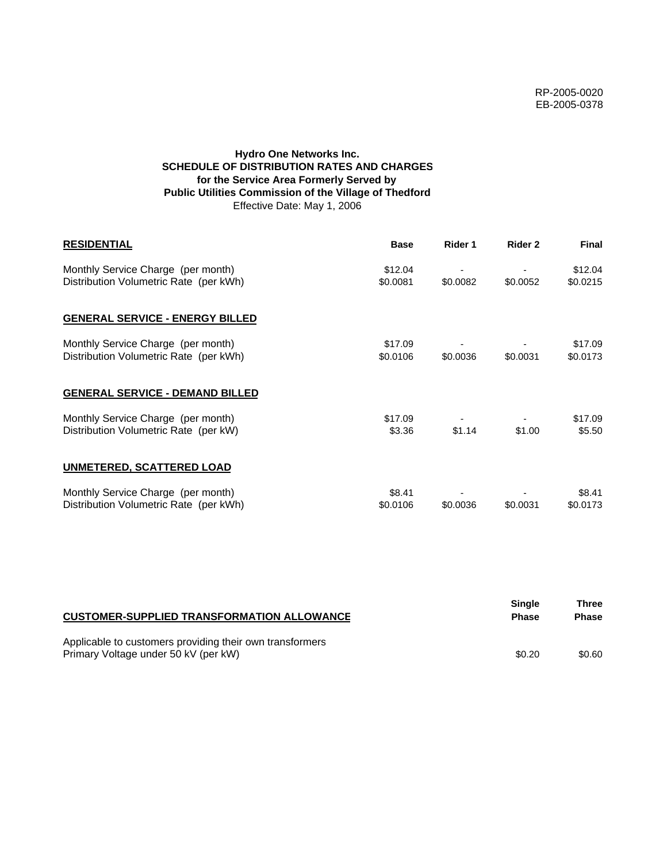# **Hydro One Networks Inc. SCHEDULE OF DISTRIBUTION RATES AND CHARGES for the Service Area Formerly Served by Public Utilities Commission of the Village of Thedford** Effective Date: May 1, 2006

| <b>RESIDENTIAL</b>                                                           | <b>Base</b>         | Rider 1  | Rider 2  | <b>Final</b>        |
|------------------------------------------------------------------------------|---------------------|----------|----------|---------------------|
| Monthly Service Charge (per month)<br>Distribution Volumetric Rate (per kWh) | \$12.04<br>\$0.0081 | \$0.0082 | \$0.0052 | \$12.04<br>\$0.0215 |
| <b>GENERAL SERVICE - ENERGY BILLED</b>                                       |                     |          |          |                     |
| Monthly Service Charge (per month)<br>Distribution Volumetric Rate (per kWh) | \$17.09<br>\$0.0106 | \$0.0036 | \$0.0031 | \$17.09<br>\$0.0173 |
| <b>GENERAL SERVICE - DEMAND BILLED</b>                                       |                     |          |          |                     |
| Monthly Service Charge (per month)<br>Distribution Volumetric Rate (per kW)  | \$17.09<br>\$3.36   | \$1.14   | \$1.00   | \$17.09<br>\$5.50   |
| <b>UNMETERED, SCATTERED LOAD</b>                                             |                     |          |          |                     |
| Monthly Service Charge (per month)<br>Distribution Volumetric Rate (per kWh) | \$8.41<br>\$0.0106  | \$0.0036 | \$0.0031 | \$8.41<br>\$0.0173  |

| <b>CUSTOMER-SUPPLIED TRANSFORMATION ALLOWANCE</b>                                                | Single<br><b>Phase</b> | Three<br><b>Phase</b> |
|--------------------------------------------------------------------------------------------------|------------------------|-----------------------|
| Applicable to customers providing their own transformers<br>Primary Voltage under 50 kV (per kW) | \$0.20                 | \$0.60                |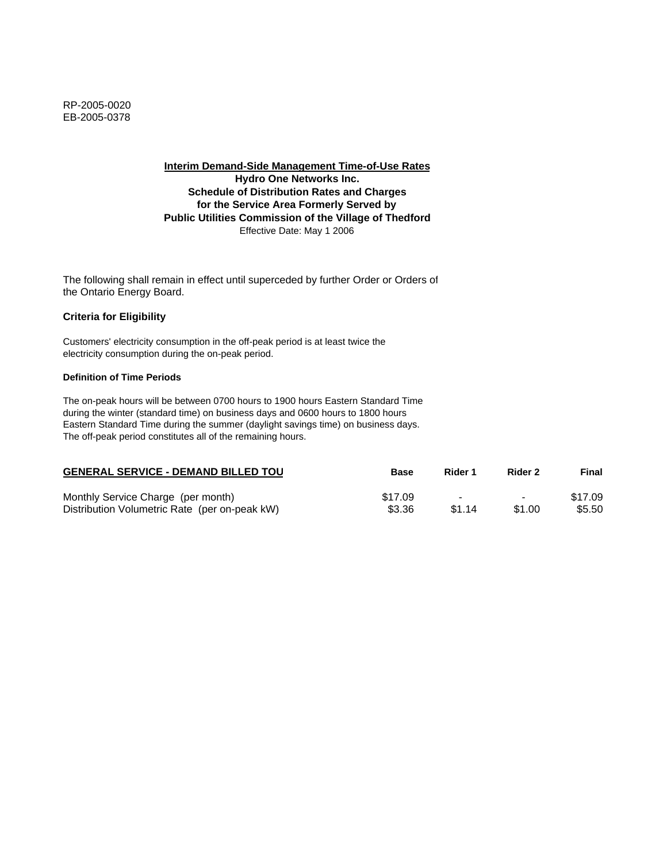**Interim Demand-Side Management Time-of-Use Rates Hydro One Networks Inc. Schedule of Distribution Rates and Charges for the Service Area Formerly Served by Public Utilities Commission of the Village of Thedford** Effective Date: May 1 2006

The following shall remain in effect until superceded by further Order or Orders of the Ontario Energy Board.

### **Criteria for Eligibility**

Customers' electricity consumption in the off-peak period is at least twice the electricity consumption during the on-peak period.

#### **Definition of Time Periods**

| <b>GENERAL SERVICE - DEMAND BILLED TOU</b>    | <b>Base</b> | Rider 1 | Rider 2                  | Final   |
|-----------------------------------------------|-------------|---------|--------------------------|---------|
| Monthly Service Charge (per month)            | \$17.09     | $\sim$  | $\overline{\phantom{0}}$ | \$17.09 |
| Distribution Volumetric Rate (per on-peak kW) | \$3.36      | \$1.14  | \$1.00                   | \$5.50  |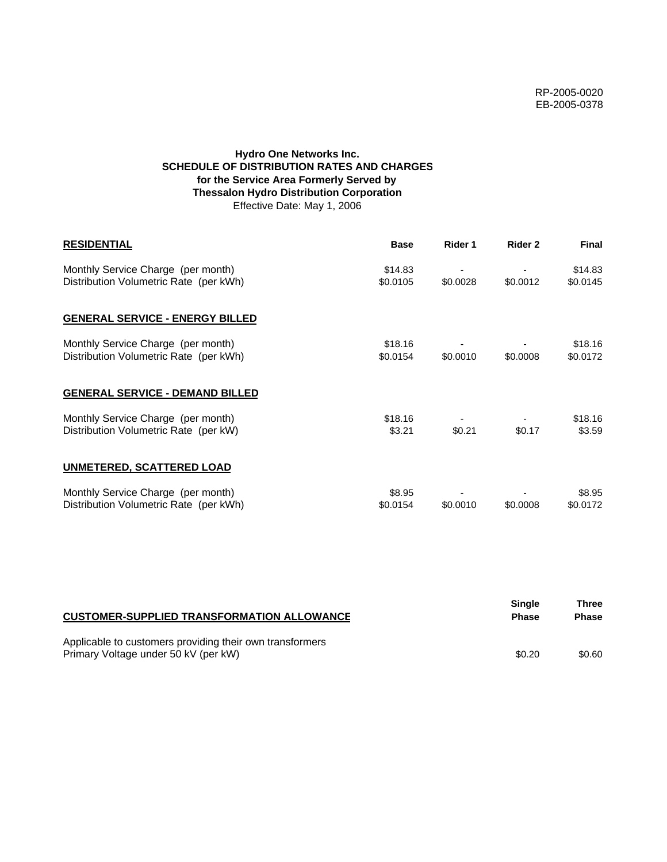# **Hydro One Networks Inc. SCHEDULE OF DISTRIBUTION RATES AND CHARGES for the Service Area Formerly Served by Thessalon Hydro Distribution Corporation** Effective Date: May 1, 2006

| <b>RESIDENTIAL</b>                                                           | <b>Base</b>         | Rider 1  | Rider 2  | <b>Final</b>        |
|------------------------------------------------------------------------------|---------------------|----------|----------|---------------------|
| Monthly Service Charge (per month)<br>Distribution Volumetric Rate (per kWh) | \$14.83<br>\$0.0105 | \$0.0028 | \$0.0012 | \$14.83<br>\$0.0145 |
| <b>GENERAL SERVICE - ENERGY BILLED</b>                                       |                     |          |          |                     |
| Monthly Service Charge (per month)<br>Distribution Volumetric Rate (per kWh) | \$18.16<br>\$0.0154 | \$0.0010 | \$0.0008 | \$18.16<br>\$0.0172 |
| <b>GENERAL SERVICE - DEMAND BILLED</b>                                       |                     |          |          |                     |
| Monthly Service Charge (per month)<br>Distribution Volumetric Rate (per kW)  | \$18.16<br>\$3.21   | \$0.21   | \$0.17   | \$18.16<br>\$3.59   |
| <b>UNMETERED, SCATTERED LOAD</b>                                             |                     |          |          |                     |
| Monthly Service Charge (per month)<br>Distribution Volumetric Rate (per kWh) | \$8.95<br>\$0.0154  | \$0.0010 | \$0,0008 | \$8.95<br>\$0.0172  |

| <b>CUSTOMER-SUPPLIED TRANSFORMATION ALLOWANCE</b>                                                | <b>Single</b><br><b>Phase</b> | Three<br><b>Phase</b> |
|--------------------------------------------------------------------------------------------------|-------------------------------|-----------------------|
| Applicable to customers providing their own transformers<br>Primary Voltage under 50 kV (per kW) | \$0.20                        | \$0.60                |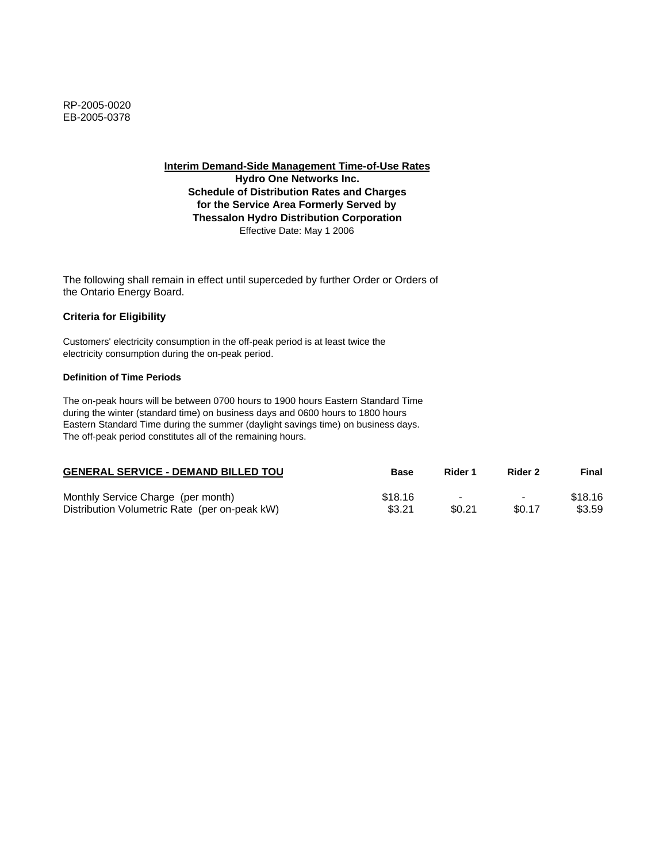**Interim Demand-Side Management Time-of-Use Rates Hydro One Networks Inc.**

**Schedule of Distribution Rates and Charges for the Service Area Formerly Served by Thessalon Hydro Distribution Corporation** Effective Date: May 1 2006

The following shall remain in effect until superceded by further Order or Orders of the Ontario Energy Board.

### **Criteria for Eligibility**

Customers' electricity consumption in the off-peak period is at least twice the electricity consumption during the on-peak period.

### **Definition of Time Periods**

| <b>GENERAL SERVICE - DEMAND BILLED TOU</b>    | Base    | Rider 1 | Rider 2                  | Final   |
|-----------------------------------------------|---------|---------|--------------------------|---------|
| Monthly Service Charge (per month)            | \$18.16 |         | $\overline{\phantom{0}}$ | \$18.16 |
| Distribution Volumetric Rate (per on-peak kW) | \$3.21  | \$0.21  | \$0.17                   | \$3.59  |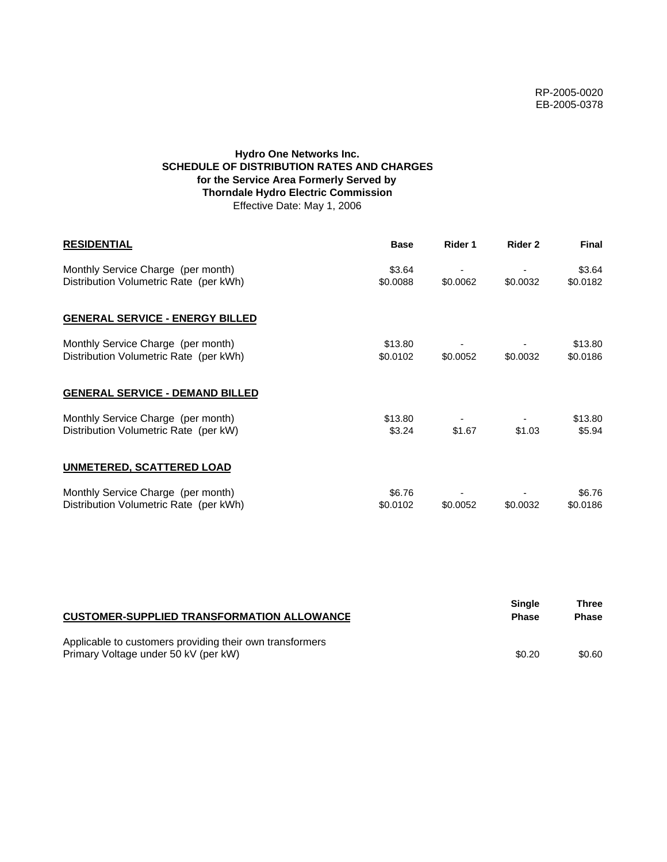# **Hydro One Networks Inc. SCHEDULE OF DISTRIBUTION RATES AND CHARGES for the Service Area Formerly Served by Thorndale Hydro Electric Commission** Effective Date: May 1, 2006

| <b>RESIDENTIAL</b>                                                           | <b>Base</b>         | Rider 1  | Rider 2  | <b>Final</b>        |
|------------------------------------------------------------------------------|---------------------|----------|----------|---------------------|
| Monthly Service Charge (per month)<br>Distribution Volumetric Rate (per kWh) | \$3.64<br>\$0.0088  | \$0.0062 | \$0.0032 | \$3.64<br>\$0.0182  |
| <b>GENERAL SERVICE - ENERGY BILLED</b>                                       |                     |          |          |                     |
| Monthly Service Charge (per month)<br>Distribution Volumetric Rate (per kWh) | \$13.80<br>\$0.0102 | \$0.0052 | \$0.0032 | \$13.80<br>\$0.0186 |
| <b>GENERAL SERVICE - DEMAND BILLED</b>                                       |                     |          |          |                     |
| Monthly Service Charge (per month)<br>Distribution Volumetric Rate (per kW)  | \$13.80<br>\$3.24   | \$1.67   | \$1.03   | \$13.80<br>\$5.94   |
| <b>UNMETERED, SCATTERED LOAD</b>                                             |                     |          |          |                     |
| Monthly Service Charge (per month)<br>Distribution Volumetric Rate (per kWh) | \$6.76<br>\$0.0102  | \$0.0052 | \$0.0032 | \$6.76<br>\$0.0186  |

| <b>CUSTOMER-SUPPLIED TRANSFORMATION ALLOWANCE</b>                                                | <b>Single</b><br><b>Phase</b> | Three<br><b>Phase</b> |
|--------------------------------------------------------------------------------------------------|-------------------------------|-----------------------|
| Applicable to customers providing their own transformers<br>Primary Voltage under 50 kV (per kW) | \$0.20                        | \$0.60                |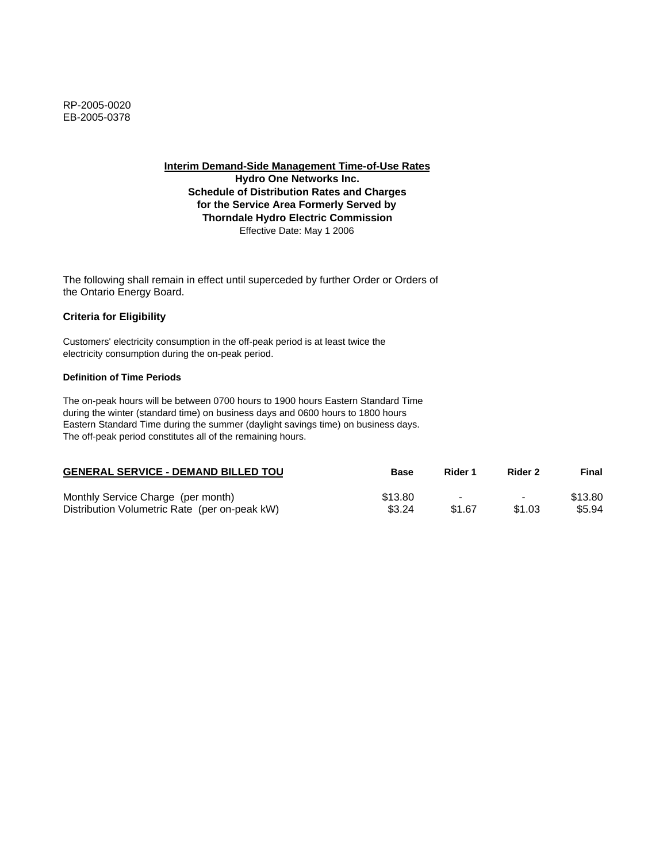**Hydro One Networks Inc. Schedule of Distribution Rates and Charges for the Service Area Formerly Served by Thorndale Hydro Electric Commission** Effective Date: May 1 2006

The following shall remain in effect until superceded by further Order or Orders of the Ontario Energy Board.

### **Criteria for Eligibility**

Customers' electricity consumption in the off-peak period is at least twice the electricity consumption during the on-peak period.

### **Definition of Time Periods**

| <b>GENERAL SERVICE - DEMAND BILLED TOU</b>    | Base    | Rider 1 | Rider 2                  | Final   |
|-----------------------------------------------|---------|---------|--------------------------|---------|
| Monthly Service Charge (per month)            | \$13.80 | $\sim$  | $\overline{\phantom{0}}$ | \$13.80 |
| Distribution Volumetric Rate (per on-peak kW) | \$3.24  | \$1.67  | \$1.03                   | \$5.94  |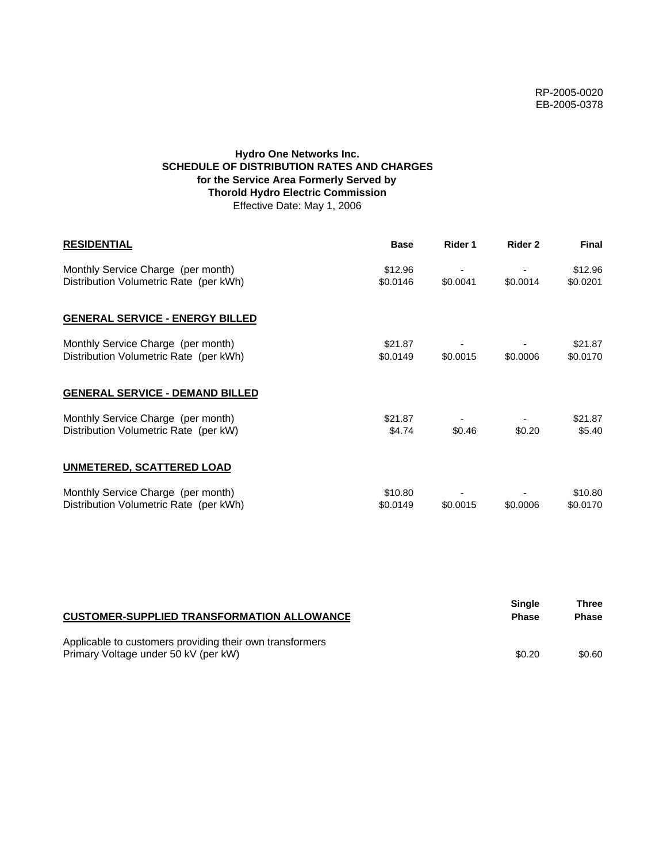## **Hydro One Networks Inc. SCHEDULE OF DISTRIBUTION RATES AND CHARGES for the Service Area Formerly Served by Thorold Hydro Electric Commission** Effective Date: May 1, 2006

| <b>RESIDENTIAL</b>                                                           | <b>Base</b>         | Rider 1  | Rider 2  | <b>Final</b>        |
|------------------------------------------------------------------------------|---------------------|----------|----------|---------------------|
| Monthly Service Charge (per month)<br>Distribution Volumetric Rate (per kWh) | \$12.96<br>\$0.0146 | \$0.0041 | \$0.0014 | \$12.96<br>\$0.0201 |
| <b>GENERAL SERVICE - ENERGY BILLED</b>                                       |                     |          |          |                     |
| Monthly Service Charge (per month)<br>Distribution Volumetric Rate (per kWh) | \$21.87<br>\$0.0149 | \$0.0015 | \$0.0006 | \$21.87<br>\$0.0170 |
| <b>GENERAL SERVICE - DEMAND BILLED</b>                                       |                     |          |          |                     |
| Monthly Service Charge (per month)<br>Distribution Volumetric Rate (per kW)  | \$21.87<br>\$4.74   | \$0.46   | \$0.20   | \$21.87<br>\$5.40   |
| <b>UNMETERED, SCATTERED LOAD</b>                                             |                     |          |          |                     |
| Monthly Service Charge (per month)<br>Distribution Volumetric Rate (per kWh) | \$10.80<br>\$0.0149 | \$0.0015 | \$0.0006 | \$10.80<br>\$0.0170 |

| <b>CUSTOMER-SUPPLIED TRANSFORMATION ALLOWANCE</b>                                                | Single<br><b>Phase</b> | Three<br><b>Phase</b> |
|--------------------------------------------------------------------------------------------------|------------------------|-----------------------|
| Applicable to customers providing their own transformers<br>Primary Voltage under 50 kV (per kW) | \$0.20                 | \$0.60                |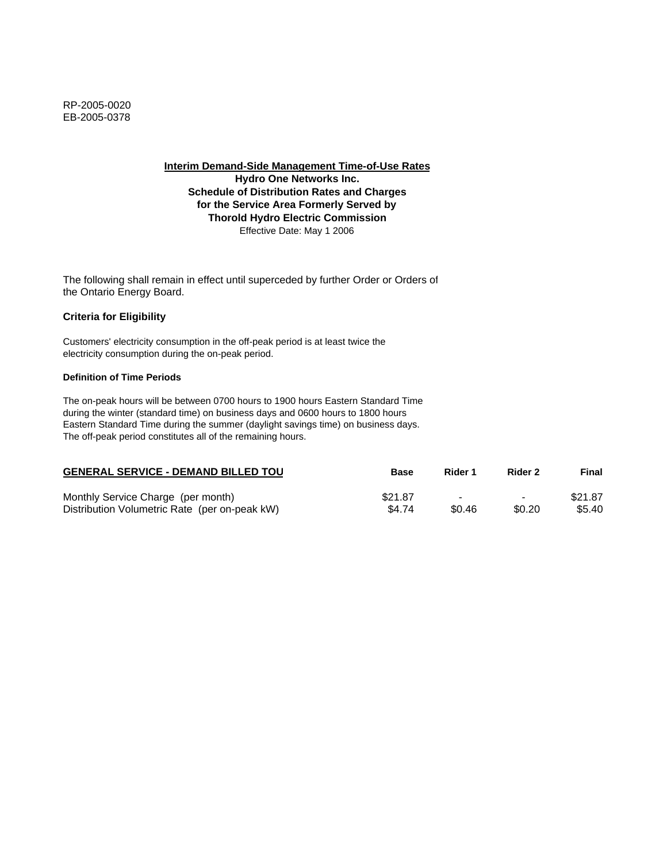**Hydro One Networks Inc. Schedule of Distribution Rates and Charges for the Service Area Formerly Served by Thorold Hydro Electric Commission** Effective Date: May 1 2006

The following shall remain in effect until superceded by further Order or Orders of the Ontario Energy Board.

### **Criteria for Eligibility**

Customers' electricity consumption in the off-peak period is at least twice the electricity consumption during the on-peak period.

### **Definition of Time Periods**

| <b>GENERAL SERVICE - DEMAND BILLED TOU</b>    | <b>Base</b> | Rider 1                  | Rider 2                  | Final   |
|-----------------------------------------------|-------------|--------------------------|--------------------------|---------|
| Monthly Service Charge (per month)            | \$21.87     | $\overline{\phantom{0}}$ | $\overline{\phantom{0}}$ | \$21.87 |
| Distribution Volumetric Rate (per on-peak kW) | \$4.74      | \$0.46                   | \$0.20                   | \$5.40  |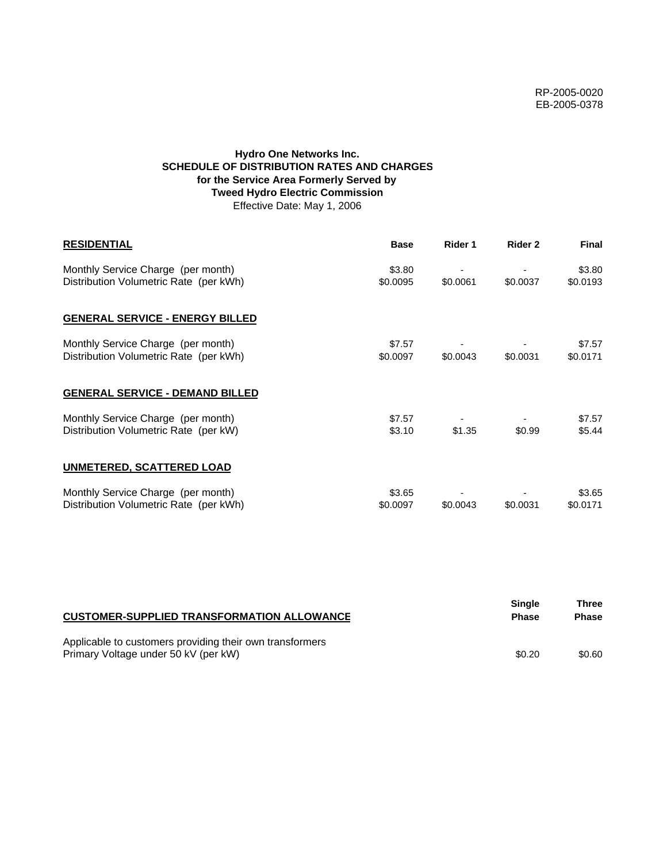## **Hydro One Networks Inc. SCHEDULE OF DISTRIBUTION RATES AND CHARGES for the Service Area Formerly Served by Tweed Hydro Electric Commission** Effective Date: May 1, 2006

| <b>RESIDENTIAL</b>                                                           | <b>Base</b>        | Rider 1  | Rider 2  | <b>Final</b>       |
|------------------------------------------------------------------------------|--------------------|----------|----------|--------------------|
| Monthly Service Charge (per month)<br>Distribution Volumetric Rate (per kWh) | \$3.80<br>\$0.0095 | \$0.0061 | \$0.0037 | \$3.80<br>\$0.0193 |
| <b>GENERAL SERVICE - ENERGY BILLED</b>                                       |                    |          |          |                    |
| Monthly Service Charge (per month)<br>Distribution Volumetric Rate (per kWh) | \$7.57<br>\$0.0097 | \$0.0043 | \$0.0031 | \$7.57<br>\$0.0171 |
| <b>GENERAL SERVICE - DEMAND BILLED</b>                                       |                    |          |          |                    |
| Monthly Service Charge (per month)<br>Distribution Volumetric Rate (per kW)  | \$7.57<br>\$3.10   | \$1.35   | \$0.99   | \$7.57<br>\$5.44   |
| UNMETERED, SCATTERED LOAD                                                    |                    |          |          |                    |
| Monthly Service Charge (per month)<br>Distribution Volumetric Rate (per kWh) | \$3.65<br>\$0.0097 | \$0.0043 | \$0.0031 | \$3.65<br>\$0.0171 |

| <b>CUSTOMER-SUPPLIED TRANSFORMATION ALLOWANCE</b>                                                | <b>Single</b><br><b>Phase</b> | Three<br><b>Phase</b> |
|--------------------------------------------------------------------------------------------------|-------------------------------|-----------------------|
| Applicable to customers providing their own transformers<br>Primary Voltage under 50 kV (per kW) | \$0.20                        | \$0.60                |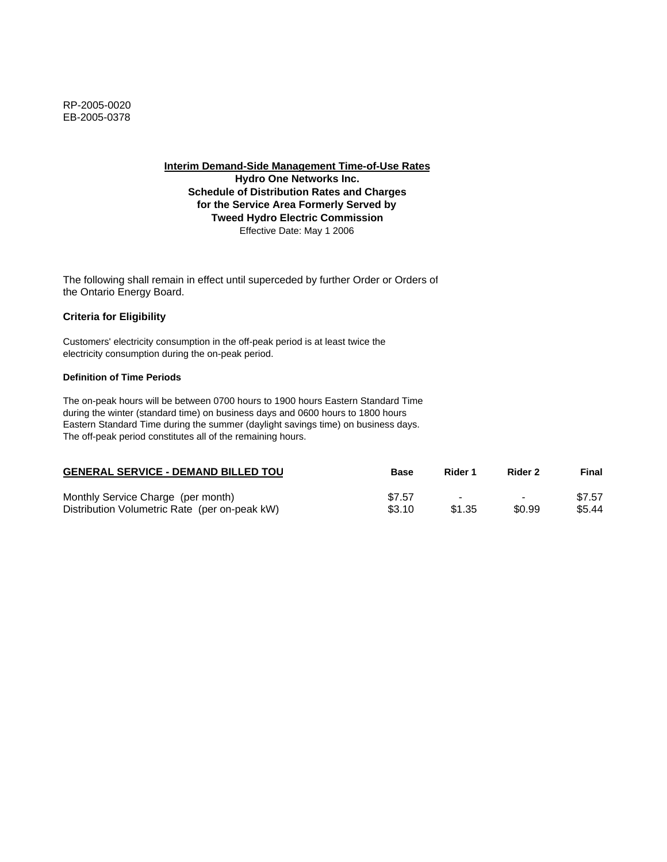**Hydro One Networks Inc. Schedule of Distribution Rates and Charges for the Service Area Formerly Served by Tweed Hydro Electric Commission** Effective Date: May 1 2006

The following shall remain in effect until superceded by further Order or Orders of the Ontario Energy Board.

# **Criteria for Eligibility**

Customers' electricity consumption in the off-peak period is at least twice the electricity consumption during the on-peak period.

### **Definition of Time Periods**

| <b>GENERAL SERVICE - DEMAND BILLED TOU</b>    | <b>Base</b> | Rider 1                  | Rider 2                  | Final  |
|-----------------------------------------------|-------------|--------------------------|--------------------------|--------|
| Monthly Service Charge (per month)            | \$7.57      | $\overline{\phantom{0}}$ | $\overline{\phantom{0}}$ | \$7.57 |
| Distribution Volumetric Rate (per on-peak kW) | \$3.10      | \$1.35                   | \$0.99                   | \$5.44 |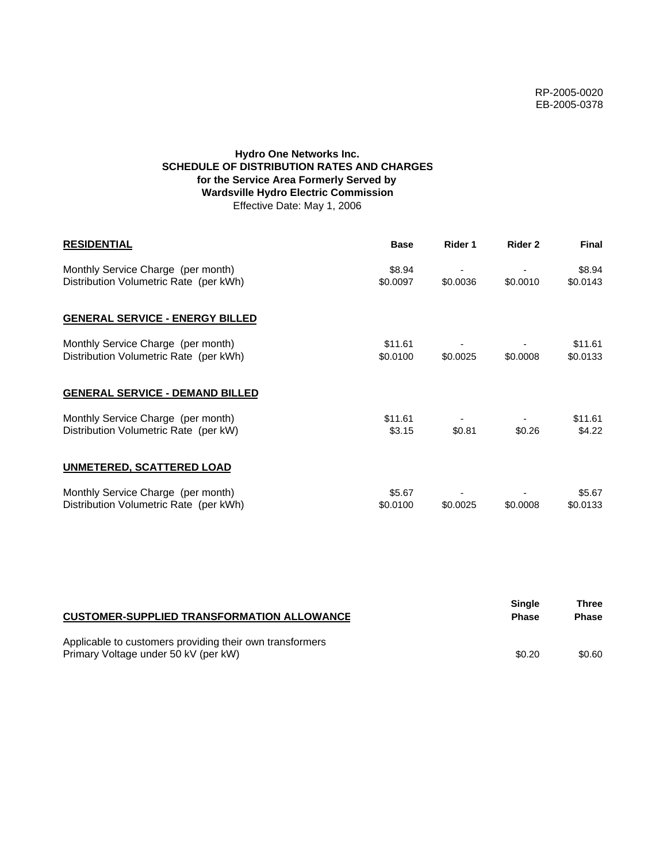# **Hydro One Networks Inc. SCHEDULE OF DISTRIBUTION RATES AND CHARGES for the Service Area Formerly Served by Wardsville Hydro Electric Commission** Effective Date: May 1, 2006

| <b>RESIDENTIAL</b>                                                           | <b>Base</b>         | Rider 1  | Rider 2  | <b>Final</b>        |
|------------------------------------------------------------------------------|---------------------|----------|----------|---------------------|
| Monthly Service Charge (per month)<br>Distribution Volumetric Rate (per kWh) | \$8.94<br>\$0.0097  | \$0.0036 | \$0.0010 | \$8.94<br>\$0.0143  |
| <b>GENERAL SERVICE - ENERGY BILLED</b>                                       |                     |          |          |                     |
| Monthly Service Charge (per month)<br>Distribution Volumetric Rate (per kWh) | \$11.61<br>\$0.0100 | \$0.0025 | \$0.0008 | \$11.61<br>\$0.0133 |
| <b>GENERAL SERVICE - DEMAND BILLED</b>                                       |                     |          |          |                     |
| Monthly Service Charge (per month)<br>Distribution Volumetric Rate (per kW)  | \$11.61<br>\$3.15   | \$0.81   | \$0.26   | \$11.61<br>\$4.22   |
| UNMETERED, SCATTERED LOAD                                                    |                     |          |          |                     |
| Monthly Service Charge (per month)<br>Distribution Volumetric Rate (per kWh) | \$5.67<br>\$0.0100  | \$0.0025 | \$0.0008 | \$5.67<br>\$0.0133  |

| <b>CUSTOMER-SUPPLIED TRANSFORMATION ALLOWANCE</b>                                                | Single<br><b>Phase</b> | Three<br><b>Phase</b> |
|--------------------------------------------------------------------------------------------------|------------------------|-----------------------|
| Applicable to customers providing their own transformers<br>Primary Voltage under 50 kV (per kW) | \$0.20                 | \$0.60                |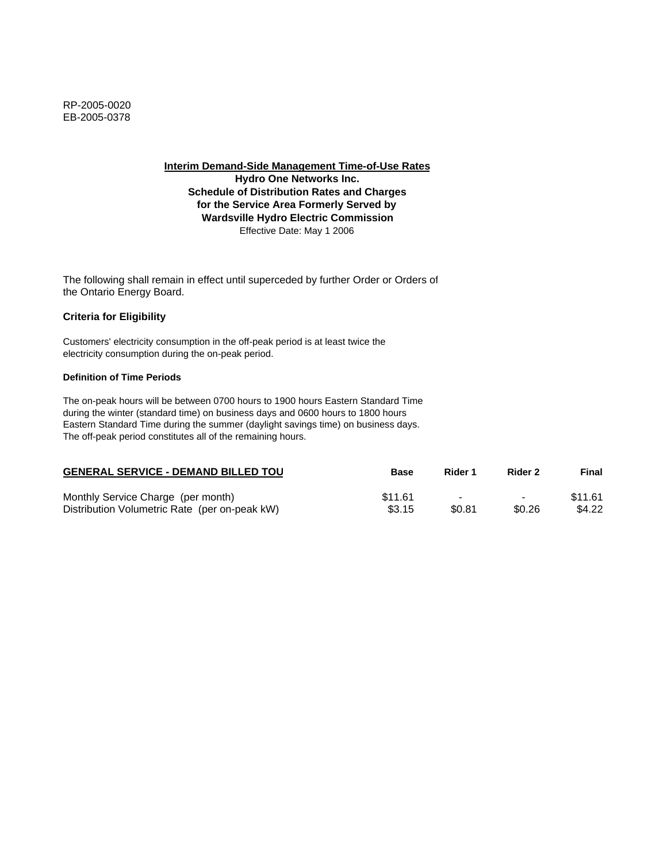**Hydro One Networks Inc. Schedule of Distribution Rates and Charges for the Service Area Formerly Served by Wardsville Hydro Electric Commission** Effective Date: May 1 2006

The following shall remain in effect until superceded by further Order or Orders of the Ontario Energy Board.

### **Criteria for Eligibility**

Customers' electricity consumption in the off-peak period is at least twice the electricity consumption during the on-peak period.

### **Definition of Time Periods**

| <b>GENERAL SERVICE - DEMAND BILLED TOU</b>    | <b>Base</b> | Rider 1                  | Rider 2                  | Final   |
|-----------------------------------------------|-------------|--------------------------|--------------------------|---------|
| Monthly Service Charge (per month)            | \$11.61     | $\overline{\phantom{0}}$ | $\overline{\phantom{0}}$ | \$11.61 |
| Distribution Volumetric Rate (per on-peak kW) | \$3.15      | \$0.81                   | \$0.26                   | \$4.22  |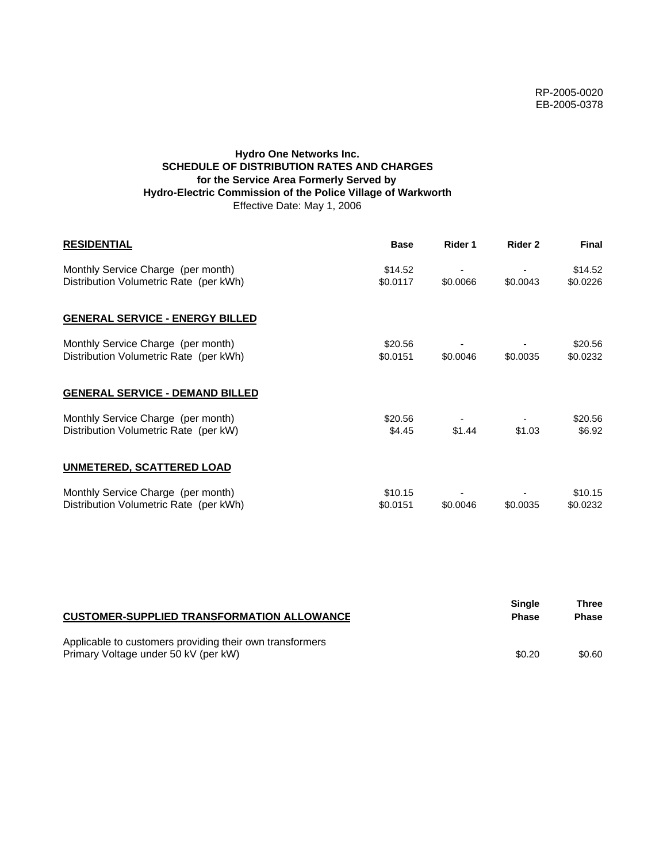## **Hydro One Networks Inc. SCHEDULE OF DISTRIBUTION RATES AND CHARGES for the Service Area Formerly Served by Hydro-Electric Commission of the Police Village of Warkworth** Effective Date: May 1, 2006

| <b>RESIDENTIAL</b>                                                           | <b>Base</b>         | Rider 1  | Rider 2  | <b>Final</b>        |
|------------------------------------------------------------------------------|---------------------|----------|----------|---------------------|
| Monthly Service Charge (per month)<br>Distribution Volumetric Rate (per kWh) | \$14.52<br>\$0.0117 | \$0.0066 | \$0.0043 | \$14.52<br>\$0.0226 |
| <b>GENERAL SERVICE - ENERGY BILLED</b>                                       |                     |          |          |                     |
| Monthly Service Charge (per month)<br>Distribution Volumetric Rate (per kWh) | \$20.56<br>\$0.0151 | \$0.0046 | \$0.0035 | \$20.56<br>\$0.0232 |
| <b>GENERAL SERVICE - DEMAND BILLED</b>                                       |                     |          |          |                     |
| Monthly Service Charge (per month)<br>Distribution Volumetric Rate (per kW)  | \$20.56<br>\$4.45   | \$1.44   | \$1.03   | \$20.56<br>\$6.92   |
| <b>UNMETERED, SCATTERED LOAD</b>                                             |                     |          |          |                     |
| Monthly Service Charge (per month)<br>Distribution Volumetric Rate (per kWh) | \$10.15<br>\$0.0151 | \$0.0046 | \$0.0035 | \$10.15<br>\$0.0232 |

| <b>CUSTOMER-SUPPLIED TRANSFORMATION ALLOWANCE</b>                                                | Single<br><b>Phase</b> | Three<br><b>Phase</b> |
|--------------------------------------------------------------------------------------------------|------------------------|-----------------------|
| Applicable to customers providing their own transformers<br>Primary Voltage under 50 kV (per kW) | \$0.20                 | \$0.60                |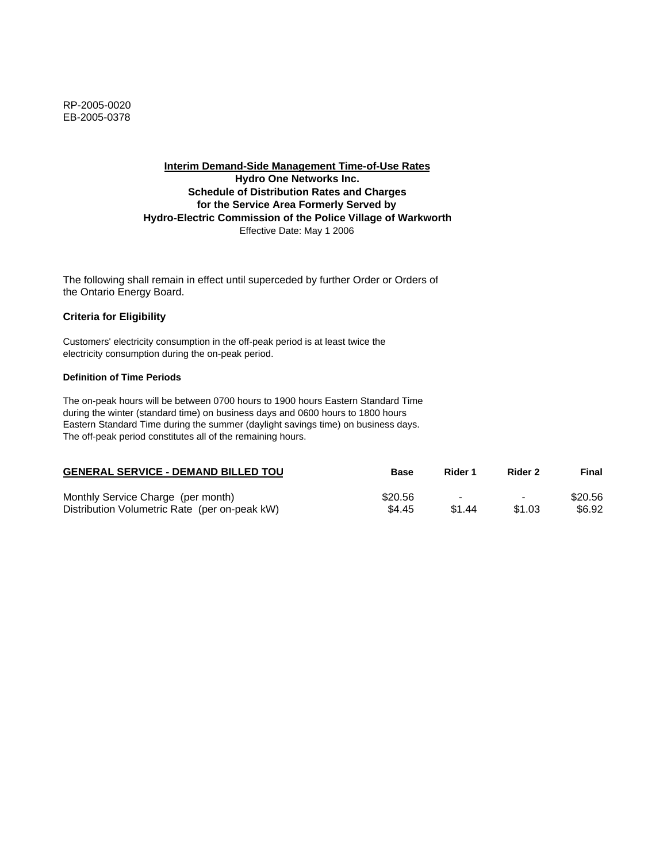## **Interim Demand-Side Management Time-of-Use Rates Hydro One Networks Inc. Schedule of Distribution Rates and Charges for the Service Area Formerly Served by Hydro-Electric Commission of the Police Village of Warkworth** Effective Date: May 1 2006

The following shall remain in effect until superceded by further Order or Orders of the Ontario Energy Board.

### **Criteria for Eligibility**

Customers' electricity consumption in the off-peak period is at least twice the electricity consumption during the on-peak period.

### **Definition of Time Periods**

| <b>GENERAL SERVICE - DEMAND BILLED TOU</b>    | Base    | Rider 1 | Rider 2                  | Final   |
|-----------------------------------------------|---------|---------|--------------------------|---------|
| Monthly Service Charge (per month)            | \$20.56 | -       | $\overline{\phantom{0}}$ | \$20.56 |
| Distribution Volumetric Rate (per on-peak kW) | \$4.45  | \$1.44  | \$1.03                   | \$6.92  |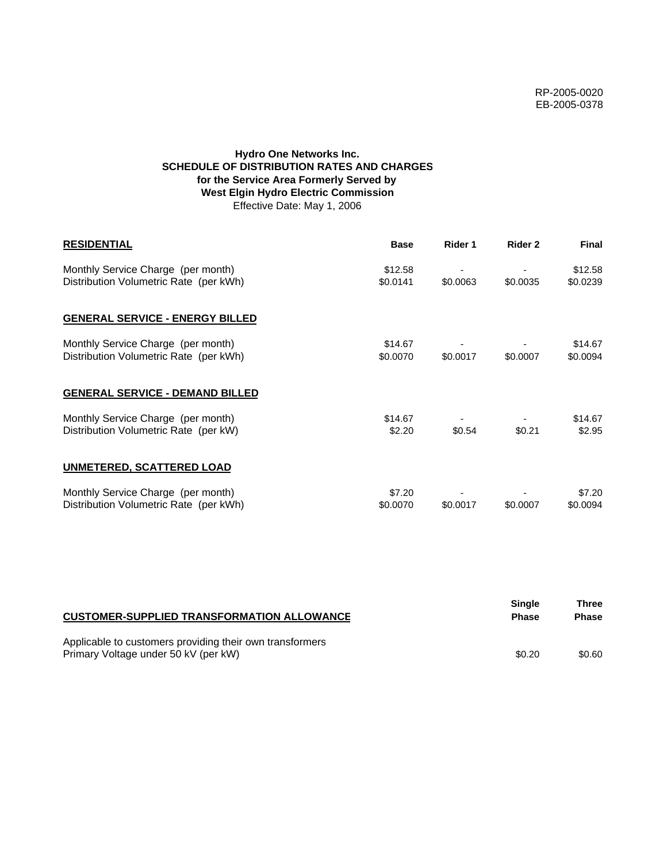# **Hydro One Networks Inc. SCHEDULE OF DISTRIBUTION RATES AND CHARGES for the Service Area Formerly Served by West Elgin Hydro Electric Commission** Effective Date: May 1, 2006

| <b>RESIDENTIAL</b>                                                           | <b>Base</b>         | Rider 1  | Rider 2  | <b>Final</b>        |
|------------------------------------------------------------------------------|---------------------|----------|----------|---------------------|
| Monthly Service Charge (per month)<br>Distribution Volumetric Rate (per kWh) | \$12.58<br>\$0.0141 | \$0.0063 | \$0.0035 | \$12.58<br>\$0.0239 |
| <b>GENERAL SERVICE - ENERGY BILLED</b>                                       |                     |          |          |                     |
| Monthly Service Charge (per month)<br>Distribution Volumetric Rate (per kWh) | \$14.67<br>\$0.0070 | \$0.0017 | \$0.0007 | \$14.67<br>\$0.0094 |
| <b>GENERAL SERVICE - DEMAND BILLED</b>                                       |                     |          |          |                     |
| Monthly Service Charge (per month)<br>Distribution Volumetric Rate (per kW)  | \$14.67<br>\$2.20   | \$0.54   | \$0.21   | \$14.67<br>\$2.95   |
| <b>UNMETERED, SCATTERED LOAD</b>                                             |                     |          |          |                     |
| Monthly Service Charge (per month)<br>Distribution Volumetric Rate (per kWh) | \$7.20<br>\$0.0070  | \$0.0017 | \$0.0007 | \$7.20<br>\$0.0094  |

| <b>CUSTOMER-SUPPLIED TRANSFORMATION ALLOWANCE</b>                                                | Single<br><b>Phase</b> | Three<br><b>Phase</b> |
|--------------------------------------------------------------------------------------------------|------------------------|-----------------------|
| Applicable to customers providing their own transformers<br>Primary Voltage under 50 kV (per kW) | \$0.20                 | \$0.60                |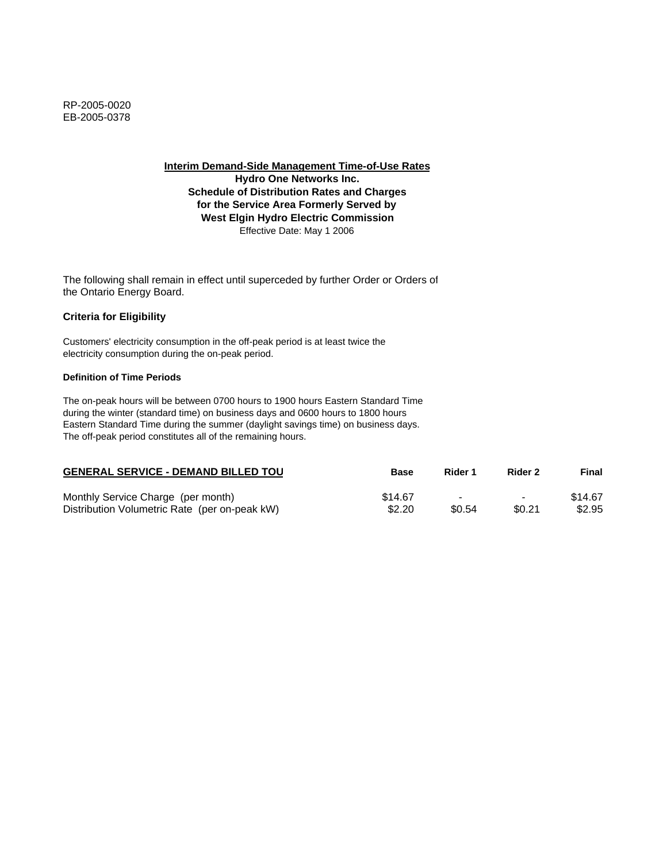**Hydro One Networks Inc. Schedule of Distribution Rates and Charges for the Service Area Formerly Served by West Elgin Hydro Electric Commission** Effective Date: May 1 2006

The following shall remain in effect until superceded by further Order or Orders of the Ontario Energy Board.

### **Criteria for Eligibility**

Customers' electricity consumption in the off-peak period is at least twice the electricity consumption during the on-peak period.

### **Definition of Time Periods**

| <b>GENERAL SERVICE - DEMAND BILLED TOU</b>    | <b>Base</b> | Rider 1                  | Rider 2                  | Final   |
|-----------------------------------------------|-------------|--------------------------|--------------------------|---------|
| Monthly Service Charge (per month)            | \$14.67     | $\overline{\phantom{0}}$ | $\overline{\phantom{0}}$ | \$14.67 |
| Distribution Volumetric Rate (per on-peak kW) | \$2.20      | \$0.54                   | \$0.21                   | \$2.95  |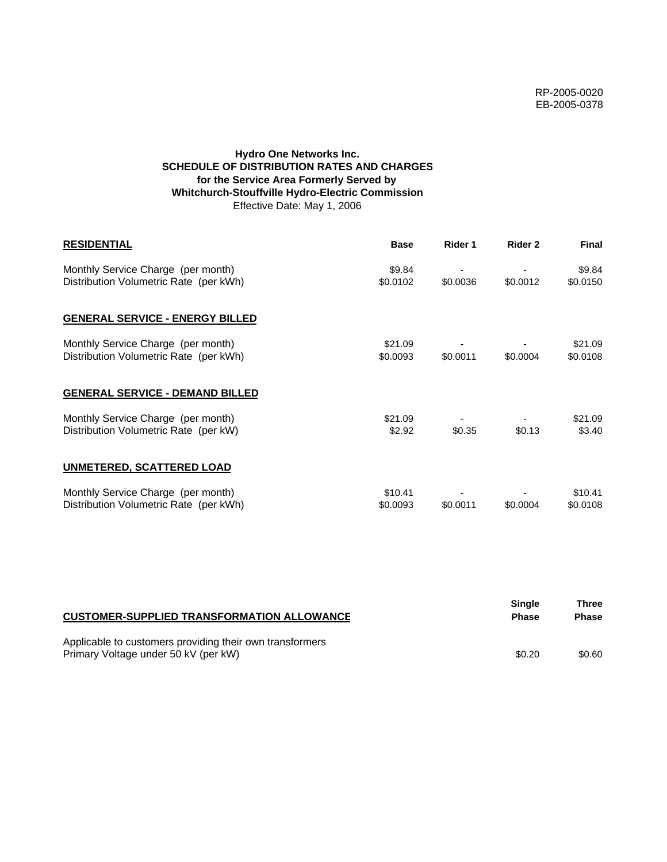# **Hydro One Networks Inc. SCHEDULE OF DISTRIBUTION RATES AND CHARGES for the Service Area Formerly Served by Whitchurch-Stouffville Hydro-Electric Commission** Effective Date: May 1, 2006

| <b>RESIDENTIAL</b>                                                           | <b>Base</b>         | Rider 1  | Rider 2  | <b>Final</b>        |
|------------------------------------------------------------------------------|---------------------|----------|----------|---------------------|
| Monthly Service Charge (per month)<br>Distribution Volumetric Rate (per kWh) | \$9.84<br>\$0.0102  | \$0.0036 | \$0.0012 | \$9.84<br>\$0.0150  |
| <b>GENERAL SERVICE - ENERGY BILLED</b>                                       |                     |          |          |                     |
| Monthly Service Charge (per month)<br>Distribution Volumetric Rate (per kWh) | \$21.09<br>\$0.0093 | \$0.0011 | \$0.0004 | \$21.09<br>\$0.0108 |
| <b>GENERAL SERVICE - DEMAND BILLED</b>                                       |                     |          |          |                     |
| Monthly Service Charge (per month)<br>Distribution Volumetric Rate (per kW)  | \$21.09<br>\$2.92   | \$0.35   | \$0.13   | \$21.09<br>\$3.40   |
| <b>UNMETERED, SCATTERED LOAD</b>                                             |                     |          |          |                     |
| Monthly Service Charge (per month)<br>Distribution Volumetric Rate (per kWh) | \$10.41<br>\$0.0093 | \$0.0011 | \$0.0004 | \$10.41<br>\$0.0108 |

| <b>CUSTOMER-SUPPLIED TRANSFORMATION ALLOWANCE</b>                                                | <b>Single</b><br><b>Phase</b> | Three<br><b>Phase</b> |
|--------------------------------------------------------------------------------------------------|-------------------------------|-----------------------|
| Applicable to customers providing their own transformers<br>Primary Voltage under 50 kV (per kW) | \$0.20                        | \$0.60                |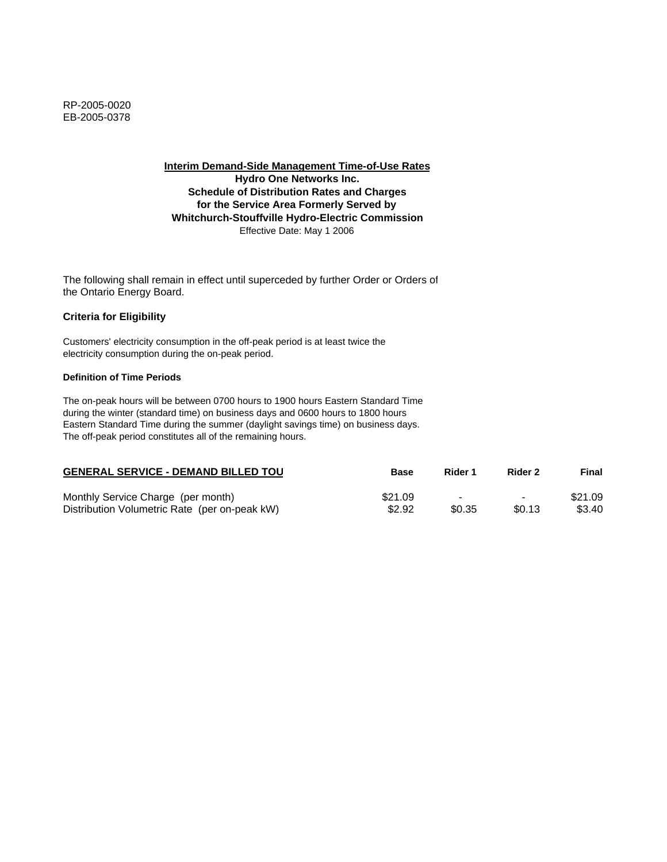**Interim Demand-Side Management Time-of-Use Rates Hydro One Networks Inc. Schedule of Distribution Rates and Charges for the Service Area Formerly Served by Whitchurch-Stouffville Hydro-Electric Commission** Effective Date: May 1 2006

The following shall remain in effect until superceded by further Order or Orders of the Ontario Energy Board.

### **Criteria for Eligibility**

Customers' electricity consumption in the off-peak period is at least twice the electricity consumption during the on-peak period.

#### **Definition of Time Periods**

| <b>GENERAL SERVICE - DEMAND BILLED TOU</b>    | Base    | Rider 1                  | Rider 2                  | Final   |
|-----------------------------------------------|---------|--------------------------|--------------------------|---------|
| Monthly Service Charge (per month)            | \$21.09 | $\overline{\phantom{a}}$ | $\overline{\phantom{0}}$ | \$21.09 |
| Distribution Volumetric Rate (per on-peak kW) | \$2.92  | \$0.35                   | \$0.13                   | \$3.40  |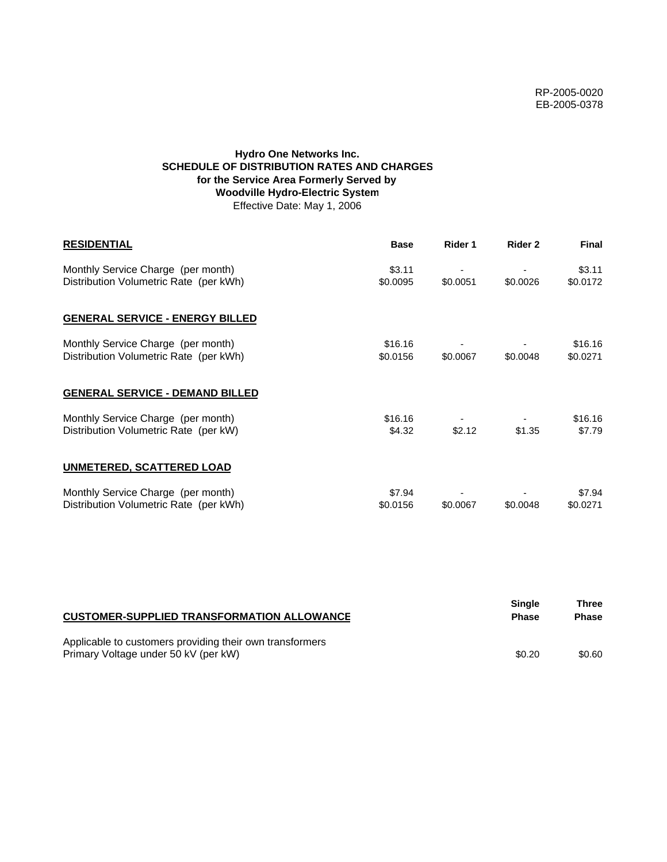# **Hydro One Networks Inc. SCHEDULE OF DISTRIBUTION RATES AND CHARGES for the Service Area Formerly Served by Woodville Hydro-Electric System** Effective Date: May 1, 2006

| <b>RESIDENTIAL</b>                                                           | <b>Base</b>         | Rider 1  | Rider 2  | <b>Final</b>        |
|------------------------------------------------------------------------------|---------------------|----------|----------|---------------------|
| Monthly Service Charge (per month)<br>Distribution Volumetric Rate (per kWh) | \$3.11<br>\$0.0095  | \$0.0051 | \$0.0026 | \$3.11<br>\$0.0172  |
| <b>GENERAL SERVICE - ENERGY BILLED</b>                                       |                     |          |          |                     |
| Monthly Service Charge (per month)<br>Distribution Volumetric Rate (per kWh) | \$16.16<br>\$0.0156 | \$0.0067 | \$0.0048 | \$16.16<br>\$0.0271 |
| <b>GENERAL SERVICE - DEMAND BILLED</b>                                       |                     |          |          |                     |
| Monthly Service Charge (per month)<br>Distribution Volumetric Rate (per kW)  | \$16.16<br>\$4.32   | \$2.12   | \$1.35   | \$16.16<br>\$7.79   |
| <b>UNMETERED, SCATTERED LOAD</b>                                             |                     |          |          |                     |
| Monthly Service Charge (per month)<br>Distribution Volumetric Rate (per kWh) | \$7.94<br>\$0.0156  | \$0.0067 | \$0.0048 | \$7.94<br>\$0.0271  |

| <b>CUSTOMER-SUPPLIED TRANSFORMATION ALLOWANCE</b>                                                | Single<br><b>Phase</b> | Three<br><b>Phase</b> |
|--------------------------------------------------------------------------------------------------|------------------------|-----------------------|
| Applicable to customers providing their own transformers<br>Primary Voltage under 50 kV (per kW) | \$0.20                 | \$0.60                |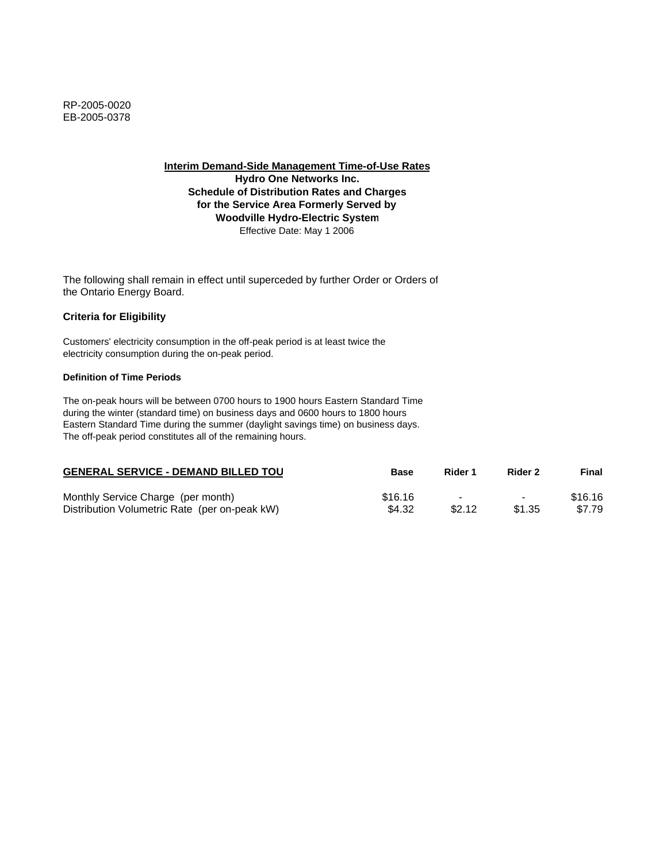**Hydro One Networks Inc. Schedule of Distribution Rates and Charges for the Service Area Formerly Served by Woodville Hydro-Electric System** Effective Date: May 1 2006

The following shall remain in effect until superceded by further Order or Orders of the Ontario Energy Board.

# **Criteria for Eligibility**

Customers' electricity consumption in the off-peak period is at least twice the electricity consumption during the on-peak period.

### **Definition of Time Periods**

| <b>GENERAL SERVICE - DEMAND BILLED TOU</b>    | Base    | Rider 1 | Rider 2                  | Final   |
|-----------------------------------------------|---------|---------|--------------------------|---------|
| Monthly Service Charge (per month)            | \$16.16 | $\sim$  | $\overline{\phantom{0}}$ | \$16.16 |
| Distribution Volumetric Rate (per on-peak kW) | \$4.32  | \$2.12  | \$1.35                   | \$7.79  |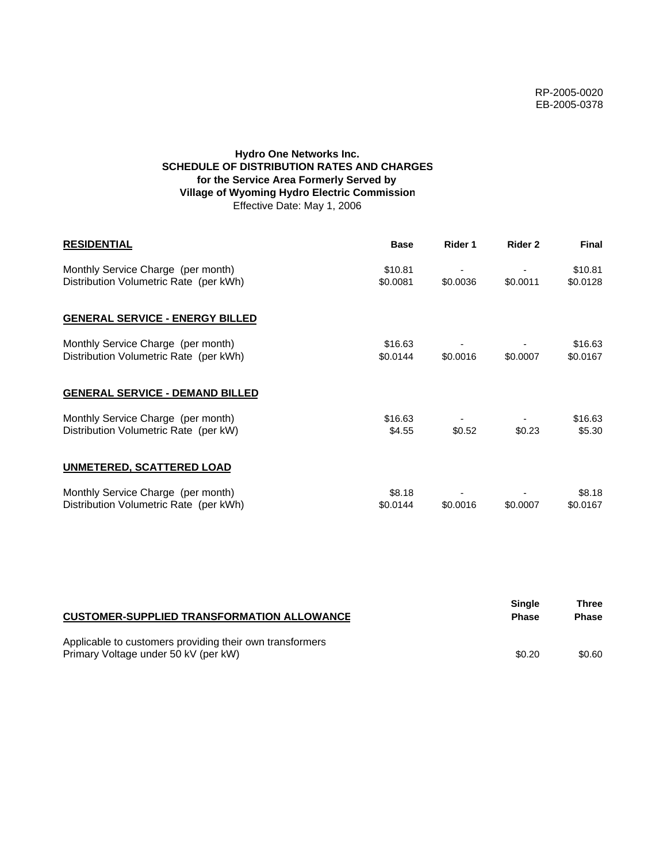# **Hydro One Networks Inc. SCHEDULE OF DISTRIBUTION RATES AND CHARGES for the Service Area Formerly Served by Village of Wyoming Hydro Electric Commission** Effective Date: May 1, 2006

| <b>RESIDENTIAL</b>                                                           | <b>Base</b>         | Rider 1  | Rider 2  | <b>Final</b>        |
|------------------------------------------------------------------------------|---------------------|----------|----------|---------------------|
| Monthly Service Charge (per month)<br>Distribution Volumetric Rate (per kWh) | \$10.81<br>\$0.0081 | \$0.0036 | \$0.0011 | \$10.81<br>\$0.0128 |
| <b>GENERAL SERVICE - ENERGY BILLED</b>                                       |                     |          |          |                     |
| Monthly Service Charge (per month)<br>Distribution Volumetric Rate (per kWh) | \$16.63<br>\$0.0144 | \$0.0016 | \$0.0007 | \$16.63<br>\$0.0167 |
| <b>GENERAL SERVICE - DEMAND BILLED</b>                                       |                     |          |          |                     |
| Monthly Service Charge (per month)<br>Distribution Volumetric Rate (per kW)  | \$16.63<br>\$4.55   | \$0.52   | \$0.23   | \$16.63<br>\$5.30   |
| <b>UNMETERED, SCATTERED LOAD</b>                                             |                     |          |          |                     |
| Monthly Service Charge (per month)<br>Distribution Volumetric Rate (per kWh) | \$8.18<br>\$0.0144  | \$0.0016 | \$0.0007 | \$8.18<br>\$0.0167  |

| <b>CUSTOMER-SUPPLIED TRANSFORMATION ALLOWANCE</b>                                                | Single<br><b>Phase</b> | Three<br><b>Phase</b> |
|--------------------------------------------------------------------------------------------------|------------------------|-----------------------|
| Applicable to customers providing their own transformers<br>Primary Voltage under 50 kV (per kW) | \$0.20                 | \$0.60                |